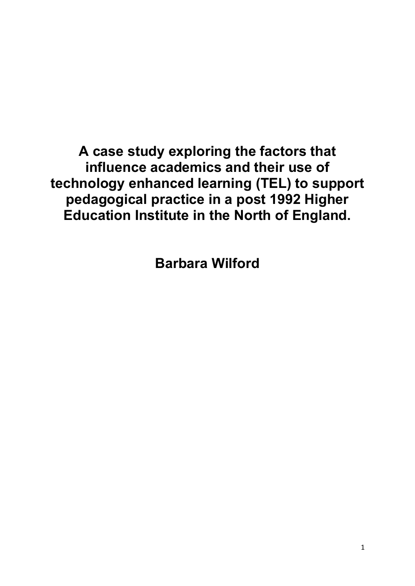**A case study exploring the factors that influence academics and their use of technology enhanced learning (TEL) to support pedagogical practice in a post 1992 Higher Education Institute in the North of England.**

**Barbara Wilford**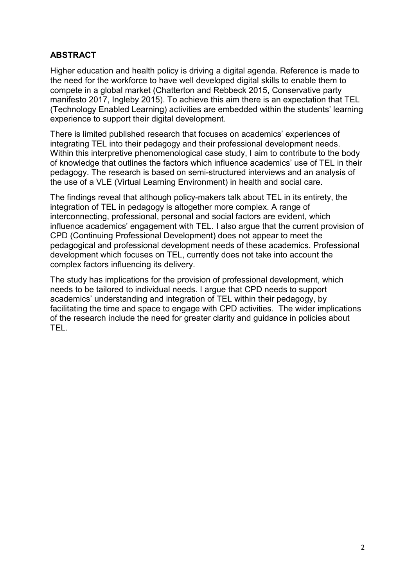## **ABSTRACT**

Higher education and health policy is driving a digital agenda. Reference is made to the need for the workforce to have well developed digital skills to enable them to compete in a global market (Chatterton and Rebbeck 2015, Conservative party manifesto 2017, Ingleby 2015). To achieve this aim there is an expectation that TEL (Technology Enabled Learning) activities are embedded within the students' learning experience to support their digital development.

There is limited published research that focuses on academics' experiences of integrating TEL into their pedagogy and their professional development needs. Within this interpretive phenomenological case study, I aim to contribute to the body of knowledge that outlines the factors which influence academics' use of TEL in their pedagogy. The research is based on semi-structured interviews and an analysis of the use of a VLE (Virtual Learning Environment) in health and social care.

The findings reveal that although policy-makers talk about TEL in its entirety, the integration of TEL in pedagogy is altogether more complex. A range of interconnecting, professional, personal and social factors are evident, which influence academics' engagement with TEL. I also argue that the current provision of CPD (Continuing Professional Development) does not appear to meet the pedagogical and professional development needs of these academics. Professional development which focuses on TEL, currently does not take into account the complex factors influencing its delivery.

The study has implications for the provision of professional development, which needs to be tailored to individual needs. I argue that CPD needs to support academics' understanding and integration of TEL within their pedagogy, by facilitating the time and space to engage with CPD activities. The wider implications of the research include the need for greater clarity and guidance in policies about TEL.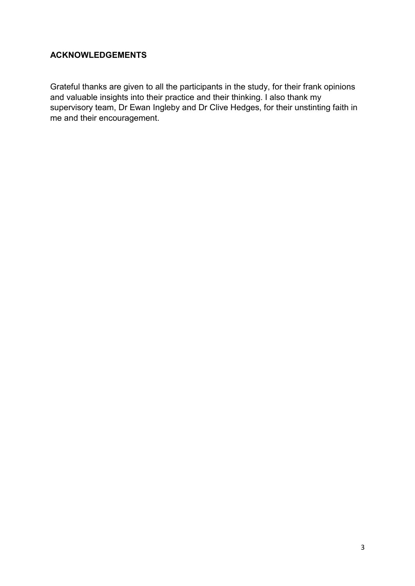# **ACKNOWLEDGEMENTS**

Grateful thanks are given to all the participants in the study, for their frank opinions and valuable insights into their practice and their thinking. I also thank my supervisory team, Dr Ewan Ingleby and Dr Clive Hedges, for their unstinting faith in me and their encouragement.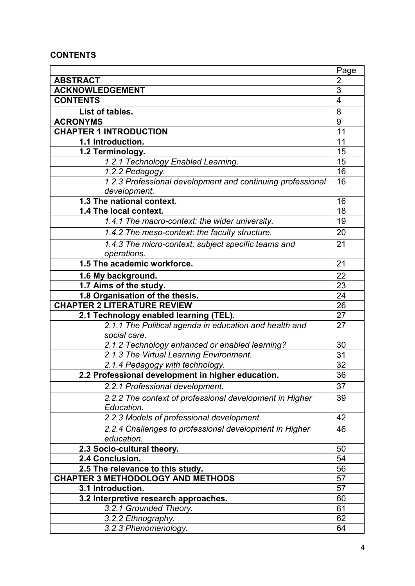## **CONTENTS**

| $\overline{2}$<br><b>ABSTRACT</b><br>3<br><b>ACKNOWLEDGEMENT</b><br><b>CONTENTS</b><br>$\overline{4}$<br>8<br>List of tables.<br><b>ACRONYMS</b><br>9<br><b>CHAPTER 1 INTRODUCTION</b><br>11<br>11<br>1.1 Introduction.<br>15<br>1.2 Terminology.<br>15<br>1.2.1 Technology Enabled Learning.<br>16<br>1.2.2 Pedagogy.<br>1.2.3 Professional development and continuing professional<br>16<br>development.<br>1.3 The national context.<br>16<br>18<br>1.4 The local context.<br>1.4.1 The macro-context: the wider university.<br>19<br>1.4.2 The meso-context: the faculty structure.<br>20<br>1.4.3 The micro-context: subject specific teams and<br>21<br>operations.<br>1.5 The academic workforce.<br>21<br>$\overline{22}$<br>1.6 My background.<br>1.7 Aims of the study.<br>23<br>1.8 Organisation of the thesis.<br>24<br><b>CHAPTER 2 LITERATURE REVIEW</b><br>26<br>2.1 Technology enabled learning (TEL).<br>27<br>2.1.1 The Political agenda in education and health and<br>27<br>social care.<br>2.1.2 Technology enhanced or enabled learning?<br>30<br>2.1.3 The Virtual Learning Environment.<br>31 |
|-----------------------------------------------------------------------------------------------------------------------------------------------------------------------------------------------------------------------------------------------------------------------------------------------------------------------------------------------------------------------------------------------------------------------------------------------------------------------------------------------------------------------------------------------------------------------------------------------------------------------------------------------------------------------------------------------------------------------------------------------------------------------------------------------------------------------------------------------------------------------------------------------------------------------------------------------------------------------------------------------------------------------------------------------------------------------------------------------------------------------|
|                                                                                                                                                                                                                                                                                                                                                                                                                                                                                                                                                                                                                                                                                                                                                                                                                                                                                                                                                                                                                                                                                                                       |
|                                                                                                                                                                                                                                                                                                                                                                                                                                                                                                                                                                                                                                                                                                                                                                                                                                                                                                                                                                                                                                                                                                                       |
|                                                                                                                                                                                                                                                                                                                                                                                                                                                                                                                                                                                                                                                                                                                                                                                                                                                                                                                                                                                                                                                                                                                       |
|                                                                                                                                                                                                                                                                                                                                                                                                                                                                                                                                                                                                                                                                                                                                                                                                                                                                                                                                                                                                                                                                                                                       |
|                                                                                                                                                                                                                                                                                                                                                                                                                                                                                                                                                                                                                                                                                                                                                                                                                                                                                                                                                                                                                                                                                                                       |
|                                                                                                                                                                                                                                                                                                                                                                                                                                                                                                                                                                                                                                                                                                                                                                                                                                                                                                                                                                                                                                                                                                                       |
|                                                                                                                                                                                                                                                                                                                                                                                                                                                                                                                                                                                                                                                                                                                                                                                                                                                                                                                                                                                                                                                                                                                       |
|                                                                                                                                                                                                                                                                                                                                                                                                                                                                                                                                                                                                                                                                                                                                                                                                                                                                                                                                                                                                                                                                                                                       |
|                                                                                                                                                                                                                                                                                                                                                                                                                                                                                                                                                                                                                                                                                                                                                                                                                                                                                                                                                                                                                                                                                                                       |
|                                                                                                                                                                                                                                                                                                                                                                                                                                                                                                                                                                                                                                                                                                                                                                                                                                                                                                                                                                                                                                                                                                                       |
|                                                                                                                                                                                                                                                                                                                                                                                                                                                                                                                                                                                                                                                                                                                                                                                                                                                                                                                                                                                                                                                                                                                       |
|                                                                                                                                                                                                                                                                                                                                                                                                                                                                                                                                                                                                                                                                                                                                                                                                                                                                                                                                                                                                                                                                                                                       |
|                                                                                                                                                                                                                                                                                                                                                                                                                                                                                                                                                                                                                                                                                                                                                                                                                                                                                                                                                                                                                                                                                                                       |
|                                                                                                                                                                                                                                                                                                                                                                                                                                                                                                                                                                                                                                                                                                                                                                                                                                                                                                                                                                                                                                                                                                                       |
|                                                                                                                                                                                                                                                                                                                                                                                                                                                                                                                                                                                                                                                                                                                                                                                                                                                                                                                                                                                                                                                                                                                       |
|                                                                                                                                                                                                                                                                                                                                                                                                                                                                                                                                                                                                                                                                                                                                                                                                                                                                                                                                                                                                                                                                                                                       |
|                                                                                                                                                                                                                                                                                                                                                                                                                                                                                                                                                                                                                                                                                                                                                                                                                                                                                                                                                                                                                                                                                                                       |
|                                                                                                                                                                                                                                                                                                                                                                                                                                                                                                                                                                                                                                                                                                                                                                                                                                                                                                                                                                                                                                                                                                                       |
|                                                                                                                                                                                                                                                                                                                                                                                                                                                                                                                                                                                                                                                                                                                                                                                                                                                                                                                                                                                                                                                                                                                       |
|                                                                                                                                                                                                                                                                                                                                                                                                                                                                                                                                                                                                                                                                                                                                                                                                                                                                                                                                                                                                                                                                                                                       |
|                                                                                                                                                                                                                                                                                                                                                                                                                                                                                                                                                                                                                                                                                                                                                                                                                                                                                                                                                                                                                                                                                                                       |
|                                                                                                                                                                                                                                                                                                                                                                                                                                                                                                                                                                                                                                                                                                                                                                                                                                                                                                                                                                                                                                                                                                                       |
|                                                                                                                                                                                                                                                                                                                                                                                                                                                                                                                                                                                                                                                                                                                                                                                                                                                                                                                                                                                                                                                                                                                       |
|                                                                                                                                                                                                                                                                                                                                                                                                                                                                                                                                                                                                                                                                                                                                                                                                                                                                                                                                                                                                                                                                                                                       |
|                                                                                                                                                                                                                                                                                                                                                                                                                                                                                                                                                                                                                                                                                                                                                                                                                                                                                                                                                                                                                                                                                                                       |
|                                                                                                                                                                                                                                                                                                                                                                                                                                                                                                                                                                                                                                                                                                                                                                                                                                                                                                                                                                                                                                                                                                                       |
|                                                                                                                                                                                                                                                                                                                                                                                                                                                                                                                                                                                                                                                                                                                                                                                                                                                                                                                                                                                                                                                                                                                       |
|                                                                                                                                                                                                                                                                                                                                                                                                                                                                                                                                                                                                                                                                                                                                                                                                                                                                                                                                                                                                                                                                                                                       |
| 32<br>2.1.4 Pedagogy with technology.                                                                                                                                                                                                                                                                                                                                                                                                                                                                                                                                                                                                                                                                                                                                                                                                                                                                                                                                                                                                                                                                                 |
| 36<br>2.2 Professional development in higher education.                                                                                                                                                                                                                                                                                                                                                                                                                                                                                                                                                                                                                                                                                                                                                                                                                                                                                                                                                                                                                                                               |
| 37<br>2.2.1 Professional development.                                                                                                                                                                                                                                                                                                                                                                                                                                                                                                                                                                                                                                                                                                                                                                                                                                                                                                                                                                                                                                                                                 |
| 2.2.2 The context of professional development in Higher<br>39<br>Education.                                                                                                                                                                                                                                                                                                                                                                                                                                                                                                                                                                                                                                                                                                                                                                                                                                                                                                                                                                                                                                           |
| 2.2.3 Models of professional development.<br>42                                                                                                                                                                                                                                                                                                                                                                                                                                                                                                                                                                                                                                                                                                                                                                                                                                                                                                                                                                                                                                                                       |
| 2.2.4 Challenges to professional development in Higher<br>46                                                                                                                                                                                                                                                                                                                                                                                                                                                                                                                                                                                                                                                                                                                                                                                                                                                                                                                                                                                                                                                          |
| education.                                                                                                                                                                                                                                                                                                                                                                                                                                                                                                                                                                                                                                                                                                                                                                                                                                                                                                                                                                                                                                                                                                            |
| 2.3 Socio-cultural theory.<br>50                                                                                                                                                                                                                                                                                                                                                                                                                                                                                                                                                                                                                                                                                                                                                                                                                                                                                                                                                                                                                                                                                      |
| 2.4 Conclusion.<br>54                                                                                                                                                                                                                                                                                                                                                                                                                                                                                                                                                                                                                                                                                                                                                                                                                                                                                                                                                                                                                                                                                                 |
| 2.5 The relevance to this study.<br>56                                                                                                                                                                                                                                                                                                                                                                                                                                                                                                                                                                                                                                                                                                                                                                                                                                                                                                                                                                                                                                                                                |
| <b>CHAPTER 3 METHODOLOGY AND METHODS</b><br>57                                                                                                                                                                                                                                                                                                                                                                                                                                                                                                                                                                                                                                                                                                                                                                                                                                                                                                                                                                                                                                                                        |
| 57<br>3.1 Introduction.                                                                                                                                                                                                                                                                                                                                                                                                                                                                                                                                                                                                                                                                                                                                                                                                                                                                                                                                                                                                                                                                                               |
| 60<br>3.2 Interpretive research approaches.                                                                                                                                                                                                                                                                                                                                                                                                                                                                                                                                                                                                                                                                                                                                                                                                                                                                                                                                                                                                                                                                           |
| 61<br>3.2.1 Grounded Theory.                                                                                                                                                                                                                                                                                                                                                                                                                                                                                                                                                                                                                                                                                                                                                                                                                                                                                                                                                                                                                                                                                          |
| 62<br>3.2.2 Ethnography.                                                                                                                                                                                                                                                                                                                                                                                                                                                                                                                                                                                                                                                                                                                                                                                                                                                                                                                                                                                                                                                                                              |
| 3.2.3 Phenomenology.<br>64                                                                                                                                                                                                                                                                                                                                                                                                                                                                                                                                                                                                                                                                                                                                                                                                                                                                                                                                                                                                                                                                                            |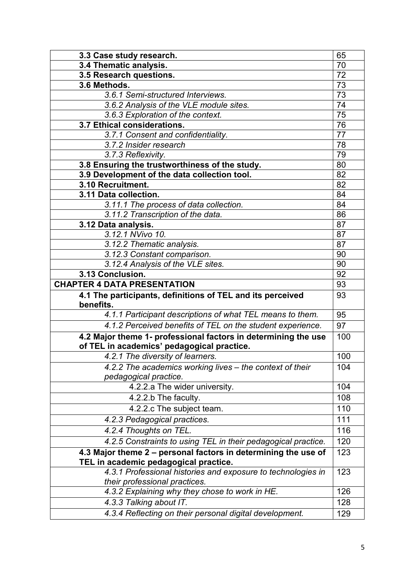| 3.3 Case study research.                                                                      | 65  |
|-----------------------------------------------------------------------------------------------|-----|
| 3.4 Thematic analysis.                                                                        | 70  |
| 3.5 Research questions.                                                                       | 72  |
| 3.6 Methods.                                                                                  | 73  |
| 3.6.1 Semi-structured Interviews.                                                             | 73  |
| 3.6.2 Analysis of the VLE module sites.                                                       | 74  |
| 3.6.3 Exploration of the context.                                                             | 75  |
| 3.7 Ethical considerations.                                                                   | 76  |
| 3.7.1 Consent and confidentiality.                                                            | 77  |
| 3.7.2 Insider research                                                                        | 78  |
| 3.7.3 Reflexivity.                                                                            | 79  |
| 3.8 Ensuring the trustworthiness of the study.                                                | 80  |
| 3.9 Development of the data collection tool.                                                  | 82  |
| 3.10 Recruitment.                                                                             | 82  |
| 3.11 Data collection.                                                                         | 84  |
| 3.11.1 The process of data collection.                                                        | 84  |
| 3.11.2 Transcription of the data.                                                             | 86  |
| 3.12 Data analysis.                                                                           | 87  |
| 3.12.1 NVivo 10.                                                                              | 87  |
| 3.12.2 Thematic analysis.                                                                     | 87  |
| 3.12.3 Constant comparison.                                                                   | 90  |
| 3.12.4 Analysis of the VLE sites.                                                             | 90  |
| 3.13 Conclusion.                                                                              | 92  |
|                                                                                               |     |
| <b>CHAPTER 4 DATA PRESENTATION</b>                                                            | 93  |
| 4.1 The participants, definitions of TEL and its perceived<br>benefits.                       | 93  |
| 4.1.1 Participant descriptions of what TEL means to them.                                     | 95  |
| 4.1.2 Perceived benefits of TEL on the student experience.                                    | 97  |
| 4.2 Major theme 1- professional factors in determining the use                                | 100 |
| of TEL in academics' pedagogical practice.                                                    |     |
| 4.2.1 The diversity of learners.                                                              | 100 |
| 4.2.2 The academics working lives – the context of their<br>pedagogical practice.             | 104 |
| 4.2.2.a The wider university.                                                                 | 104 |
| 4.2.2.b The faculty.                                                                          | 108 |
| 4.2.2.c The subject team.                                                                     | 110 |
| 4.2.3 Pedagogical practices.                                                                  | 111 |
| 4.2.4 Thoughts on TEL.                                                                        | 116 |
| 4.2.5 Constraints to using TEL in their pedagogical practice.                                 | 120 |
| 4.3 Major theme 2 - personal factors in determining the use of                                | 123 |
| TEL in academic pedagogical practice.                                                         |     |
| 4.3.1 Professional histories and exposure to technologies in<br>their professional practices. | 123 |
| 4.3.2 Explaining why they chose to work in HE.                                                | 126 |
| 4.3.3 Talking about IT.                                                                       | 128 |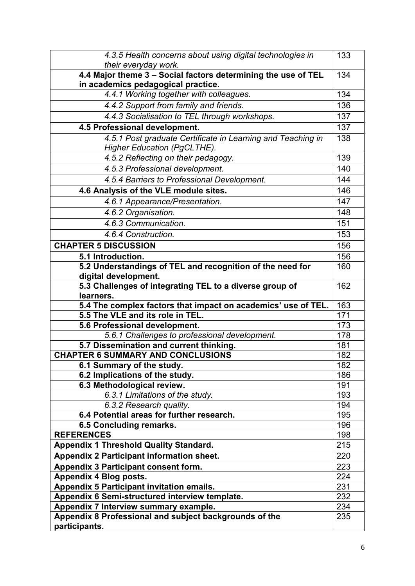| 4.3.5 Health concerns about using digital technologies in                                           | 133 |
|-----------------------------------------------------------------------------------------------------|-----|
| their everyday work.                                                                                |     |
| 4.4 Major theme 3 - Social factors determining the use of TEL<br>in academics pedagogical practice. | 134 |
| 4.4.1 Working together with colleagues.                                                             | 134 |
| 4.4.2 Support from family and friends.                                                              | 136 |
| 4.4.3 Socialisation to TEL through workshops.                                                       | 137 |
| 4.5 Professional development.                                                                       | 137 |
| 4.5.1 Post graduate Certificate in Learning and Teaching in                                         | 138 |
| Higher Education (PgCLTHE).                                                                         |     |
| 4.5.2 Reflecting on their pedagogy.                                                                 | 139 |
| 4.5.3 Professional development.                                                                     | 140 |
| 4.5.4 Barriers to Professional Development.                                                         | 144 |
| 4.6 Analysis of the VLE module sites.                                                               | 146 |
| 4.6.1 Appearance/Presentation.                                                                      | 147 |
| 4.6.2 Organisation.                                                                                 | 148 |
| 4.6.3 Communication.                                                                                | 151 |
| 4.6.4 Construction.                                                                                 | 153 |
| <b>CHAPTER 5 DISCUSSION</b>                                                                         | 156 |
| 5.1 Introduction.                                                                                   | 156 |
| 5.2 Understandings of TEL and recognition of the need for                                           | 160 |
| digital development.                                                                                |     |
| 5.3 Challenges of integrating TEL to a diverse group of                                             | 162 |
| learners.                                                                                           |     |
| 5.4 The complex factors that impact on academics' use of TEL.                                       | 163 |
|                                                                                                     |     |
| 5.5 The VLE and its role in TEL.                                                                    | 171 |
| 5.6 Professional development.                                                                       | 173 |
| 5.6.1 Challenges to professional development.                                                       | 178 |
| 5.7 Dissemination and current thinking.                                                             | 181 |
| <b>CHAPTER 6 SUMMARY AND CONCLUSIONS</b>                                                            | 182 |
| 6.1 Summary of the study.                                                                           | 182 |
| 6.2 Implications of the study.                                                                      | 186 |
| 6.3 Methodological review.                                                                          | 191 |
| 6.3.1 Limitations of the study.                                                                     | 193 |
| 6.3.2 Research quality.                                                                             | 194 |
| 6.4 Potential areas for further research.                                                           | 195 |
| 6.5 Concluding remarks.                                                                             | 196 |
| <b>REFERENCES</b>                                                                                   | 198 |
| <b>Appendix 1 Threshold Quality Standard.</b>                                                       | 215 |
| Appendix 2 Participant information sheet.                                                           | 220 |
| Appendix 3 Participant consent form.                                                                | 223 |
| Appendix 4 Blog posts.                                                                              | 224 |
| Appendix 5 Participant invitation emails.                                                           | 231 |
| Appendix 6 Semi-structured interview template.                                                      | 232 |
| Appendix 7 Interview summary example.                                                               | 234 |
| Appendix 8 Professional and subject backgrounds of the<br>participants.                             | 235 |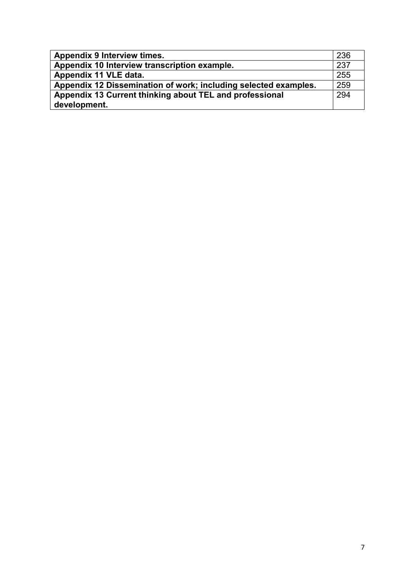| <b>Appendix 9 Interview times.</b>                              | 236 |
|-----------------------------------------------------------------|-----|
| Appendix 10 Interview transcription example.                    | 237 |
| Appendix 11 VLE data.                                           | 255 |
| Appendix 12 Dissemination of work; including selected examples. | 259 |
| Appendix 13 Current thinking about TEL and professional         |     |
| development.                                                    |     |
|                                                                 |     |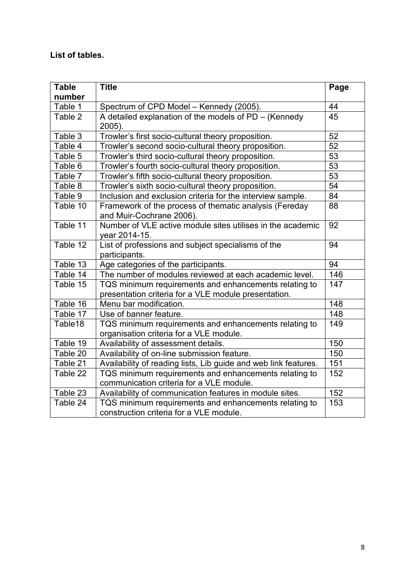# **List of tables.**

| <b>Table</b>          | <b>Title</b>                                                                                                  | Page            |
|-----------------------|---------------------------------------------------------------------------------------------------------------|-----------------|
| number                |                                                                                                               |                 |
| Table 1               | Spectrum of CPD Model - Kennedy (2005).                                                                       | 44              |
| Table 2               | A detailed explanation of the models of PD - (Kennedy<br>2005).                                               | 45              |
| Table 3               | Trowler's first socio-cultural theory proposition.                                                            | 52              |
| Table 4               | Trowler's second socio-cultural theory proposition.                                                           | $\overline{52}$ |
| Table 5               | Trowler's third socio-cultural theory proposition.                                                            | 53              |
| Table 6               | Trowler's fourth socio-cultural theory proposition.                                                           | 53              |
| Table 7               | Trowler's fifth socio-cultural theory proposition.                                                            | 53              |
| Table 8               | Trowler's sixth socio-cultural theory proposition.                                                            | $\overline{54}$ |
| Table 9               | Inclusion and exclusion criteria for the interview sample.                                                    | $\overline{84}$ |
| Table 10              | Framework of the process of thematic analysis (Fereday<br>and Muir-Cochrane 2006).                            | 88              |
| Table $\overline{11}$ | Number of VLE active module sites utilises in the academic<br>year 2014-15.                                   | 92              |
| Table 12              | List of professions and subject specialisms of the<br>participants.                                           | 94              |
| Table 13              | Age categories of the participants.                                                                           | 94              |
| Table 14              | The number of modules reviewed at each academic level.                                                        | 146             |
| Table 15              | TQS minimum requirements and enhancements relating to<br>presentation criteria for a VLE module presentation. | 147             |
| Table 16              | Menu bar modification.                                                                                        | 148             |
| Table 17              | Use of banner feature.                                                                                        | 148             |
| Table18               | TQS minimum requirements and enhancements relating to<br>organisation criteria for a VLE module.              | 149             |
| Table 19              | Availability of assessment details.                                                                           | 150             |
| Table 20              | Availability of on-line submission feature.                                                                   | 150             |
| Table 21              | Availability of reading lists, Lib guide and web link features.                                               | 151             |
| Table 22              | TQS minimum requirements and enhancements relating to<br>communication criteria for a VLE module.             | 152             |
| Table 23              | Availability of communication features in module sites.                                                       | 152             |
| Table 24              | TQS minimum requirements and enhancements relating to<br>construction criteria for a VLE module.              | 153             |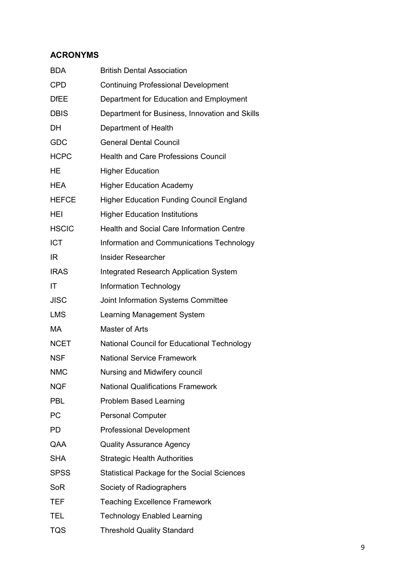# **ACRONYMS**

| <b>BDA</b>   | <b>British Dental Association</b>                  |
|--------------|----------------------------------------------------|
| <b>CPD</b>   | <b>Continuing Professional Development</b>         |
| <b>DfEE</b>  | Department for Education and Employment            |
| <b>DBIS</b>  | Department for Business, Innovation and Skills     |
| <b>DH</b>    | Department of Health                               |
| <b>GDC</b>   | <b>General Dental Council</b>                      |
| <b>HCPC</b>  | <b>Health and Care Professions Council</b>         |
| HE           | <b>Higher Education</b>                            |
| <b>HEA</b>   | <b>Higher Education Academy</b>                    |
| <b>HEFCE</b> | <b>Higher Education Funding Council England</b>    |
| <b>HEI</b>   | <b>Higher Education Institutions</b>               |
| <b>HSCIC</b> | <b>Health and Social Care Information Centre</b>   |
| <b>ICT</b>   | Information and Communications Technology          |
| IR.          | <b>Insider Researcher</b>                          |
| <b>IRAS</b>  | <b>Integrated Research Application System</b>      |
| IT           | <b>Information Technology</b>                      |
| <b>JISC</b>  | Joint Information Systems Committee                |
| <b>LMS</b>   | Learning Management System                         |
| <b>MA</b>    | Master of Arts                                     |
| <b>NCET</b>  | <b>National Council for Educational Technology</b> |
| <b>NSF</b>   | <b>National Service Framework</b>                  |
| <b>NMC</b>   | Nursing and Midwifery council                      |
| <b>NQF</b>   | <b>National Qualifications Framework</b>           |
| <b>PBL</b>   | <b>Problem Based Learning</b>                      |
| <b>PC</b>    | <b>Personal Computer</b>                           |
| PD.          | <b>Professional Development</b>                    |
| QAA          | <b>Quality Assurance Agency</b>                    |
| <b>SHA</b>   | <b>Strategic Health Authorities</b>                |
| <b>SPSS</b>  | <b>Statistical Package for the Social Sciences</b> |
| <b>SoR</b>   | Society of Radiographers                           |
| TEF          | <b>Teaching Excellence Framework</b>               |
| <b>TEL</b>   | <b>Technology Enabled Learning</b>                 |
| <b>TQS</b>   | <b>Threshold Quality Standard</b>                  |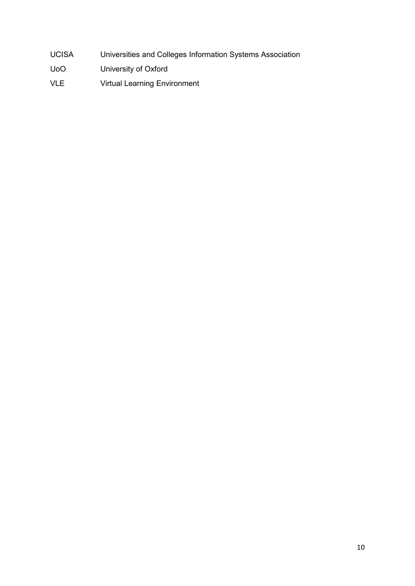- UCISA Universities and Colleges Information Systems Association
- UoO University of Oxford
- VLE Virtual Learning Environment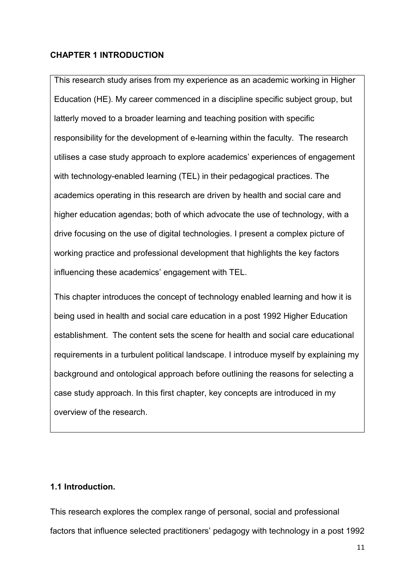## **CHAPTER 1 INTRODUCTION**

This research study arises from my experience as an academic working in Higher Education (HE). My career commenced in a discipline specific subject group, but latterly moved to a broader learning and teaching position with specific responsibility for the development of e-learning within the faculty. The research utilises a case study approach to explore academics' experiences of engagement with technology-enabled learning (TEL) in their pedagogical practices. The academics operating in this research are driven by health and social care and higher education agendas; both of which advocate the use of technology, with a drive focusing on the use of digital technologies. I present a complex picture of working practice and professional development that highlights the key factors influencing these academics' engagement with TEL.

This chapter introduces the concept of technology enabled learning and how it is being used in health and social care education in a post 1992 Higher Education establishment. The content sets the scene for health and social care educational requirements in a turbulent political landscape. I introduce myself by explaining my background and ontological approach before outlining the reasons for selecting a case study approach. In this first chapter, key concepts are introduced in my overview of the research.

## **1.1 Introduction.**

This research explores the complex range of personal, social and professional factors that influence selected practitioners' pedagogy with technology in a post 1992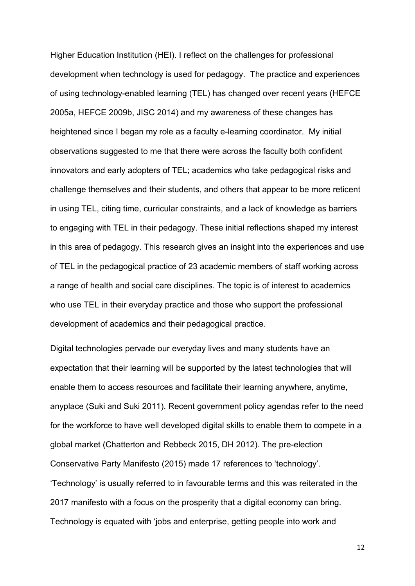Higher Education Institution (HEI). I reflect on the challenges for professional development when technology is used for pedagogy. The practice and experiences of using technology-enabled learning (TEL) has changed over recent years (HEFCE 2005a, HEFCE 2009b, JISC 2014) and my awareness of these changes has heightened since I began my role as a faculty e-learning coordinator. My initial observations suggested to me that there were across the faculty both confident innovators and early adopters of TEL; academics who take pedagogical risks and challenge themselves and their students, and others that appear to be more reticent in using TEL, citing time, curricular constraints, and a lack of knowledge as barriers to engaging with TEL in their pedagogy. These initial reflections shaped my interest in this area of pedagogy. This research gives an insight into the experiences and use of TEL in the pedagogical practice of 23 academic members of staff working across a range of health and social care disciplines. The topic is of interest to academics who use TEL in their everyday practice and those who support the professional development of academics and their pedagogical practice.

Digital technologies pervade our everyday lives and many students have an expectation that their learning will be supported by the latest technologies that will enable them to access resources and facilitate their learning anywhere, anytime, anyplace (Suki and Suki 2011). Recent government policy agendas refer to the need for the workforce to have well developed digital skills to enable them to compete in a global market (Chatterton and Rebbeck 2015, DH 2012). The pre-election Conservative Party Manifesto (2015) made 17 references to 'technology'. 'Technology' is usually referred to in favourable terms and this was reiterated in the 2017 manifesto with a focus on the prosperity that a digital economy can bring. Technology is equated with 'jobs and enterprise, getting people into work and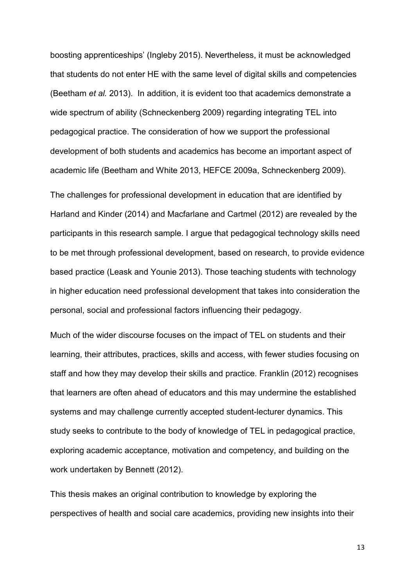boosting apprenticeships' (Ingleby 2015). Nevertheless, it must be acknowledged that students do not enter HE with the same level of digital skills and competencies (Beetham *et al.* 2013). In addition, it is evident too that academics demonstrate a wide spectrum of ability (Schneckenberg 2009) regarding integrating TEL into pedagogical practice. The consideration of how we support the professional development of both students and academics has become an important aspect of academic life (Beetham and White 2013, HEFCE 2009a, Schneckenberg 2009).

The challenges for professional development in education that are identified by Harland and Kinder (2014) and Macfarlane and Cartmel (2012) are revealed by the participants in this research sample. I argue that pedagogical technology skills need to be met through professional development, based on research, to provide evidence based practice (Leask and Younie 2013). Those teaching students with technology in higher education need professional development that takes into consideration the personal, social and professional factors influencing their pedagogy.

Much of the wider discourse focuses on the impact of TEL on students and their learning, their attributes, practices, skills and access, with fewer studies focusing on staff and how they may develop their skills and practice. Franklin (2012) recognises that learners are often ahead of educators and this may undermine the established systems and may challenge currently accepted student-lecturer dynamics. This study seeks to contribute to the body of knowledge of TEL in pedagogical practice, exploring academic acceptance, motivation and competency, and building on the work undertaken by Bennett (2012).

This thesis makes an original contribution to knowledge by exploring the perspectives of health and social care academics, providing new insights into their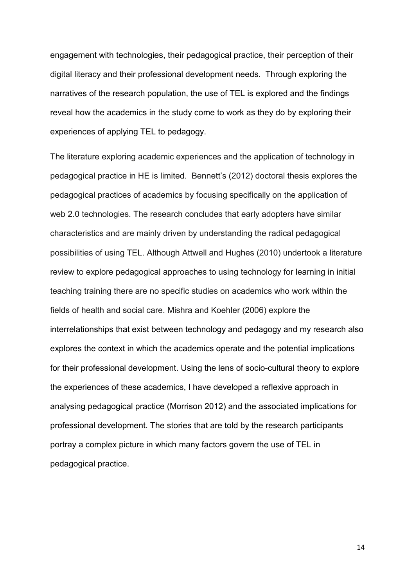engagement with technologies, their pedagogical practice, their perception of their digital literacy and their professional development needs. Through exploring the narratives of the research population, the use of TEL is explored and the findings reveal how the academics in the study come to work as they do by exploring their experiences of applying TEL to pedagogy.

The literature exploring academic experiences and the application of technology in pedagogical practice in HE is limited. Bennett's (2012) doctoral thesis explores the pedagogical practices of academics by focusing specifically on the application of web 2.0 technologies. The research concludes that early adopters have similar characteristics and are mainly driven by understanding the radical pedagogical possibilities of using TEL. Although Attwell and Hughes (2010) undertook a literature review to explore pedagogical approaches to using technology for learning in initial teaching training there are no specific studies on academics who work within the fields of health and social care. Mishra and Koehler (2006) explore the interrelationships that exist between technology and pedagogy and my research also explores the context in which the academics operate and the potential implications for their professional development. Using the lens of socio-cultural theory to explore the experiences of these academics, I have developed a reflexive approach in analysing pedagogical practice (Morrison 2012) and the associated implications for professional development. The stories that are told by the research participants portray a complex picture in which many factors govern the use of TEL in pedagogical practice.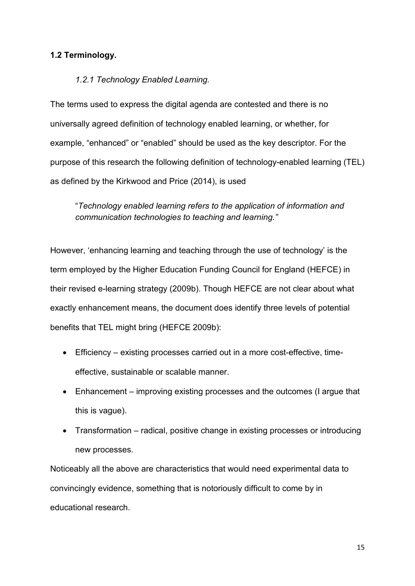## **1.2 Terminology.**

## *1.2.1 Technology Enabled Learning.*

The terms used to express the digital agenda are contested and there is no universally agreed definition of technology enabled learning, or whether, for example, "enhanced" or "enabled" should be used as the key descriptor. For the purpose of this research the following definition of technology-enabled learning (TEL) as defined by the Kirkwood and Price (2014), is used

"*Technology enabled learning refers to the application of information and communication technologies to teaching and learning."* 

However, 'enhancing learning and teaching through the use of technology' is the term employed by the Higher Education Funding Council for England (HEFCE) in their revised e-learning strategy (2009b). Though HEFCE are not clear about what exactly enhancement means, the document does identify three levels of potential benefits that TEL might bring (HEFCE 2009b):

- Efficiency existing processes carried out in a more cost-effective, timeeffective, sustainable or scalable manner.
- Enhancement improving existing processes and the outcomes (I argue that this is vague).
- Transformation radical, positive change in existing processes or introducing new processes.

Noticeably all the above are characteristics that would need experimental data to convincingly evidence, something that is notoriously difficult to come by in educational research.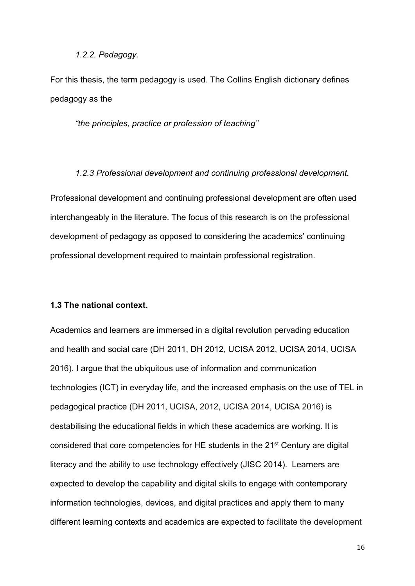### *1.2.2. Pedagogy.*

For this thesis, the term pedagogy is used. The Collins English dictionary defines pedagogy as the

*"the principles, practice or profession of teaching"* 

*1.2.3 Professional development and continuing professional development.*  Professional development and continuing professional development are often used interchangeably in the literature. The focus of this research is on the professional development of pedagogy as opposed to considering the academics' continuing professional development required to maintain professional registration.

## **1.3 The national context.**

Academics and learners are immersed in a digital revolution pervading education and health and social care (DH 2011, DH 2012, UCISA 2012, UCISA 2014, UCISA 2016). I argue that the ubiquitous use of information and communication technologies (ICT) in everyday life, and the increased emphasis on the use of TEL in pedagogical practice (DH 2011, UCISA, 2012, UCISA 2014, UCISA 2016) is destabilising the educational fields in which these academics are working. It is considered that core competencies for HE students in the 21<sup>st</sup> Century are digital literacy and the ability to use technology effectively (JISC 2014). Learners are expected to develop the capability and digital skills to engage with contemporary information technologies, devices, and digital practices and apply them to many different learning contexts and academics are expected to facilitate the development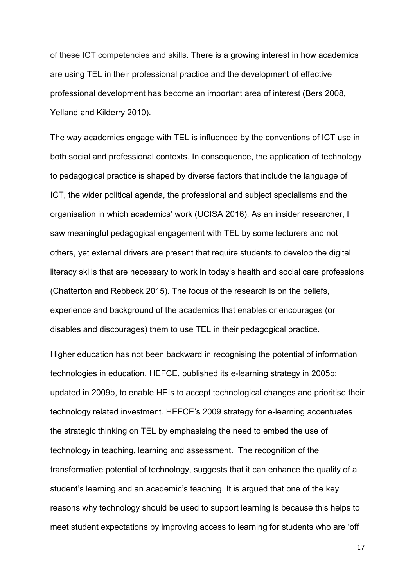of these ICT competencies and skills. There is a growing interest in how academics are using TEL in their professional practice and the development of effective professional development has become an important area of interest (Bers 2008, Yelland and Kilderry 2010).

The way academics engage with TEL is influenced by the conventions of ICT use in both social and professional contexts. In consequence, the application of technology to pedagogical practice is shaped by diverse factors that include the language of ICT, the wider political agenda, the professional and subject specialisms and the organisation in which academics' work (UCISA 2016). As an insider researcher, I saw meaningful pedagogical engagement with TEL by some lecturers and not others, yet external drivers are present that require students to develop the digital literacy skills that are necessary to work in today's health and social care professions (Chatterton and Rebbeck 2015). The focus of the research is on the beliefs, experience and background of the academics that enables or encourages (or disables and discourages) them to use TEL in their pedagogical practice.

Higher education has not been backward in recognising the potential of information technologies in education, HEFCE, published its e-learning strategy in 2005b; updated in 2009b, to enable HEIs to accept technological changes and prioritise their technology related investment. HEFCE's 2009 strategy for e-learning accentuates the strategic thinking on TEL by emphasising the need to embed the use of technology in teaching, learning and assessment. The recognition of the transformative potential of technology, suggests that it can enhance the quality of a student's learning and an academic's teaching. It is argued that one of the key reasons why technology should be used to support learning is because this helps to meet student expectations by improving access to learning for students who are 'off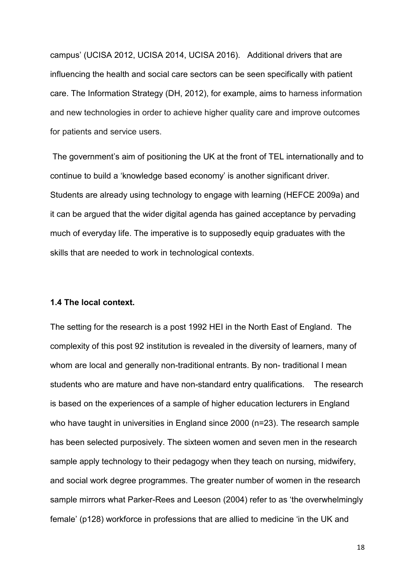campus' (UCISA 2012, UCISA 2014, UCISA 2016). Additional drivers that are influencing the health and social care sectors can be seen specifically with patient care. The Information Strategy (DH, 2012), for example, aims to harness information and new technologies in order to achieve higher quality care and improve outcomes for patients and service users.

The government's aim of positioning the UK at the front of TEL internationally and to continue to build a 'knowledge based economy' is another significant driver. Students are already using technology to engage with learning (HEFCE 2009a) and it can be argued that the wider digital agenda has gained acceptance by pervading much of everyday life. The imperative is to supposedly equip graduates with the skills that are needed to work in technological contexts.

### **1.4 The local context.**

The setting for the research is a post 1992 HEI in the North East of England. The complexity of this post 92 institution is revealed in the diversity of learners, many of whom are local and generally non-traditional entrants. By non-traditional I mean students who are mature and have non-standard entry qualifications. The research is based on the experiences of a sample of higher education lecturers in England who have taught in universities in England since 2000 (n=23). The research sample has been selected purposively. The sixteen women and seven men in the research sample apply technology to their pedagogy when they teach on nursing, midwifery, and social work degree programmes. The greater number of women in the research sample mirrors what Parker-Rees and Leeson (2004) refer to as 'the overwhelmingly female' (p128) workforce in professions that are allied to medicine 'in the UK and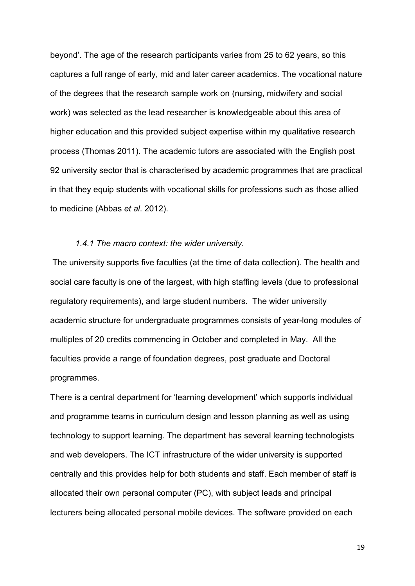beyond'. The age of the research participants varies from 25 to 62 years, so this captures a full range of early, mid and later career academics. The vocational nature of the degrees that the research sample work on (nursing, midwifery and social work) was selected as the lead researcher is knowledgeable about this area of higher education and this provided subject expertise within my qualitative research process (Thomas 2011). The academic tutors are associated with the English post 92 university sector that is characterised by academic programmes that are practical in that they equip students with vocational skills for professions such as those allied to medicine (Abbas *et al*. 2012).

### *1.4.1 The macro context: the wider university.*

The university supports five faculties (at the time of data collection). The health and social care faculty is one of the largest, with high staffing levels (due to professional regulatory requirements), and large student numbers. The wider university academic structure for undergraduate programmes consists of year-long modules of multiples of 20 credits commencing in October and completed in May. All the faculties provide a range of foundation degrees, post graduate and Doctoral programmes.

There is a central department for 'learning development' which supports individual and programme teams in curriculum design and lesson planning as well as using technology to support learning. The department has several learning technologists and web developers. The ICT infrastructure of the wider university is supported centrally and this provides help for both students and staff. Each member of staff is allocated their own personal computer (PC), with subject leads and principal lecturers being allocated personal mobile devices. The software provided on each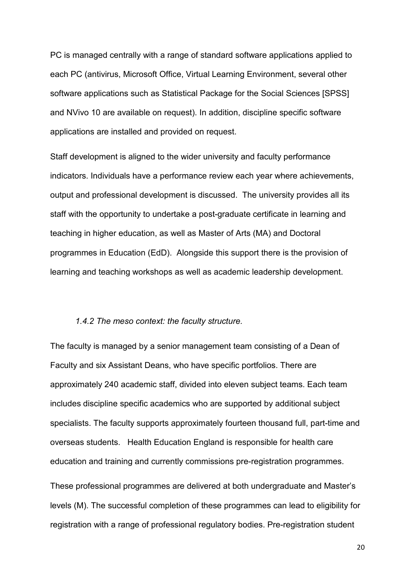PC is managed centrally with a range of standard software applications applied to each PC (antivirus, Microsoft Office, Virtual Learning Environment, several other software applications such as Statistical Package for the Social Sciences [SPSS] and NVivo 10 are available on request). In addition, discipline specific software applications are installed and provided on request.

Staff development is aligned to the wider university and faculty performance indicators. Individuals have a performance review each year where achievements, output and professional development is discussed. The university provides all its staff with the opportunity to undertake a post-graduate certificate in learning and teaching in higher education, as well as Master of Arts (MA) and Doctoral programmes in Education (EdD). Alongside this support there is the provision of learning and teaching workshops as well as academic leadership development.

## *1.4.2 The meso context: the faculty structure.*

The faculty is managed by a senior management team consisting of a Dean of Faculty and six Assistant Deans, who have specific portfolios. There are approximately 240 academic staff, divided into eleven subject teams. Each team includes discipline specific academics who are supported by additional subject specialists. The faculty supports approximately fourteen thousand full, part-time and overseas students. Health Education England is responsible for health care education and training and currently commissions pre-registration programmes.

These professional programmes are delivered at both undergraduate and Master's levels (M). The successful completion of these programmes can lead to eligibility for registration with a range of professional regulatory bodies. Pre-registration student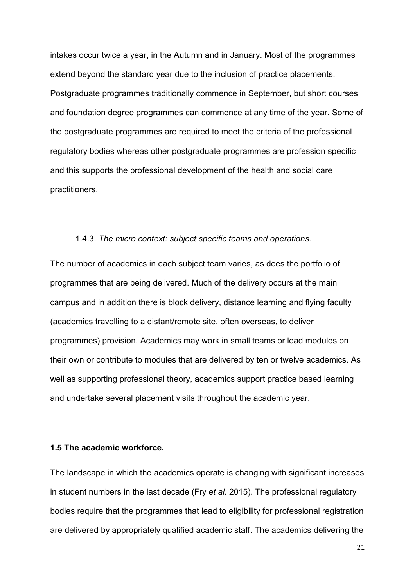intakes occur twice a year, in the Autumn and in January. Most of the programmes extend beyond the standard year due to the inclusion of practice placements. Postgraduate programmes traditionally commence in September, but short courses and foundation degree programmes can commence at any time of the year. Some of the postgraduate programmes are required to meet the criteria of the professional regulatory bodies whereas other postgraduate programmes are profession specific and this supports the professional development of the health and social care practitioners.

#### 1.4.3. *The micro context: subject specific teams and operations.*

The number of academics in each subject team varies, as does the portfolio of programmes that are being delivered. Much of the delivery occurs at the main campus and in addition there is block delivery, distance learning and flying faculty (academics travelling to a distant/remote site, often overseas, to deliver programmes) provision. Academics may work in small teams or lead modules on their own or contribute to modules that are delivered by ten or twelve academics. As well as supporting professional theory, academics support practice based learning and undertake several placement visits throughout the academic year.

## **1.5 The academic workforce.**

The landscape in which the academics operate is changing with significant increases in student numbers in the last decade (Fry *et al*. 2015). The professional regulatory bodies require that the programmes that lead to eligibility for professional registration are delivered by appropriately qualified academic staff. The academics delivering the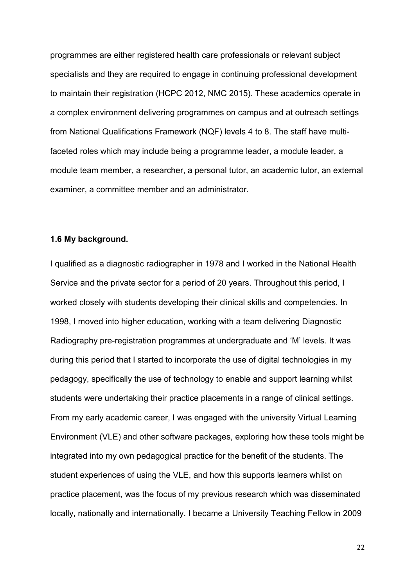programmes are either registered health care professionals or relevant subject specialists and they are required to engage in continuing professional development to maintain their registration (HCPC 2012, NMC 2015). These academics operate in a complex environment delivering programmes on campus and at outreach settings from National Qualifications Framework (NQF) levels 4 to 8. The staff have multifaceted roles which may include being a programme leader, a module leader, a module team member, a researcher, a personal tutor, an academic tutor, an external examiner, a committee member and an administrator.

## **1.6 My background.**

I qualified as a diagnostic radiographer in 1978 and I worked in the National Health Service and the private sector for a period of 20 years. Throughout this period, I worked closely with students developing their clinical skills and competencies. In 1998, I moved into higher education, working with a team delivering Diagnostic Radiography pre-registration programmes at undergraduate and 'M' levels. It was during this period that I started to incorporate the use of digital technologies in my pedagogy, specifically the use of technology to enable and support learning whilst students were undertaking their practice placements in a range of clinical settings. From my early academic career, I was engaged with the university Virtual Learning Environment (VLE) and other software packages, exploring how these tools might be integrated into my own pedagogical practice for the benefit of the students. The student experiences of using the VLE, and how this supports learners whilst on practice placement, was the focus of my previous research which was disseminated locally, nationally and internationally. I became a University Teaching Fellow in 2009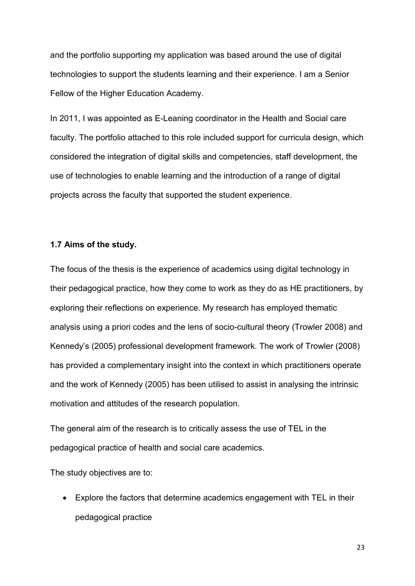and the portfolio supporting my application was based around the use of digital technologies to support the students learning and their experience. I am a Senior Fellow of the Higher Education Academy.

In 2011, I was appointed as E-Leaning coordinator in the Health and Social care faculty. The portfolio attached to this role included support for curricula design, which considered the integration of digital skills and competencies, staff development, the use of technologies to enable learning and the introduction of a range of digital projects across the faculty that supported the student experience.

### **1.7 Aims of the study.**

The focus of the thesis is the experience of academics using digital technology in their pedagogical practice, how they come to work as they do as HE practitioners, by exploring their reflections on experience. My research has employed thematic analysis using a priori codes and the lens of socio-cultural theory (Trowler 2008) and Kennedy's (2005) professional development framework. The work of Trowler (2008) has provided a complementary insight into the context in which practitioners operate and the work of Kennedy (2005) has been utilised to assist in analysing the intrinsic motivation and attitudes of the research population.

The general aim of the research is to critically assess the use of TEL in the pedagogical practice of health and social care academics.

The study objectives are to:

• Explore the factors that determine academics engagement with TEL in their pedagogical practice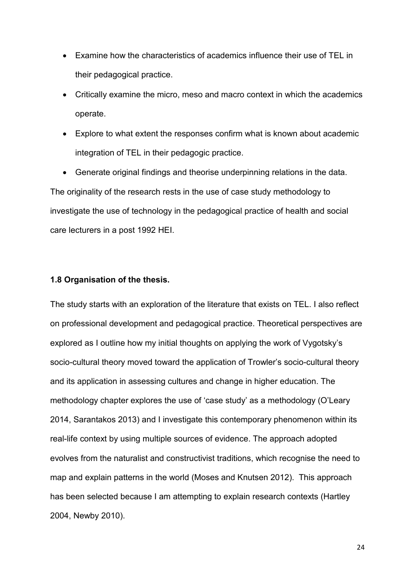- Examine how the characteristics of academics influence their use of TEL in their pedagogical practice.
- Critically examine the micro, meso and macro context in which the academics operate.
- Explore to what extent the responses confirm what is known about academic integration of TEL in their pedagogic practice.

• Generate original findings and theorise underpinning relations in the data. The originality of the research rests in the use of case study methodology to investigate the use of technology in the pedagogical practice of health and social care lecturers in a post 1992 HEI.

## **1.8 Organisation of the thesis.**

The study starts with an exploration of the literature that exists on TEL. I also reflect on professional development and pedagogical practice. Theoretical perspectives are explored as I outline how my initial thoughts on applying the work of Vygotsky's socio-cultural theory moved toward the application of Trowler's socio-cultural theory and its application in assessing cultures and change in higher education. The methodology chapter explores the use of 'case study' as a methodology (O'Leary 2014, Sarantakos 2013) and I investigate this contemporary phenomenon within its real-life context by using multiple sources of evidence. The approach adopted evolves from the naturalist and constructivist traditions, which recognise the need to map and explain patterns in the world (Moses and Knutsen 2012). This approach has been selected because I am attempting to explain research contexts (Hartley 2004, Newby 2010).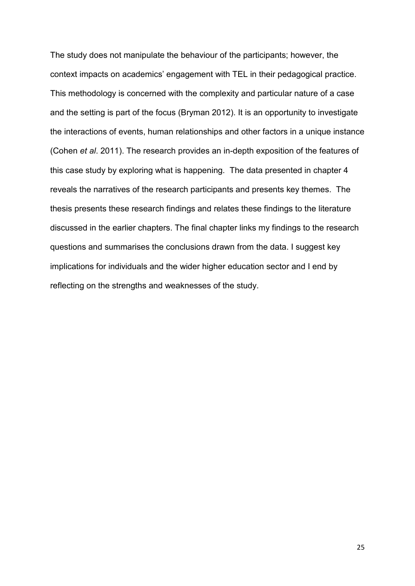The study does not manipulate the behaviour of the participants; however, the context impacts on academics' engagement with TEL in their pedagogical practice. This methodology is concerned with the complexity and particular nature of a case and the setting is part of the focus (Bryman 2012). It is an opportunity to investigate the interactions of events, human relationships and other factors in a unique instance (Cohen *et al*. 2011). The research provides an in-depth exposition of the features of this case study by exploring what is happening. The data presented in chapter 4 reveals the narratives of the research participants and presents key themes. The thesis presents these research findings and relates these findings to the literature discussed in the earlier chapters. The final chapter links my findings to the research questions and summarises the conclusions drawn from the data. I suggest key implications for individuals and the wider higher education sector and I end by reflecting on the strengths and weaknesses of the study.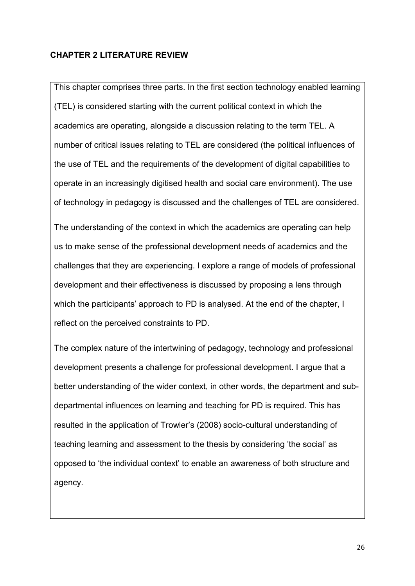## **CHAPTER 2 LITERATURE REVIEW**

This chapter comprises three parts. In the first section technology enabled learning (TEL) is considered starting with the current political context in which the academics are operating, alongside a discussion relating to the term TEL. A number of critical issues relating to TEL are considered (the political influences of the use of TEL and the requirements of the development of digital capabilities to operate in an increasingly digitised health and social care environment). The use of technology in pedagogy is discussed and the challenges of TEL are considered.

The understanding of the context in which the academics are operating can help us to make sense of the professional development needs of academics and the challenges that they are experiencing. I explore a range of models of professional development and their effectiveness is discussed by proposing a lens through which the participants' approach to PD is analysed. At the end of the chapter, I reflect on the perceived constraints to PD.

The complex nature of the intertwining of pedagogy, technology and professional development presents a challenge for professional development. I argue that a better understanding of the wider context, in other words, the department and subdepartmental influences on learning and teaching for PD is required. This has resulted in the application of Trowler's (2008) socio-cultural understanding of teaching learning and assessment to the thesis by considering 'the social' as opposed to 'the individual context' to enable an awareness of both structure and agency.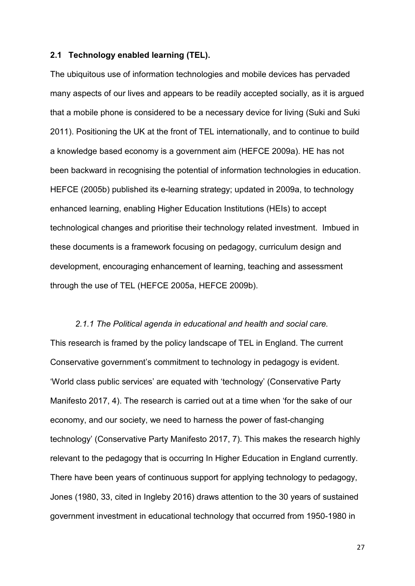#### **2.1 Technology enabled learning (TEL).**

The ubiquitous use of information technologies and mobile devices has pervaded many aspects of our lives and appears to be readily accepted socially, as it is argued that a mobile phone is considered to be a necessary device for living (Suki and Suki 2011). Positioning the UK at the front of TEL internationally, and to continue to build a knowledge based economy is a government aim (HEFCE 2009a). HE has not been backward in recognising the potential of information technologies in education. HEFCE (2005b) published its e-learning strategy; updated in 2009a, to technology enhanced learning, enabling Higher Education Institutions (HEIs) to accept technological changes and prioritise their technology related investment. Imbued in these documents is a framework focusing on pedagogy, curriculum design and development, encouraging enhancement of learning, teaching and assessment through the use of TEL (HEFCE 2005a, HEFCE 2009b).

*2.1.1 The Political agenda in educational and health and social care.*  This research is framed by the policy landscape of TEL in England. The current Conservative government's commitment to technology in pedagogy is evident. 'World class public services' are equated with 'technology' (Conservative Party Manifesto 2017, 4). The research is carried out at a time when 'for the sake of our economy, and our society, we need to harness the power of fast-changing technology' (Conservative Party Manifesto 2017, 7). This makes the research highly relevant to the pedagogy that is occurring In Higher Education in England currently. There have been years of continuous support for applying technology to pedagogy, Jones (1980, 33, cited in Ingleby 2016) draws attention to the 30 years of sustained government investment in educational technology that occurred from 1950-1980 in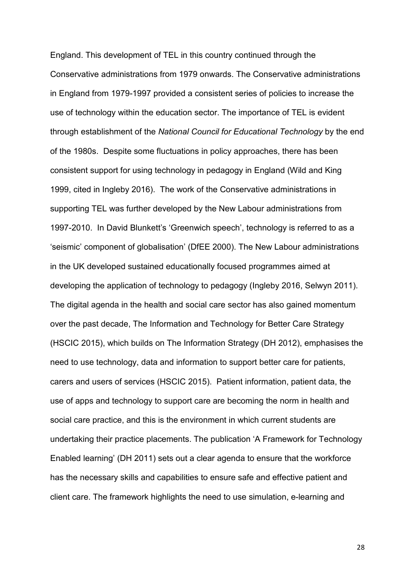England. This development of TEL in this country continued through the Conservative administrations from 1979 onwards. The Conservative administrations in England from 1979-1997 provided a consistent series of policies to increase the use of technology within the education sector. The importance of TEL is evident through establishment of the *National Council for Educational Technology* by the end of the 1980s. Despite some fluctuations in policy approaches, there has been consistent support for using technology in pedagogy in England (Wild and King 1999, cited in Ingleby 2016). The work of the Conservative administrations in supporting TEL was further developed by the New Labour administrations from 1997-2010. In David Blunkett's 'Greenwich speech', technology is referred to as a 'seismic' component of globalisation' (DfEE 2000). The New Labour administrations in the UK developed sustained educationally focused programmes aimed at developing the application of technology to pedagogy (Ingleby 2016, Selwyn 2011). The digital agenda in the health and social care sector has also gained momentum over the past decade, The Information and Technology for Better Care Strategy (HSCIC 2015), which builds on The Information Strategy (DH 2012), emphasises the need to use technology, data and information to support better care for patients, carers and users of services (HSCIC 2015). Patient information, patient data, the use of apps and technology to support care are becoming the norm in health and social care practice, and this is the environment in which current students are undertaking their practice placements. The publication 'A Framework for Technology Enabled learning' (DH 2011) sets out a clear agenda to ensure that the workforce has the necessary skills and capabilities to ensure safe and effective patient and client care. The framework highlights the need to use simulation, e-learning and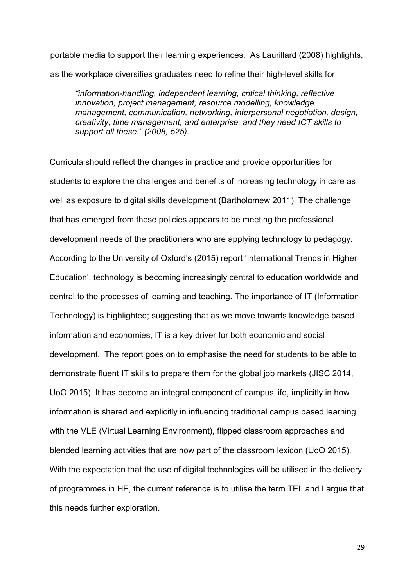portable media to support their learning experiences. As Laurillard (2008) highlights, as the workplace diversifies graduates need to refine their high-level skills for

*"information-handling, independent learning, critical thinking, reflective innovation, project management, resource modelling, knowledge management, communication, networking, interpersonal negotiation, design, creativity, time management, and enterprise, and they need ICT skills to support all these." (2008, 525).* 

Curricula should reflect the changes in practice and provide opportunities for students to explore the challenges and benefits of increasing technology in care as well as exposure to digital skills development (Bartholomew 2011). The challenge that has emerged from these policies appears to be meeting the professional development needs of the practitioners who are applying technology to pedagogy. According to the University of Oxford's (2015) report 'International Trends in Higher Education', technology is becoming increasingly central to education worldwide and central to the processes of learning and teaching. The importance of IT (Information Technology) is highlighted; suggesting that as we move towards knowledge based information and economies, IT is a key driver for both economic and social development. The report goes on to emphasise the need for students to be able to demonstrate fluent IT skills to prepare them for the global job markets (JISC 2014, UoO 2015). It has become an integral component of campus life, implicitly in how information is shared and explicitly in influencing traditional campus based learning with the VLE (Virtual Learning Environment), flipped classroom approaches and blended learning activities that are now part of the classroom lexicon (UoO 2015). With the expectation that the use of digital technologies will be utilised in the delivery of programmes in HE, the current reference is to utilise the term TEL and I argue that this needs further exploration.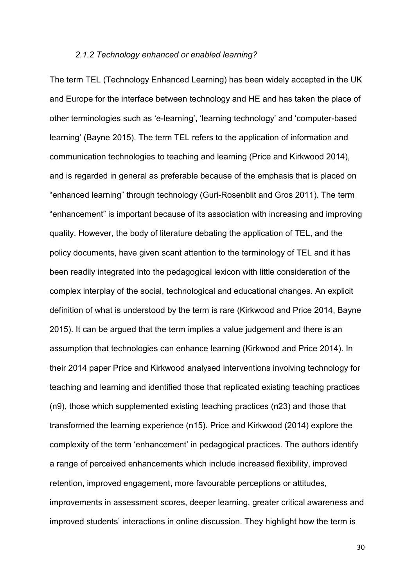### *2.1.2 Technology enhanced or enabled learning?*

The term TEL (Technology Enhanced Learning) has been widely accepted in the UK and Europe for the interface between technology and HE and has taken the place of other terminologies such as 'e-learning', 'learning technology' and 'computer-based learning' (Bayne 2015). The term TEL refers to the application of information and communication technologies to teaching and learning (Price and Kirkwood 2014), and is regarded in general as preferable because of the emphasis that is placed on "enhanced learning" through technology (Guri-Rosenblit and Gros 2011). The term "enhancement" is important because of its association with increasing and improving quality. However, the body of literature debating the application of TEL, and the policy documents, have given scant attention to the terminology of TEL and it has been readily integrated into the pedagogical lexicon with little consideration of the complex interplay of the social, technological and educational changes. An explicit definition of what is understood by the term is rare (Kirkwood and Price 2014, Bayne 2015). It can be argued that the term implies a value judgement and there is an assumption that technologies can enhance learning (Kirkwood and Price 2014). In their 2014 paper Price and Kirkwood analysed interventions involving technology for teaching and learning and identified those that replicated existing teaching practices (n9), those which supplemented existing teaching practices (n23) and those that transformed the learning experience (n15). Price and Kirkwood (2014) explore the complexity of the term 'enhancement' in pedagogical practices. The authors identify a range of perceived enhancements which include increased flexibility, improved retention, improved engagement, more favourable perceptions or attitudes, improvements in assessment scores, deeper learning, greater critical awareness and improved students' interactions in online discussion. They highlight how the term is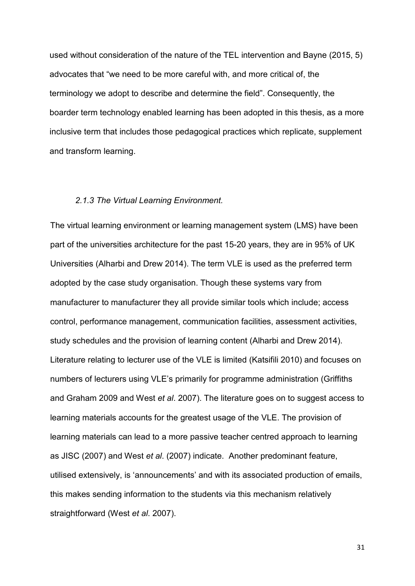used without consideration of the nature of the TEL intervention and Bayne (2015, 5) advocates that "we need to be more careful with, and more critical of, the terminology we adopt to describe and determine the field". Consequently, the boarder term technology enabled learning has been adopted in this thesis, as a more inclusive term that includes those pedagogical practices which replicate, supplement and transform learning.

#### *2.1.3 The Virtual Learning Environment.*

The virtual learning environment or learning management system (LMS) have been part of the universities architecture for the past 15-20 years, they are in 95% of UK Universities (Alharbi and Drew 2014). The term VLE is used as the preferred term adopted by the case study organisation. Though these systems vary from manufacturer to manufacturer they all provide similar tools which include; access control, performance management, communication facilities, assessment activities, study schedules and the provision of learning content (Alharbi and Drew 2014). Literature relating to lecturer use of the VLE is limited (Katsifili 2010) and focuses on numbers of lecturers using VLE's primarily for programme administration (Griffiths and Graham 2009 and West *et al*. 2007). The literature goes on to suggest access to learning materials accounts for the greatest usage of the VLE. The provision of learning materials can lead to a more passive teacher centred approach to learning as JISC (2007) and West *et al*. (2007) indicate. Another predominant feature, utilised extensively, is 'announcements' and with its associated production of emails, this makes sending information to the students via this mechanism relatively straightforward (West *et al*. 2007).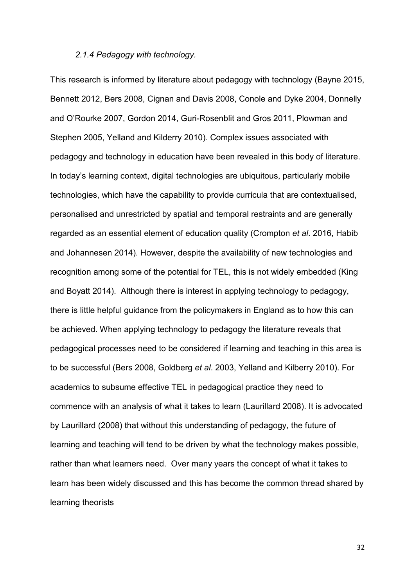### *2.1.4 Pedagogy with technology.*

This research is informed by literature about pedagogy with technology (Bayne 2015, Bennett 2012, Bers 2008, Cignan and Davis 2008, Conole and Dyke 2004, Donnelly and O'Rourke 2007, Gordon 2014, Guri-Rosenblit and Gros 2011, Plowman and Stephen 2005, Yelland and Kilderry 2010). Complex issues associated with pedagogy and technology in education have been revealed in this body of literature. In today's learning context, digital technologies are ubiquitous, particularly mobile technologies, which have the capability to provide curricula that are contextualised, personalised and unrestricted by spatial and temporal restraints and are generally regarded as an essential element of education quality (Crompton *et al*. 2016, Habib and Johannesen 2014). However, despite the availability of new technologies and recognition among some of the potential for TEL, this is not widely embedded (King and Boyatt 2014). Although there is interest in applying technology to pedagogy, there is little helpful guidance from the policymakers in England as to how this can be achieved. When applying technology to pedagogy the literature reveals that pedagogical processes need to be considered if learning and teaching in this area is to be successful (Bers 2008, Goldberg *et al*. 2003, Yelland and Kilberry 2010). For academics to subsume effective TEL in pedagogical practice they need to commence with an analysis of what it takes to learn (Laurillard 2008). It is advocated by Laurillard (2008) that without this understanding of pedagogy, the future of learning and teaching will tend to be driven by what the technology makes possible, rather than what learners need. Over many years the concept of what it takes to learn has been widely discussed and this has become the common thread shared by learning theorists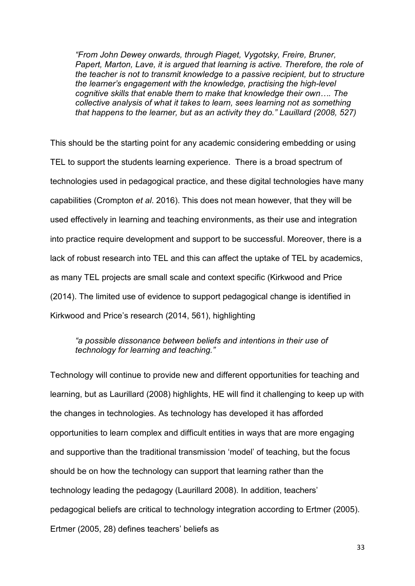*"From John Dewey onwards, through Piaget, Vygotsky, Freire, Bruner, Papert, Marton, Lave, it is argued that learning is active. Therefore, the role of the teacher is not to transmit knowledge to a passive recipient, but to structure the learner's engagement with the knowledge, practising the high-level cognitive skills that enable them to make that knowledge their own…. The collective analysis of what it takes to learn, sees learning not as something that happens to the learner, but as an activity they do." Lauillard (2008, 527)* 

This should be the starting point for any academic considering embedding or using TEL to support the students learning experience. There is a broad spectrum of technologies used in pedagogical practice, and these digital technologies have many capabilities (Crompton *et al*. 2016). This does not mean however, that they will be used effectively in learning and teaching environments, as their use and integration into practice require development and support to be successful. Moreover, there is a lack of robust research into TEL and this can affect the uptake of TEL by academics, as many TEL projects are small scale and context specific (Kirkwood and Price (2014). The limited use of evidence to support pedagogical change is identified in Kirkwood and Price's research (2014, 561), highlighting

## *"a possible dissonance between beliefs and intentions in their use of technology for learning and teaching."*

Technology will continue to provide new and different opportunities for teaching and learning, but as Laurillard (2008) highlights, HE will find it challenging to keep up with the changes in technologies. As technology has developed it has afforded opportunities to learn complex and difficult entities in ways that are more engaging and supportive than the traditional transmission 'model' of teaching, but the focus should be on how the technology can support that learning rather than the technology leading the pedagogy (Laurillard 2008). In addition, teachers' pedagogical beliefs are critical to technology integration according to Ertmer (2005). Ertmer (2005, 28) defines teachers' beliefs as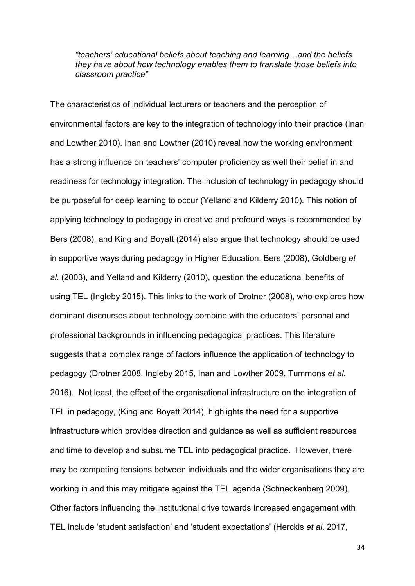*"teachers' educational beliefs about teaching and learning…and the beliefs they have about how technology enables them to translate those beliefs into classroom practice"* 

The characteristics of individual lecturers or teachers and the perception of environmental factors are key to the integration of technology into their practice (Inan and Lowther 2010). Inan and Lowther (2010) reveal how the working environment has a strong influence on teachers' computer proficiency as well their belief in and readiness for technology integration. The inclusion of technology in pedagogy should be purposeful for deep learning to occur (Yelland and Kilderry 2010). This notion of applying technology to pedagogy in creative and profound ways is recommended by Bers (2008), and King and Boyatt (2014) also argue that technology should be used in supportive ways during pedagogy in Higher Education. Bers (2008), Goldberg *et al*. (2003), and Yelland and Kilderry (2010), question the educational benefits of using TEL (Ingleby 2015). This links to the work of Drotner (2008), who explores how dominant discourses about technology combine with the educators' personal and professional backgrounds in influencing pedagogical practices. This literature suggests that a complex range of factors influence the application of technology to pedagogy (Drotner 2008, Ingleby 2015, Inan and Lowther 2009, Tummons *et al*. 2016). Not least, the effect of the organisational infrastructure on the integration of TEL in pedagogy, (King and Boyatt 2014), highlights the need for a supportive infrastructure which provides direction and guidance as well as sufficient resources and time to develop and subsume TEL into pedagogical practice. However, there may be competing tensions between individuals and the wider organisations they are working in and this may mitigate against the TEL agenda (Schneckenberg 2009). Other factors influencing the institutional drive towards increased engagement with TEL include 'student satisfaction' and 'student expectations' (Herckis *et al*. 2017,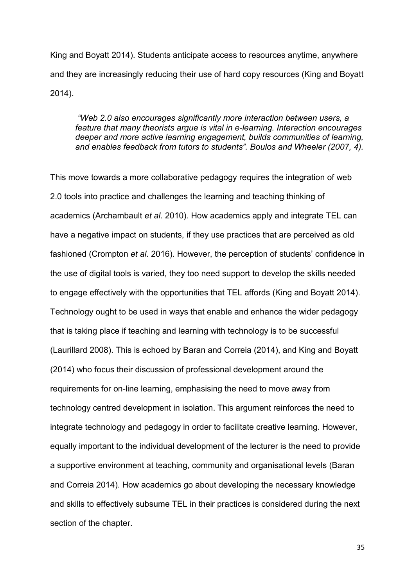King and Boyatt 2014). Students anticipate access to resources anytime, anywhere and they are increasingly reducing their use of hard copy resources (King and Boyatt 2014).

*"Web 2.0 also encourages significantly more interaction between users, a feature that many theorists argue is vital in e-learning. Interaction encourages deeper and more active learning engagement, builds communities of learning, and enables feedback from tutors to students". Boulos and Wheeler (2007, 4).*

This move towards a more collaborative pedagogy requires the integration of web 2.0 tools into practice and challenges the learning and teaching thinking of academics (Archambault *et al*. 2010). How academics apply and integrate TEL can have a negative impact on students, if they use practices that are perceived as old fashioned (Crompton *et al*. 2016). However, the perception of students' confidence in the use of digital tools is varied, they too need support to develop the skills needed to engage effectively with the opportunities that TEL affords (King and Boyatt 2014). Technology ought to be used in ways that enable and enhance the wider pedagogy that is taking place if teaching and learning with technology is to be successful (Laurillard 2008). This is echoed by Baran and Correia (2014), and King and Boyatt (2014) who focus their discussion of professional development around the requirements for on-line learning, emphasising the need to move away from technology centred development in isolation. This argument reinforces the need to integrate technology and pedagogy in order to facilitate creative learning. However, equally important to the individual development of the lecturer is the need to provide a supportive environment at teaching, community and organisational levels (Baran and Correia 2014). How academics go about developing the necessary knowledge and skills to effectively subsume TEL in their practices is considered during the next section of the chapter.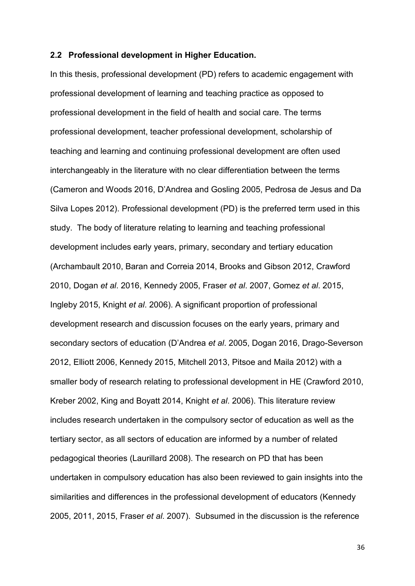## **2.2 Professional development in Higher Education.**

In this thesis, professional development (PD) refers to academic engagement with professional development of learning and teaching practice as opposed to professional development in the field of health and social care. The terms professional development, teacher professional development, scholarship of teaching and learning and continuing professional development are often used interchangeably in the literature with no clear differentiation between the terms (Cameron and Woods 2016, D'Andrea and Gosling 2005, Pedrosa de Jesus and Da Silva Lopes 2012). Professional development (PD) is the preferred term used in this study. The body of literature relating to learning and teaching professional development includes early years, primary, secondary and tertiary education (Archambault 2010, Baran and Correia 2014, Brooks and Gibson 2012, Crawford 2010, Dogan *et al*. 2016, Kennedy 2005, Fraser *et al*. 2007, Gomez *et al*. 2015, Ingleby 2015, Knight *et al*. 2006). A significant proportion of professional development research and discussion focuses on the early years, primary and secondary sectors of education (D'Andrea *et al*. 2005, Dogan 2016, Drago-Severson 2012, Elliott 2006, Kennedy 2015, Mitchell 2013, Pitsoe and Maila 2012) with a smaller body of research relating to professional development in HE (Crawford 2010, Kreber 2002, King and Boyatt 2014, Knight *et al*. 2006). This literature review includes research undertaken in the compulsory sector of education as well as the tertiary sector, as all sectors of education are informed by a number of related pedagogical theories (Laurillard 2008). The research on PD that has been undertaken in compulsory education has also been reviewed to gain insights into the similarities and differences in the professional development of educators (Kennedy 2005, 2011, 2015, Fraser *et al*. 2007). Subsumed in the discussion is the reference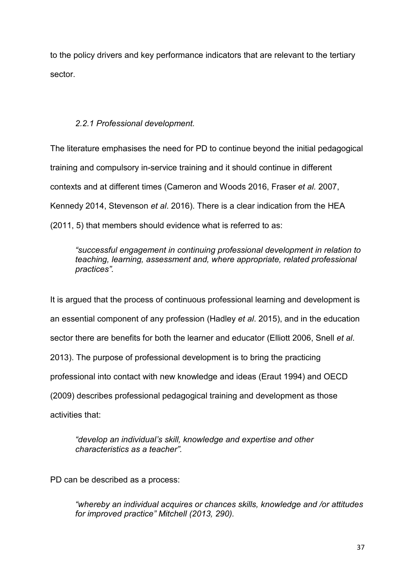to the policy drivers and key performance indicators that are relevant to the tertiary sector.

# *2.2.1 Professional development.*

The literature emphasises the need for PD to continue beyond the initial pedagogical training and compulsory in-service training and it should continue in different contexts and at different times (Cameron and Woods 2016, Fraser *et al.* 2007, Kennedy 2014, Stevenson *et al*. 2016). There is a clear indication from the HEA (2011, 5) that members should evidence what is referred to as:

*"successful engagement in continuing professional development in relation to teaching, learning, assessment and, where appropriate, related professional practices".*

It is argued that the process of continuous professional learning and development is an essential component of any profession (Hadley *et al*. 2015), and in the education sector there are benefits for both the learner and educator (Elliott 2006, Snell *et al*. 2013). The purpose of professional development is to bring the practicing professional into contact with new knowledge and ideas (Eraut 1994) and OECD (2009) describes professional pedagogical training and development as those activities that:

*"develop an individual's skill, knowledge and expertise and other characteristics as a teacher".* 

PD can be described as a process:

*"whereby an individual acquires or chances skills, knowledge and /or attitudes for improved practice" Mitchell (2013, 290).*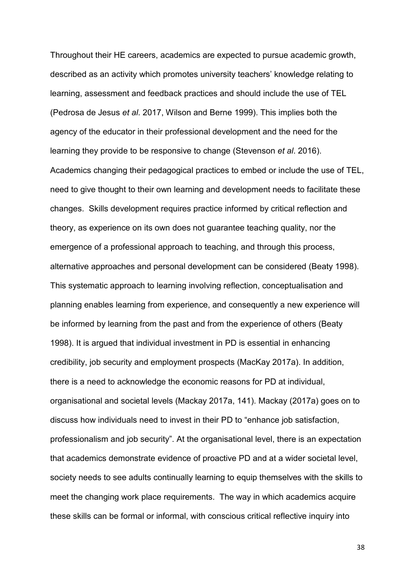Throughout their HE careers, academics are expected to pursue academic growth, described as an activity which promotes university teachers' knowledge relating to learning, assessment and feedback practices and should include the use of TEL (Pedrosa de Jesus *et al*. 2017, Wilson and Berne 1999). This implies both the agency of the educator in their professional development and the need for the learning they provide to be responsive to change (Stevenson *et al*. 2016). Academics changing their pedagogical practices to embed or include the use of TEL, need to give thought to their own learning and development needs to facilitate these changes. Skills development requires practice informed by critical reflection and theory, as experience on its own does not guarantee teaching quality, nor the emergence of a professional approach to teaching, and through this process, alternative approaches and personal development can be considered (Beaty 1998). This systematic approach to learning involving reflection, conceptualisation and planning enables learning from experience, and consequently a new experience will be informed by learning from the past and from the experience of others (Beaty 1998). It is argued that individual investment in PD is essential in enhancing credibility, job security and employment prospects (MacKay 2017a). In addition, there is a need to acknowledge the economic reasons for PD at individual, organisational and societal levels (Mackay 2017a, 141). Mackay (2017a) goes on to discuss how individuals need to invest in their PD to "enhance job satisfaction, professionalism and job security". At the organisational level, there is an expectation that academics demonstrate evidence of proactive PD and at a wider societal level, society needs to see adults continually learning to equip themselves with the skills to meet the changing work place requirements. The way in which academics acquire these skills can be formal or informal, with conscious critical reflective inquiry into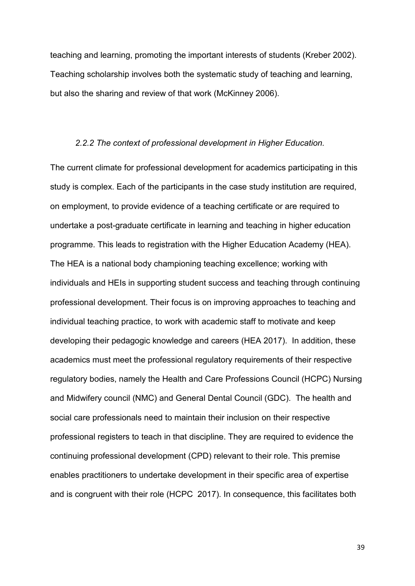teaching and learning, promoting the important interests of students (Kreber 2002). Teaching scholarship involves both the systematic study of teaching and learning, but also the sharing and review of that work (McKinney 2006).

#### *2.2.2 The context of professional development in Higher Education.*

The current climate for professional development for academics participating in this study is complex. Each of the participants in the case study institution are required, on employment, to provide evidence of a teaching certificate or are required to undertake a post-graduate certificate in learning and teaching in higher education programme. This leads to registration with the Higher Education Academy (HEA). The HEA is a national body championing teaching excellence; working with individuals and HEIs in supporting student success and teaching through continuing professional development. Their focus is on improving approaches to teaching and individual teaching practice, to work with academic staff to motivate and keep developing their pedagogic knowledge and careers (HEA 2017). In addition, these academics must meet the professional regulatory requirements of their respective regulatory bodies, namely the Health and Care Professions Council (HCPC) Nursing and Midwifery council (NMC) and General Dental Council (GDC). The health and social care professionals need to maintain their inclusion on their respective professional registers to teach in that discipline. They are required to evidence the continuing professional development (CPD) relevant to their role. This premise enables practitioners to undertake development in their specific area of expertise and is congruent with their role (HCPC 2017). In consequence, this facilitates both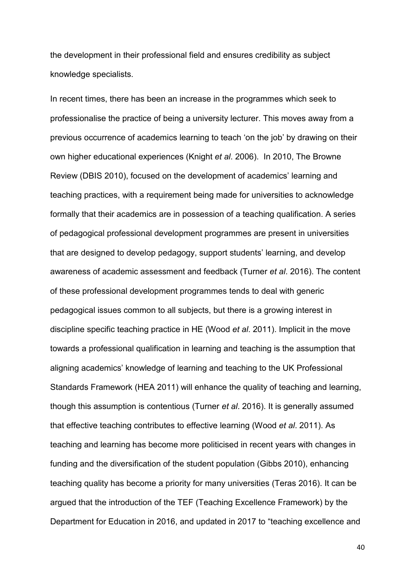the development in their professional field and ensures credibility as subject knowledge specialists.

In recent times, there has been an increase in the programmes which seek to professionalise the practice of being a university lecturer. This moves away from a previous occurrence of academics learning to teach 'on the job' by drawing on their own higher educational experiences (Knight *et al*. 2006). In 2010, The Browne Review (DBIS 2010), focused on the development of academics' learning and teaching practices, with a requirement being made for universities to acknowledge formally that their academics are in possession of a teaching qualification. A series of pedagogical professional development programmes are present in universities that are designed to develop pedagogy, support students' learning, and develop awareness of academic assessment and feedback (Turner *et al*. 2016). The content of these professional development programmes tends to deal with generic pedagogical issues common to all subjects, but there is a growing interest in discipline specific teaching practice in HE (Wood *et al*. 2011). Implicit in the move towards a professional qualification in learning and teaching is the assumption that aligning academics' knowledge of learning and teaching to the UK Professional Standards Framework (HEA 2011) will enhance the quality of teaching and learning, though this assumption is contentious (Turner *et al*. 2016). It is generally assumed that effective teaching contributes to effective learning (Wood *et al*. 2011). As teaching and learning has become more politicised in recent years with changes in funding and the diversification of the student population (Gibbs 2010), enhancing teaching quality has become a priority for many universities (Teras 2016). It can be argued that the introduction of the TEF (Teaching Excellence Framework) by the Department for Education in 2016, and updated in 2017 to "teaching excellence and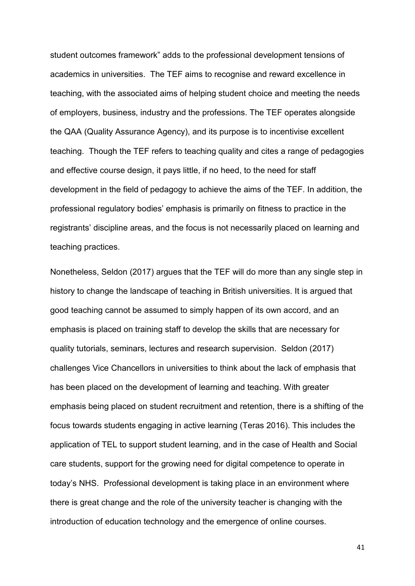student outcomes framework" adds to the professional development tensions of academics in universities. The TEF aims to recognise and reward excellence in teaching, with the associated aims of helping student choice and meeting the needs of employers, business, industry and the professions. The TEF operates alongside the QAA (Quality Assurance Agency), and its purpose is to incentivise excellent teaching. Though the TEF refers to teaching quality and cites a range of pedagogies and effective course design, it pays little, if no heed, to the need for staff development in the field of pedagogy to achieve the aims of the TEF. In addition, the professional regulatory bodies' emphasis is primarily on fitness to practice in the registrants' discipline areas, and the focus is not necessarily placed on learning and teaching practices.

Nonetheless, Seldon (2017) argues that the TEF will do more than any single step in history to change the landscape of teaching in British universities. It is argued that good teaching cannot be assumed to simply happen of its own accord, and an emphasis is placed on training staff to develop the skills that are necessary for quality tutorials, seminars, lectures and research supervision. Seldon (2017) challenges Vice Chancellors in universities to think about the lack of emphasis that has been placed on the development of learning and teaching. With greater emphasis being placed on student recruitment and retention, there is a shifting of the focus towards students engaging in active learning (Teras 2016). This includes the application of TEL to support student learning, and in the case of Health and Social care students, support for the growing need for digital competence to operate in today's NHS. Professional development is taking place in an environment where there is great change and the role of the university teacher is changing with the introduction of education technology and the emergence of online courses.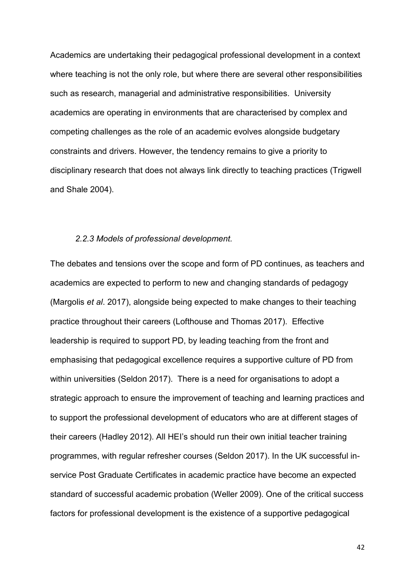Academics are undertaking their pedagogical professional development in a context where teaching is not the only role, but where there are several other responsibilities such as research, managerial and administrative responsibilities. University academics are operating in environments that are characterised by complex and competing challenges as the role of an academic evolves alongside budgetary constraints and drivers. However, the tendency remains to give a priority to disciplinary research that does not always link directly to teaching practices (Trigwell and Shale 2004).

#### *2.2.3 Models of professional development.*

The debates and tensions over the scope and form of PD continues, as teachers and academics are expected to perform to new and changing standards of pedagogy (Margolis *et al*. 2017), alongside being expected to make changes to their teaching practice throughout their careers (Lofthouse and Thomas 2017). Effective leadership is required to support PD, by leading teaching from the front and emphasising that pedagogical excellence requires a supportive culture of PD from within universities (Seldon 2017). There is a need for organisations to adopt a strategic approach to ensure the improvement of teaching and learning practices and to support the professional development of educators who are at different stages of their careers (Hadley 2012). All HEI's should run their own initial teacher training programmes, with regular refresher courses (Seldon 2017). In the UK successful inservice Post Graduate Certificates in academic practice have become an expected standard of successful academic probation (Weller 2009). One of the critical success factors for professional development is the existence of a supportive pedagogical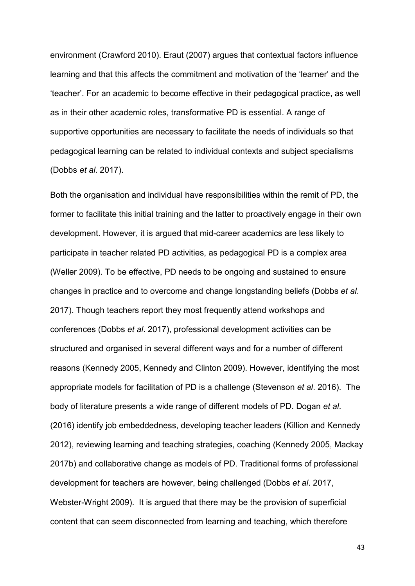environment (Crawford 2010). Eraut (2007) argues that contextual factors influence learning and that this affects the commitment and motivation of the 'learner' and the 'teacher'. For an academic to become effective in their pedagogical practice, as well as in their other academic roles, transformative PD is essential. A range of supportive opportunities are necessary to facilitate the needs of individuals so that pedagogical learning can be related to individual contexts and subject specialisms (Dobbs *et al*. 2017).

Both the organisation and individual have responsibilities within the remit of PD, the former to facilitate this initial training and the latter to proactively engage in their own development. However, it is argued that mid-career academics are less likely to participate in teacher related PD activities, as pedagogical PD is a complex area (Weller 2009). To be effective, PD needs to be ongoing and sustained to ensure changes in practice and to overcome and change longstanding beliefs (Dobbs *et al*. 2017). Though teachers report they most frequently attend workshops and conferences (Dobbs *et al*. 2017), professional development activities can be structured and organised in several different ways and for a number of different reasons (Kennedy 2005, Kennedy and Clinton 2009). However, identifying the most appropriate models for facilitation of PD is a challenge (Stevenson *et al*. 2016). The body of literature presents a wide range of different models of PD. Dogan *et al*. (2016) identify job embeddedness, developing teacher leaders (Killion and Kennedy 2012), reviewing learning and teaching strategies, coaching (Kennedy 2005, Mackay 2017b) and collaborative change as models of PD. Traditional forms of professional development for teachers are however, being challenged (Dobbs *et al*. 2017, Webster-Wright 2009). It is argued that there may be the provision of superficial content that can seem disconnected from learning and teaching, which therefore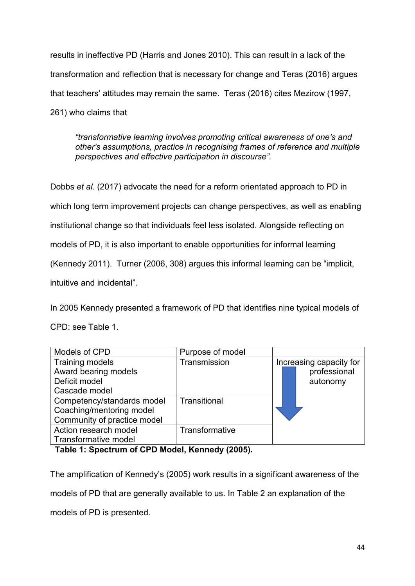results in ineffective PD (Harris and Jones 2010). This can result in a lack of the transformation and reflection that is necessary for change and Teras (2016) argues that teachers' attitudes may remain the same. Teras (2016) cites Mezirow (1997, 261) who claims that

*"transformative learning involves promoting critical awareness of one's and other's assumptions, practice in recognising frames of reference and multiple perspectives and effective participation in discourse".*

Dobbs *et al*. (2017) advocate the need for a reform orientated approach to PD in which long term improvement projects can change perspectives, as well as enabling institutional change so that individuals feel less isolated. Alongside reflecting on models of PD, it is also important to enable opportunities for informal learning (Kennedy 2011). Turner (2006, 308) argues this informal learning can be "implicit, intuitive and incidental".

In 2005 Kennedy presented a framework of PD that identifies nine typical models of CPD: see Table 1.

| Models of CPD                                                                         | Purpose of model |                                                     |
|---------------------------------------------------------------------------------------|------------------|-----------------------------------------------------|
| <b>Training models</b><br>Award bearing models<br>Deficit model<br>Cascade model      | Transmission     | Increasing capacity for<br>professional<br>autonomy |
| Competency/standards model<br>Coaching/mentoring model<br>Community of practice model | Transitional     |                                                     |
| Action research model                                                                 | Transformative   |                                                     |
| Transformative model                                                                  |                  |                                                     |

**Table 1: Spectrum of CPD Model, Kennedy (2005).** 

The amplification of Kennedy's (2005) work results in a significant awareness of the models of PD that are generally available to us. In Table 2 an explanation of the models of PD is presented.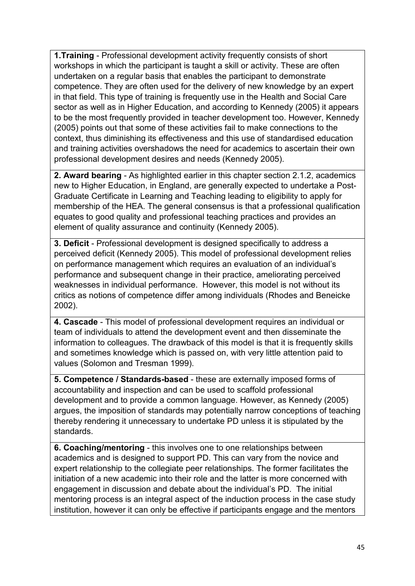**1.Training** - Professional development activity frequently consists of short workshops in which the participant is taught a skill or activity. These are often undertaken on a regular basis that enables the participant to demonstrate competence. They are often used for the delivery of new knowledge by an expert in that field. This type of training is frequently use in the Health and Social Care sector as well as in Higher Education, and according to Kennedy (2005) it appears to be the most frequently provided in teacher development too. However, Kennedy (2005) points out that some of these activities fail to make connections to the context, thus diminishing its effectiveness and this use of standardised education and training activities overshadows the need for academics to ascertain their own professional development desires and needs (Kennedy 2005).

**2. Award bearing** - As highlighted earlier in this chapter section 2.1.2, academics new to Higher Education, in England, are generally expected to undertake a Post-Graduate Certificate in Learning and Teaching leading to eligibility to apply for membership of the HEA. The general consensus is that a professional qualification equates to good quality and professional teaching practices and provides an element of quality assurance and continuity (Kennedy 2005).

**3. Deficit** - Professional development is designed specifically to address a perceived deficit (Kennedy 2005). This model of professional development relies on performance management which requires an evaluation of an individual's performance and subsequent change in their practice, ameliorating perceived weaknesses in individual performance. However, this model is not without its critics as notions of competence differ among individuals (Rhodes and Beneicke 2002).

**4. Cascade** - This model of professional development requires an individual or team of individuals to attend the development event and then disseminate the information to colleagues. The drawback of this model is that it is frequently skills and sometimes knowledge which is passed on, with very little attention paid to values (Solomon and Tresman 1999).

**5. Competence / Standards-based** - these are externally imposed forms of accountability and inspection and can be used to scaffold professional development and to provide a common language. However, as Kennedy (2005) argues, the imposition of standards may potentially narrow conceptions of teaching thereby rendering it unnecessary to undertake PD unless it is stipulated by the standards.

**6. Coaching/mentoring** - this involves one to one relationships between academics and is designed to support PD. This can vary from the novice and expert relationship to the collegiate peer relationships. The former facilitates the initiation of a new academic into their role and the latter is more concerned with engagement in discussion and debate about the individual's PD. The initial mentoring process is an integral aspect of the induction process in the case study institution, however it can only be effective if participants engage and the mentors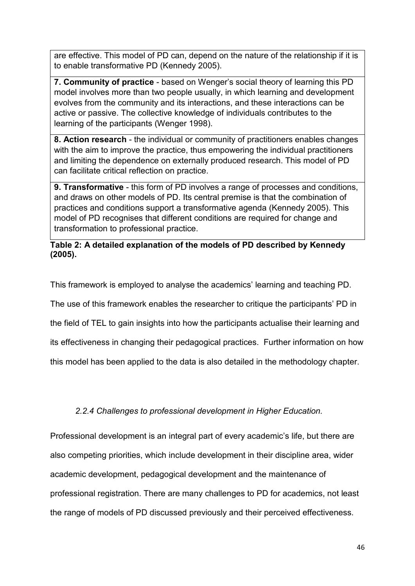are effective. This model of PD can, depend on the nature of the relationship if it is to enable transformative PD (Kennedy 2005).

**7. Community of practice** - based on Wenger's social theory of learning this PD model involves more than two people usually, in which learning and development evolves from the community and its interactions, and these interactions can be active or passive. The collective knowledge of individuals contributes to the learning of the participants (Wenger 1998).

**8. Action research** - the individual or community of practitioners enables changes with the aim to improve the practice, thus empowering the individual practitioners and limiting the dependence on externally produced research. This model of PD can facilitate critical reflection on practice.

**9. Transformative** - this form of PD involves a range of processes and conditions, and draws on other models of PD. Its central premise is that the combination of practices and conditions support a transformative agenda (Kennedy 2005). This model of PD recognises that different conditions are required for change and transformation to professional practice.

## **Table 2: A detailed explanation of the models of PD described by Kennedy (2005).**

This framework is employed to analyse the academics' learning and teaching PD.

The use of this framework enables the researcher to critique the participants' PD in

the field of TEL to gain insights into how the participants actualise their learning and

its effectiveness in changing their pedagogical practices. Further information on how

this model has been applied to the data is also detailed in the methodology chapter.

# *2.2.4 Challenges to professional development in Higher Education.*

Professional development is an integral part of every academic's life, but there are also competing priorities, which include development in their discipline area, wider academic development, pedagogical development and the maintenance of professional registration. There are many challenges to PD for academics, not least the range of models of PD discussed previously and their perceived effectiveness.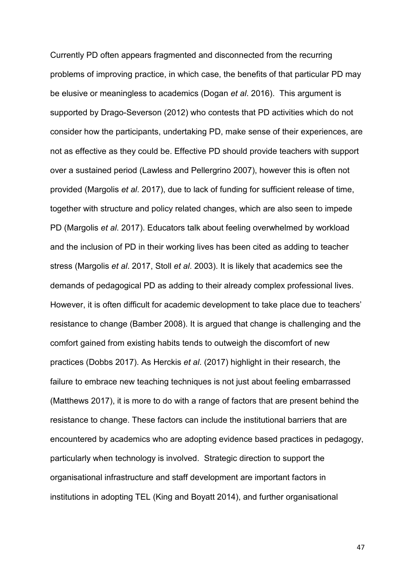Currently PD often appears fragmented and disconnected from the recurring problems of improving practice, in which case, the benefits of that particular PD may be elusive or meaningless to academics (Dogan *et al*. 2016). This argument is supported by Drago-Severson (2012) who contests that PD activities which do not consider how the participants, undertaking PD, make sense of their experiences, are not as effective as they could be. Effective PD should provide teachers with support over a sustained period (Lawless and Pellergrino 2007), however this is often not provided (Margolis *et al*. 2017), due to lack of funding for sufficient release of time, together with structure and policy related changes, which are also seen to impede PD (Margolis *et al*. 2017). Educators talk about feeling overwhelmed by workload and the inclusion of PD in their working lives has been cited as adding to teacher stress (Margolis *et al*. 2017, Stoll *et al*. 2003). It is likely that academics see the demands of pedagogical PD as adding to their already complex professional lives. However, it is often difficult for academic development to take place due to teachers' resistance to change (Bamber 2008). It is argued that change is challenging and the comfort gained from existing habits tends to outweigh the discomfort of new practices (Dobbs 2017). As Herckis *et al*. (2017) highlight in their research, the failure to embrace new teaching techniques is not just about feeling embarrassed (Matthews 2017), it is more to do with a range of factors that are present behind the resistance to change. These factors can include the institutional barriers that are encountered by academics who are adopting evidence based practices in pedagogy, particularly when technology is involved. Strategic direction to support the organisational infrastructure and staff development are important factors in institutions in adopting TEL (King and Boyatt 2014), and further organisational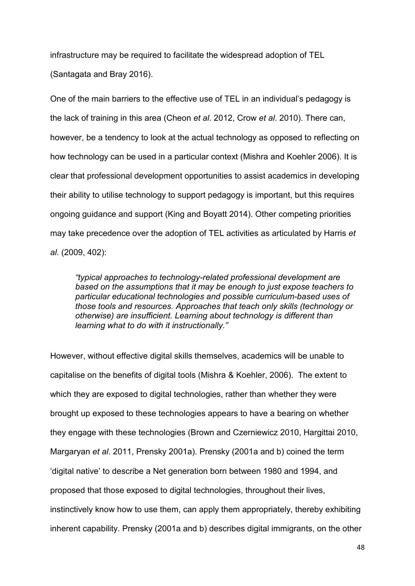infrastructure may be required to facilitate the widespread adoption of TEL (Santagata and Bray 2016).

One of the main barriers to the effective use of TEL in an individual's pedagogy is the lack of training in this area (Cheon *et al*. 2012, Crow *et al*. 2010). There can, however, be a tendency to look at the actual technology as opposed to reflecting on how technology can be used in a particular context (Mishra and Koehler 2006). It is clear that professional development opportunities to assist academics in developing their ability to utilise technology to support pedagogy is important, but this requires ongoing guidance and support (King and Boyatt 2014). Other competing priorities may take precedence over the adoption of TEL activities as articulated by Harris *et al*. (2009, 402):

*"typical approaches to technology-related professional development are based on the assumptions that it may be enough to just expose teachers to particular educational technologies and possible curriculum-based uses of those tools and resources. Approaches that teach only skills (technology or otherwise) are insufficient. Learning about technology is different than learning what to do with it instructionally."* 

However, without effective digital skills themselves, academics will be unable to capitalise on the benefits of digital tools (Mishra & Koehler, 2006). The extent to which they are exposed to digital technologies, rather than whether they were brought up exposed to these technologies appears to have a bearing on whether they engage with these technologies (Brown and Czerniewicz 2010, Hargittai 2010, Margaryan *et al*. 2011, Prensky 2001a). Prensky (2001a and b) coined the term 'digital native' to describe a Net generation born between 1980 and 1994, and proposed that those exposed to digital technologies, throughout their lives, instinctively know how to use them, can apply them appropriately, thereby exhibiting inherent capability. Prensky (2001a and b) describes digital immigrants, on the other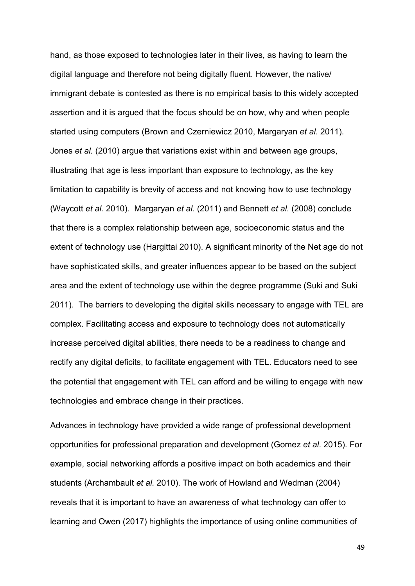hand, as those exposed to technologies later in their lives, as having to learn the digital language and therefore not being digitally fluent. However, the native/ immigrant debate is contested as there is no empirical basis to this widely accepted assertion and it is argued that the focus should be on how, why and when people started using computers (Brown and Czerniewicz 2010, Margaryan *et al.* 2011). Jones *et al.* (2010) argue that variations exist within and between age groups, illustrating that age is less important than exposure to technology, as the key limitation to capability is brevity of access and not knowing how to use technology (Waycott *et al.* 2010). Margaryan *et al.* (2011) and Bennett *et al.* (2008) conclude that there is a complex relationship between age, socioeconomic status and the extent of technology use (Hargittai 2010). A significant minority of the Net age do not have sophisticated skills, and greater influences appear to be based on the subject area and the extent of technology use within the degree programme (Suki and Suki 2011). The barriers to developing the digital skills necessary to engage with TEL are complex. Facilitating access and exposure to technology does not automatically increase perceived digital abilities, there needs to be a readiness to change and rectify any digital deficits, to facilitate engagement with TEL. Educators need to see the potential that engagement with TEL can afford and be willing to engage with new technologies and embrace change in their practices.

Advances in technology have provided a wide range of professional development opportunities for professional preparation and development (Gomez *et al*. 2015). For example, social networking affords a positive impact on both academics and their students (Archambault *et al.* 2010). The work of Howland and Wedman (2004) reveals that it is important to have an awareness of what technology can offer to learning and Owen (2017) highlights the importance of using online communities of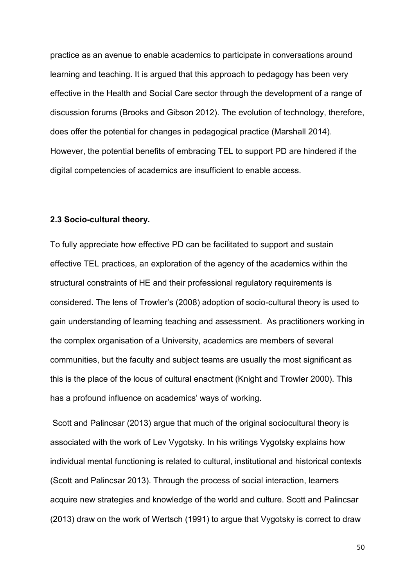practice as an avenue to enable academics to participate in conversations around learning and teaching. It is argued that this approach to pedagogy has been very effective in the Health and Social Care sector through the development of a range of discussion forums (Brooks and Gibson 2012). The evolution of technology, therefore, does offer the potential for changes in pedagogical practice (Marshall 2014). However, the potential benefits of embracing TEL to support PD are hindered if the digital competencies of academics are insufficient to enable access.

#### **2.3 Socio-cultural theory.**

To fully appreciate how effective PD can be facilitated to support and sustain effective TEL practices, an exploration of the agency of the academics within the structural constraints of HE and their professional regulatory requirements is considered. The lens of Trowler's (2008) adoption of socio-cultural theory is used to gain understanding of learning teaching and assessment. As practitioners working in the complex organisation of a University, academics are members of several communities, but the faculty and subject teams are usually the most significant as this is the place of the locus of cultural enactment (Knight and Trowler 2000). This has a profound influence on academics' ways of working.

Scott and Palincsar (2013) argue that much of the original sociocultural theory is associated with the work of Lev Vygotsky. In his writings Vygotsky explains how individual mental functioning is related to cultural, institutional and historical contexts (Scott and Palincsar 2013). Through the process of social interaction, learners acquire new strategies and knowledge of the world and culture. Scott and Palincsar (2013) draw on the work of Wertsch (1991) to argue that Vygotsky is correct to draw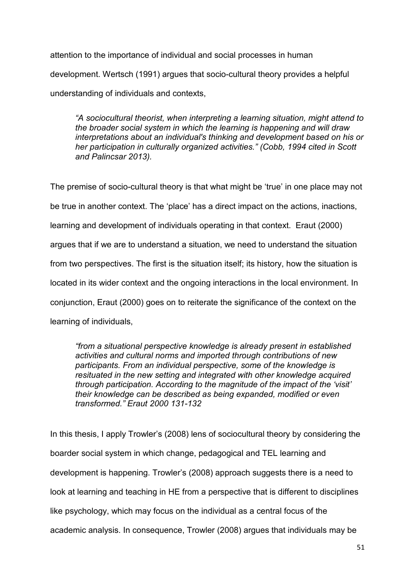attention to the importance of individual and social processes in human development. Wertsch (1991) argues that socio-cultural theory provides a helpful understanding of individuals and contexts,

*"A sociocultural theorist, when interpreting a learning situation, might attend to the broader social system in which the learning is happening and will draw interpretations about an individual's thinking and development based on his or her participation in culturally organized activities." (Cobb, 1994 cited in Scott and Palincsar 2013).*

The premise of socio-cultural theory is that what might be 'true' in one place may not be true in another context. The 'place' has a direct impact on the actions, inactions, learning and development of individuals operating in that context. Eraut (2000) argues that if we are to understand a situation, we need to understand the situation from two perspectives. The first is the situation itself; its history, how the situation is located in its wider context and the ongoing interactions in the local environment. In conjunction, Eraut (2000) goes on to reiterate the significance of the context on the learning of individuals,

*"from a situational perspective knowledge is already present in established activities and cultural norms and imported through contributions of new participants. From an individual perspective, some of the knowledge is resituated in the new setting and integrated with other knowledge acquired through participation. According to the magnitude of the impact of the 'visit' their knowledge can be described as being expanded, modified or even transformed." Eraut 2000 131-132*

In this thesis, I apply Trowler's (2008) lens of sociocultural theory by considering the boarder social system in which change, pedagogical and TEL learning and development is happening. Trowler's (2008) approach suggests there is a need to look at learning and teaching in HE from a perspective that is different to disciplines like psychology, which may focus on the individual as a central focus of the academic analysis. In consequence, Trowler (2008) argues that individuals may be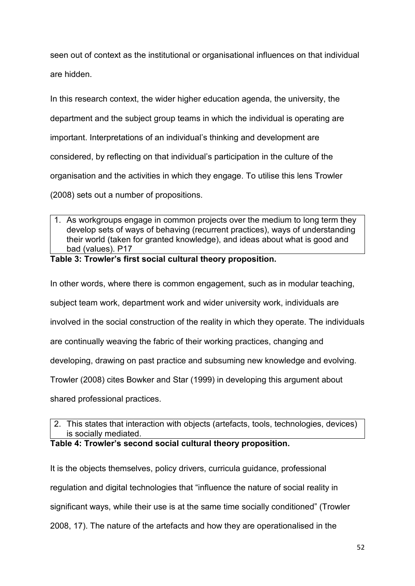seen out of context as the institutional or organisational influences on that individual are hidden.

In this research context, the wider higher education agenda, the university, the department and the subject group teams in which the individual is operating are important. Interpretations of an individual's thinking and development are considered, by reflecting on that individual's participation in the culture of the organisation and the activities in which they engage. To utilise this lens Trowler (2008) sets out a number of propositions.

1. As workgroups engage in common projects over the medium to long term they develop sets of ways of behaving (recurrent practices), ways of understanding their world (taken for granted knowledge), and ideas about what is good and bad (values). P17

## **Table 3: Trowler's first social cultural theory proposition.**

In other words, where there is common engagement, such as in modular teaching,

subject team work, department work and wider university work, individuals are

involved in the social construction of the reality in which they operate. The individuals

are continually weaving the fabric of their working practices, changing and

developing, drawing on past practice and subsuming new knowledge and evolving.

Trowler (2008) cites Bowker and Star (1999) in developing this argument about

shared professional practices.

2. This states that interaction with objects (artefacts, tools, technologies, devices) is socially mediated.

### **Table 4: Trowler's second social cultural theory proposition.**

It is the objects themselves, policy drivers, curricula guidance, professional regulation and digital technologies that "influence the nature of social reality in significant ways, while their use is at the same time socially conditioned" (Trowler 2008, 17). The nature of the artefacts and how they are operationalised in the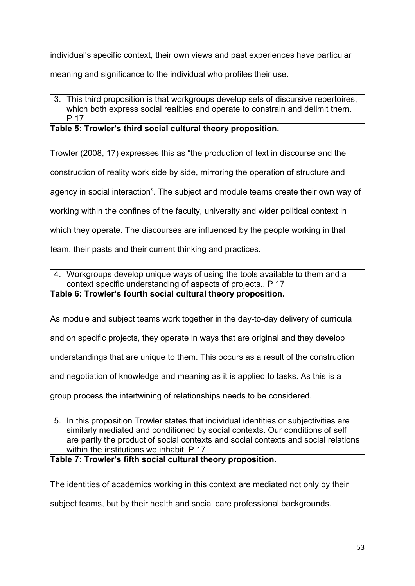individual's specific context, their own views and past experiences have particular

meaning and significance to the individual who profiles their use.

# 3. This third proposition is that workgroups develop sets of discursive repertoires, which both express social realities and operate to constrain and delimit them. P 17

# **Table 5: Trowler's third social cultural theory proposition.**

Trowler (2008, 17) expresses this as "the production of text in discourse and the

construction of reality work side by side, mirroring the operation of structure and

agency in social interaction". The subject and module teams create their own way of

working within the confines of the faculty, university and wider political context in

which they operate. The discourses are influenced by the people working in that

team, their pasts and their current thinking and practices.

4. Workgroups develop unique ways of using the tools available to them and a context specific understanding of aspects of projects.. P 17

# **Table 6: Trowler's fourth social cultural theory proposition.**

As module and subject teams work together in the day-to-day delivery of curricula

and on specific projects, they operate in ways that are original and they develop

understandings that are unique to them. This occurs as a result of the construction

and negotiation of knowledge and meaning as it is applied to tasks. As this is a

group process the intertwining of relationships needs to be considered.

5. In this proposition Trowler states that individual identities or subjectivities are similarly mediated and conditioned by social contexts. Our conditions of self are partly the product of social contexts and social contexts and social relations within the institutions we inhabit. P 17

**Table 7: Trowler's fifth social cultural theory proposition.** 

The identities of academics working in this context are mediated not only by their

subject teams, but by their health and social care professional backgrounds.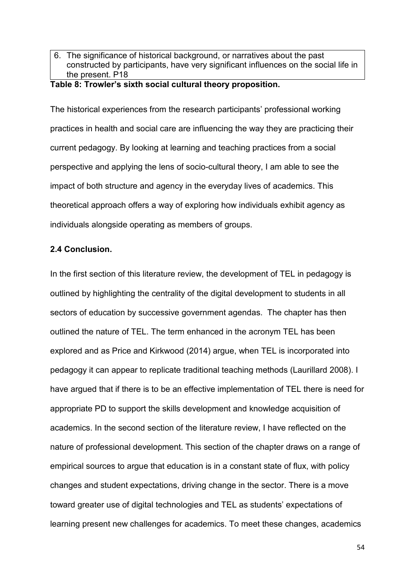6. The significance of historical background, or narratives about the past constructed by participants, have very significant influences on the social life in the present. P18

## **Table 8: Trowler's sixth social cultural theory proposition.**

The historical experiences from the research participants' professional working practices in health and social care are influencing the way they are practicing their current pedagogy. By looking at learning and teaching practices from a social perspective and applying the lens of socio-cultural theory, I am able to see the impact of both structure and agency in the everyday lives of academics. This theoretical approach offers a way of exploring how individuals exhibit agency as individuals alongside operating as members of groups.

### **2.4 Conclusion.**

In the first section of this literature review, the development of TEL in pedagogy is outlined by highlighting the centrality of the digital development to students in all sectors of education by successive government agendas. The chapter has then outlined the nature of TEL. The term enhanced in the acronym TEL has been explored and as Price and Kirkwood (2014) argue, when TEL is incorporated into pedagogy it can appear to replicate traditional teaching methods (Laurillard 2008). I have argued that if there is to be an effective implementation of TEL there is need for appropriate PD to support the skills development and knowledge acquisition of academics. In the second section of the literature review, I have reflected on the nature of professional development. This section of the chapter draws on a range of empirical sources to argue that education is in a constant state of flux, with policy changes and student expectations, driving change in the sector. There is a move toward greater use of digital technologies and TEL as students' expectations of learning present new challenges for academics. To meet these changes, academics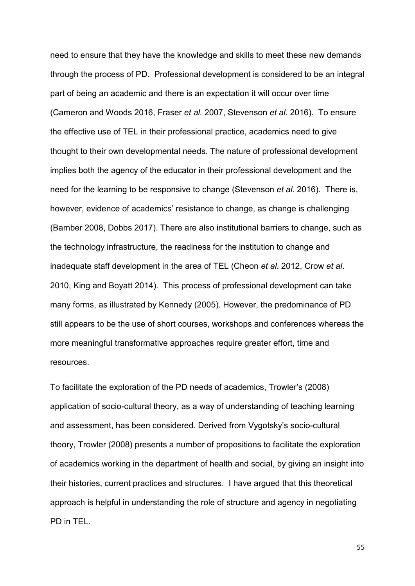need to ensure that they have the knowledge and skills to meet these new demands through the process of PD. Professional development is considered to be an integral part of being an academic and there is an expectation it will occur over time (Cameron and Woods 2016, Fraser *et al.* 2007, Stevenson *et al.* 2016). To ensure the effective use of TEL in their professional practice, academics need to give thought to their own developmental needs. The nature of professional development implies both the agency of the educator in their professional development and the need for the learning to be responsive to change (Stevenson *et al.* 2016). There is, however, evidence of academics' resistance to change, as change is challenging (Bamber 2008, Dobbs 2017). There are also institutional barriers to change, such as the technology infrastructure, the readiness for the institution to change and inadequate staff development in the area of TEL (Cheon *et al*. 2012, Crow *et al*. 2010, King and Boyatt 2014). This process of professional development can take many forms, as illustrated by Kennedy (2005). However, the predominance of PD still appears to be the use of short courses, workshops and conferences whereas the more meaningful transformative approaches require greater effort, time and resources.

To facilitate the exploration of the PD needs of academics, Trowler's (2008) application of socio-cultural theory, as a way of understanding of teaching learning and assessment, has been considered. Derived from Vygotsky's socio-cultural theory, Trowler (2008) presents a number of propositions to facilitate the exploration of academics working in the department of health and social, by giving an insight into their histories, current practices and structures. I have argued that this theoretical approach is helpful in understanding the role of structure and agency in negotiating PD in TEL.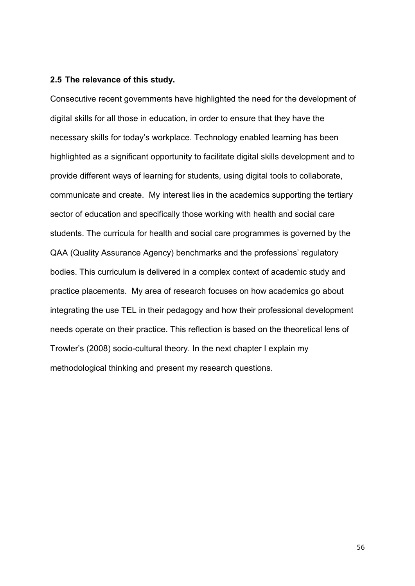#### **2.5 The relevance of this study.**

Consecutive recent governments have highlighted the need for the development of digital skills for all those in education, in order to ensure that they have the necessary skills for today's workplace. Technology enabled learning has been highlighted as a significant opportunity to facilitate digital skills development and to provide different ways of learning for students, using digital tools to collaborate, communicate and create. My interest lies in the academics supporting the tertiary sector of education and specifically those working with health and social care students. The curricula for health and social care programmes is governed by the QAA (Quality Assurance Agency) benchmarks and the professions' regulatory bodies. This curriculum is delivered in a complex context of academic study and practice placements. My area of research focuses on how academics go about integrating the use TEL in their pedagogy and how their professional development needs operate on their practice. This reflection is based on the theoretical lens of Trowler's (2008) socio-cultural theory. In the next chapter I explain my methodological thinking and present my research questions.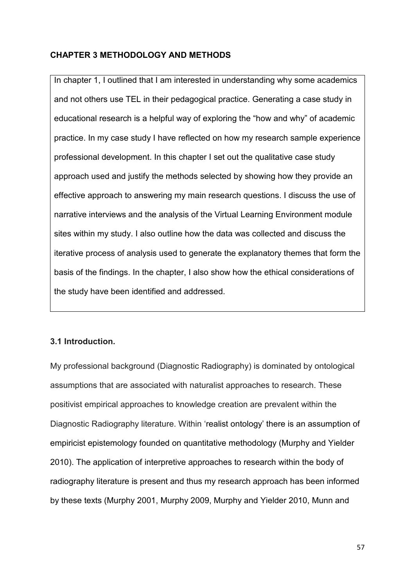# **CHAPTER 3 METHODOLOGY AND METHODS**

In chapter 1, I outlined that I am interested in understanding why some academics and not others use TEL in their pedagogical practice. Generating a case study in educational research is a helpful way of exploring the "how and why" of academic practice. In my case study I have reflected on how my research sample experience professional development. In this chapter I set out the qualitative case study approach used and justify the methods selected by showing how they provide an effective approach to answering my main research questions. I discuss the use of narrative interviews and the analysis of the Virtual Learning Environment module sites within my study. I also outline how the data was collected and discuss the iterative process of analysis used to generate the explanatory themes that form the basis of the findings. In the chapter, I also show how the ethical considerations of the study have been identified and addressed.

# **3.1 Introduction.**

My professional background (Diagnostic Radiography) is dominated by ontological assumptions that are associated with naturalist approaches to research. These positivist empirical approaches to knowledge creation are prevalent within the Diagnostic Radiography literature. Within 'realist ontology' there is an assumption of empiricist epistemology founded on quantitative methodology (Murphy and Yielder 2010). The application of interpretive approaches to research within the body of radiography literature is present and thus my research approach has been informed by these texts (Murphy 2001, Murphy 2009, Murphy and Yielder 2010, Munn and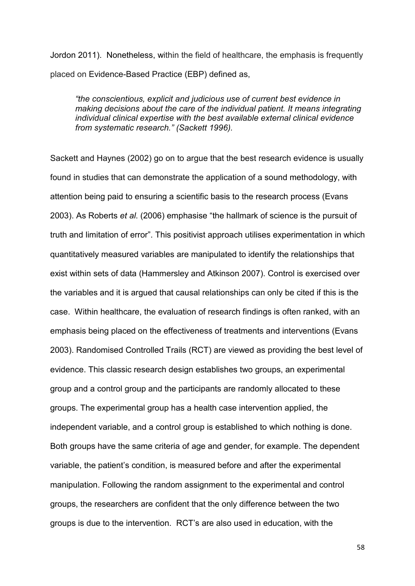Jordon 2011). Nonetheless, within the field of healthcare, the emphasis is frequently placed on Evidence-Based Practice (EBP) defined as,

*"the conscientious, explicit and judicious use of current best evidence in making decisions about the care of the individual patient. It means integrating individual clinical expertise with the best available external clinical evidence from systematic research." (Sackett 1996).*

Sackett and Haynes (2002) go on to argue that the best research evidence is usually found in studies that can demonstrate the application of a sound methodology, with attention being paid to ensuring a scientific basis to the research process (Evans 2003). As Roberts *et al*. (2006) emphasise "the hallmark of science is the pursuit of truth and limitation of error". This positivist approach utilises experimentation in which quantitatively measured variables are manipulated to identify the relationships that exist within sets of data (Hammersley and Atkinson 2007). Control is exercised over the variables and it is argued that causal relationships can only be cited if this is the case. Within healthcare, the evaluation of research findings is often ranked, with an emphasis being placed on the effectiveness of treatments and interventions (Evans 2003). Randomised Controlled Trails (RCT) are viewed as providing the best level of evidence. This classic research design establishes two groups, an experimental group and a control group and the participants are randomly allocated to these groups. The experimental group has a health case intervention applied, the independent variable, and a control group is established to which nothing is done. Both groups have the same criteria of age and gender, for example. The dependent variable, the patient's condition, is measured before and after the experimental manipulation. Following the random assignment to the experimental and control groups, the researchers are confident that the only difference between the two groups is due to the intervention. RCT's are also used in education, with the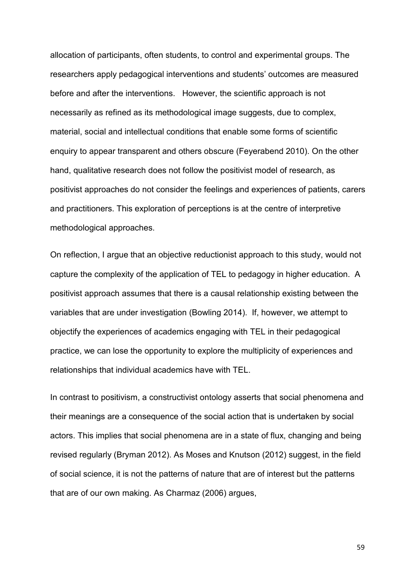allocation of participants, often students, to control and experimental groups. The researchers apply pedagogical interventions and students' outcomes are measured before and after the interventions. However, the scientific approach is not necessarily as refined as its methodological image suggests, due to complex, material, social and intellectual conditions that enable some forms of scientific enquiry to appear transparent and others obscure (Feyerabend 2010). On the other hand, qualitative research does not follow the positivist model of research, as positivist approaches do not consider the feelings and experiences of patients, carers and practitioners. This exploration of perceptions is at the centre of interpretive methodological approaches.

On reflection, I argue that an objective reductionist approach to this study, would not capture the complexity of the application of TEL to pedagogy in higher education. A positivist approach assumes that there is a causal relationship existing between the variables that are under investigation (Bowling 2014). If, however, we attempt to objectify the experiences of academics engaging with TEL in their pedagogical practice, we can lose the opportunity to explore the multiplicity of experiences and relationships that individual academics have with TEL.

In contrast to positivism, a constructivist ontology asserts that social phenomena and their meanings are a consequence of the social action that is undertaken by social actors. This implies that social phenomena are in a state of flux, changing and being revised regularly (Bryman 2012). As Moses and Knutson (2012) suggest, in the field of social science, it is not the patterns of nature that are of interest but the patterns that are of our own making. As Charmaz (2006) argues,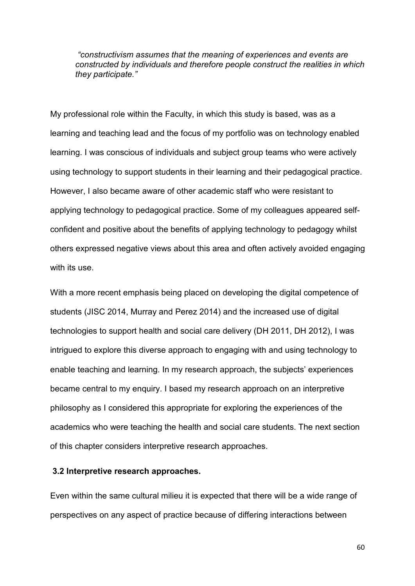*"constructivism assumes that the meaning of experiences and events are constructed by individuals and therefore people construct the realities in which they participate."* 

My professional role within the Faculty, in which this study is based, was as a learning and teaching lead and the focus of my portfolio was on technology enabled learning. I was conscious of individuals and subject group teams who were actively using technology to support students in their learning and their pedagogical practice. However, I also became aware of other academic staff who were resistant to applying technology to pedagogical practice. Some of my colleagues appeared selfconfident and positive about the benefits of applying technology to pedagogy whilst others expressed negative views about this area and often actively avoided engaging with its use.

With a more recent emphasis being placed on developing the digital competence of students (JISC 2014, Murray and Perez 2014) and the increased use of digital technologies to support health and social care delivery (DH 2011, DH 2012), I was intrigued to explore this diverse approach to engaging with and using technology to enable teaching and learning. In my research approach, the subjects' experiences became central to my enquiry. I based my research approach on an interpretive philosophy as I considered this appropriate for exploring the experiences of the academics who were teaching the health and social care students. The next section of this chapter considers interpretive research approaches.

#### **3.2 Interpretive research approaches.**

Even within the same cultural milieu it is expected that there will be a wide range of perspectives on any aspect of practice because of differing interactions between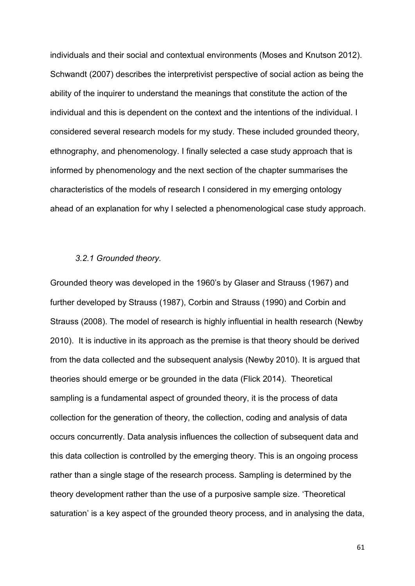individuals and their social and contextual environments (Moses and Knutson 2012). Schwandt (2007) describes the interpretivist perspective of social action as being the ability of the inquirer to understand the meanings that constitute the action of the individual and this is dependent on the context and the intentions of the individual. I considered several research models for my study. These included grounded theory, ethnography, and phenomenology. I finally selected a case study approach that is informed by phenomenology and the next section of the chapter summarises the characteristics of the models of research I considered in my emerging ontology ahead of an explanation for why I selected a phenomenological case study approach.

### *3.2.1 Grounded theory.*

Grounded theory was developed in the 1960's by Glaser and Strauss (1967) and further developed by Strauss (1987), Corbin and Strauss (1990) and Corbin and Strauss (2008). The model of research is highly influential in health research (Newby 2010). It is inductive in its approach as the premise is that theory should be derived from the data collected and the subsequent analysis (Newby 2010). It is argued that theories should emerge or be grounded in the data (Flick 2014). Theoretical sampling is a fundamental aspect of grounded theory, it is the process of data collection for the generation of theory, the collection, coding and analysis of data occurs concurrently. Data analysis influences the collection of subsequent data and this data collection is controlled by the emerging theory. This is an ongoing process rather than a single stage of the research process. Sampling is determined by the theory development rather than the use of a purposive sample size. 'Theoretical saturation' is a key aspect of the grounded theory process, and in analysing the data,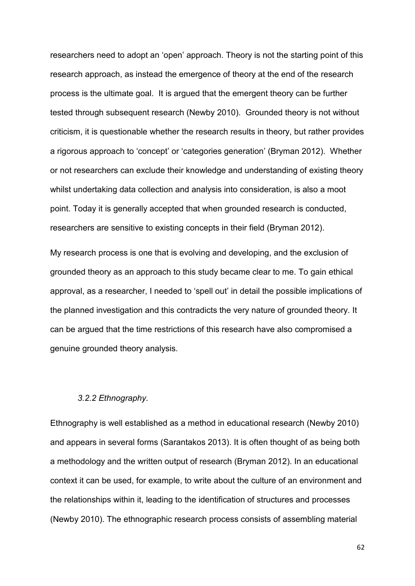researchers need to adopt an 'open' approach. Theory is not the starting point of this research approach, as instead the emergence of theory at the end of the research process is the ultimate goal. It is argued that the emergent theory can be further tested through subsequent research (Newby 2010). Grounded theory is not without criticism, it is questionable whether the research results in theory, but rather provides a rigorous approach to 'concept' or 'categories generation' (Bryman 2012). Whether or not researchers can exclude their knowledge and understanding of existing theory whilst undertaking data collection and analysis into consideration, is also a moot point. Today it is generally accepted that when grounded research is conducted, researchers are sensitive to existing concepts in their field (Bryman 2012).

My research process is one that is evolving and developing, and the exclusion of grounded theory as an approach to this study became clear to me. To gain ethical approval, as a researcher, I needed to 'spell out' in detail the possible implications of the planned investigation and this contradicts the very nature of grounded theory. It can be argued that the time restrictions of this research have also compromised a genuine grounded theory analysis.

#### *3.2.2 Ethnography.*

Ethnography is well established as a method in educational research (Newby 2010) and appears in several forms (Sarantakos 2013). It is often thought of as being both a methodology and the written output of research (Bryman 2012). In an educational context it can be used, for example, to write about the culture of an environment and the relationships within it, leading to the identification of structures and processes (Newby 2010). The ethnographic research process consists of assembling material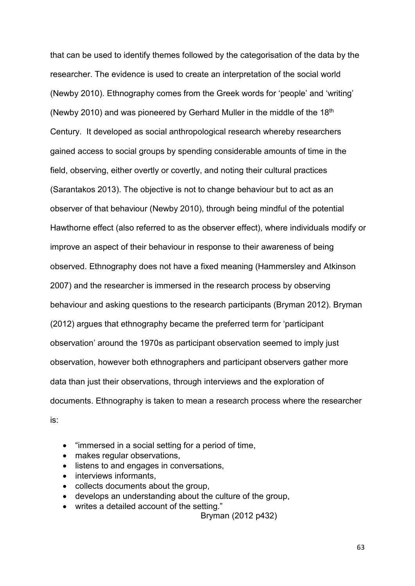that can be used to identify themes followed by the categorisation of the data by the researcher. The evidence is used to create an interpretation of the social world (Newby 2010). Ethnography comes from the Greek words for 'people' and 'writing' (Newby 2010) and was pioneered by Gerhard Muller in the middle of the  $18<sup>th</sup>$ Century. It developed as social anthropological research whereby researchers gained access to social groups by spending considerable amounts of time in the field, observing, either overtly or covertly, and noting their cultural practices (Sarantakos 2013). The objective is not to change behaviour but to act as an observer of that behaviour (Newby 2010), through being mindful of the potential Hawthorne effect (also referred to as the observer effect), where individuals modify or improve an aspect of their behaviour in response to their awareness of being observed. Ethnography does not have a fixed meaning (Hammersley and Atkinson 2007) and the researcher is immersed in the research process by observing behaviour and asking questions to the research participants (Bryman 2012). Bryman (2012) argues that ethnography became the preferred term for 'participant observation' around the 1970s as participant observation seemed to imply just observation, however both ethnographers and participant observers gather more data than just their observations, through interviews and the exploration of documents. Ethnography is taken to mean a research process where the researcher is:

- "immersed in a social setting for a period of time,
- makes regular observations,
- listens to and engages in conversations,
- interviews informants,
- collects documents about the group,
- develops an understanding about the culture of the group,
- writes a detailed account of the setting."

Bryman (2012 p432)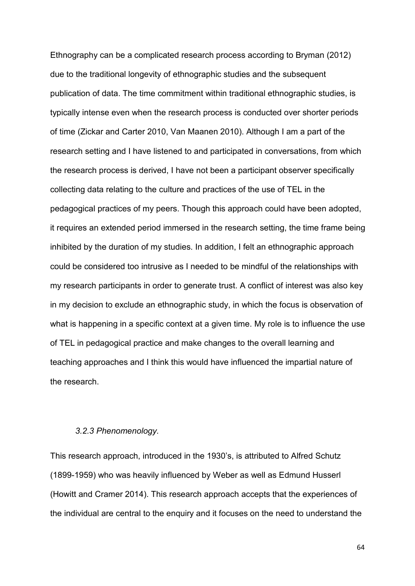Ethnography can be a complicated research process according to Bryman (2012) due to the traditional longevity of ethnographic studies and the subsequent publication of data. The time commitment within traditional ethnographic studies, is typically intense even when the research process is conducted over shorter periods of time (Zickar and Carter 2010, Van Maanen 2010). Although I am a part of the research setting and I have listened to and participated in conversations, from which the research process is derived, I have not been a participant observer specifically collecting data relating to the culture and practices of the use of TEL in the pedagogical practices of my peers. Though this approach could have been adopted, it requires an extended period immersed in the research setting, the time frame being inhibited by the duration of my studies. In addition, I felt an ethnographic approach could be considered too intrusive as I needed to be mindful of the relationships with my research participants in order to generate trust. A conflict of interest was also key in my decision to exclude an ethnographic study, in which the focus is observation of what is happening in a specific context at a given time. My role is to influence the use of TEL in pedagogical practice and make changes to the overall learning and teaching approaches and I think this would have influenced the impartial nature of the research.

#### *3.2.3 Phenomenology.*

This research approach, introduced in the 1930's, is attributed to Alfred Schutz (1899-1959) who was heavily influenced by Weber as well as Edmund Husserl (Howitt and Cramer 2014). This research approach accepts that the experiences of the individual are central to the enquiry and it focuses on the need to understand the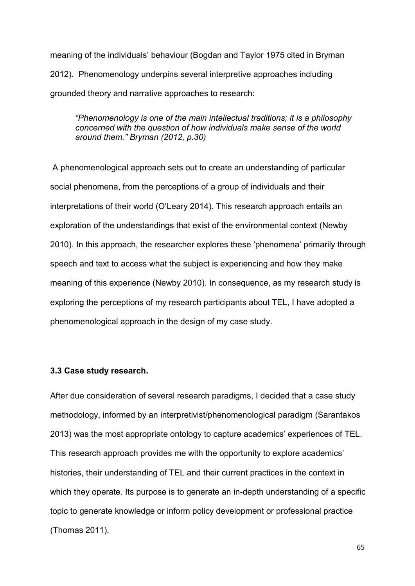meaning of the individuals' behaviour (Bogdan and Taylor 1975 cited in Bryman 2012). Phenomenology underpins several interpretive approaches including grounded theory and narrative approaches to research:

*"Phenomenology is one of the main intellectual traditions; it is a philosophy concerned with the question of how individuals make sense of the world around them." Bryman (2012, p.30)* 

A phenomenological approach sets out to create an understanding of particular social phenomena, from the perceptions of a group of individuals and their interpretations of their world (O'Leary 2014). This research approach entails an exploration of the understandings that exist of the environmental context (Newby 2010). In this approach, the researcher explores these 'phenomena' primarily through speech and text to access what the subject is experiencing and how they make meaning of this experience (Newby 2010). In consequence, as my research study is exploring the perceptions of my research participants about TEL, I have adopted a phenomenological approach in the design of my case study.

#### **3.3 Case study research.**

After due consideration of several research paradigms, I decided that a case study methodology, informed by an interpretivist/phenomenological paradigm (Sarantakos 2013) was the most appropriate ontology to capture academics' experiences of TEL. This research approach provides me with the opportunity to explore academics' histories, their understanding of TEL and their current practices in the context in which they operate. Its purpose is to generate an in-depth understanding of a specific topic to generate knowledge or inform policy development or professional practice (Thomas 2011).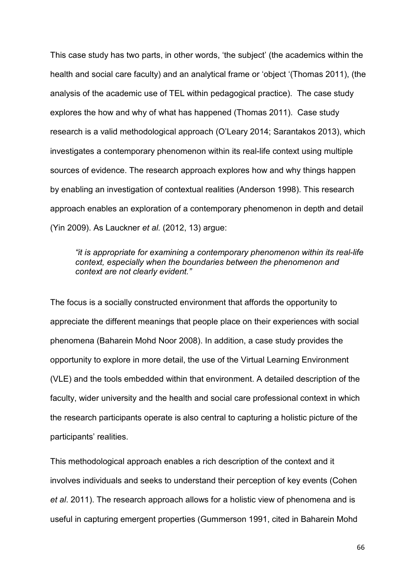This case study has two parts, in other words, 'the subject' (the academics within the health and social care faculty) and an analytical frame or 'object '(Thomas 2011), (the analysis of the academic use of TEL within pedagogical practice). The case study explores the how and why of what has happened (Thomas 2011). Case study research is a valid methodological approach (O'Leary 2014; Sarantakos 2013), which investigates a contemporary phenomenon within its real-life context using multiple sources of evidence. The research approach explores how and why things happen by enabling an investigation of contextual realities (Anderson 1998). This research approach enables an exploration of a contemporary phenomenon in depth and detail (Yin 2009). As Lauckner *et al.* (2012, 13) argue:

*"it is appropriate for examining a contemporary phenomenon within its real-life context, especially when the boundaries between the phenomenon and context are not clearly evident."* 

The focus is a socially constructed environment that affords the opportunity to appreciate the different meanings that people place on their experiences with social phenomena (Baharein Mohd Noor 2008). In addition, a case study provides the opportunity to explore in more detail, the use of the Virtual Learning Environment (VLE) and the tools embedded within that environment. A detailed description of the faculty, wider university and the health and social care professional context in which the research participants operate is also central to capturing a holistic picture of the participants' realities.

This methodological approach enables a rich description of the context and it involves individuals and seeks to understand their perception of key events (Cohen *et al*. 2011). The research approach allows for a holistic view of phenomena and is useful in capturing emergent properties (Gummerson 1991, cited in Baharein Mohd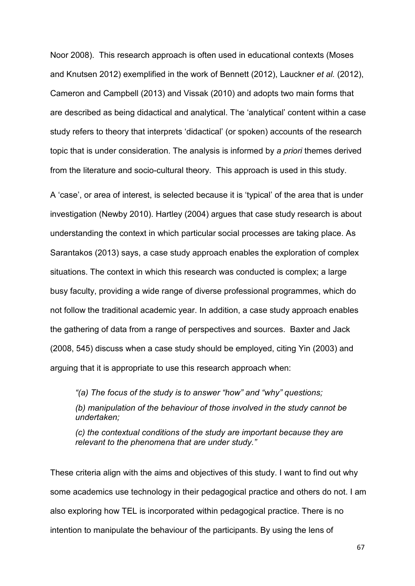Noor 2008). This research approach is often used in educational contexts (Moses and Knutsen 2012) exemplified in the work of Bennett (2012), Lauckner *et al.* (2012), Cameron and Campbell (2013) and Vissak (2010) and adopts two main forms that are described as being didactical and analytical. The 'analytical' content within a case study refers to theory that interprets 'didactical' (or spoken) accounts of the research topic that is under consideration. The analysis is informed by *a priori* themes derived from the literature and socio-cultural theory. This approach is used in this study.

A 'case', or area of interest, is selected because it is 'typical' of the area that is under investigation (Newby 2010). Hartley (2004) argues that case study research is about understanding the context in which particular social processes are taking place. As Sarantakos (2013) says, a case study approach enables the exploration of complex situations. The context in which this research was conducted is complex; a large busy faculty, providing a wide range of diverse professional programmes, which do not follow the traditional academic year. In addition, a case study approach enables the gathering of data from a range of perspectives and sources. Baxter and Jack (2008, 545) discuss when a case study should be employed, citing Yin (2003) and arguing that it is appropriate to use this research approach when:

*"(a) The focus of the study is to answer "how" and "why" questions; (b) manipulation of the behaviour of those involved in the study cannot be undertaken;* 

*(c) the contextual conditions of the study are important because they are relevant to the phenomena that are under study."* 

These criteria align with the aims and objectives of this study. I want to find out why some academics use technology in their pedagogical practice and others do not. I am also exploring how TEL is incorporated within pedagogical practice. There is no intention to manipulate the behaviour of the participants. By using the lens of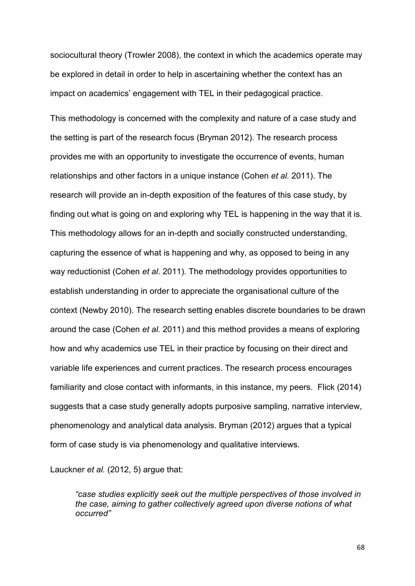sociocultural theory (Trowler 2008), the context in which the academics operate may be explored in detail in order to help in ascertaining whether the context has an impact on academics' engagement with TEL in their pedagogical practice.

This methodology is concerned with the complexity and nature of a case study and the setting is part of the research focus (Bryman 2012). The research process provides me with an opportunity to investigate the occurrence of events, human relationships and other factors in a unique instance (Cohen *et al.* 2011). The research will provide an in-depth exposition of the features of this case study, by finding out what is going on and exploring why TEL is happening in the way that it is. This methodology allows for an in-depth and socially constructed understanding, capturing the essence of what is happening and why, as opposed to being in any way reductionist (Cohen *et al*. 2011). The methodology provides opportunities to establish understanding in order to appreciate the organisational culture of the context (Newby 2010). The research setting enables discrete boundaries to be drawn around the case (Cohen *et al.* 2011) and this method provides a means of exploring how and why academics use TEL in their practice by focusing on their direct and variable life experiences and current practices. The research process encourages familiarity and close contact with informants, in this instance, my peers. Flick (2014) suggests that a case study generally adopts purposive sampling, narrative interview, phenomenology and analytical data analysis. Bryman (2012) argues that a typical form of case study is via phenomenology and qualitative interviews.

Lauckner *et al.* (2012, 5) argue that:

*"case studies explicitly seek out the multiple perspectives of those involved in the case, aiming to gather collectively agreed upon diverse notions of what occurred"*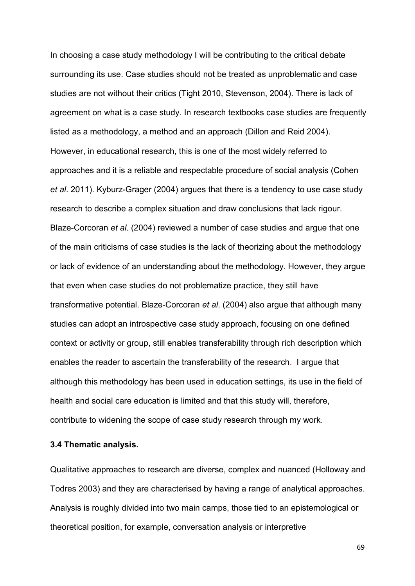In choosing a case study methodology I will be contributing to the critical debate surrounding its use. Case studies should not be treated as unproblematic and case studies are not without their critics (Tight 2010, Stevenson, 2004). There is lack of agreement on what is a case study. In research textbooks case studies are frequently listed as a methodology, a method and an approach (Dillon and Reid 2004). However, in educational research, this is one of the most widely referred to approaches and it is a reliable and respectable procedure of social analysis (Cohen *et al*. 2011). Kyburz-Grager (2004) argues that there is a tendency to use case study research to describe a complex situation and draw conclusions that lack rigour. Blaze-Corcoran *et al*. (2004) reviewed a number of case studies and argue that one of the main criticisms of case studies is the lack of theorizing about the methodology or lack of evidence of an understanding about the methodology. However, they argue that even when case studies do not problematize practice, they still have transformative potential. Blaze-Corcoran *et al*. (2004) also argue that although many studies can adopt an introspective case study approach, focusing on one defined context or activity or group, still enables transferability through rich description which enables the reader to ascertain the transferability of the research. I argue that although this methodology has been used in education settings, its use in the field of health and social care education is limited and that this study will, therefore, contribute to widening the scope of case study research through my work.

#### **3.4 Thematic analysis.**

Qualitative approaches to research are diverse, complex and nuanced (Holloway and Todres 2003) and they are characterised by having a range of analytical approaches. Analysis is roughly divided into two main camps, those tied to an epistemological or theoretical position, for example, conversation analysis or interpretive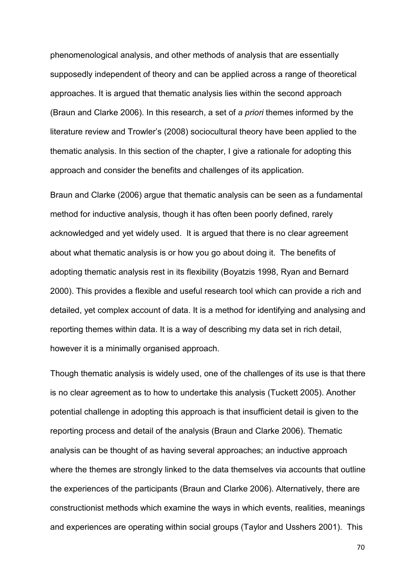phenomenological analysis, and other methods of analysis that are essentially supposedly independent of theory and can be applied across a range of theoretical approaches. It is argued that thematic analysis lies within the second approach (Braun and Clarke 2006). In this research, a set of *a priori* themes informed by the literature review and Trowler's (2008) sociocultural theory have been applied to the thematic analysis. In this section of the chapter, I give a rationale for adopting this approach and consider the benefits and challenges of its application.

Braun and Clarke (2006) argue that thematic analysis can be seen as a fundamental method for inductive analysis, though it has often been poorly defined, rarely acknowledged and yet widely used. It is argued that there is no clear agreement about what thematic analysis is or how you go about doing it. The benefits of adopting thematic analysis rest in its flexibility (Boyatzis 1998, Ryan and Bernard 2000). This provides a flexible and useful research tool which can provide a rich and detailed, yet complex account of data. It is a method for identifying and analysing and reporting themes within data. It is a way of describing my data set in rich detail, however it is a minimally organised approach.

Though thematic analysis is widely used, one of the challenges of its use is that there is no clear agreement as to how to undertake this analysis (Tuckett 2005). Another potential challenge in adopting this approach is that insufficient detail is given to the reporting process and detail of the analysis (Braun and Clarke 2006). Thematic analysis can be thought of as having several approaches; an inductive approach where the themes are strongly linked to the data themselves via accounts that outline the experiences of the participants (Braun and Clarke 2006). Alternatively, there are constructionist methods which examine the ways in which events, realities, meanings and experiences are operating within social groups (Taylor and Usshers 2001). This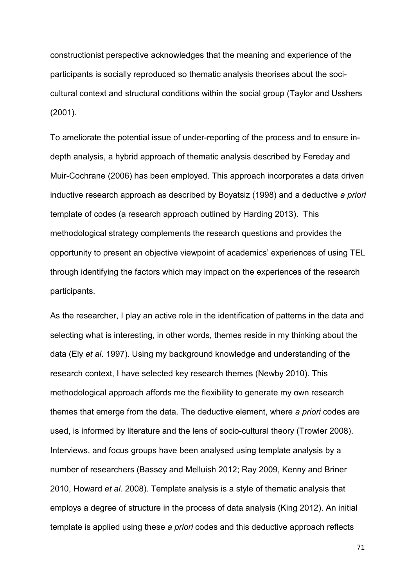constructionist perspective acknowledges that the meaning and experience of the participants is socially reproduced so thematic analysis theorises about the socicultural context and structural conditions within the social group (Taylor and Usshers (2001).

To ameliorate the potential issue of under-reporting of the process and to ensure indepth analysis, a hybrid approach of thematic analysis described by Fereday and Muir-Cochrane (2006) has been employed. This approach incorporates a data driven inductive research approach as described by Boyatsiz (1998) and a deductive *a priori* template of codes (a research approach outlined by Harding 2013). This methodological strategy complements the research questions and provides the opportunity to present an objective viewpoint of academics' experiences of using TEL through identifying the factors which may impact on the experiences of the research participants.

As the researcher, I play an active role in the identification of patterns in the data and selecting what is interesting, in other words, themes reside in my thinking about the data (Ely *et al*. 1997). Using my background knowledge and understanding of the research context, I have selected key research themes (Newby 2010). This methodological approach affords me the flexibility to generate my own research themes that emerge from the data. The deductive element, where *a priori* codes are used, is informed by literature and the lens of socio-cultural theory (Trowler 2008). Interviews, and focus groups have been analysed using template analysis by a number of researchers (Bassey and Melluish 2012; Ray 2009, Kenny and Briner 2010, Howard *et al*. 2008). Template analysis is a style of thematic analysis that employs a degree of structure in the process of data analysis (King 2012). An initial template is applied using these *a priori* codes and this deductive approach reflects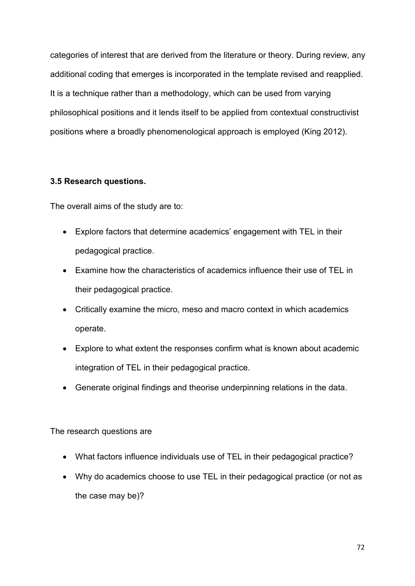categories of interest that are derived from the literature or theory. During review, any additional coding that emerges is incorporated in the template revised and reapplied. It is a technique rather than a methodology, which can be used from varying philosophical positions and it lends itself to be applied from contextual constructivist positions where a broadly phenomenological approach is employed (King 2012).

# **3.5 Research questions.**

The overall aims of the study are to:

- Explore factors that determine academics' engagement with TEL in their pedagogical practice.
- Examine how the characteristics of academics influence their use of TEL in their pedagogical practice.
- Critically examine the micro, meso and macro context in which academics operate.
- Explore to what extent the responses confirm what is known about academic integration of TEL in their pedagogical practice.
- Generate original findings and theorise underpinning relations in the data.

### The research questions are

- What factors influence individuals use of TEL in their pedagogical practice?
- Why do academics choose to use TEL in their pedagogical practice (or not as the case may be)?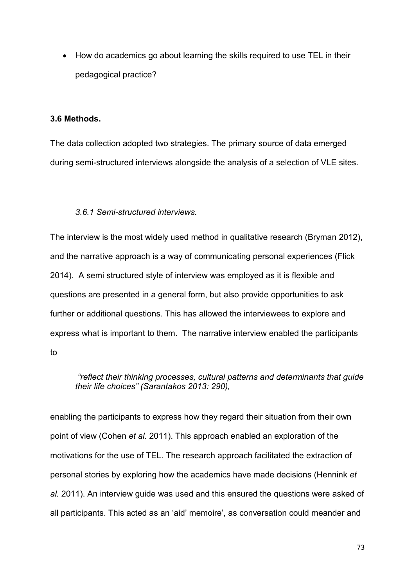• How do academics go about learning the skills required to use TEL in their pedagogical practice?

#### **3.6 Methods.**

The data collection adopted two strategies. The primary source of data emerged during semi-structured interviews alongside the analysis of a selection of VLE sites.

## *3.6.1 Semi-structured interviews.*

The interview is the most widely used method in qualitative research (Bryman 2012), and the narrative approach is a way of communicating personal experiences (Flick 2014). A semi structured style of interview was employed as it is flexible and questions are presented in a general form, but also provide opportunities to ask further or additional questions. This has allowed the interviewees to explore and express what is important to them. The narrative interview enabled the participants to

*"reflect their thinking processes, cultural patterns and determinants that guide their life choices" (Sarantakos 2013: 290),* 

enabling the participants to express how they regard their situation from their own point of view (Cohen *et al.* 2011). This approach enabled an exploration of the motivations for the use of TEL. The research approach facilitated the extraction of personal stories by exploring how the academics have made decisions (Hennink *et al.* 2011). An interview guide was used and this ensured the questions were asked of all participants. This acted as an 'aid' memoire', as conversation could meander and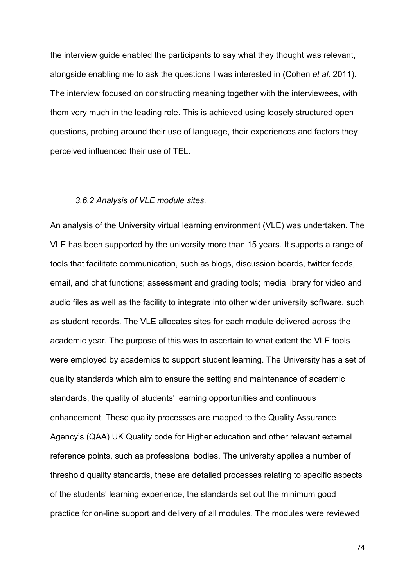the interview guide enabled the participants to say what they thought was relevant, alongside enabling me to ask the questions I was interested in (Cohen *et al.* 2011). The interview focused on constructing meaning together with the interviewees, with them very much in the leading role. This is achieved using loosely structured open questions, probing around their use of language, their experiences and factors they perceived influenced their use of TEL.

#### *3.6.2 Analysis of VLE module sites.*

An analysis of the University virtual learning environment (VLE) was undertaken. The VLE has been supported by the university more than 15 years. It supports a range of tools that facilitate communication, such as blogs, discussion boards, twitter feeds, email, and chat functions; assessment and grading tools; media library for video and audio files as well as the facility to integrate into other wider university software, such as student records. The VLE allocates sites for each module delivered across the academic year. The purpose of this was to ascertain to what extent the VLE tools were employed by academics to support student learning. The University has a set of quality standards which aim to ensure the setting and maintenance of academic standards, the quality of students' learning opportunities and continuous enhancement. These quality processes are mapped to the Quality Assurance Agency's (QAA) UK Quality code for Higher education and other relevant external reference points, such as professional bodies. The university applies a number of threshold quality standards, these are detailed processes relating to specific aspects of the students' learning experience, the standards set out the minimum good practice for on-line support and delivery of all modules. The modules were reviewed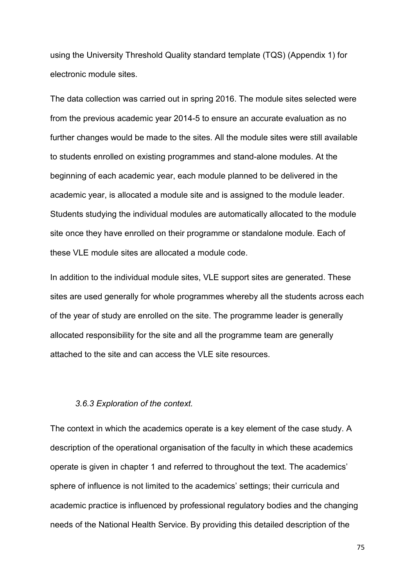using the University Threshold Quality standard template (TQS) (Appendix 1) for electronic module sites.

The data collection was carried out in spring 2016. The module sites selected were from the previous academic year 2014-5 to ensure an accurate evaluation as no further changes would be made to the sites. All the module sites were still available to students enrolled on existing programmes and stand-alone modules. At the beginning of each academic year, each module planned to be delivered in the academic year, is allocated a module site and is assigned to the module leader. Students studying the individual modules are automatically allocated to the module site once they have enrolled on their programme or standalone module. Each of these VLE module sites are allocated a module code.

In addition to the individual module sites, VLE support sites are generated. These sites are used generally for whole programmes whereby all the students across each of the year of study are enrolled on the site. The programme leader is generally allocated responsibility for the site and all the programme team are generally attached to the site and can access the VLE site resources.

## *3.6.3 Exploration of the context.*

The context in which the academics operate is a key element of the case study. A description of the operational organisation of the faculty in which these academics operate is given in chapter 1 and referred to throughout the text. The academics' sphere of influence is not limited to the academics' settings; their curricula and academic practice is influenced by professional regulatory bodies and the changing needs of the National Health Service. By providing this detailed description of the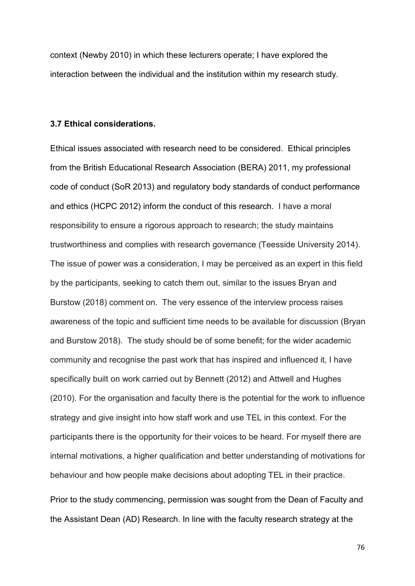context (Newby 2010) in which these lecturers operate; I have explored the interaction between the individual and the institution within my research study.

#### **3.7 Ethical considerations.**

Ethical issues associated with research need to be considered. Ethical principles from the British Educational Research Association (BERA) 2011, my professional code of conduct (SoR 2013) and regulatory body standards of conduct performance and ethics (HCPC 2012) inform the conduct of this research. I have a moral responsibility to ensure a rigorous approach to research; the study maintains trustworthiness and complies with research governance (Teesside University 2014). The issue of power was a consideration, I may be perceived as an expert in this field by the participants, seeking to catch them out, similar to the issues Bryan and Burstow (2018) comment on. The very essence of the interview process raises awareness of the topic and sufficient time needs to be available for discussion (Bryan and Burstow 2018). The study should be of some benefit; for the wider academic community and recognise the past work that has inspired and influenced it, I have specifically built on work carried out by Bennett (2012) and Attwell and Hughes (2010). For the organisation and faculty there is the potential for the work to influence strategy and give insight into how staff work and use TEL in this context. For the participants there is the opportunity for their voices to be heard. For myself there are internal motivations, a higher qualification and better understanding of motivations for behaviour and how people make decisions about adopting TEL in their practice.

Prior to the study commencing, permission was sought from the Dean of Faculty and the Assistant Dean (AD) Research. In line with the faculty research strategy at the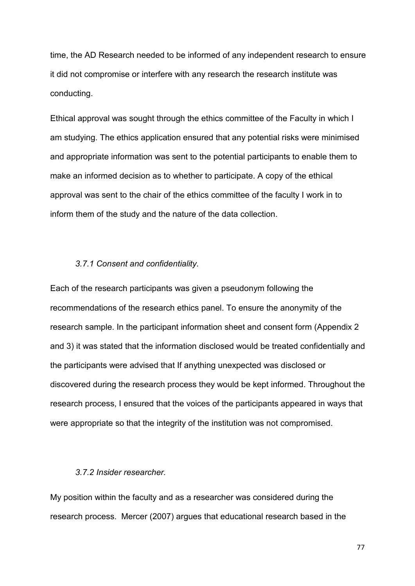time, the AD Research needed to be informed of any independent research to ensure it did not compromise or interfere with any research the research institute was conducting.

Ethical approval was sought through the ethics committee of the Faculty in which I am studying. The ethics application ensured that any potential risks were minimised and appropriate information was sent to the potential participants to enable them to make an informed decision as to whether to participate. A copy of the ethical approval was sent to the chair of the ethics committee of the faculty I work in to inform them of the study and the nature of the data collection.

## *3.7.1 Consent and confidentiality.*

Each of the research participants was given a pseudonym following the recommendations of the research ethics panel. To ensure the anonymity of the research sample. In the participant information sheet and consent form (Appendix 2 and 3) it was stated that the information disclosed would be treated confidentially and the participants were advised that If anything unexpected was disclosed or discovered during the research process they would be kept informed. Throughout the research process, I ensured that the voices of the participants appeared in ways that were appropriate so that the integrity of the institution was not compromised.

#### *3.7.2 Insider researcher.*

My position within the faculty and as a researcher was considered during the research process. Mercer (2007) argues that educational research based in the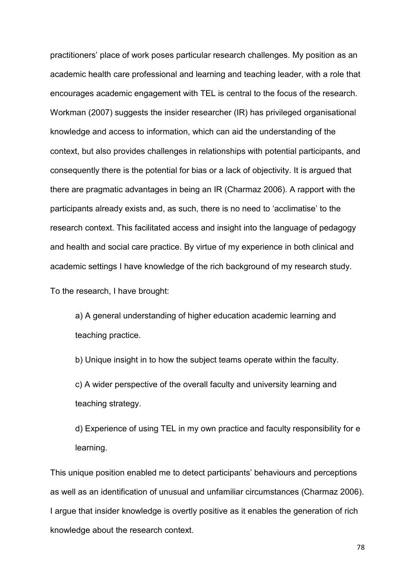practitioners' place of work poses particular research challenges. My position as an academic health care professional and learning and teaching leader, with a role that encourages academic engagement with TEL is central to the focus of the research. Workman (2007) suggests the insider researcher (IR) has privileged organisational knowledge and access to information, which can aid the understanding of the context, but also provides challenges in relationships with potential participants, and consequently there is the potential for bias or a lack of objectivity. It is argued that there are pragmatic advantages in being an IR (Charmaz 2006). A rapport with the participants already exists and, as such, there is no need to 'acclimatise' to the research context. This facilitated access and insight into the language of pedagogy and health and social care practice. By virtue of my experience in both clinical and academic settings I have knowledge of the rich background of my research study.

To the research, I have brought:

a) A general understanding of higher education academic learning and teaching practice.

b) Unique insight in to how the subject teams operate within the faculty.

c) A wider perspective of the overall faculty and university learning and teaching strategy.

d) Experience of using TEL in my own practice and faculty responsibility for e learning.

This unique position enabled me to detect participants' behaviours and perceptions as well as an identification of unusual and unfamiliar circumstances (Charmaz 2006). I argue that insider knowledge is overtly positive as it enables the generation of rich knowledge about the research context.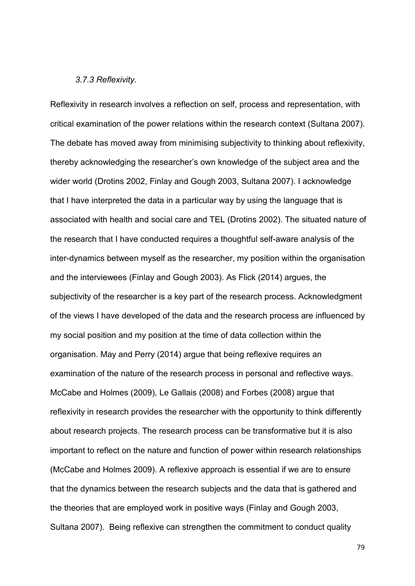#### *3.7.3 Reflexivity.*

Reflexivity in research involves a reflection on self, process and representation, with critical examination of the power relations within the research context (Sultana 2007). The debate has moved away from minimising subjectivity to thinking about reflexivity, thereby acknowledging the researcher's own knowledge of the subject area and the wider world (Drotins 2002, Finlay and Gough 2003, Sultana 2007). I acknowledge that I have interpreted the data in a particular way by using the language that is associated with health and social care and TEL (Drotins 2002). The situated nature of the research that I have conducted requires a thoughtful self-aware analysis of the inter-dynamics between myself as the researcher, my position within the organisation and the interviewees (Finlay and Gough 2003). As Flick (2014) argues, the subjectivity of the researcher is a key part of the research process. Acknowledgment of the views I have developed of the data and the research process are influenced by my social position and my position at the time of data collection within the organisation. May and Perry (2014) argue that being reflexive requires an examination of the nature of the research process in personal and reflective ways. McCabe and Holmes (2009), Le Gallais (2008) and Forbes (2008) argue that reflexivity in research provides the researcher with the opportunity to think differently about research projects. The research process can be transformative but it is also important to reflect on the nature and function of power within research relationships (McCabe and Holmes 2009). A reflexive approach is essential if we are to ensure that the dynamics between the research subjects and the data that is gathered and the theories that are employed work in positive ways (Finlay and Gough 2003, Sultana 2007). Being reflexive can strengthen the commitment to conduct quality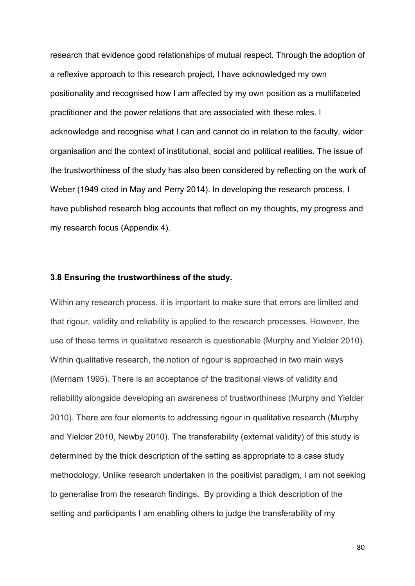research that evidence good relationships of mutual respect. Through the adoption of a reflexive approach to this research project, I have acknowledged my own positionality and recognised how I am affected by my own position as a multifaceted practitioner and the power relations that are associated with these roles. I acknowledge and recognise what I can and cannot do in relation to the faculty, wider organisation and the context of institutional, social and political realities. The issue of the trustworthiness of the study has also been considered by reflecting on the work of Weber (1949 cited in May and Perry 2014). In developing the research process, I have published research blog accounts that reflect on my thoughts, my progress and my research focus (Appendix 4).

#### **3.8 Ensuring the trustworthiness of the study.**

Within any research process, it is important to make sure that errors are limited and that rigour, validity and reliability is applied to the research processes. However, the use of these terms in qualitative research is questionable (Murphy and Yielder 2010). Within qualitative research, the notion of rigour is approached in two main ways (Merriam 1995). There is an acceptance of the traditional views of validity and reliability alongside developing an awareness of trustworthiness (Murphy and Yielder 2010). There are four elements to addressing rigour in qualitative research (Murphy and Yielder 2010, Newby 2010). The transferability (external validity) of this study is determined by the thick description of the setting as appropriate to a case study methodology. Unlike research undertaken in the positivist paradigm, I am not seeking to generalise from the research findings. By providing a thick description of the setting and participants I am enabling others to judge the transferability of my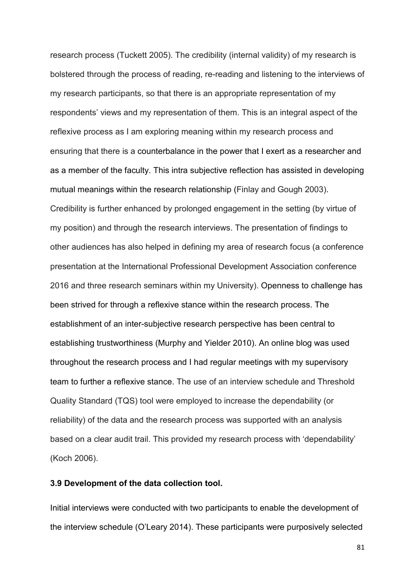research process (Tuckett 2005). The credibility (internal validity) of my research is bolstered through the process of reading, re-reading and listening to the interviews of my research participants, so that there is an appropriate representation of my respondents' views and my representation of them. This is an integral aspect of the reflexive process as I am exploring meaning within my research process and ensuring that there is a counterbalance in the power that I exert as a researcher and as a member of the faculty. This intra subjective reflection has assisted in developing mutual meanings within the research relationship (Finlay and Gough 2003). Credibility is further enhanced by prolonged engagement in the setting (by virtue of my position) and through the research interviews. The presentation of findings to other audiences has also helped in defining my area of research focus (a conference presentation at the International Professional Development Association conference 2016 and three research seminars within my University). Openness to challenge has been strived for through a reflexive stance within the research process. The establishment of an inter-subjective research perspective has been central to establishing trustworthiness (Murphy and Yielder 2010). An online blog was used throughout the research process and I had regular meetings with my supervisory team to further a reflexive stance. The use of an interview schedule and Threshold Quality Standard (TQS) tool were employed to increase the dependability (or reliability) of the data and the research process was supported with an analysis based on a clear audit trail. This provided my research process with 'dependability' (Koch 2006).

## **3.9 Development of the data collection tool.**

Initial interviews were conducted with two participants to enable the development of the interview schedule (O'Leary 2014). These participants were purposively selected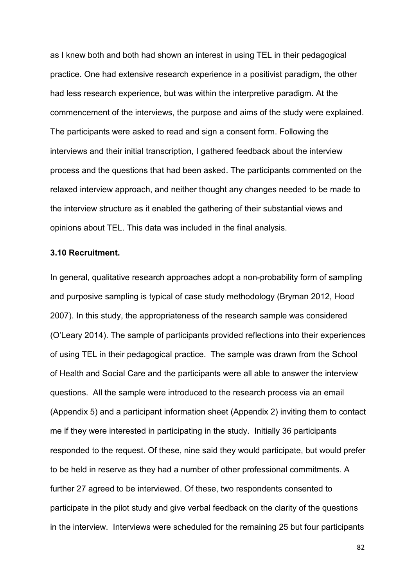as I knew both and both had shown an interest in using TEL in their pedagogical practice. One had extensive research experience in a positivist paradigm, the other had less research experience, but was within the interpretive paradigm. At the commencement of the interviews, the purpose and aims of the study were explained. The participants were asked to read and sign a consent form. Following the interviews and their initial transcription, I gathered feedback about the interview process and the questions that had been asked. The participants commented on the relaxed interview approach, and neither thought any changes needed to be made to the interview structure as it enabled the gathering of their substantial views and opinions about TEL. This data was included in the final analysis.

#### **3.10 Recruitment.**

In general, qualitative research approaches adopt a non-probability form of sampling and purposive sampling is typical of case study methodology (Bryman 2012, Hood 2007). In this study, the appropriateness of the research sample was considered (O'Leary 2014). The sample of participants provided reflections into their experiences of using TEL in their pedagogical practice. The sample was drawn from the School of Health and Social Care and the participants were all able to answer the interview questions. All the sample were introduced to the research process via an email (Appendix 5) and a participant information sheet (Appendix 2) inviting them to contact me if they were interested in participating in the study. Initially 36 participants responded to the request. Of these, nine said they would participate, but would prefer to be held in reserve as they had a number of other professional commitments. A further 27 agreed to be interviewed. Of these, two respondents consented to participate in the pilot study and give verbal feedback on the clarity of the questions in the interview. Interviews were scheduled for the remaining 25 but four participants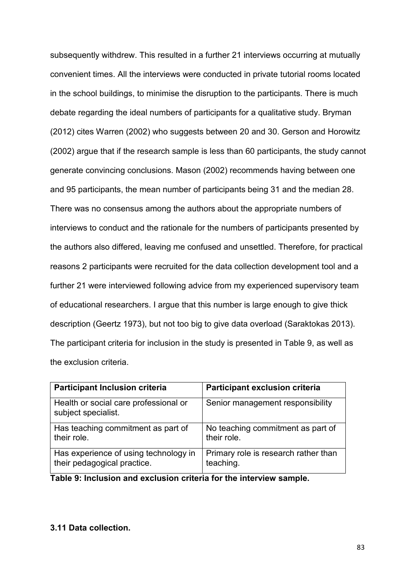subsequently withdrew. This resulted in a further 21 interviews occurring at mutually convenient times. All the interviews were conducted in private tutorial rooms located in the school buildings, to minimise the disruption to the participants. There is much debate regarding the ideal numbers of participants for a qualitative study. Bryman (2012) cites Warren (2002) who suggests between 20 and 30. Gerson and Horowitz (2002) argue that if the research sample is less than 60 participants, the study cannot generate convincing conclusions. Mason (2002) recommends having between one and 95 participants, the mean number of participants being 31 and the median 28. There was no consensus among the authors about the appropriate numbers of interviews to conduct and the rationale for the numbers of participants presented by the authors also differed, leaving me confused and unsettled. Therefore, for practical reasons 2 participants were recruited for the data collection development tool and a further 21 were interviewed following advice from my experienced supervisory team of educational researchers. I argue that this number is large enough to give thick description (Geertz 1973), but not too big to give data overload (Saraktokas 2013). The participant criteria for inclusion in the study is presented in Table 9, as well as the exclusion criteria.

| <b>Participant Inclusion criteria</b>                        | <b>Participant exclusion criteria</b> |
|--------------------------------------------------------------|---------------------------------------|
| Health or social care professional or<br>subject specialist. | Senior management responsibility      |
| Has teaching commitment as part of                           | No teaching commitment as part of     |
| their role.                                                  | their role.                           |
| Has experience of using technology in                        | Primary role is research rather than  |
| their pedagogical practice.                                  | teaching.                             |

**Table 9: Inclusion and exclusion criteria for the interview sample.** 

# **3.11 Data collection.**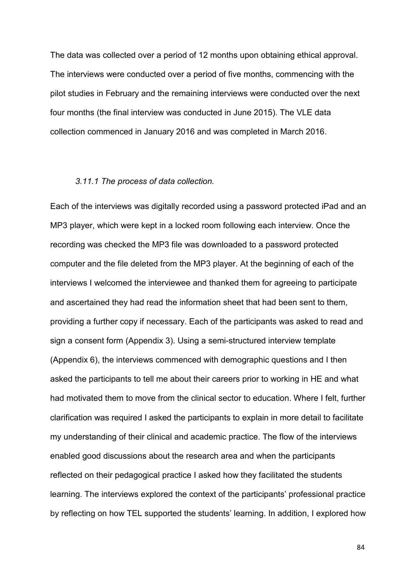The data was collected over a period of 12 months upon obtaining ethical approval. The interviews were conducted over a period of five months, commencing with the pilot studies in February and the remaining interviews were conducted over the next four months (the final interview was conducted in June 2015). The VLE data collection commenced in January 2016 and was completed in March 2016.

#### *3.11.1 The process of data collection.*

Each of the interviews was digitally recorded using a password protected iPad and an MP3 player, which were kept in a locked room following each interview. Once the recording was checked the MP3 file was downloaded to a password protected computer and the file deleted from the MP3 player. At the beginning of each of the interviews I welcomed the interviewee and thanked them for agreeing to participate and ascertained they had read the information sheet that had been sent to them, providing a further copy if necessary. Each of the participants was asked to read and sign a consent form (Appendix 3). Using a semi-structured interview template (Appendix 6), the interviews commenced with demographic questions and I then asked the participants to tell me about their careers prior to working in HE and what had motivated them to move from the clinical sector to education. Where I felt, further clarification was required I asked the participants to explain in more detail to facilitate my understanding of their clinical and academic practice. The flow of the interviews enabled good discussions about the research area and when the participants reflected on their pedagogical practice I asked how they facilitated the students learning. The interviews explored the context of the participants' professional practice by reflecting on how TEL supported the students' learning. In addition, I explored how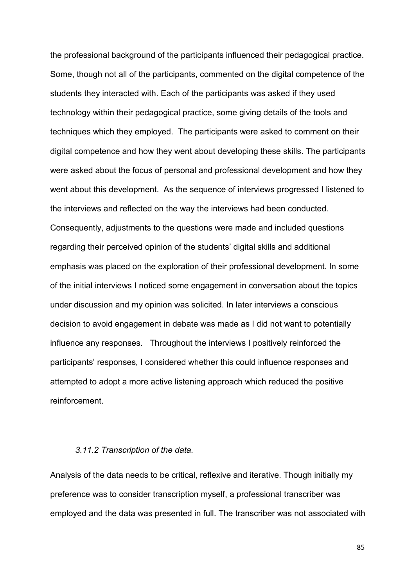the professional background of the participants influenced their pedagogical practice. Some, though not all of the participants, commented on the digital competence of the students they interacted with. Each of the participants was asked if they used technology within their pedagogical practice, some giving details of the tools and techniques which they employed. The participants were asked to comment on their digital competence and how they went about developing these skills. The participants were asked about the focus of personal and professional development and how they went about this development. As the sequence of interviews progressed I listened to the interviews and reflected on the way the interviews had been conducted. Consequently, adjustments to the questions were made and included questions regarding their perceived opinion of the students' digital skills and additional emphasis was placed on the exploration of their professional development. In some of the initial interviews I noticed some engagement in conversation about the topics under discussion and my opinion was solicited. In later interviews a conscious decision to avoid engagement in debate was made as I did not want to potentially influence any responses. Throughout the interviews I positively reinforced the participants' responses, I considered whether this could influence responses and attempted to adopt a more active listening approach which reduced the positive reinforcement.

## *3.11.2 Transcription of the data.*

Analysis of the data needs to be critical, reflexive and iterative. Though initially my preference was to consider transcription myself, a professional transcriber was employed and the data was presented in full. The transcriber was not associated with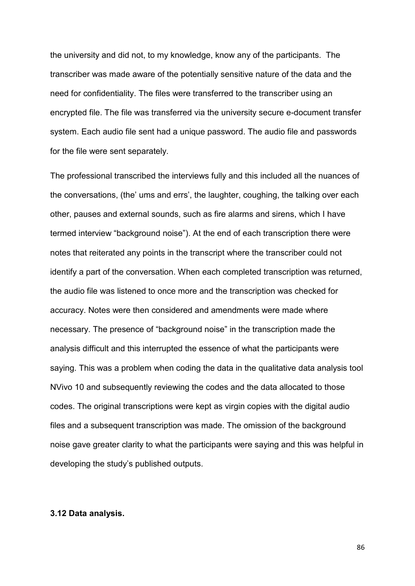the university and did not, to my knowledge, know any of the participants. The transcriber was made aware of the potentially sensitive nature of the data and the need for confidentiality. The files were transferred to the transcriber using an encrypted file. The file was transferred via the university secure e-document transfer system. Each audio file sent had a unique password. The audio file and passwords for the file were sent separately.

The professional transcribed the interviews fully and this included all the nuances of the conversations, (the' ums and errs', the laughter, coughing, the talking over each other, pauses and external sounds, such as fire alarms and sirens, which I have termed interview "background noise"). At the end of each transcription there were notes that reiterated any points in the transcript where the transcriber could not identify a part of the conversation. When each completed transcription was returned, the audio file was listened to once more and the transcription was checked for accuracy. Notes were then considered and amendments were made where necessary. The presence of "background noise" in the transcription made the analysis difficult and this interrupted the essence of what the participants were saying. This was a problem when coding the data in the qualitative data analysis tool NVivo 10 and subsequently reviewing the codes and the data allocated to those codes. The original transcriptions were kept as virgin copies with the digital audio files and a subsequent transcription was made. The omission of the background noise gave greater clarity to what the participants were saying and this was helpful in developing the study's published outputs.

#### **3.12 Data analysis.**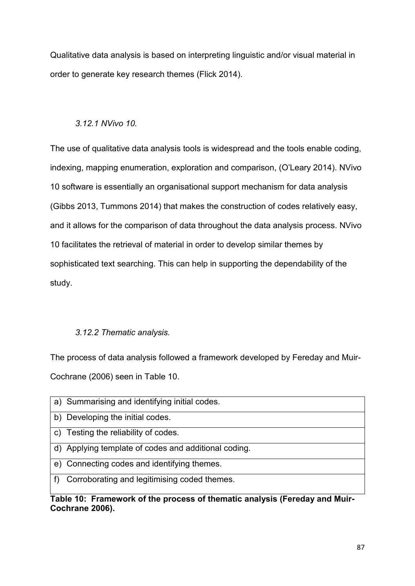Qualitative data analysis is based on interpreting linguistic and/or visual material in order to generate key research themes (Flick 2014).

# *3.12.1 NVivo 10.*

The use of qualitative data analysis tools is widespread and the tools enable coding, indexing, mapping enumeration, exploration and comparison, (O'Leary 2014). NVivo 10 software is essentially an organisational support mechanism for data analysis (Gibbs 2013, Tummons 2014) that makes the construction of codes relatively easy, and it allows for the comparison of data throughout the data analysis process. NVivo 10 facilitates the retrieval of material in order to develop similar themes by sophisticated text searching. This can help in supporting the dependability of the study.

# *3.12.2 Thematic analysis.*

The process of data analysis followed a framework developed by Fereday and Muir-Cochrane (2006) seen in Table 10.

a) Summarising and identifying initial codes. b) Developing the initial codes. c) Testing the reliability of codes. d) Applying template of codes and additional coding. e) Connecting codes and identifying themes. f) Corroborating and legitimising coded themes.

**Table 10: Framework of the process of thematic analysis (Fereday and Muir-Cochrane 2006).**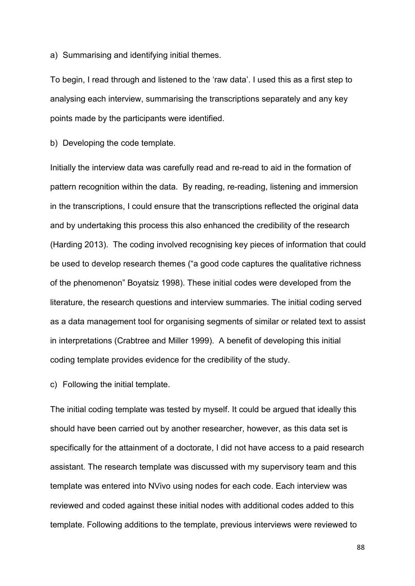a) Summarising and identifying initial themes.

To begin, I read through and listened to the 'raw data'. I used this as a first step to analysing each interview, summarising the transcriptions separately and any key points made by the participants were identified.

b) Developing the code template.

Initially the interview data was carefully read and re-read to aid in the formation of pattern recognition within the data. By reading, re-reading, listening and immersion in the transcriptions, I could ensure that the transcriptions reflected the original data and by undertaking this process this also enhanced the credibility of the research (Harding 2013). The coding involved recognising key pieces of information that could be used to develop research themes ("a good code captures the qualitative richness of the phenomenon" Boyatsiz 1998). These initial codes were developed from the literature, the research questions and interview summaries. The initial coding served as a data management tool for organising segments of similar or related text to assist in interpretations (Crabtree and Miller 1999). A benefit of developing this initial coding template provides evidence for the credibility of the study.

c) Following the initial template.

The initial coding template was tested by myself. It could be argued that ideally this should have been carried out by another researcher, however, as this data set is specifically for the attainment of a doctorate, I did not have access to a paid research assistant. The research template was discussed with my supervisory team and this template was entered into NVivo using nodes for each code. Each interview was reviewed and coded against these initial nodes with additional codes added to this template. Following additions to the template, previous interviews were reviewed to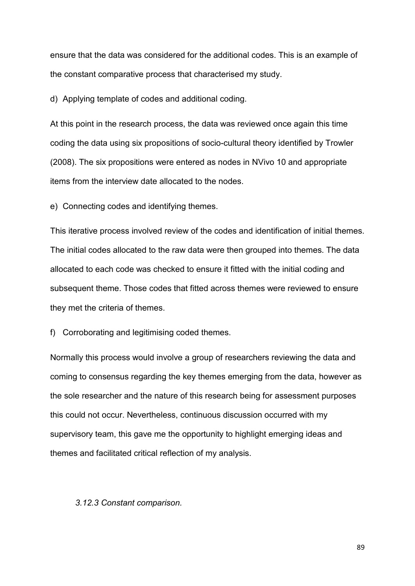ensure that the data was considered for the additional codes. This is an example of the constant comparative process that characterised my study.

d) Applying template of codes and additional coding.

At this point in the research process, the data was reviewed once again this time coding the data using six propositions of socio-cultural theory identified by Trowler (2008). The six propositions were entered as nodes in NVivo 10 and appropriate items from the interview date allocated to the nodes.

e) Connecting codes and identifying themes.

This iterative process involved review of the codes and identification of initial themes. The initial codes allocated to the raw data were then grouped into themes. The data allocated to each code was checked to ensure it fitted with the initial coding and subsequent theme. Those codes that fitted across themes were reviewed to ensure they met the criteria of themes.

f) Corroborating and legitimising coded themes.

Normally this process would involve a group of researchers reviewing the data and coming to consensus regarding the key themes emerging from the data, however as the sole researcher and the nature of this research being for assessment purposes this could not occur. Nevertheless, continuous discussion occurred with my supervisory team, this gave me the opportunity to highlight emerging ideas and themes and facilitated critical reflection of my analysis.

#### *3.12.3 Constant comparison.*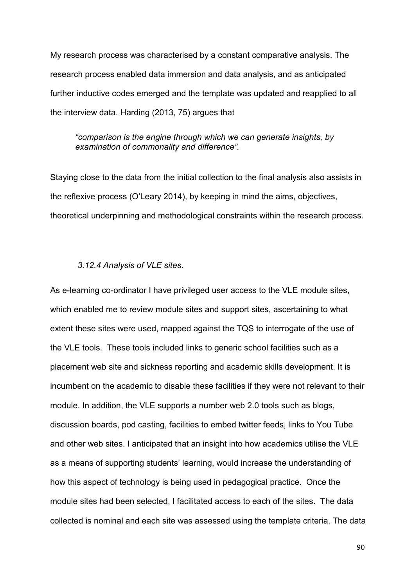My research process was characterised by a constant comparative analysis. The research process enabled data immersion and data analysis, and as anticipated further inductive codes emerged and the template was updated and reapplied to all the interview data. Harding (2013, 75) argues that

*"comparison is the engine through which we can generate insights, by examination of commonality and difference".* 

Staying close to the data from the initial collection to the final analysis also assists in the reflexive process (O'Leary 2014), by keeping in mind the aims, objectives, theoretical underpinning and methodological constraints within the research process.

#### *3.12.4 Analysis of VLE sites.*

As e-learning co-ordinator I have privileged user access to the VLE module sites, which enabled me to review module sites and support sites, ascertaining to what extent these sites were used, mapped against the TQS to interrogate of the use of the VLE tools. These tools included links to generic school facilities such as a placement web site and sickness reporting and academic skills development. It is incumbent on the academic to disable these facilities if they were not relevant to their module. In addition, the VLE supports a number web 2.0 tools such as blogs, discussion boards, pod casting, facilities to embed twitter feeds, links to You Tube and other web sites. I anticipated that an insight into how academics utilise the VLE as a means of supporting students' learning, would increase the understanding of how this aspect of technology is being used in pedagogical practice. Once the module sites had been selected, I facilitated access to each of the sites. The data collected is nominal and each site was assessed using the template criteria. The data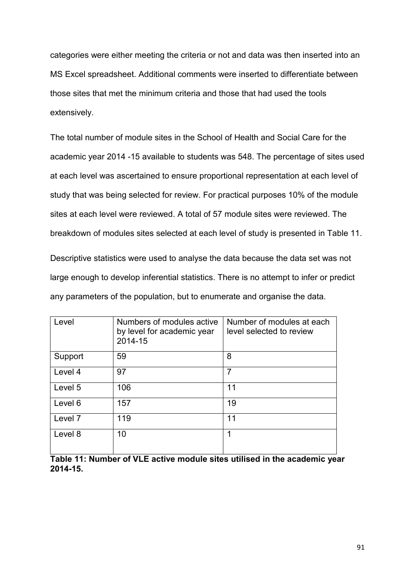categories were either meeting the criteria or not and data was then inserted into an MS Excel spreadsheet. Additional comments were inserted to differentiate between those sites that met the minimum criteria and those that had used the tools extensively.

The total number of module sites in the School of Health and Social Care for the academic year 2014 -15 available to students was 548. The percentage of sites used at each level was ascertained to ensure proportional representation at each level of study that was being selected for review. For practical purposes 10% of the module sites at each level were reviewed. A total of 57 module sites were reviewed. The breakdown of modules sites selected at each level of study is presented in Table 11.

Descriptive statistics were used to analyse the data because the data set was not large enough to develop inferential statistics. There is no attempt to infer or predict any parameters of the population, but to enumerate and organise the data.

| Level   | Numbers of modules active<br>by level for academic year<br>2014-15 | Number of modules at each<br>level selected to review |
|---------|--------------------------------------------------------------------|-------------------------------------------------------|
| Support | 59                                                                 | 8                                                     |
| Level 4 | 97                                                                 | 7                                                     |
| Level 5 | 106                                                                | 11                                                    |
| Level 6 | 157                                                                | 19                                                    |
| Level 7 | 119                                                                | 11                                                    |
| Level 8 | 10                                                                 | 1                                                     |
|         |                                                                    |                                                       |

**Table 11: Number of VLE active module sites utilised in the academic year 2014-15.**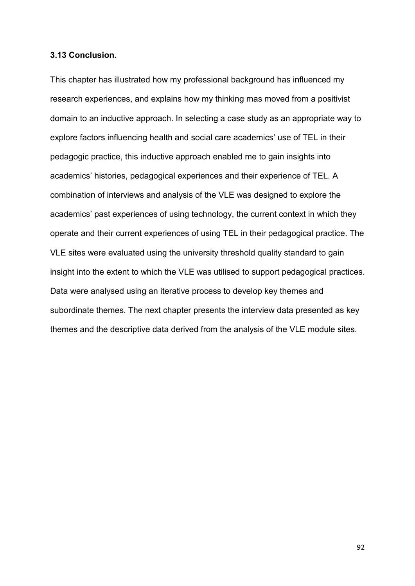#### **3.13 Conclusion.**

This chapter has illustrated how my professional background has influenced my research experiences, and explains how my thinking mas moved from a positivist domain to an inductive approach. In selecting a case study as an appropriate way to explore factors influencing health and social care academics' use of TEL in their pedagogic practice, this inductive approach enabled me to gain insights into academics' histories, pedagogical experiences and their experience of TEL. A combination of interviews and analysis of the VLE was designed to explore the academics' past experiences of using technology, the current context in which they operate and their current experiences of using TEL in their pedagogical practice. The VLE sites were evaluated using the university threshold quality standard to gain insight into the extent to which the VLE was utilised to support pedagogical practices. Data were analysed using an iterative process to develop key themes and subordinate themes. The next chapter presents the interview data presented as key themes and the descriptive data derived from the analysis of the VLE module sites.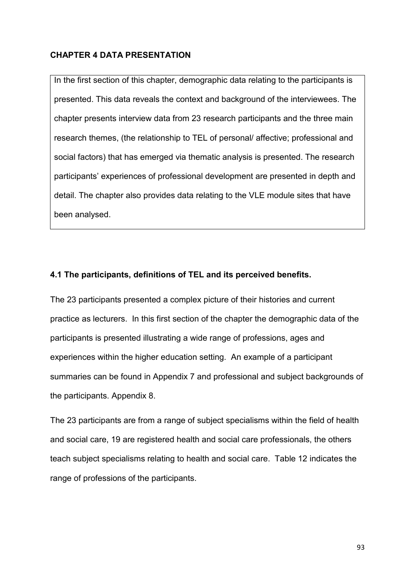# **CHAPTER 4 DATA PRESENTATION**

In the first section of this chapter, demographic data relating to the participants is presented. This data reveals the context and background of the interviewees. The chapter presents interview data from 23 research participants and the three main research themes, (the relationship to TEL of personal/ affective; professional and social factors) that has emerged via thematic analysis is presented. The research participants' experiences of professional development are presented in depth and detail. The chapter also provides data relating to the VLE module sites that have been analysed.

# **4.1 The participants, definitions of TEL and its perceived benefits.**

The 23 participants presented a complex picture of their histories and current practice as lecturers. In this first section of the chapter the demographic data of the participants is presented illustrating a wide range of professions, ages and experiences within the higher education setting. An example of a participant summaries can be found in Appendix 7 and professional and subject backgrounds of the participants. Appendix 8.

The 23 participants are from a range of subject specialisms within the field of health and social care, 19 are registered health and social care professionals, the others teach subject specialisms relating to health and social care. Table 12 indicates the range of professions of the participants.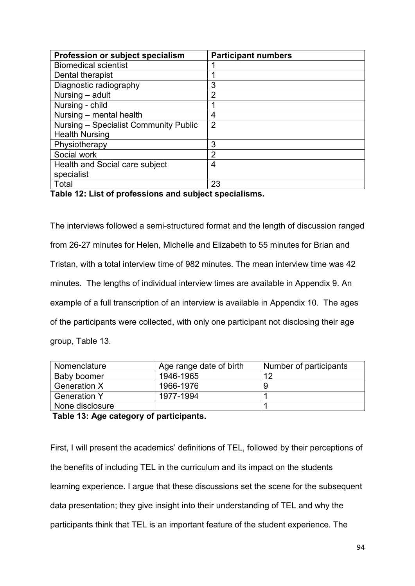| Profession or subject specialism             | <b>Participant numbers</b> |  |  |
|----------------------------------------------|----------------------------|--|--|
| <b>Biomedical scientist</b>                  |                            |  |  |
| Dental therapist                             |                            |  |  |
| Diagnostic radiography                       | 3                          |  |  |
| Nursing - adult                              | 2                          |  |  |
| Nursing - child                              |                            |  |  |
| Nursing - mental health                      | 4                          |  |  |
| Nursing – Specialist Community Public        | 2                          |  |  |
| <b>Health Nursing</b>                        |                            |  |  |
| Physiotherapy                                | 3                          |  |  |
| Social work                                  | 2                          |  |  |
| Health and Social care subject               | 4                          |  |  |
| specialist                                   |                            |  |  |
| Total                                        | 23                         |  |  |
| 天の しょうしょう しょうしょう しょうしょう こうしょう こうしょう しょう<br>. |                            |  |  |

**Table 12: List of professions and subject specialisms.** 

The interviews followed a semi-structured format and the length of discussion ranged from 26-27 minutes for Helen, Michelle and Elizabeth to 55 minutes for Brian and Tristan, with a total interview time of 982 minutes. The mean interview time was 42 minutes. The lengths of individual interview times are available in Appendix 9. An example of a full transcription of an interview is available in Appendix 10. The ages of the participants were collected, with only one participant not disclosing their age group, Table 13.

| Nomenclature        | Age range date of birth | Number of participants |
|---------------------|-------------------------|------------------------|
| Baby boomer         | 1946-1965               | 12                     |
| <b>Generation X</b> | 1966-1976               |                        |
| <b>Generation Y</b> | 1977-1994               |                        |
| None disclosure     |                         |                        |

**Table 13: Age category of participants.** 

First, I will present the academics' definitions of TEL, followed by their perceptions of the benefits of including TEL in the curriculum and its impact on the students learning experience. I argue that these discussions set the scene for the subsequent data presentation; they give insight into their understanding of TEL and why the participants think that TEL is an important feature of the student experience. The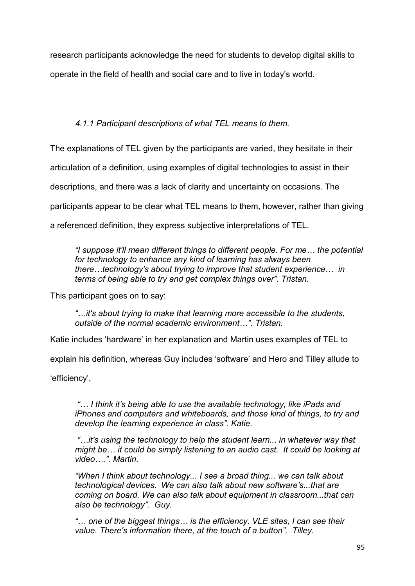research participants acknowledge the need for students to develop digital skills to operate in the field of health and social care and to live in today's world.

# *4.1.1 Participant descriptions of what TEL means to them.*

The explanations of TEL given by the participants are varied, they hesitate in their

articulation of a definition, using examples of digital technologies to assist in their

descriptions, and there was a lack of clarity and uncertainty on occasions. The

participants appear to be clear what TEL means to them, however, rather than giving

a referenced definition, they express subjective interpretations of TEL.

*"I suppose it'll mean different things to different people. For me… the potential for technology to enhance any kind of learning has always been there…technology's about trying to improve that student experience… in terms of being able to try and get complex things over". Tristan.* 

This participant goes on to say:

*"…it's about trying to make that learning more accessible to the students, outside of the normal academic environment…". Tristan.*

Katie includes 'hardware' in her explanation and Martin uses examples of TEL to

explain his definition, whereas Guy includes 'software' and Hero and Tilley allude to

'efficiency',

*"… I think it's being able to use the available technology, like iPads and iPhones and computers and whiteboards, and those kind of things, to try and develop the learning experience in class". Katie.*

*"…it's using the technology to help the student learn... in whatever way that might be… it could be simply listening to an audio cast. It could be looking at video….". Martin.*

*"When I think about technology... I see a broad thing... we can talk about technological devices. We can also talk about new software's...that are coming on board. We can also talk about equipment in classroom...that can also be technology". Guy.*

*"… one of the biggest things… is the efficiency. VLE sites, I can see their value. There's information there, at the touch of a button". Tilley.*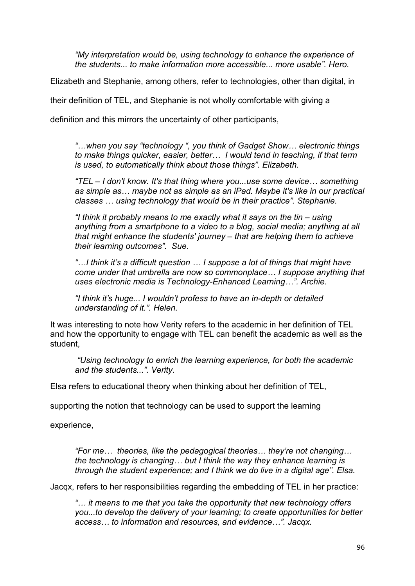*"My interpretation would be, using technology to enhance the experience of the students... to make information more accessible... more usable". Hero.*

Elizabeth and Stephanie, among others, refer to technologies, other than digital, in

their definition of TEL, and Stephanie is not wholly comfortable with giving a

definition and this mirrors the uncertainty of other participants,

*"…when you say "technology ", you think of Gadget Show… electronic things to make things quicker, easier, better… I would tend in teaching, if that term is used, to automatically think about those things". Elizabeth.*

*"TEL – I don't know. It's that thing where you...use some device… something as simple as… maybe not as simple as an iPad. Maybe it's like in our practical classes … using technology that would be in their practice". Stephanie.*

*"I think it probably means to me exactly what it says on the tin – using anything from a smartphone to a video to a blog, social media; anything at all that might enhance the students' journey – that are helping them to achieve their learning outcomes". Sue*.

*"…I think it's a difficult question … I suppose a lot of things that might have come under that umbrella are now so commonplace… I suppose anything that uses electronic media is Technology-Enhanced Learning…". Archie.*

*"I think it's huge... I wouldn't profess to have an in-depth or detailed understanding of it.". Helen.*

It was interesting to note how Verity refers to the academic in her definition of TEL and how the opportunity to engage with TEL can benefit the academic as well as the student,

*"Using technology to enrich the learning experience, for both the academic and the students...". Verity.*

Elsa refers to educational theory when thinking about her definition of TEL,

supporting the notion that technology can be used to support the learning

experience,

*"For me… theories, like the pedagogical theories… they're not changing… the technology is changing… but I think the way they enhance learning is through the student experience; and I think we do live in a digital age". Elsa.*

Jacqx, refers to her responsibilities regarding the embedding of TEL in her practice:

*"… it means to me that you take the opportunity that new technology offers you...to develop the delivery of your learning; to create opportunities for better access… to information and resources, and evidence…". Jacqx.*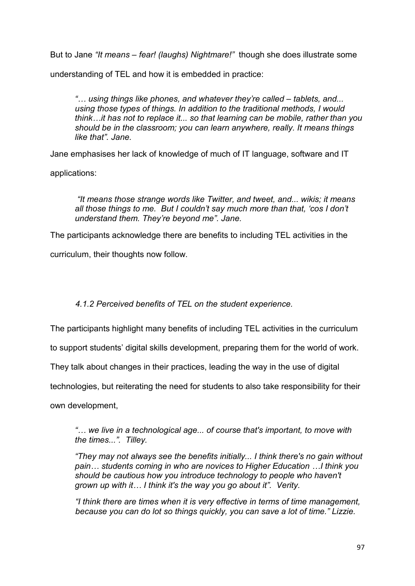But to Jane *"It means – fear! (laughs) Nightmare!"* though she does illustrate some

understanding of TEL and how it is embedded in practice:

*"… using things like phones, and whatever they're called – tablets, and... using those types of things. In addition to the traditional methods, I would think…it has not to replace it... so that learning can be mobile, rather than you should be in the classroom; you can learn anywhere, really. It means things like that". Jane.* 

Jane emphasises her lack of knowledge of much of IT language, software and IT

applications:

*"It means those strange words like Twitter, and tweet, and... wikis; it means all those things to me. But I couldn't say much more than that, 'cos I don't understand them. They're beyond me". Jane.* 

The participants acknowledge there are benefits to including TEL activities in the

curriculum, their thoughts now follow.

*4.1.2 Perceived benefits of TEL on the student experience.*

The participants highlight many benefits of including TEL activities in the curriculum

to support students' digital skills development, preparing them for the world of work.

They talk about changes in their practices, leading the way in the use of digital

technologies, but reiterating the need for students to also take responsibility for their

own development,

*"… we live in a technological age... of course that's important, to move with the times...". Tilley.*

*"They may not always see the benefits initially... I think there's no gain without pain… students coming in who are novices to Higher Education …I think you should be cautious how you introduce technology to people who haven't grown up with it… I think it's the way you go about it". Verity.*

*"I think there are times when it is very effective in terms of time management, because you can do lot so things quickly, you can save a lot of time." Lizzie.*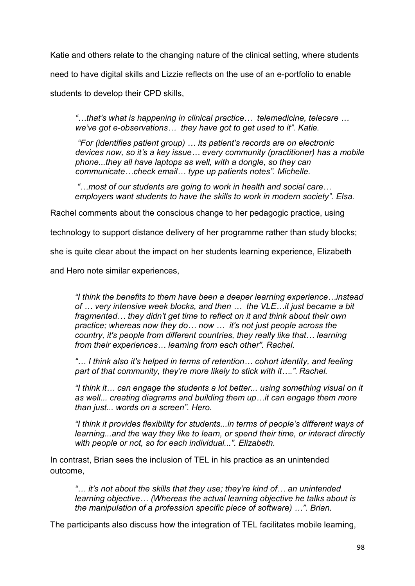Katie and others relate to the changing nature of the clinical setting, where students need to have digital skills and Lizzie reflects on the use of an e-portfolio to enable students to develop their CPD skills,

*"…that's what is happening in clinical practice… telemedicine, telecare … we've got e-observations… they have got to get used to it". Katie.*

*"For (identifies patient group) … its patient's records are on electronic devices now, so it's a key issue… every community (practitioner) has a mobile phone...they all have laptops as well, with a dongle, so they can communicate…check email… type up patients notes". Michelle.*

*"…most of our students are going to work in health and social care… employers want students to have the skills to work in modern society". Elsa.* 

Rachel comments about the conscious change to her pedagogic practice, using

technology to support distance delivery of her programme rather than study blocks;

she is quite clear about the impact on her students learning experience, Elizabeth

and Hero note similar experiences,

*"I think the benefits to them have been a deeper learning experience…instead of … very intensive week blocks, and then … the VLE…it just became a bit fragmented… they didn't get time to reflect on it and think about their own practice; whereas now they do… now … it's not just people across the country, it's people from different countries, they really like that… learning from their experiences… learning from each other". Rachel.*

*"… I think also it's helped in terms of retention… cohort identity, and feeling part of that community, they're more likely to stick with it…."*. *Rachel.*

*"I think it… can engage the students a lot better... using something visual on it as well... creating diagrams and building them up…it can engage them more than just... words on a screen". Hero.*

*"I think it provides flexibility for students...in terms of people's different ways of learning...and the way they like to learn, or spend their time, or interact directly with people or not, so for each individual...". Elizabeth.*

In contrast, Brian sees the inclusion of TEL in his practice as an unintended outcome,

*"… it's not about the skills that they use; they're kind of… an unintended learning objective… (Whereas the actual learning objective he talks about is the manipulation of a profession specific piece of software) …". Brian.* 

The participants also discuss how the integration of TEL facilitates mobile learning,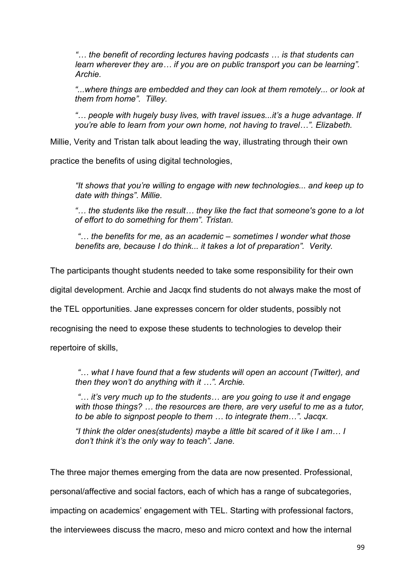*"… the benefit of recording lectures having podcasts … is that students can learn wherever they are… if you are on public transport you can be learning". Archie.*

*"...where things are embedded and they can look at them remotely... or look at them from home". Tilley.* 

*"… people with hugely busy lives, with travel issues...it's a huge advantage. If you're able to learn from your own home, not having to travel…". Elizabeth.* 

Millie, Verity and Tristan talk about leading the way, illustrating through their own

practice the benefits of using digital technologies,

*"It shows that you're willing to engage with new technologies... and keep up to date with things"*. *Millie.*

*"… the students like the result… they like the fact that someone's gone to a lot of effort to do something for them". Tristan.*

*"… the benefits for me, as an academic – sometimes I wonder what those benefits are, because I do think... it takes a lot of preparation". Verity.*

The participants thought students needed to take some responsibility for their own

digital development. Archie and Jacqx find students do not always make the most of

the TEL opportunities. Jane expresses concern for older students, possibly not

recognising the need to expose these students to technologies to develop their

repertoire of skills,

*"… what I have found that a few students will open an account (Twitter), and then they won't do anything with it …". Archie.*

*"… it's very much up to the students… are you going to use it and engage with those things? … the resources are there, are very useful to me as a tutor, to be able to signpost people to them … to integrate them…". Jacqx.*

*"I think the older ones(students) maybe a little bit scared of it like I am… I don't think it's the only way to teach". Jane.*

The three major themes emerging from the data are now presented. Professional, personal/affective and social factors, each of which has a range of subcategories, impacting on academics' engagement with TEL. Starting with professional factors, the interviewees discuss the macro, meso and micro context and how the internal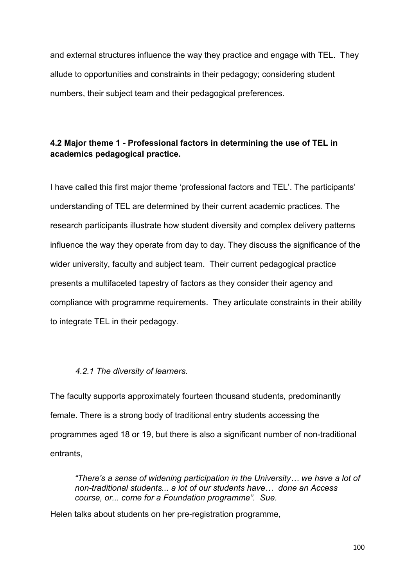and external structures influence the way they practice and engage with TEL. They allude to opportunities and constraints in their pedagogy; considering student numbers, their subject team and their pedagogical preferences.

# **4.2 Major theme 1 - Professional factors in determining the use of TEL in academics pedagogical practice.**

I have called this first major theme 'professional factors and TEL'. The participants' understanding of TEL are determined by their current academic practices. The research participants illustrate how student diversity and complex delivery patterns influence the way they operate from day to day. They discuss the significance of the wider university, faculty and subject team. Their current pedagogical practice presents a multifaceted tapestry of factors as they consider their agency and compliance with programme requirements. They articulate constraints in their ability to integrate TEL in their pedagogy.

# *4.2.1 The diversity of learners.*

The faculty supports approximately fourteen thousand students, predominantly female. There is a strong body of traditional entry students accessing the programmes aged 18 or 19, but there is also a significant number of non-traditional entrants,

*"There's a sense of widening participation in the University… we have a lot of non-traditional students... a lot of our students have… done an Access course, or... come for a Foundation programme". Sue.*

Helen talks about students on her pre-registration programme,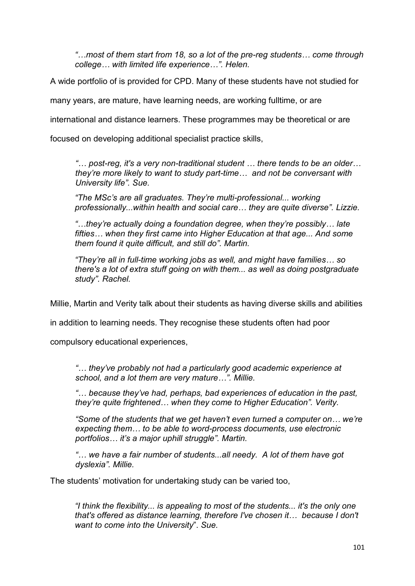*"…most of them start from 18, so a lot of the pre-reg students… come through college… with limited life experience…". Helen.*

A wide portfolio of is provided for CPD. Many of these students have not studied for

many years, are mature, have learning needs, are working fulltime, or are

international and distance learners. These programmes may be theoretical or are

focused on developing additional specialist practice skills,

*"… post-reg, it's a very non-traditional student … there tends to be an older… they're more likely to want to study part-time… and not be conversant with University life". Sue.*

*"The MSc's are all graduates. They're multi-professional... working professionally...within health and social care… they are quite diverse". Lizzie.*

*"…they're actually doing a foundation degree, when they're possibly… late fifties… when they first came into Higher Education at that age... And some them found it quite difficult, and still do". Martin.* 

*"They're all in full-time working jobs as well, and might have families… so there's a lot of extra stuff going on with them... as well as doing postgraduate study". Rachel.* 

Millie, Martin and Verity talk about their students as having diverse skills and abilities

in addition to learning needs. They recognise these students often had poor

compulsory educational experiences,

*"… they've probably not had a particularly good academic experience at school, and a lot them are very mature…". Millie.*

*"… because they've had, perhaps, bad experiences of education in the past, they're quite frightened… when they come to Higher Education". Verity.*

*"Some of the students that we get haven't even turned a computer on… we're expecting them… to be able to word-process documents, use electronic portfolios… it's a major uphill struggle". Martin.*

*"… we have a fair number of students...all needy. A lot of them have got dyslexia". Millie.*

The students' motivation for undertaking study can be varied too,

*"I think the flexibility... is appealing to most of the students... it's the only one that's offered as distance learning, therefore I've chosen it… because I don't want to come into the University*". *Sue.*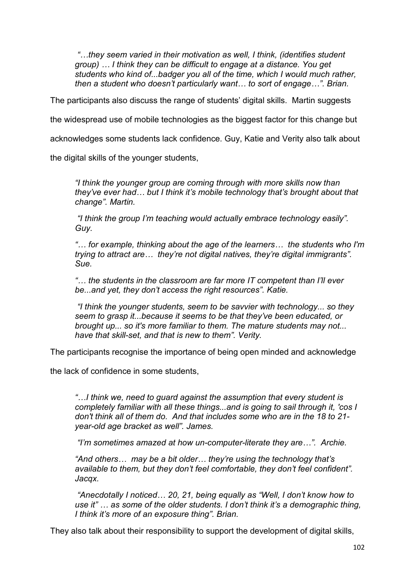*"…they seem varied in their motivation as well, I think, (identifies student group) … I think they can be difficult to engage at a distance. You get students who kind of...badger you all of the time, which I would much rather, then a student who doesn't particularly want… to sort of engage…". Brian.*

The participants also discuss the range of students' digital skills. Martin suggests

the widespread use of mobile technologies as the biggest factor for this change but

acknowledges some students lack confidence. Guy, Katie and Verity also talk about

the digital skills of the younger students,

*"I think the younger group are coming through with more skills now than they've ever had… but I think it's mobile technology that's brought about that change". Martin.*

*"I think the group I'm teaching would actually embrace technology easily". Guy.*

*"… for example, thinking about the age of the learners… the students who I'm trying to attract are… they're not digital natives, they're digital immigrants". Sue.*

*"… the students in the classroom are far more IT competent than I'll ever be...and yet, they don't access the right resources". Katie.*

*"I think the younger students, seem to be savvier with technology... so they seem to grasp it...because it seems to be that they've been educated, or brought up... so it's more familiar to them. The mature students may not... have that skill-set, and that is new to them". Verity.*

The participants recognise the importance of being open minded and acknowledge

the lack of confidence in some students,

*"…I think we, need to guard against the assumption that every student is completely familiar with all these things...and is going to sail through it, 'cos I don't think all of them do. And that includes some who are in the 18 to 21 year-old age bracket as well". James.*

*"I'm sometimes amazed at how un-computer-literate they are…". Archie.*

*"And others… may be a bit older… they're using the technology that's available to them, but they don't feel comfortable, they don't feel confident". Jacqx.*

*"Anecdotally I noticed… 20, 21, being equally as "Well, I don't know how to use it" … as some of the older students. I don't think it's a demographic thing, I think it's more of an exposure thing". Brian.*

They also talk about their responsibility to support the development of digital skills,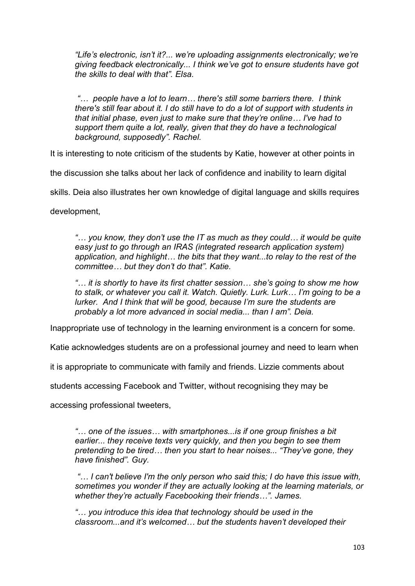*"Life's electronic, isn't it?... we're uploading assignments electronically; we're giving feedback electronically... I think we've got to ensure students have got the skills to deal with that". Elsa.*

*"… people have a lot to learn… there's still some barriers there. I think there's still fear about it. I do still have to do a lot of support with students in that initial phase, even just to make sure that they're online… I've had to support them quite a lot, really, given that they do have a technological background, supposedly". Rachel.*

It is interesting to note criticism of the students by Katie, however at other points in

the discussion she talks about her lack of confidence and inability to learn digital

skills. Deia also illustrates her own knowledge of digital language and skills requires

development,

*"… you know, they don't use the IT as much as they could… it would be quite easy just to go through an IRAS (integrated research application system) application, and highlight… the bits that they want...to relay to the rest of the committee… but they don't do that". Katie.*

*"… it is shortly to have its first chatter session… she's going to show me how to stalk, or whatever you call it. Watch. Quietly. Lurk. Lurk… I'm going to be a lurker. And I think that will be good, because I'm sure the students are probably a lot more advanced in social media... than I am". Deia.*

Inappropriate use of technology in the learning environment is a concern for some.

Katie acknowledges students are on a professional journey and need to learn when

it is appropriate to communicate with family and friends. Lizzie comments about

students accessing Facebook and Twitter, without recognising they may be

accessing professional tweeters,

*"… one of the issues… with smartphones...is if one group finishes a bit earlier... they receive texts very quickly, and then you begin to see them pretending to be tired… then you start to hear noises... "They've gone, they have finished". Guy.*

*"… I can't believe I'm the only person who said this; I do have this issue with, sometimes you wonder if they are actually looking at the learning materials, or whether they're actually Facebooking their friends…". James.*

*"… you introduce this idea that technology should be used in the classroom...and it's welcomed… but the students haven't developed their*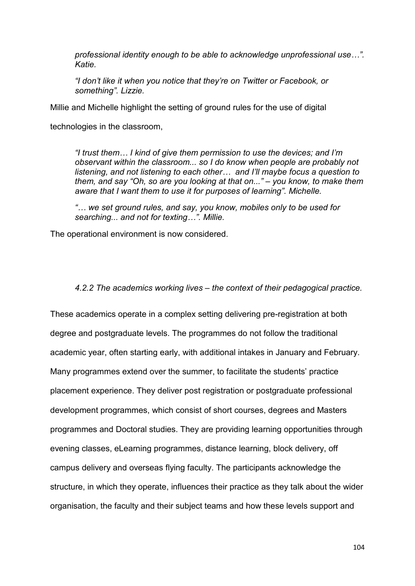*professional identity enough to be able to acknowledge unprofessional use…". Katie.*

*"I don't like it when you notice that they're on Twitter or Facebook, or something". Lizzie.*

Millie and Michelle highlight the setting of ground rules for the use of digital

technologies in the classroom,

*"I trust them… I kind of give them permission to use the devices; and I'm observant within the classroom... so I do know when people are probably not listening, and not listening to each other… and I'll maybe focus a question to them, and say "Oh, so are you looking at that on..." – you know, to make them aware that I want them to use it for purposes of learning". Michelle.* 

*"… we set ground rules, and say, you know, mobiles only to be used for searching... and not for texting…". Millie.*

The operational environment is now considered.

*4.2.2 The academics working lives – the context of their pedagogical practice.* 

These academics operate in a complex setting delivering pre-registration at both degree and postgraduate levels. The programmes do not follow the traditional academic year, often starting early, with additional intakes in January and February. Many programmes extend over the summer, to facilitate the students' practice placement experience. They deliver post registration or postgraduate professional development programmes, which consist of short courses, degrees and Masters programmes and Doctoral studies. They are providing learning opportunities through evening classes, eLearning programmes, distance learning, block delivery, off campus delivery and overseas flying faculty. The participants acknowledge the structure, in which they operate, influences their practice as they talk about the wider organisation, the faculty and their subject teams and how these levels support and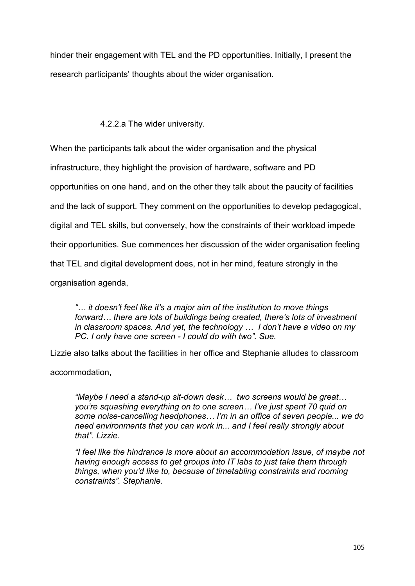hinder their engagement with TEL and the PD opportunities. Initially, I present the research participants' thoughts about the wider organisation.

# 4.2.2.a The wider university.

When the participants talk about the wider organisation and the physical

infrastructure, they highlight the provision of hardware, software and PD

opportunities on one hand, and on the other they talk about the paucity of facilities

and the lack of support. They comment on the opportunities to develop pedagogical,

digital and TEL skills, but conversely, how the constraints of their workload impede

their opportunities. Sue commences her discussion of the wider organisation feeling

that TEL and digital development does, not in her mind, feature strongly in the

organisation agenda,

*"… it doesn't feel like it's a major aim of the institution to move things forward… there are lots of buildings being created, there's lots of investment in classroom spaces. And yet, the technology … I don't have a video on my PC. I only have one screen - I could do with two". Sue.*

Lizzie also talks about the facilities in her office and Stephanie alludes to classroom

accommodation,

*"Maybe I need a stand-up sit-down desk… two screens would be great… you're squashing everything on to one screen… I've just spent 70 quid on some noise-cancelling headphones… I'm in an office of seven people... we do need environments that you can work in... and I feel really strongly about that". Lizzie.*

*"I feel like the hindrance is more about an accommodation issue, of maybe not having enough access to get groups into IT labs to just take them through things, when you'd like to, because of timetabling constraints and rooming constraints". Stephanie.*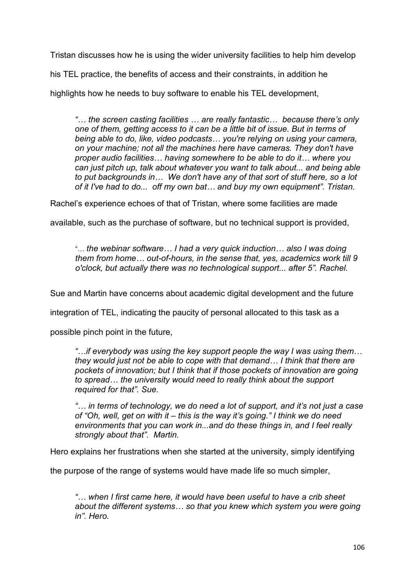Tristan discusses how he is using the wider university facilities to help him develop

his TEL practice, the benefits of access and their constraints, in addition he

highlights how he needs to buy software to enable his TEL development,

*"… the screen casting facilities … are really fantastic… because there's only one of them, getting access to it can be a little bit of issue. But in terms of being able to do, like, video podcasts… you're relying on using your camera, on your machine; not all the machines here have cameras. They don't have proper audio facilities… having somewhere to be able to do it… where you can just pitch up, talk about whatever you want to talk about... and being able to put backgrounds in… We don't have any of that sort of stuff here, so a lot of it I've had to do... off my own bat… and buy my own equipment". Tristan.*

Rachel's experience echoes of that of Tristan, where some facilities are made

available, such as the purchase of software, but no technical support is provided,

"… *the webinar software… I had a very quick induction… also I was doing them from home… out-of-hours, in the sense that, yes, academics work till 9 o'clock, but actually there was no technological support... after 5". Rachel.* 

Sue and Martin have concerns about academic digital development and the future

integration of TEL, indicating the paucity of personal allocated to this task as a

possible pinch point in the future,

*"…if everybody was using the key support people the way I was using them… they would just not be able to cope with that demand… I think that there are pockets of innovation; but I think that if those pockets of innovation are going to spread… the university would need to really think about the support required for that". Sue.*

*"… in terms of technology, we do need a lot of support, and it's not just a case of "Oh, well, get on with it – this is the way it's going." I think we do need environments that you can work in...and do these things in, and I feel really strongly about that". Martin.*

Hero explains her frustrations when she started at the university, simply identifying

the purpose of the range of systems would have made life so much simpler,

*"… when I first came here, it would have been useful to have a crib sheet about the different systems… so that you knew which system you were going in". Hero.*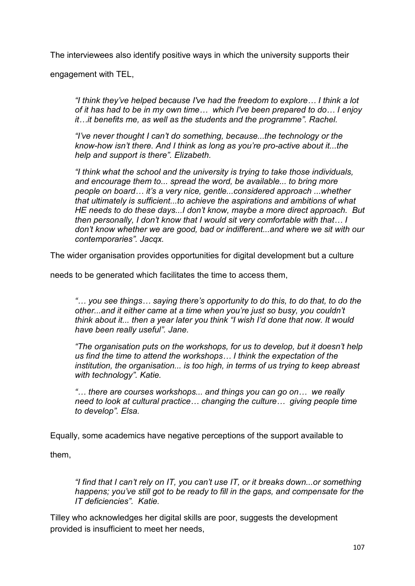The interviewees also identify positive ways in which the university supports their

engagement with TEL,

*"I think they've helped because I've had the freedom to explore… I think a lot of it has had to be in my own time… which I've been prepared to do… I enjoy it…it benefits me, as well as the students and the programme". Rachel.*

*"I've never thought I can't do something, because...the technology or the know-how isn't there. And I think as long as you're pro-active about it...the help and support is there". Elizabeth.*

*"I think what the school and the university is trying to take those individuals, and encourage them to... spread the word, be available... to bring more people on board… it's a very nice, gentle...considered approach ...whether that ultimately is sufficient...to achieve the aspirations and ambitions of what HE needs to do these days...I don't know, maybe a more direct approach. But then personally, I don't know that I would sit very comfortable with that… I don't know whether we are good, bad or indifferent...and where we sit with our contemporaries". Jacqx.*

The wider organisation provides opportunities for digital development but a culture

needs to be generated which facilitates the time to access them,

*"… you see things… saying there's opportunity to do this, to do that, to do the other...and it either came at a time when you're just so busy, you couldn't think about it... then a year later you think "I wish I'd done that now. It would have been really useful". Jane.* 

*"The organisation puts on the workshops, for us to develop, but it doesn't help us find the time to attend the workshops… I think the expectation of the institution, the organisation... is too high, in terms of us trying to keep abreast with technology". Katie.*

*"… there are courses workshops... and things you can go on… we really need to look at cultural practice… changing the culture… giving people time to develop". Elsa.*

Equally, some academics have negative perceptions of the support available to

them,

*"I find that I can't rely on IT, you can't use IT, or it breaks down...or something happens; you've still got to be ready to fill in the gaps, and compensate for the IT deficiencies". Katie.*

Tilley who acknowledges her digital skills are poor, suggests the development provided is insufficient to meet her needs,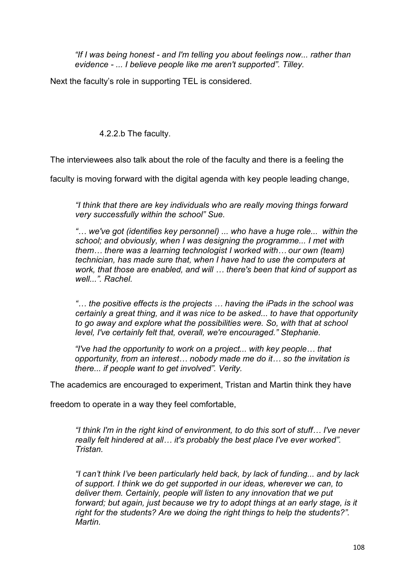*"If I was being honest - and I'm telling you about feelings now... rather than evidence - ... I believe people like me aren't supported". Tilley.*

Next the faculty's role in supporting TEL is considered.

4.2.2.b The faculty.

The interviewees also talk about the role of the faculty and there is a feeling the

faculty is moving forward with the digital agenda with key people leading change,

*"I think that there are key individuals who are really moving things forward very successfully within the school" Sue.*

*"… we've got (identifies key personnel) ... who have a huge role... within the school; and obviously, when I was designing the programme... I met with them… there was a learning technologist I worked with… our own (team) technician, has made sure that, when I have had to use the computers at work, that those are enabled, and will … there's been that kind of support as well...". Rachel.*

*"… the positive effects is the projects … having the iPads in the school was certainly a great thing, and it was nice to be asked... to have that opportunity to go away and explore what the possibilities were. So, with that at school level, I've certainly felt that, overall, we're encouraged." Stephanie.*

*"I've had the opportunity to work on a project... with key people… that opportunity, from an interest… nobody made me do it… so the invitation is there... if people want to get involved". Verity.*

The academics are encouraged to experiment, Tristan and Martin think they have

freedom to operate in a way they feel comfortable,

*"I think I'm in the right kind of environment, to do this sort of stuff… I've never really felt hindered at all… it's probably the best place I've ever worked". Tristan.*

*"I can't think I've been particularly held back, by lack of funding... and by lack of support. I think we do get supported in our ideas, wherever we can, to deliver them. Certainly, people will listen to any innovation that we put*  forward; but again, just because we try to adopt things at an early stage, is it *right for the students? Are we doing the right things to help the students?". Martin.*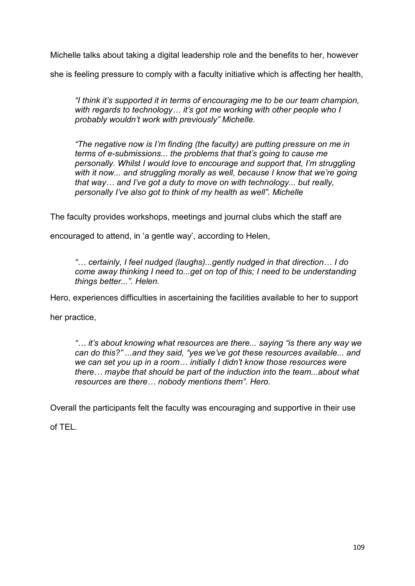Michelle talks about taking a digital leadership role and the benefits to her, however

she is feeling pressure to comply with a faculty initiative which is affecting her health,

*"I think it's supported it in terms of encouraging me to be our team champion, with regards to technology… it's got me working with other people who I probably wouldn't work with previously" Michelle.*

*"The negative now is I'm finding (the faculty) are putting pressure on me in terms of e-submissions... the problems that that's going to cause me personally. Whilst I would love to encourage and support that, I'm struggling*  with it now... and struggling morally as well, because I know that we're going *that way… and I've got a duty to move on with technology... but really, personally I've also got to think of my health as well". Michelle* 

The faculty provides workshops, meetings and journal clubs which the staff are

encouraged to attend, in 'a gentle way', according to Helen,

*"… certainly, I feel nudged (laughs)...gently nudged in that direction… I do come away thinking I need to...get on top of this; I need to be understanding things better...". Helen.*

Hero, experiences difficulties in ascertaining the facilities available to her to support

her practice,

*"… it's about knowing what resources are there... saying "is there any way we can do this?" ...and they said, "yes we've got these resources available... and we can set you up in a room… initially I didn't know those resources were there… maybe that should be part of the induction into the team...about what resources are there… nobody mentions them". Hero.*

Overall the participants felt the faculty was encouraging and supportive in their use

of TEL.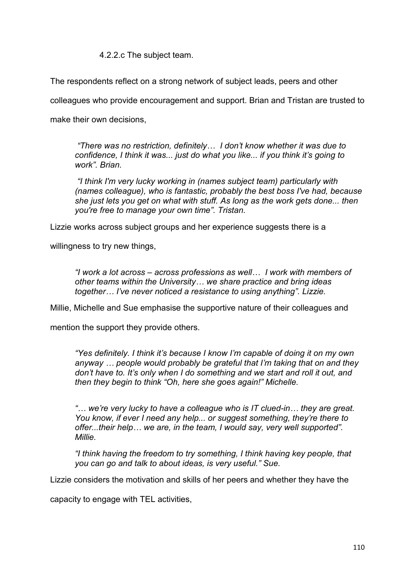4.2.2.c The subject team.

The respondents reflect on a strong network of subject leads, peers and other

colleagues who provide encouragement and support. Brian and Tristan are trusted to

make their own decisions,

*"There was no restriction, definitely… I don't know whether it was due to confidence, I think it was... just do what you like... if you think it's going to work". Brian.* 

*"I think I'm very lucky working in (names subject team) particularly with (names colleague), who is fantastic, probably the best boss I've had, because she just lets you get on what with stuff. As long as the work gets done... then you're free to manage your own time". Tristan.*

Lizzie works across subject groups and her experience suggests there is a

willingness to try new things,

*"I work a lot across – across professions as well… I work with members of other teams within the University… we share practice and bring ideas together… I've never noticed a resistance to using anything". Lizzie.* 

Millie, Michelle and Sue emphasise the supportive nature of their colleagues and

mention the support they provide others.

*"Yes definitely. I think it's because I know I'm capable of doing it on my own anyway … people would probably be grateful that I'm taking that on and they don't have to. It's only when I do something and we start and roll it out, and then they begin to think "Oh, here she goes again!" Michelle.* 

*"… we're very lucky to have a colleague who is IT clued-in… they are great. You know, if ever I need any help... or suggest something, they're there to offer...their help… we are, in the team, I would say, very well supported". Millie.*

*"I think having the freedom to try something, I think having key people, that you can go and talk to about ideas, is very useful." Sue.*

Lizzie considers the motivation and skills of her peers and whether they have the

capacity to engage with TEL activities,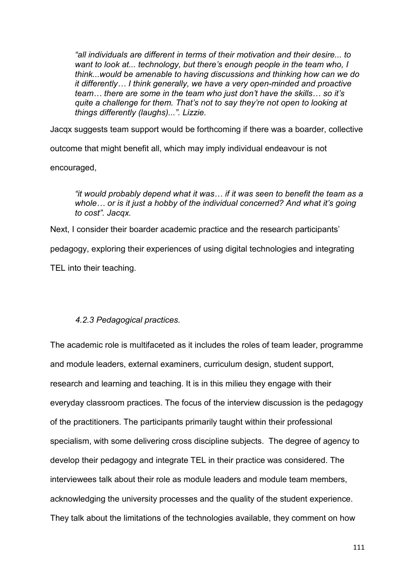*"all individuals are different in terms of their motivation and their desire... to want to look at... technology, but there's enough people in the team who, I think...would be amenable to having discussions and thinking how can we do it differently… I think generally, we have a very open-minded and proactive team… there are some in the team who just don't have the skills… so it's quite a challenge for them. That's not to say they're not open to looking at things differently (laughs)...". Lizzie.*

Jacqx suggests team support would be forthcoming if there was a boarder, collective

outcome that might benefit all, which may imply individual endeavour is not

encouraged,

*"it would probably depend what it was… if it was seen to benefit the team as a whole… or is it just a hobby of the individual concerned? And what it's going to cost". Jacqx.* 

Next, I consider their boarder academic practice and the research participants' pedagogy, exploring their experiences of using digital technologies and integrating TEL into their teaching.

### *4.2.3 Pedagogical practices.*

The academic role is multifaceted as it includes the roles of team leader, programme and module leaders, external examiners, curriculum design, student support, research and learning and teaching. It is in this milieu they engage with their everyday classroom practices. The focus of the interview discussion is the pedagogy of the practitioners. The participants primarily taught within their professional specialism, with some delivering cross discipline subjects. The degree of agency to develop their pedagogy and integrate TEL in their practice was considered. The interviewees talk about their role as module leaders and module team members, acknowledging the university processes and the quality of the student experience. They talk about the limitations of the technologies available, they comment on how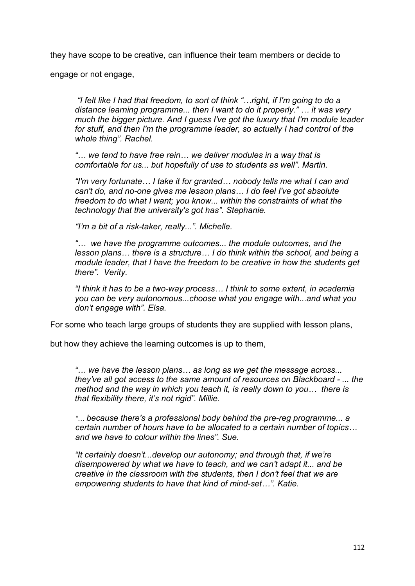they have scope to be creative, can influence their team members or decide to

engage or not engage,

*"I felt like I had that freedom, to sort of think "…right, if I'm going to do a distance learning programme... then I want to do it properly." … it was very much the bigger picture. And I guess I've got the luxury that I'm module leader for stuff, and then I'm the programme leader, so actually I had control of the whole thing". Rachel.*

*"… we tend to have free rein… we deliver modules in a way that is comfortable for us... but hopefully of use to students as well". Martin.*

*"I'm very fortunate… I take it for granted… nobody tells me what I can and can't do, and no-one gives me lesson plans… I do feel I've got absolute freedom to do what I want; you know... within the constraints of what the technology that the university's got has". Stephanie.*

*"I'm a bit of a risk-taker, really...". Michelle.* 

*"… we have the programme outcomes... the module outcomes, and the lesson plans… there is a structure… I do think within the school, and being a module leader, that I have the freedom to be creative in how the students get there". Verity.*

*"I think it has to be a two-way process… I think to some extent, in academia you can be very autonomous...choose what you engage with...and what you don't engage with". Elsa.*

For some who teach large groups of students they are supplied with lesson plans,

but how they achieve the learning outcomes is up to them,

*"… we have the lesson plans… as long as we get the message across... they've all got access to the same amount of resources on Blackboard - ... the method and the way in which you teach it, is really down to you… there is that flexibility there, it's not rigid". Millie.*

*"… because there's a professional body behind the pre-reg programme... a certain number of hours have to be allocated to a certain number of topics… and we have to colour within the lines". Sue.* 

*"It certainly doesn't...develop our autonomy; and through that, if we're disempowered by what we have to teach, and we can't adapt it... and be creative in the classroom with the students, then I don't feel that we are empowering students to have that kind of mind-set…". Katie.*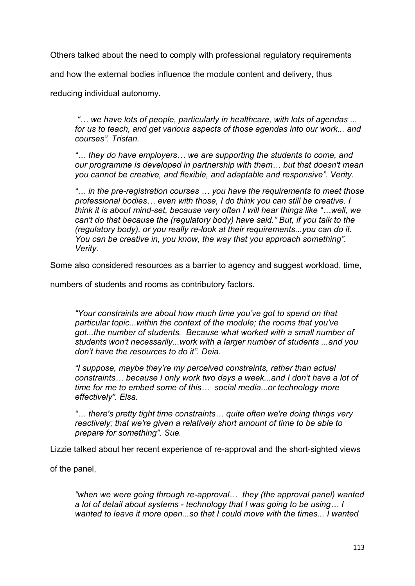Others talked about the need to comply with professional regulatory requirements

and how the external bodies influence the module content and delivery, thus

reducing individual autonomy.

*"… we have lots of people, particularly in healthcare, with lots of agendas ... for us to teach, and get various aspects of those agendas into our work... and courses". Tristan.*

*"… they do have employers… we are supporting the students to come, and our programme is developed in partnership with them… but that doesn't mean you cannot be creative, and flexible, and adaptable and responsive". Verity.*

*"… in the pre-registration courses … you have the requirements to meet those professional bodies… even with those, I do think you can still be creative. I think it is about mind-set, because very often I will hear things like "…well, we can't do that because the (regulatory body) have said." But, if you talk to the (regulatory body), or you really re-look at their requirements...you can do it. You can be creative in, you know, the way that you approach something". Verity.*

Some also considered resources as a barrier to agency and suggest workload, time,

numbers of students and rooms as contributory factors.

*"Your constraints are about how much time you've got to spend on that particular topic...within the context of the module; the rooms that you've got...the number of students. Because what worked with a small number of students won't necessarily...work with a larger number of students ...and you don't have the resources to do it". Deia.* 

*"I suppose, maybe they're my perceived constraints, rather than actual constraints… because I only work two days a week...and I don't have a lot of time for me to embed some of this… social media...or technology more effectively". Elsa.* 

*"… there's pretty tight time constraints… quite often we're doing things very reactively; that we're given a relatively short amount of time to be able to prepare for something". Sue.* 

Lizzie talked about her recent experience of re-approval and the short-sighted views

of the panel,

*"when we were going through re-approval… they (the approval panel) wanted a lot of detail about systems - technology that I was going to be using… I wanted to leave it more open...so that I could move with the times... I wanted*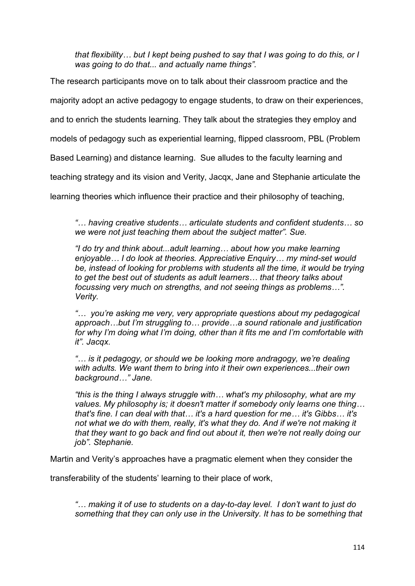*that flexibility… but I kept being pushed to say that I was going to do this, or I was going to do that... and actually name things".* 

The research participants move on to talk about their classroom practice and the

majority adopt an active pedagogy to engage students, to draw on their experiences,

and to enrich the students learning. They talk about the strategies they employ and

models of pedagogy such as experiential learning, flipped classroom, PBL (Problem

Based Learning) and distance learning. Sue alludes to the faculty learning and

teaching strategy and its vision and Verity, Jacqx, Jane and Stephanie articulate the

learning theories which influence their practice and their philosophy of teaching,

*"… having creative students… articulate students and confident students… so we were not just teaching them about the subject matter". Sue.* 

*"I do try and think about...adult learning… about how you make learning enjoyable… I do look at theories. Appreciative Enquiry… my mind-set would*  be, instead of looking for problems with students all the time, it would be trying *to get the best out of students as adult learners… that theory talks about focussing very much on strengths, and not seeing things as problems…". Verity.* 

*"… you're asking me very, very appropriate questions about my pedagogical approach…but I'm struggling to… provide…a sound rationale and justification for why I'm doing what I'm doing, other than it fits me and I'm comfortable with it". Jacqx.*

*"… is it pedagogy, or should we be looking more andragogy, we're dealing with adults. We want them to bring into it their own experiences...their own background…" Jane.*

*"this is the thing I always struggle with… what's my philosophy, what are my values. My philosophy is; it doesn't matter if somebody only learns one thing… that's fine. I can deal with that… it's a hard question for me… it's Gibbs… it's not what we do with them, really, it's what they do. And if we're not making it that they want to go back and find out about it, then we're not really doing our job". Stephanie.* 

Martin and Verity's approaches have a pragmatic element when they consider the

transferability of the students' learning to their place of work,

*"… making it of use to students on a day-to-day level. I don't want to just do something that they can only use in the University. It has to be something that*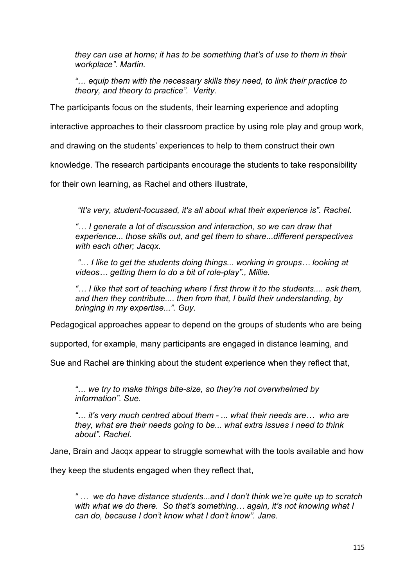*they can use at home; it has to be something that's of use to them in their workplace". Martin.* 

*"… equip them with the necessary skills they need, to link their practice to theory, and theory to practice". Verity.* 

The participants focus on the students, their learning experience and adopting

interactive approaches to their classroom practice by using role play and group work,

and drawing on the students' experiences to help to them construct their own

knowledge. The research participants encourage the students to take responsibility

for their own learning, as Rachel and others illustrate,

*"It's very, student-focussed, it's all about what their experience is". Rachel.* 

*"… I generate a lot of discussion and interaction, so we can draw that experience... those skills out, and get them to share...different perspectives with each other; Jacqx.*

*"… I like to get the students doing things... working in groups… looking at videos… getting them to do a bit of role-play"., Millie.*

*"… I like that sort of teaching where I first throw it to the students.... ask them, and then they contribute.... then from that, I build their understanding, by bringing in my expertise...". Guy.* 

Pedagogical approaches appear to depend on the groups of students who are being

supported, for example, many participants are engaged in distance learning, and

Sue and Rachel are thinking about the student experience when they reflect that,

*"… we try to make things bite-size, so they're not overwhelmed by information". Sue.* 

*"… it's very much centred about them - ... what their needs are… who are they, what are their needs going to be... what extra issues I need to think about". Rachel.* 

Jane, Brain and Jacqx appear to struggle somewhat with the tools available and how

they keep the students engaged when they reflect that,

*" … we do have distance students...and I don't think we're quite up to scratch with what we do there. So that's something… again, it's not knowing what I can do, because I don't know what I don't know". Jane.*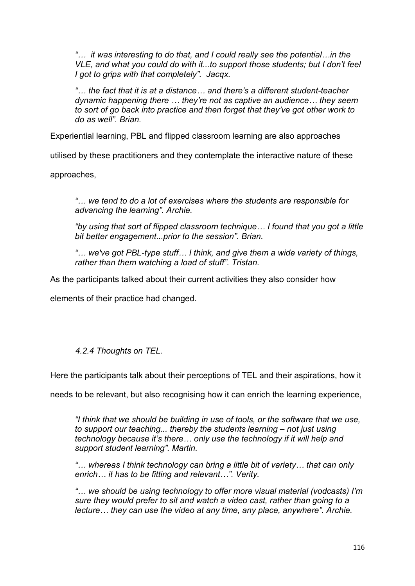*"… it was interesting to do that, and I could really see the potential…in the VLE, and what you could do with it...to support those students; but I don't feel I got to grips with that completely". Jacqx.*

*"… the fact that it is at a distance… and there's a different student-teacher dynamic happening there … they're not as captive an audience… they seem to sort of go back into practice and then forget that they've got other work to do as well". Brian.*

Experiential learning, PBL and flipped classroom learning are also approaches

utilised by these practitioners and they contemplate the interactive nature of these

approaches,

*"… we tend to do a lot of exercises where the students are responsible for advancing the learning". Archie.* 

*"by using that sort of flipped classroom technique… I found that you got a little bit better engagement...prior to the session". Brian.* 

*"… we've got PBL-type stuff… I think, and give them a wide variety of things, rather than them watching a load of stuff". Tristan.*

As the participants talked about their current activities they also consider how

elements of their practice had changed.

## *4.2.4 Thoughts on TEL.*

Here the participants talk about their perceptions of TEL and their aspirations, how it

needs to be relevant, but also recognising how it can enrich the learning experience,

*"I think that we should be building in use of tools, or the software that we use, to support our teaching... thereby the students learning – not just using technology because it's there… only use the technology if it will help and support student learning". Martin.*

*"… whereas I think technology can bring a little bit of variety… that can only enrich… it has to be fitting and relevant…". Verity.* 

*"… we should be using technology to offer more visual material (vodcasts) I'm sure they would prefer to sit and watch a video cast, rather than going to a lecture… they can use the video at any time, any place, anywhere". Archie.*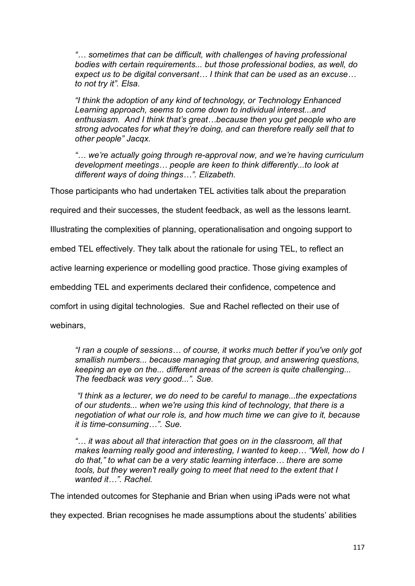*"… sometimes that can be difficult, with challenges of having professional bodies with certain requirements... but those professional bodies, as well, do expect us to be digital conversant… I think that can be used as an excuse… to not try it". Elsa.*

*"I think the adoption of any kind of technology, or Technology Enhanced Learning approach, seems to come down to individual interest...and enthusiasm. And I think that's great…because then you get people who are strong advocates for what they're doing, and can therefore really sell that to other people" Jacqx.*

*"… we're actually going through re-approval now, and we're having curriculum development meetings… people are keen to think differently...to look at different ways of doing things…". Elizabeth.* 

Those participants who had undertaken TEL activities talk about the preparation

required and their successes, the student feedback, as well as the lessons learnt.

Illustrating the complexities of planning, operationalisation and ongoing support to

embed TEL effectively. They talk about the rationale for using TEL, to reflect an

active learning experience or modelling good practice. Those giving examples of

embedding TEL and experiments declared their confidence, competence and

comfort in using digital technologies. Sue and Rachel reflected on their use of

webinars,

*"I ran a couple of sessions… of course, it works much better if you've only got smallish numbers... because managing that group, and answering questions, keeping an eye on the... different areas of the screen is quite challenging... The feedback was very good...". Sue.*

*"I think as a lecturer, we do need to be careful to manage...the expectations of our students... when we're using this kind of technology, that there is a negotiation of what our role is, and how much time we can give to it, because it is time-consuming…". Sue.*

*"… it was about all that interaction that goes on in the classroom, all that makes learning really good and interesting, I wanted to keep… "Well, how do I do that," to what can be a very static learning interface… there are some tools, but they weren't really going to meet that need to the extent that I wanted it…". Rachel.* 

The intended outcomes for Stephanie and Brian when using iPads were not what

they expected. Brian recognises he made assumptions about the students' abilities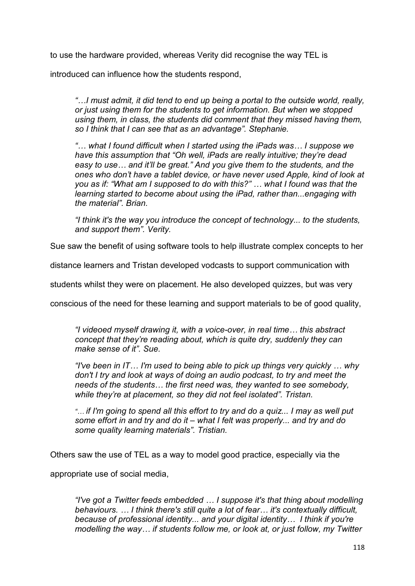to use the hardware provided, whereas Verity did recognise the way TEL is

introduced can influence how the students respond,

*"…I must admit, it did tend to end up being a portal to the outside world, really, or just using them for the students to get information. But when we stopped using them, in class, the students did comment that they missed having them, so I think that I can see that as an advantage". Stephanie.*

*"… what I found difficult when I started using the iPads was… I suppose we have this assumption that "Oh well, iPads are really intuitive; they're dead easy to use… and it'll be great." And you give them to the students, and the ones who don't have a tablet device, or have never used Apple, kind of look at you as if: "What am I supposed to do with this?" … what I found was that the learning started to become about using the iPad, rather than...engaging with the material". Brian.*

*"I think it's the way you introduce the concept of technology... to the students, and support them". Verity.*

Sue saw the benefit of using software tools to help illustrate complex concepts to her

distance learners and Tristan developed vodcasts to support communication with

students whilst they were on placement. He also developed quizzes, but was very

conscious of the need for these learning and support materials to be of good quality,

*"I videoed myself drawing it, with a voice-over, in real time… this abstract concept that they're reading about, which is quite dry, suddenly they can make sense of it". Sue.*

*"I've been in IT… I'm used to being able to pick up things very quickly … why don't I try and look at ways of doing an audio podcast, to try and meet the needs of the students… the first need was, they wanted to see somebody, while they're at placement, so they did not feel isolated". Tristan.*

*"… if I'm going to spend all this effort to try and do a quiz... I may as well put some effort in and try and do it – what I felt was properly... and try and do some quality learning materials". Tristian.*

Others saw the use of TEL as a way to model good practice, especially via the

appropriate use of social media,

*"I've got a Twitter feeds embedded … I suppose it's that thing about modelling behaviours. … I think there's still quite a lot of fear… it's contextually difficult, because of professional identity... and your digital identity… I think if you're modelling the way… if students follow me, or look at, or just follow, my Twitter*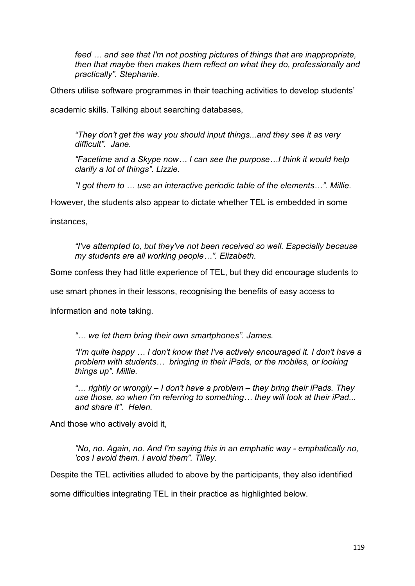*feed … and see that I'm not posting pictures of things that are inappropriate, then that maybe then makes them reflect on what they do, professionally and practically". Stephanie.*

Others utilise software programmes in their teaching activities to develop students'

academic skills. Talking about searching databases,

*"They don't get the way you should input things...and they see it as very difficult". Jane.*

*"Facetime and a Skype now… I can see the purpose…I think it would help clarify a lot of things". Lizzie.*

*"I got them to … use an interactive periodic table of the elements…". Millie.*

However, the students also appear to dictate whether TEL is embedded in some

instances,

*"I've attempted to, but they've not been received so well. Especially because my students are all working people…". Elizabeth.*

Some confess they had little experience of TEL, but they did encourage students to

use smart phones in their lessons, recognising the benefits of easy access to

information and note taking.

*"… we let them bring their own smartphones". James.*

*"I'm quite happy … I don't know that I've actively encouraged it. I don't have a problem with students… bringing in their iPads, or the mobiles, or looking things up". Millie.*

*"… rightly or wrongly – I don't have a problem – they bring their iPads. They use those, so when I'm referring to something… they will look at their iPad... and share it". Helen.*

And those who actively avoid it,

*"No, no. Again, no. And I'm saying this in an emphatic way - emphatically no, 'cos I avoid them. I avoid them". Tilley.* 

Despite the TEL activities alluded to above by the participants, they also identified

some difficulties integrating TEL in their practice as highlighted below.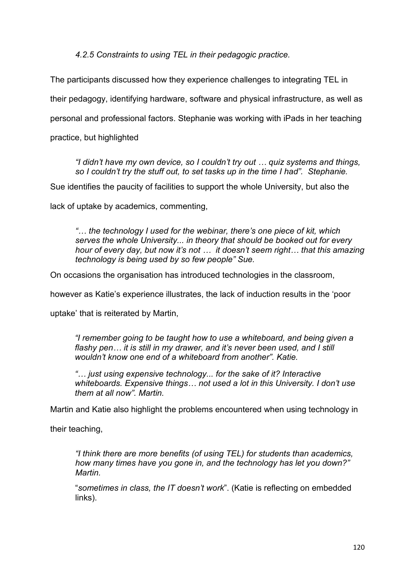*4.2.5 Constraints to using TEL in their pedagogic practice.* 

The participants discussed how they experience challenges to integrating TEL in

their pedagogy, identifying hardware, software and physical infrastructure, as well as

personal and professional factors. Stephanie was working with iPads in her teaching

practice, but highlighted

*"I didn't have my own device, so I couldn't try out … quiz systems and things, so I couldn't try the stuff out, to set tasks up in the time I had". Stephanie.* 

Sue identifies the paucity of facilities to support the whole University, but also the

lack of uptake by academics, commenting,

*"… the technology I used for the webinar, there's one piece of kit, which serves the whole University... in theory that should be booked out for every hour of every day, but now it's not … it doesn't seem right… that this amazing technology is being used by so few people" Sue.* 

On occasions the organisation has introduced technologies in the classroom,

however as Katie's experience illustrates, the lack of induction results in the 'poor

uptake' that is reiterated by Martin,

*"I remember going to be taught how to use a whiteboard, and being given a flashy pen… it is still in my drawer, and it's never been used, and I still wouldn't know one end of a whiteboard from another". Katie.* 

*"… just using expensive technology... for the sake of it? Interactive whiteboards. Expensive things… not used a lot in this University. I don't use them at all now". Martin.*

Martin and Katie also highlight the problems encountered when using technology in

their teaching,

*"I think there are more benefits (of using TEL) for students than academics, how many times have you gone in, and the technology has let you down?" Martin.*

"*sometimes in class, the IT doesn't work*". (Katie is reflecting on embedded links).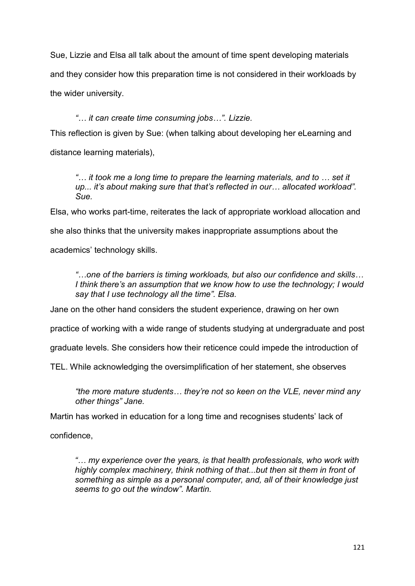Sue, Lizzie and Elsa all talk about the amount of time spent developing materials and they consider how this preparation time is not considered in their workloads by the wider university.

# *"… it can create time consuming jobs…". Lizzie.*

This reflection is given by Sue: (when talking about developing her eLearning and distance learning materials),

*"… it took me a long time to prepare the learning materials, and to … set it up... it's about making sure that that's reflected in our… allocated workload". Sue.* 

Elsa, who works part-time, reiterates the lack of appropriate workload allocation and she also thinks that the university makes inappropriate assumptions about the academics' technology skills.

*"…one of the barriers is timing workloads, but also our confidence and skills… I think there's an assumption that we know how to use the technology; I would say that I use technology all the time". Elsa.* 

Jane on the other hand considers the student experience, drawing on her own

practice of working with a wide range of students studying at undergraduate and post

graduate levels. She considers how their reticence could impede the introduction of

TEL. While acknowledging the oversimplification of her statement, she observes

*"the more mature students… they're not so keen on the VLE, never mind any other things" Jane.*

Martin has worked in education for a long time and recognises students' lack of

confidence,

*"… my experience over the years, is that health professionals, who work with highly complex machinery, think nothing of that...but then sit them in front of something as simple as a personal computer, and, all of their knowledge just seems to go out the window". Martin.*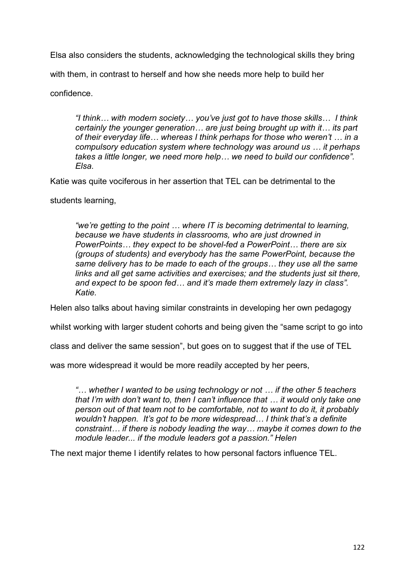Elsa also considers the students, acknowledging the technological skills they bring

with them, in contrast to herself and how she needs more help to build her

confidence.

*"I think… with modern society… you've just got to have those skills… I think certainly the younger generation… are just being brought up with it… its part of their everyday life… whereas I think perhaps for those who weren't … in a compulsory education system where technology was around us … it perhaps takes a little longer, we need more help… we need to build our confidence". Elsa.* 

Katie was quite vociferous in her assertion that TEL can be detrimental to the

students learning,

*"we're getting to the point … where IT is becoming detrimental to learning, because we have students in classrooms, who are just drowned in PowerPoints… they expect to be shovel-fed a PowerPoint… there are six (groups of students) and everybody has the same PowerPoint, because the same delivery has to be made to each of the groups… they use all the same links and all get same activities and exercises; and the students just sit there, and expect to be spoon fed… and it's made them extremely lazy in class". Katie.* 

Helen also talks about having similar constraints in developing her own pedagogy

whilst working with larger student cohorts and being given the "same script to go into

class and deliver the same session", but goes on to suggest that if the use of TEL

was more widespread it would be more readily accepted by her peers,

*"… whether I wanted to be using technology or not … if the other 5 teachers that I'm with don't want to, then I can't influence that … it would only take one person out of that team not to be comfortable, not to want to do it, it probably wouldn't happen. It's got to be more widespread… I think that's a definite constraint… if there is nobody leading the way… maybe it comes down to the module leader... if the module leaders got a passion." Helen*

The next major theme I identify relates to how personal factors influence TEL.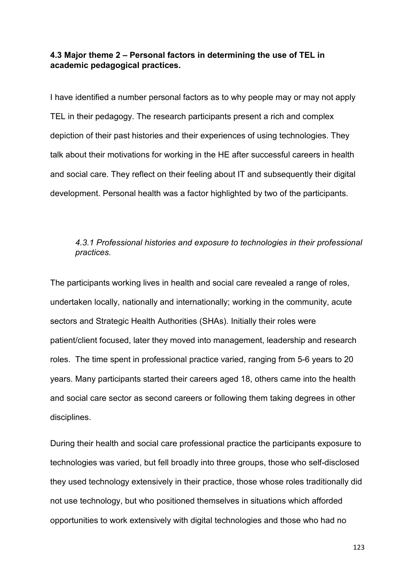## **4.3 Major theme 2 – Personal factors in determining the use of TEL in academic pedagogical practices.**

I have identified a number personal factors as to why people may or may not apply TEL in their pedagogy. The research participants present a rich and complex depiction of their past histories and their experiences of using technologies. They talk about their motivations for working in the HE after successful careers in health and social care. They reflect on their feeling about IT and subsequently their digital development. Personal health was a factor highlighted by two of the participants.

### *4.3.1 Professional histories and exposure to technologies in their professional practices.*

The participants working lives in health and social care revealed a range of roles, undertaken locally, nationally and internationally; working in the community, acute sectors and Strategic Health Authorities (SHAs). Initially their roles were patient/client focused, later they moved into management, leadership and research roles. The time spent in professional practice varied, ranging from 5-6 years to 20 years. Many participants started their careers aged 18, others came into the health and social care sector as second careers or following them taking degrees in other disciplines.

During their health and social care professional practice the participants exposure to technologies was varied, but fell broadly into three groups, those who self-disclosed they used technology extensively in their practice, those whose roles traditionally did not use technology, but who positioned themselves in situations which afforded opportunities to work extensively with digital technologies and those who had no

123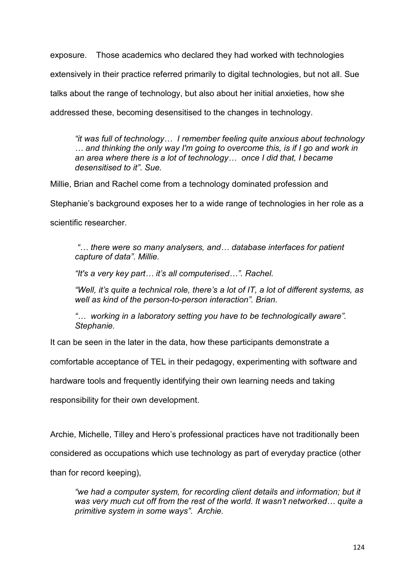exposure. Those academics who declared they had worked with technologies extensively in their practice referred primarily to digital technologies, but not all. Sue talks about the range of technology, but also about her initial anxieties, how she addressed these, becoming desensitised to the changes in technology.

*"it was full of technology… I remember feeling quite anxious about technology … and thinking the only way I'm going to overcome this, is if I go and work in an area where there is a lot of technology… once I did that, I became desensitised to it"*. *Sue.*

Millie, Brian and Rachel come from a technology dominated profession and

Stephanie's background exposes her to a wide range of technologies in her role as a

scientific researcher.

*"… there were so many analysers, and… database interfaces for patient capture of data". Millie.*

*"It's a very key part… it's all computerised…". Rachel.*

*"Well, it's quite a technical role, there's a lot of IT, a lot of different systems, as well as kind of the person-to-person interaction". Brian.*

*"… working in a laboratory setting you have to be technologically aware". Stephanie.*

It can be seen in the later in the data, how these participants demonstrate a

comfortable acceptance of TEL in their pedagogy, experimenting with software and

hardware tools and frequently identifying their own learning needs and taking

responsibility for their own development.

Archie, Michelle, Tilley and Hero's professional practices have not traditionally been

considered as occupations which use technology as part of everyday practice (other

than for record keeping),

*"we had a computer system, for recording client details and information; but it was very much cut off from the rest of the world. It wasn't networked… quite a primitive system in some ways". Archie.*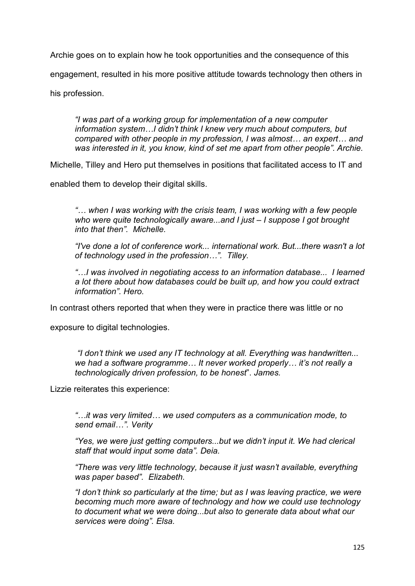Archie goes on to explain how he took opportunities and the consequence of this

engagement, resulted in his more positive attitude towards technology then others in

his profession.

*"I was part of a working group for implementation of a new computer information system…I didn't think I knew very much about computers, but compared with other people in my profession, I was almost… an expert… and was interested in it, you know, kind of set me apart from other people". Archie.*

Michelle, Tilley and Hero put themselves in positions that facilitated access to IT and

enabled them to develop their digital skills.

*"… when I was working with the crisis team, I was working with a few people who were quite technologically aware...and I just – I suppose I got brought into that then". Michelle.*

*"I've done a lot of conference work... international work. But...there wasn't a lot of technology used in the profession…". Tilley.*

*"…I was involved in negotiating access to an information database... I learned a lot there about how databases could be built up, and how you could extract information". Hero.* 

In contrast others reported that when they were in practice there was little or no

exposure to digital technologies.

*"I don't think we used any IT technology at all. Everything was handwritten... we had a software programme… It never worked properly… it's not really a technologically driven profession, to be honest*". *James.*

Lizzie reiterates this experience:

*"…it was very limited… we used computers as a communication mode, to send email…". Verity* 

*"Yes, we were just getting computers...but we didn't input it. We had clerical staff that would input some data". Deia.*

*"There was very little technology, because it just wasn't available, everything was paper based". Elizabeth.*

*"I don't think so particularly at the time; but as I was leaving practice, we were becoming much more aware of technology and how we could use technology to document what we were doing...but also to generate data about what our services were doing". Elsa.*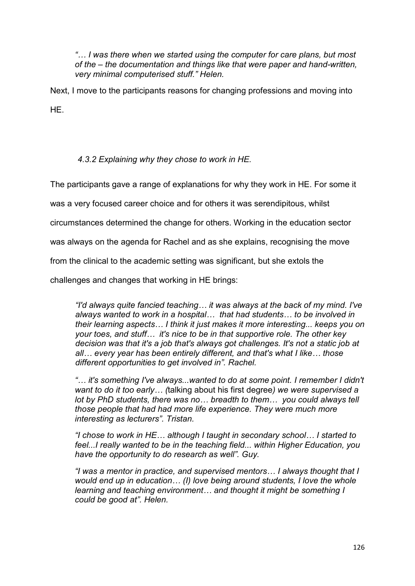*"… I was there when we started using the computer for care plans, but most of the – the documentation and things like that were paper and hand-written, very minimal computerised stuff." Helen.* 

Next. I move to the participants reasons for changing professions and moving into HE.

## *4.3.2 Explaining why they chose to work in HE.*

The participants gave a range of explanations for why they work in HE. For some it

was a very focused career choice and for others it was serendipitous, whilst

circumstances determined the change for others. Working in the education sector

was always on the agenda for Rachel and as she explains, recognising the move

from the clinical to the academic setting was significant, but she extols the

challenges and changes that working in HE brings:

*"I'd always quite fancied teaching… it was always at the back of my mind. I've always wanted to work in a hospital… that had students… to be involved in their learning aspects… I think it just makes it more interesting... keeps you on your toes, and stuff… it's nice to be in that supportive role. The other key decision was that it's a job that's always got challenges. It's not a static job at all… every year has been entirely different, and that's what I like… those different opportunities to get involved in". Rachel.*

*"… it's something I've always...wanted to do at some point. I remember I didn't want to do it too early… (*talking about his first degree*) we were supervised a lot by PhD students, there was no… breadth to them… you could always tell those people that had had more life experience. They were much more interesting as lecturers". Tristan.*

*"I chose to work in HE… although I taught in secondary school… I started to feel...I really wanted to be in the teaching field... within Higher Education, you have the opportunity to do research as well". Guy.*

*"I was a mentor in practice, and supervised mentors… I always thought that I would end up in education… (I) love being around students, I love the whole learning and teaching environment… and thought it might be something I could be good at". Helen.*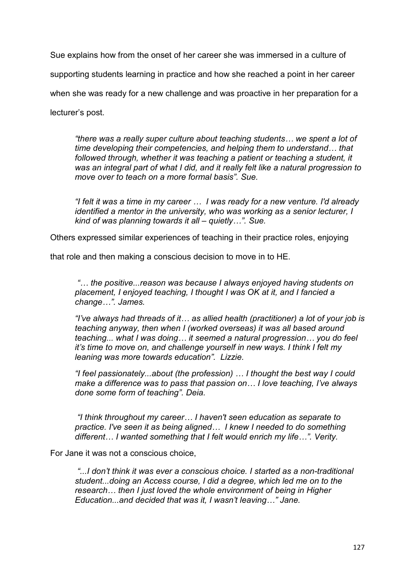Sue explains how from the onset of her career she was immersed in a culture of

supporting students learning in practice and how she reached a point in her career

when she was ready for a new challenge and was proactive in her preparation for a

lecturer's post.

*"there was a really super culture about teaching students… we spent a lot of time developing their competencies, and helping them to understand… that*  followed through, whether it was teaching a patient or teaching a student, it *was an integral part of what I did, and it really felt like a natural progression to move over to teach on a more formal basis". Sue.* 

*"I felt it was a time in my career … I was ready for a new venture. I'd already identified a mentor in the university, who was working as a senior lecturer, I kind of was planning towards it all – quietly…". Sue.* 

Others expressed similar experiences of teaching in their practice roles, enjoying

that role and then making a conscious decision to move in to HE.

*"… the positive...reason was because I always enjoyed having students on placement, I enjoyed teaching, I thought I was OK at it, and I fancied a change…". James.* 

*"I've always had threads of it… as allied health (practitioner) a lot of your job is teaching anyway, then when I (worked overseas) it was all based around teaching... what I was doing… it seemed a natural progression… you do feel it's time to move on, and challenge yourself in new ways. I think I felt my leaning was more towards education". Lizzie.*

*"I feel passionately...about (the profession) … I thought the best way I could make a difference was to pass that passion on… I love teaching, I've always done some form of teaching". Deia.*

*"I think throughout my career… I haven't seen education as separate to practice. I've seen it as being aligned… I knew I needed to do something different… I wanted something that I felt would enrich my life…". Verity.*

For Jane it was not a conscious choice,

*"...I don't think it was ever a conscious choice. I started as a non-traditional student...doing an Access course, I did a degree, which led me on to the research… then I just loved the whole environment of being in Higher Education...and decided that was it, I wasn't leaving…" Jane.*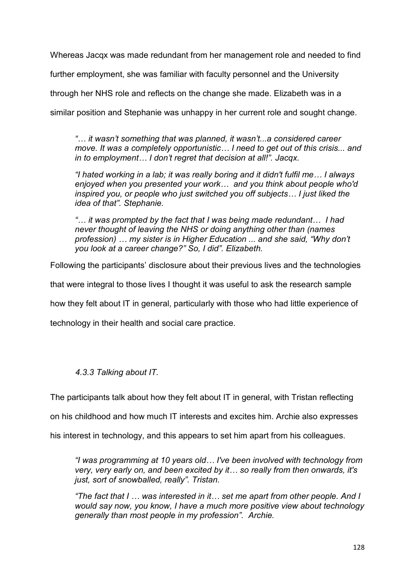Whereas Jacqx was made redundant from her management role and needed to find

further employment, she was familiar with faculty personnel and the University

through her NHS role and reflects on the change she made. Elizabeth was in a

similar position and Stephanie was unhappy in her current role and sought change.

*"… it wasn't something that was planned, it wasn't...a considered career move. It was a completely opportunistic… I need to get out of this crisis... and in to employment… I don't regret that decision at all!". Jacqx.* 

*"I hated working in a lab; it was really boring and it didn't fulfil me… I always enjoyed when you presented your work… and you think about people who'd inspired you, or people who just switched you off subjects… I just liked the idea of that". Stephanie.*

*"… it was prompted by the fact that I was being made redundant… I had never thought of leaving the NHS or doing anything other than (names profession) … my sister is in Higher Education ... and she said, "Why don't you look at a career change?" So, I did". Elizabeth.*

Following the participants' disclosure about their previous lives and the technologies

that were integral to those lives I thought it was useful to ask the research sample

how they felt about IT in general, particularly with those who had little experience of

technology in their health and social care practice.

# *4.3.3 Talking about IT.*

The participants talk about how they felt about IT in general, with Tristan reflecting

on his childhood and how much IT interests and excites him. Archie also expresses

his interest in technology, and this appears to set him apart from his colleagues.

*"I was programming at 10 years old… I've been involved with technology from very, very early on, and been excited by it… so really from then onwards, it's just, sort of snowballed, really". Tristan.*

*"The fact that I … was interested in it… set me apart from other people. And I would say now, you know, I have a much more positive view about technology generally than most people in my profession". Archie.*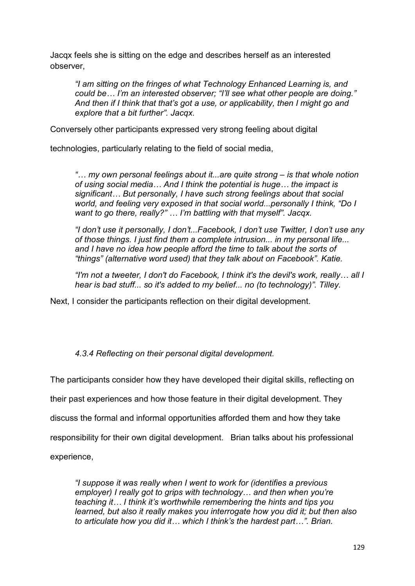Jacqx feels she is sitting on the edge and describes herself as an interested observer,

*"I am sitting on the fringes of what Technology Enhanced Learning is, and could be… I'm an interested observer; "I'll see what other people are doing." And then if I think that that's got a use, or applicability, then I might go and explore that a bit further". Jacqx.* 

Conversely other participants expressed very strong feeling about digital

technologies, particularly relating to the field of social media,

*"… my own personal feelings about it...are quite strong – is that whole notion of using social media… And I think the potential is huge… the impact is significant… But personally, I have such strong feelings about that social world, and feeling very exposed in that social world...personally I think, "Do I want to go there, really?" … I'm battling with that myself". Jacqx.*

*"I don't use it personally, I don't...Facebook, I don't use Twitter, I don't use any of those things. I just find them a complete intrusion... in my personal life... and I have no idea how people afford the time to talk about the sorts of "things" (alternative word used) that they talk about on Facebook". Katie.*

*"I'm not a tweeter, I don't do Facebook, I think it's the devil's work, really… all I hear is bad stuff... so it's added to my belief... no (to technology)". Tilley.*

Next, I consider the participants reflection on their digital development.

## *4.3.4 Reflecting on their personal digital development.*

The participants consider how they have developed their digital skills, reflecting on

their past experiences and how those feature in their digital development. They

discuss the formal and informal opportunities afforded them and how they take

responsibility for their own digital development. Brian talks about his professional

experience,

*"I suppose it was really when I went to work for (identifies a previous employer) I really got to grips with technology… and then when you're teaching it… I think it's worthwhile remembering the hints and tips you learned, but also it really makes you interrogate how you did it; but then also to articulate how you did it… which I think's the hardest part…". Brian.*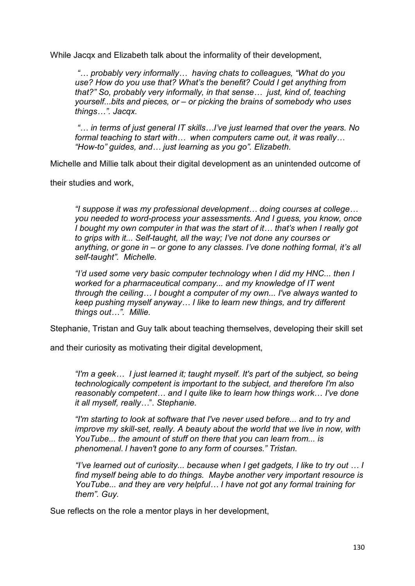While Jacqx and Elizabeth talk about the informality of their development,

*"… probably very informally… having chats to colleagues, "What do you use? How do you use that? What's the benefit? Could I get anything from that?" So, probably very informally, in that sense… just, kind of, teaching yourself...bits and pieces, or – or picking the brains of somebody who uses things…". Jacqx.*

*"… in terms of just general IT skills…I've just learned that over the years. No formal teaching to start with… when computers came out, it was really… "How-to" guides, and… just learning as you go". Elizabeth.*

Michelle and Millie talk about their digital development as an unintended outcome of

their studies and work,

*"I suppose it was my professional development… doing courses at college… you needed to word-process your assessments. And I guess, you know, once I bought my own computer in that was the start of it… that's when I really got to grips with it... Self-taught, all the way; I've not done any courses or anything, or gone in – or gone to any classes. I've done nothing formal, it's all self-taught". Michelle.*

*"I'd used some very basic computer technology when I did my HNC... then I worked for a pharmaceutical company... and my knowledge of IT went through the ceiling… I bought a computer of my own... I've always wanted to keep pushing myself anyway… I like to learn new things, and try different things out…". Millie.* 

Stephanie, Tristan and Guy talk about teaching themselves, developing their skill set

and their curiosity as motivating their digital development.

*"I'm a geek… I just learned it; taught myself. It's part of the subject, so being technologically competent is important to the subject, and therefore I'm also reasonably competent… and I quite like to learn how things work*… *I've done it all myself, really…*". *Stephanie.*

*"I'm starting to look at software that I've never used before... and to try and improve my skill-set, really. A beauty about the world that we live in now, with YouTube... the amount of stuff on there that you can learn from... is phenomenal*. *I haven't gone to any form of courses*.*" Tristan.*

*"I've learned out of curiosity... because when I get gadgets, I like to try out … I find myself being able to do things. Maybe another very important resource is YouTube... and they are very helpful… I have not got any formal training for them". Guy.*

Sue reflects on the role a mentor plays in her development,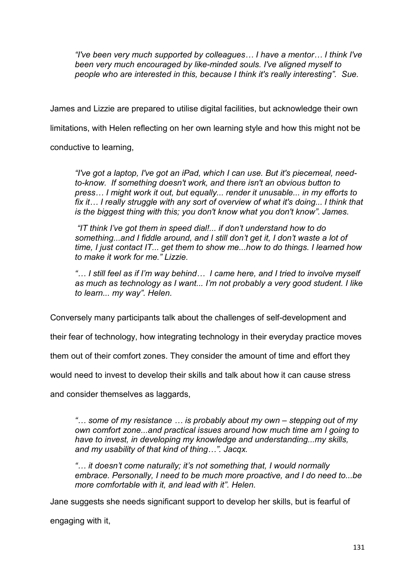*"I've been very much supported by colleagues… I have a mentor… I think I've been very much encouraged by like-minded souls. I've aligned myself to people who are interested in this, because I think it's really interesting". Sue.*

James and Lizzie are prepared to utilise digital facilities, but acknowledge their own

limitations, with Helen reflecting on her own learning style and how this might not be

conductive to learning,

*"I've got a laptop, I've got an iPad, which I can use. But it's piecemeal, needto-know. If something doesn't work, and there isn't an obvious button to press… I might work it out, but equally... render it unusable... in my efforts to fix it… I really struggle with any sort of overview of what it's doing... I think that is the biggest thing with this; you don't know what you don't know". James.*

*"IT think I've got them in speed dial!... if don't understand how to do something...and I fiddle around, and I still don't get it, I don't waste a lot of time, I just contact IT... get them to show me...how to do things. I learned how to make it work for me." Lizzie.*

*"… I still feel as if I'm way behind… I came here, and I tried to involve myself as much as technology as I want... I'm not probably a very good student. I like to learn... my way". Helen.*

Conversely many participants talk about the challenges of self-development and

their fear of technology, how integrating technology in their everyday practice moves

them out of their comfort zones. They consider the amount of time and effort they

would need to invest to develop their skills and talk about how it can cause stress

and consider themselves as laggards,

*"… some of my resistance … is probably about my own – stepping out of my own comfort zone...and practical issues around how much time am I going to have to invest, in developing my knowledge and understanding...my skills, and my usability of that kind of thing…". Jacqx.*

*"… it doesn't come naturally; it's not something that, I would normally embrace. Personally, I need to be much more proactive, and I do need to...be more comfortable with it, and lead with it". Helen.*

Jane suggests she needs significant support to develop her skills, but is fearful of

engaging with it,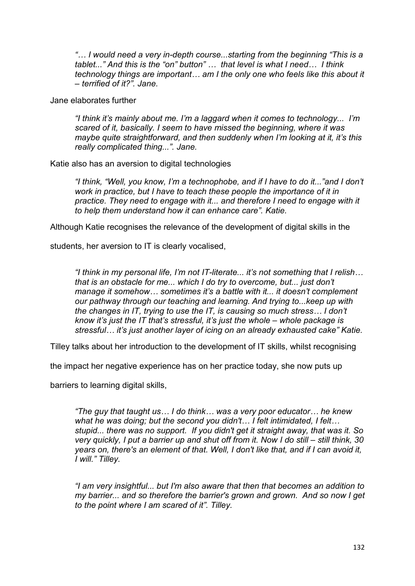*"… I would need a very in-depth course...starting from the beginning "This is a tablet..." And this is the "on" button" … that level is what I need… I think technology things are important… am I the only one who feels like this about it – terrified of it?". Jane.* 

Jane elaborates further

*"I think it's mainly about me. I'm a laggard when it comes to technology... I'm scared of it, basically. I seem to have missed the beginning, where it was maybe quite straightforward, and then suddenly when I'm looking at it, it's this really complicated thing...". Jane.*

Katie also has an aversion to digital technologies

*"I think, "Well, you know, I'm a technophobe, and if I have to do it..."and I don't work in practice, but I have to teach these people the importance of it in*  practice. They need to engage with it... and therefore I need to engage with it *to help them understand how it can enhance care". Katie.* 

Although Katie recognises the relevance of the development of digital skills in the

students, her aversion to IT is clearly vocalised,

*"I think in my personal life, I'm not IT-literate... it's not something that I relish… that is an obstacle for me... which I do try to overcome, but... just don't manage it somehow… sometimes it's a battle with it... it doesn't complement our pathway through our teaching and learning. And trying to...keep up with the changes in IT, trying to use the IT, is causing so much stress… I don't know it's just the IT that's stressful, it's just the whole – whole package is stressful… it's just another layer of icing on an already exhausted cake" Katie.*

Tilley talks about her introduction to the development of IT skills, whilst recognising

the impact her negative experience has on her practice today, she now puts up

barriers to learning digital skills,

*"The guy that taught us… I do think… was a very poor educator… he knew what he was doing; but the second you didn't… I felt intimidated, I felt… stupid... there was no support. If you didn't get it straight away, that was it. So very quickly, I put a barrier up and shut off from it. Now I do still – still think, 30 years on, there's an element of that. Well, I don't like that, and if I can avoid it, I will." Tilley.* 

*"I am very insightful... but I'm also aware that then that becomes an addition to my barrier... and so therefore the barrier's grown and grown. And so now I get to the point where I am scared of it". Tilley.*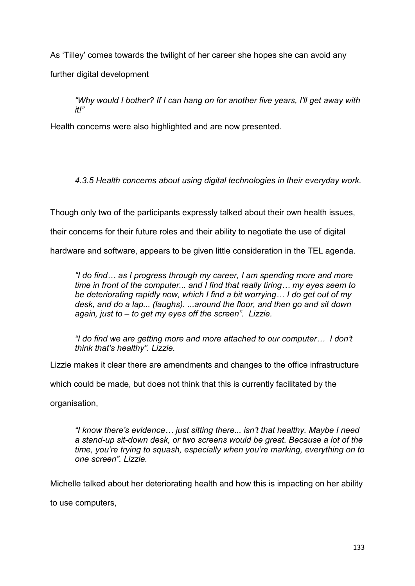As 'Tilley' comes towards the twilight of her career she hopes she can avoid any further digital development

*"Why would I bother? If I can hang on for another five years, I'll get away with it!"* 

Health concerns were also highlighted and are now presented.

*4.3.5 Health concerns about using digital technologies in their everyday work.*

Though only two of the participants expressly talked about their own health issues,

their concerns for their future roles and their ability to negotiate the use of digital

hardware and software, appears to be given little consideration in the TEL agenda.

*"I do find… as I progress through my career, I am spending more and more time in front of the computer... and I find that really tiring… my eyes seem to be deteriorating rapidly now, which I find a bit worrying… I do get out of my desk, and do a lap... (laughs). ...around the floor, and then go and sit down again, just to – to get my eyes off the screen". Lizzie.*

*"I do find we are getting more and more attached to our computer… I don't think that's healthy". Lizzie.*

Lizzie makes it clear there are amendments and changes to the office infrastructure

which could be made, but does not think that this is currently facilitated by the

organisation,

*"I know there's evidence… just sitting there... isn't that healthy. Maybe I need a stand-up sit-down desk, or two screens would be great. Because a lot of the time, you're trying to squash, especially when you're marking, everything on to one screen". Lizzie.*

Michelle talked about her deteriorating health and how this is impacting on her ability

to use computers,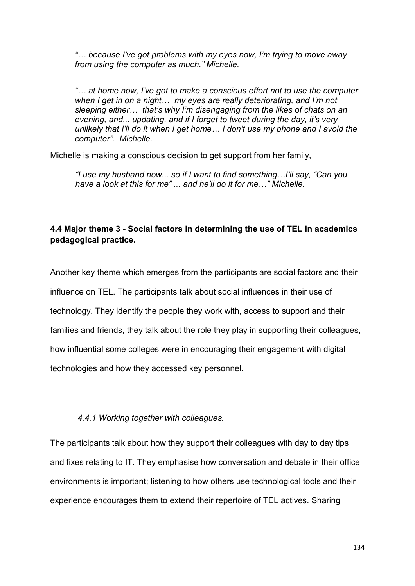*"… because I've got problems with my eyes now, I'm trying to move away from using the computer as much." Michelle.*

*"… at home now, I've got to make a conscious effort not to use the computer when I get in on a night… my eyes are really deteriorating, and I'm not sleeping either… that's why I'm disengaging from the likes of chats on an evening, and... updating, and if I forget to tweet during the day, it's very unlikely that I'll do it when I get home… I don't use my phone and I avoid the computer". Michelle.* 

Michelle is making a conscious decision to get support from her family,

*"I use my husband now... so if I want to find something…I'll say, "Can you have a look at this for me" ... and he'll do it for me…" Michelle.*

## **4.4 Major theme 3 - Social factors in determining the use of TEL in academics pedagogical practice.**

Another key theme which emerges from the participants are social factors and their influence on TEL. The participants talk about social influences in their use of technology. They identify the people they work with, access to support and their families and friends, they talk about the role they play in supporting their colleagues, how influential some colleges were in encouraging their engagement with digital technologies and how they accessed key personnel.

#### *4.4.1 Working together with colleagues.*

The participants talk about how they support their colleagues with day to day tips and fixes relating to IT. They emphasise how conversation and debate in their office environments is important; listening to how others use technological tools and their experience encourages them to extend their repertoire of TEL actives. Sharing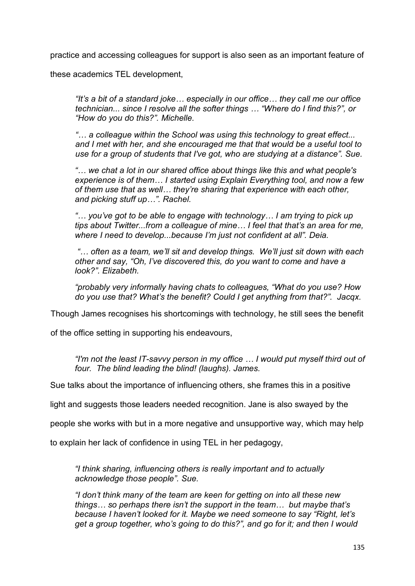practice and accessing colleagues for support is also seen as an important feature of

these academics TEL development,

*"It's a bit of a standard joke… especially in our office… they call me our office technician... since I resolve all the softer things … "Where do I find this?", or "How do you do this?". Michelle.*

*"… a colleague within the School was using this technology to great effect... and I met with her, and she encouraged me that that would be a useful tool to use for a group of students that I've got, who are studying at a distance". Sue.*

*"… we chat a lot in our shared office about things like this and what people's experience is of them… I started using Explain Everything tool, and now a few of them use that as well… they're sharing that experience with each other, and picking stuff up…". Rachel.*

*"… you've got to be able to engage with technology… I am trying to pick up tips about Twitter...from a colleague of mine… I feel that that's an area for me, where I need to develop...because I'm just not confident at all". Deia.* 

*"… often as a team, we'll sit and develop things. We'll just sit down with each other and say, "Oh, I've discovered this, do you want to come and have a look?". Elizabeth.*

*"probably very informally having chats to colleagues, "What do you use? How do you use that? What's the benefit? Could I get anything from that?". Jacqx.*

Though James recognises his shortcomings with technology, he still sees the benefit

of the office setting in supporting his endeavours,

*"I'm not the least IT-savvy person in my office … I would put myself third out of four. The blind leading the blind! (laughs). James.*

Sue talks about the importance of influencing others, she frames this in a positive

light and suggests those leaders needed recognition. Jane is also swayed by the

people she works with but in a more negative and unsupportive way, which may help

to explain her lack of confidence in using TEL in her pedagogy,

*"I think sharing, influencing others is really important and to actually acknowledge those people". Sue.*

*"I don't think many of the team are keen for getting on into all these new things… so perhaps there isn't the support in the team… but maybe that's because I haven't looked for it. Maybe we need someone to say "Right, let's get a group together, who's going to do this?", and go for it; and then I would*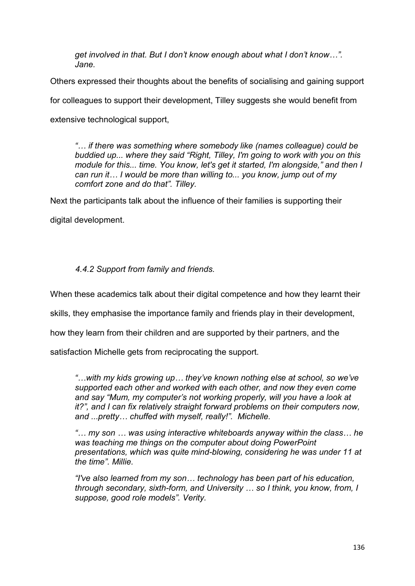*get involved in that. But I don't know enough about what I don't know…". Jane.*

Others expressed their thoughts about the benefits of socialising and gaining support

for colleagues to support their development, Tilley suggests she would benefit from

extensive technological support,

*"… if there was something where somebody like (names colleague) could be buddied up... where they said "Right, Tilley, I'm going to work with you on this module for this... time. You know, let's get it started, I'm alongside," and then I can run it… I would be more than willing to... you know, jump out of my comfort zone and do that". Tilley.* 

Next the participants talk about the influence of their families is supporting their

digital development.

## *4.4.2 Support from family and friends.*

When these academics talk about their digital competence and how they learnt their

skills, they emphasise the importance family and friends play in their development,

how they learn from their children and are supported by their partners, and the

satisfaction Michelle gets from reciprocating the support.

*"…with my kids growing up… they've known nothing else at school, so we've supported each other and worked with each other, and now they even come and say "Mum, my computer's not working properly, will you have a look at it?", and I can fix relatively straight forward problems on their computers now, and ...pretty… chuffed with myself, really!". Michelle.*

*"… my son … was using interactive whiteboards anyway within the class… he was teaching me things on the computer about doing PowerPoint presentations, which was quite mind-blowing, considering he was under 11 at the time". Millie.*

*"I've also learned from my son… technology has been part of his education, through secondary, sixth-form, and University … so I think, you know, from, I suppose, good role models". Verity.*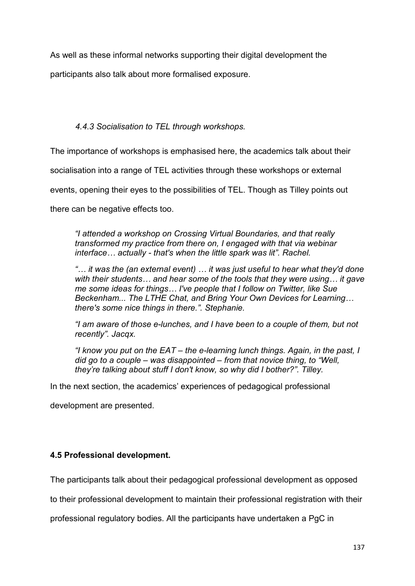As well as these informal networks supporting their digital development the

participants also talk about more formalised exposure.

## *4.4.3 Socialisation to TEL through workshops.*

The importance of workshops is emphasised here, the academics talk about their

socialisation into a range of TEL activities through these workshops or external

events, opening their eyes to the possibilities of TEL. Though as Tilley points out

there can be negative effects too.

*"I attended a workshop on Crossing Virtual Boundaries, and that really transformed my practice from there on, I engaged with that via webinar interface… actually - that's when the little spark was lit". Rachel.* 

*"… it was the (an external event) … it was just useful to hear what they'd done with their students… and hear some of the tools that they were using… it gave me some ideas for things… I've people that I follow on Twitter, like Sue Beckenham... The LTHE Chat, and Bring Your Own Devices for Learning… there's some nice things in there.". Stephanie.* 

*"I am aware of those e-lunches, and I have been to a couple of them, but not recently". Jacqx.*

*"I know you put on the EAT – the e-learning lunch things. Again, in the past, I did go to a couple – was disappointed – from that novice thing, to "Well, they're talking about stuff I don't know, so why did I bother?". Tilley.*

In the next section, the academics' experiences of pedagogical professional

development are presented.

## **4.5 Professional development.**

The participants talk about their pedagogical professional development as opposed

to their professional development to maintain their professional registration with their

professional regulatory bodies. All the participants have undertaken a PgC in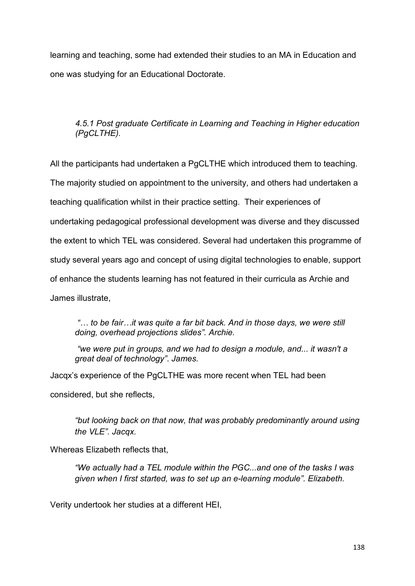learning and teaching, some had extended their studies to an MA in Education and one was studying for an Educational Doctorate.

## *4.5.1 Post graduate Certificate in Learning and Teaching in Higher education (PgCLTHE).*

All the participants had undertaken a PgCLTHE which introduced them to teaching. The majority studied on appointment to the university, and others had undertaken a teaching qualification whilst in their practice setting. Their experiences of undertaking pedagogical professional development was diverse and they discussed the extent to which TEL was considered. Several had undertaken this programme of study several years ago and concept of using digital technologies to enable, support of enhance the students learning has not featured in their curricula as Archie and James illustrate,

*"… to be fair…it was quite a far bit back. And in those days, we were still doing, overhead projections slides". Archie.* 

*"we were put in groups, and we had to design a module, and... it wasn't a great deal of technology"*. *James.*

Jacqx's experience of the PgCLTHE was more recent when TEL had been considered, but she reflects,

*"but looking back on that now, that was probably predominantly around using the VLE". Jacqx.*

Whereas Elizabeth reflects that,

*"We actually had a TEL module within the PGC...and one of the tasks I was given when I first started, was to set up an e-learning module". Elizabeth.* 

Verity undertook her studies at a different HEI,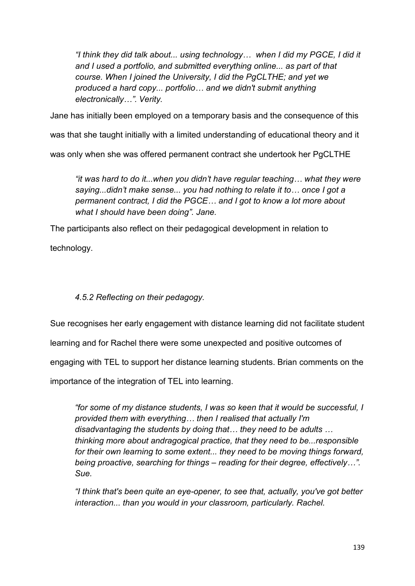*"I think they did talk about... using technology… when I did my PGCE, I did it and I used a portfolio, and submitted everything online... as part of that course. When I joined the University, I did the PgCLTHE; and yet we produced a hard copy... portfolio… and we didn't submit anything electronically…". Verity.*

Jane has initially been employed on a temporary basis and the consequence of this

was that she taught initially with a limited understanding of educational theory and it

was only when she was offered permanent contract she undertook her PgCLTHE

*"it was hard to do it...when you didn't have regular teaching… what they were saying...didn't make sense... you had nothing to relate it to… once I got a permanent contract, I did the PGCE… and I got to know a lot more about what I should have been doing". Jane.* 

The participants also reflect on their pedagogical development in relation to

technology.

## *4.5.2 Reflecting on their pedagogy.*

Sue recognises her early engagement with distance learning did not facilitate student learning and for Rachel there were some unexpected and positive outcomes of engaging with TEL to support her distance learning students. Brian comments on the importance of the integration of TEL into learning.

*"for some of my distance students, I was so keen that it would be successful, I provided them with everything… then I realised that actually I'm disadvantaging the students by doing that… they need to be adults … thinking more about andragogical practice, that they need to be...responsible for their own learning to some extent... they need to be moving things forward, being proactive, searching for things – reading for their degree, effectively…". Sue.* 

*"I think that's been quite an eye-opener, to see that, actually, you've got better interaction... than you would in your classroom, particularly. Rachel.*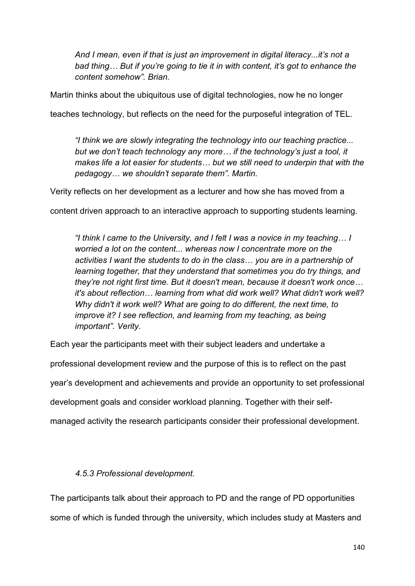*And I mean, even if that is just an improvement in digital literacy...it's not a bad thing… But if you're going to tie it in with content, it's got to enhance the content somehow". Brian.* 

Martin thinks about the ubiquitous use of digital technologies, now he no longer

teaches technology, but reflects on the need for the purposeful integration of TEL.

*"I think we are slowly integrating the technology into our teaching practice... but we don't teach technology any more… if the technology's just a tool, it makes life a lot easier for students… but we still need to underpin that with the pedagogy… we shouldn't separate them". Martin.*

Verity reflects on her development as a lecturer and how she has moved from a

content driven approach to an interactive approach to supporting students learning.

*"I think I came to the University, and I felt I was a novice in my teaching… I worried a lot on the content... whereas now I concentrate more on the activities I want the students to do in the class… you are in a partnership of learning together, that they understand that sometimes you do try things, and they're not right first time. But it doesn't mean, because it doesn't work once… it's about reflection… learning from what did work well? What didn't work well? Why didn't it work well? What are going to do different, the next time, to improve it? I see reflection, and learning from my teaching, as being important". Verity.*

Each year the participants meet with their subject leaders and undertake a

professional development review and the purpose of this is to reflect on the past

year's development and achievements and provide an opportunity to set professional

development goals and consider workload planning. Together with their self-

managed activity the research participants consider their professional development.

### *4.5.3 Professional development.*

The participants talk about their approach to PD and the range of PD opportunities some of which is funded through the university, which includes study at Masters and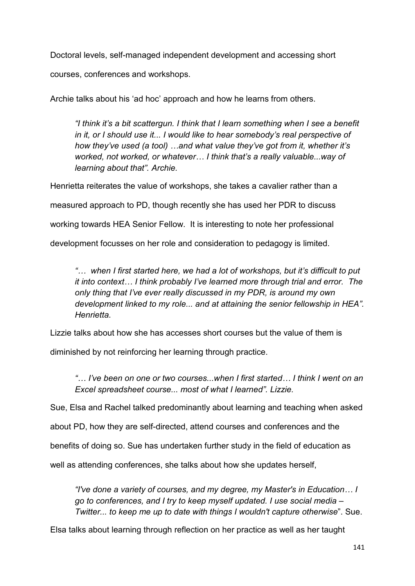Doctoral levels, self-managed independent development and accessing short

courses, conferences and workshops.

Archie talks about his 'ad hoc' approach and how he learns from others.

*"I think it's a bit scattergun. I think that I learn something when I see a benefit in it, or I should use it... I would like to hear somebody's real perspective of how they've used (a tool) …and what value they've got from it, whether it's worked, not worked, or whatever… I think that's a really valuable...way of learning about that". Archie.* 

Henrietta reiterates the value of workshops, she takes a cavalier rather than a measured approach to PD, though recently she has used her PDR to discuss working towards HEA Senior Fellow. It is interesting to note her professional development focusses on her role and consideration to pedagogy is limited.

*"… when I first started here, we had a lot of workshops, but it's difficult to put it into context… I think probably I've learned more through trial and error. The only thing that I've ever really discussed in my PDR, is around my own development linked to my role... and at attaining the senior fellowship in HEA". Henrietta.* 

Lizzie talks about how she has accesses short courses but the value of them is

diminished by not reinforcing her learning through practice.

*"… I've been on one or two courses...when I first started… I think I went on an Excel spreadsheet course... most of what I learned". Lizzie.*

Sue, Elsa and Rachel talked predominantly about learning and teaching when asked

about PD, how they are self-directed, attend courses and conferences and the

benefits of doing so. Sue has undertaken further study in the field of education as

well as attending conferences, she talks about how she updates herself,

*"I've done a variety of courses, and my degree, my Master's in Education… I go to conferences, and I try to keep myself updated. I use social media – Twitter... to keep me up to date with things I wouldn't capture otherwise*". Sue.

Elsa talks about learning through reflection on her practice as well as her taught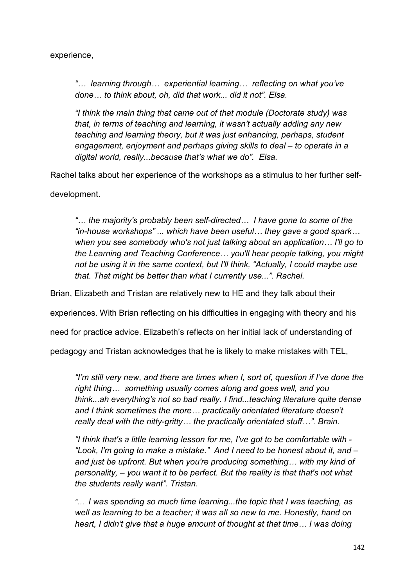experience,

*"… learning through… experiential learning… reflecting on what you've done… to think about, oh, did that work... did it not". Elsa.* 

*"I think the main thing that came out of that module (Doctorate study) was that, in terms of teaching and learning, it wasn't actually adding any new teaching and learning theory, but it was just enhancing, perhaps, student engagement, enjoyment and perhaps giving skills to deal – to operate in a digital world, really...because that's what we do". Elsa.*

Rachel talks about her experience of the workshops as a stimulus to her further self-

development.

*"… the majority's probably been self-directed… I have gone to some of the "in-house workshops" ... which have been useful… they gave a good spark… when you see somebody who's not just talking about an application… I'll go to the Learning and Teaching Conference… you'll hear people talking, you might not be using it in the same context, but I'll think, "Actually, I could maybe use that. That might be better than what I currently use...". Rachel.* 

Brian, Elizabeth and Tristan are relatively new to HE and they talk about their

experiences. With Brian reflecting on his difficulties in engaging with theory and his

need for practice advice. Elizabeth's reflects on her initial lack of understanding of

pedagogy and Tristan acknowledges that he is likely to make mistakes with TEL,

*"I'm still very new, and there are times when I, sort of, question if I've done the right thing… something usually comes along and goes well, and you think...ah everything's not so bad really. I find...teaching literature quite dense and I think sometimes the more… practically orientated literature doesn't really deal with the nitty-gritty… the practically orientated stuff…". Brain.*

*"I think that's a little learning lesson for me, I've got to be comfortable with - "Look, I'm going to make a mistake." And I need to be honest about it, and – and just be upfront. But when you're producing something… with my kind of personality, – you want it to be perfect. But the reality is that that's not what the students really want". Tristan.*

*"… I was spending so much time learning...the topic that I was teaching, as well as learning to be a teacher; it was all so new to me. Honestly, hand on heart, I didn't give that a huge amount of thought at that time… I was doing*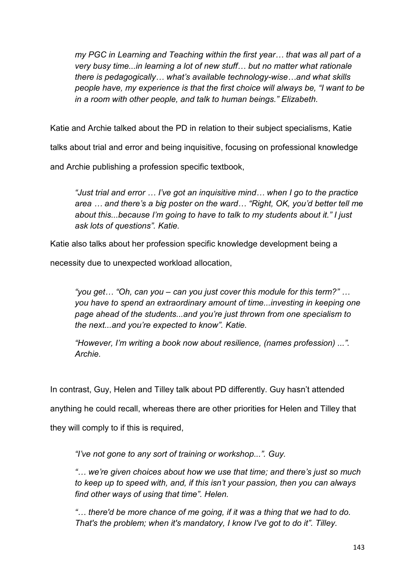*my PGC in Learning and Teaching within the first year… that was all part of a very busy time...in learning a lot of new stuff… but no matter what rationale there is pedagogically… what's available technology-wise…and what skills people have, my experience is that the first choice will always be, "I want to be in a room with other people, and talk to human beings." Elizabeth.*

Katie and Archie talked about the PD in relation to their subject specialisms, Katie

talks about trial and error and being inquisitive, focusing on professional knowledge

and Archie publishing a profession specific textbook,

*"Just trial and error … I've got an inquisitive mind… when I go to the practice area … and there's a big poster on the ward… "Right, OK, you'd better tell me about this...because I'm going to have to talk to my students about it." I just ask lots of questions". Katie.* 

Katie also talks about her profession specific knowledge development being a

necessity due to unexpected workload allocation,

*"you get… "Oh, can you – can you just cover this module for this term?" … you have to spend an extraordinary amount of time...investing in keeping one page ahead of the students...and you're just thrown from one specialism to the next...and you're expected to know". Katie.* 

*"However, I'm writing a book now about resilience, (names profession) ...". Archie.*

In contrast, Guy, Helen and Tilley talk about PD differently. Guy hasn't attended

anything he could recall, whereas there are other priorities for Helen and Tilley that

they will comply to if this is required,

*"I've not gone to any sort of training or workshop...". Guy.* 

*"… we're given choices about how we use that time; and there's just so much to keep up to speed with, and, if this isn't your passion, then you can always find other ways of using that time". Helen.*

*"… there'd be more chance of me going, if it was a thing that we had to do. That's the problem; when it's mandatory, I know I've got to do it". Tilley.*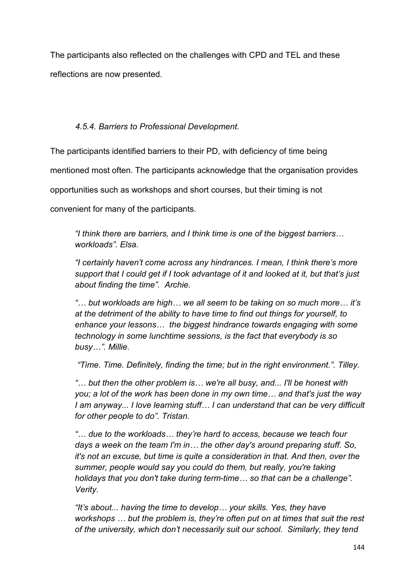The participants also reflected on the challenges with CPD and TEL and these reflections are now presented.

# *4.5.4. Barriers to Professional Development.*

The participants identified barriers to their PD, with deficiency of time being

mentioned most often. The participants acknowledge that the organisation provides

opportunities such as workshops and short courses, but their timing is not

convenient for many of the participants.

*"I think there are barriers, and I think time is one of the biggest barriers… workloads". Elsa.*

*"I certainly haven't come across any hindrances. I mean, I think there's more support that I could get if I took advantage of it and looked at it, but that's just about finding the time". Archie.*

*"… but workloads are high… we all seem to be taking on so much more… it's at the detriment of the ability to have time to find out things for yourself, to enhance your lessons… the biggest hindrance towards engaging with some technology in some lunchtime sessions, is the fact that everybody is so busy…". Millie.* 

*"Time. Time. Definitely, finding the time; but in the right environment.". Tilley.* 

*"… but then the other problem is… we're all busy, and... I'll be honest with you; a lot of the work has been done in my own time… and that's just the way I am anyway... I love learning stuff… I can understand that can be very difficult for other people to do". Tristan.* 

*"… due to the workloads… they're hard to access, because we teach four days a week on the team I'm in… the other day's around preparing stuff. So, it's not an excuse, but time is quite a consideration in that. And then, over the summer, people would say you could do them, but really, you're taking holidays that you don't take during term-time… so that can be a challenge". Verity.*

*"It's about... having the time to develop… your skills. Yes, they have workshops … but the problem is, they're often put on at times that suit the rest of the university, which don't necessarily suit our school. Similarly, they tend*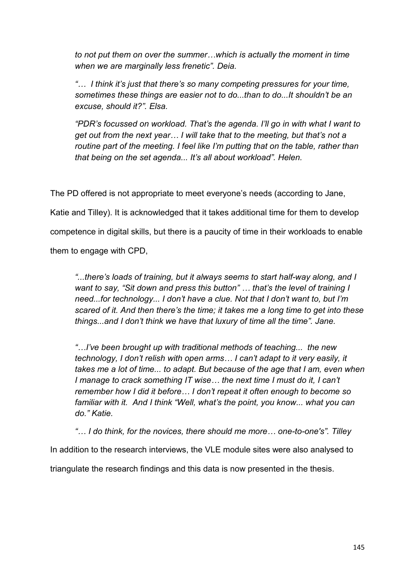*to not put them on over the summer…which is actually the moment in time when we are marginally less frenetic". Deia.* 

*"… I think it's just that there's so many competing pressures for your time, sometimes these things are easier not to do...than to do...It shouldn't be an excuse, should it?". Elsa.*

*"PDR's focussed on workload. That's the agenda. I'll go in with what I want to get out from the next year… I will take that to the meeting, but that's not a routine part of the meeting. I feel like I'm putting that on the table, rather than that being on the set agenda... It's all about workload". Helen.* 

The PD offered is not appropriate to meet everyone's needs (according to Jane, Katie and Tilley). It is acknowledged that it takes additional time for them to develop competence in digital skills, but there is a paucity of time in their workloads to enable them to engage with CPD,

*"...there's loads of training, but it always seems to start half-way along, and I want to say, "Sit down and press this button" … that's the level of training I need...for technology... I don't have a clue. Not that I don't want to, but I'm scared of it. And then there's the time; it takes me a long time to get into these things...and I don't think we have that luxury of time all the time". Jane.*

*"…I've been brought up with traditional methods of teaching... the new technology, I don't relish with open arms… I can't adapt to it very easily, it takes me a lot of time... to adapt. But because of the age that I am, even when I manage to crack something IT wise… the next time I must do it, I can't remember how I did it before… I don't repeat it often enough to become so familiar with it. And I think "Well, what's the point, you know... what you can do." Katie.* 

*"… I do think, for the novices, there should me more… one-to-one's". Tilley*  In addition to the research interviews, the VLE module sites were also analysed to triangulate the research findings and this data is now presented in the thesis.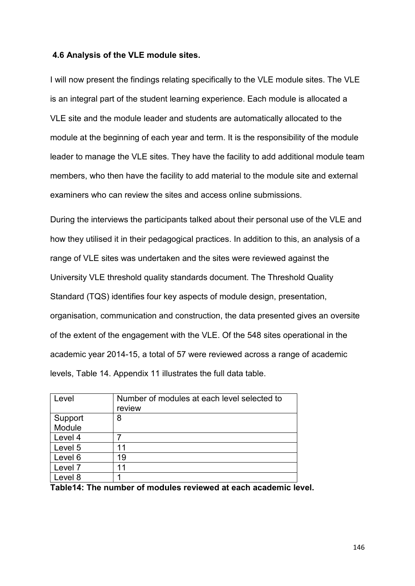#### **4.6 Analysis of the VLE module sites.**

I will now present the findings relating specifically to the VLE module sites. The VLE is an integral part of the student learning experience. Each module is allocated a VLE site and the module leader and students are automatically allocated to the module at the beginning of each year and term. It is the responsibility of the module leader to manage the VLE sites. They have the facility to add additional module team members, who then have the facility to add material to the module site and external examiners who can review the sites and access online submissions.

During the interviews the participants talked about their personal use of the VLE and how they utilised it in their pedagogical practices. In addition to this, an analysis of a range of VLE sites was undertaken and the sites were reviewed against the University VLE threshold quality standards document. The Threshold Quality Standard (TQS) identifies four key aspects of module design, presentation, organisation, communication and construction, the data presented gives an oversite of the extent of the engagement with the VLE. Of the 548 sites operational in the academic year 2014-15, a total of 57 were reviewed across a range of academic levels, Table 14. Appendix 11 illustrates the full data table.

| Level                                                        | Number of modules at each level selected to |  |
|--------------------------------------------------------------|---------------------------------------------|--|
|                                                              | review                                      |  |
| Support                                                      | 8                                           |  |
| Module                                                       |                                             |  |
| Level 4                                                      |                                             |  |
| Level 5                                                      | 11                                          |  |
| Level 6                                                      | 19                                          |  |
| Level <sub>7</sub>                                           | 11                                          |  |
| Level 8                                                      |                                             |  |
| Table 14: The number of modules reviewed at each academic le |                                             |  |

**Table14: The number of modules reviewed at each academic level.**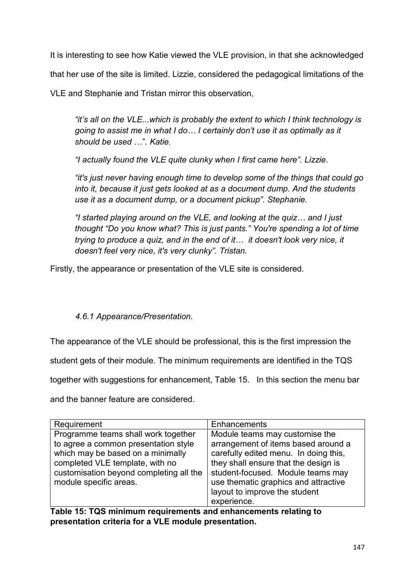It is interesting to see how Katie viewed the VLE provision, in that she acknowledged

that her use of the site is limited. Lizzie, considered the pedagogical limitations of the

VLE and Stephanie and Tristan mirror this observation,

*"it's all on the VLE...which is probably the extent to which I think technology is going to assist me in what I do… I certainly don't use it as optimally as it should be used* …"*. Katie.*

*"I actually found the VLE quite clunky when I first came here". Lizzie*.

*"it's just never having enough time to develop some of the things that could go into it, because it just gets looked at as a document dump. And the students use it as a document dump, or a document pickup". Stephanie.*

*"I started playing around on the VLE, and looking at the quiz… and I just thought "Do you know what? This is just pants." You're spending a lot of time trying to produce a quiz, and in the end of it… it doesn't look very nice, it doesn't feel very nice, it's very clunky". Tristan.*

Firstly, the appearance or presentation of the VLE site is considered.

*4.6.1 Appearance/Presentation.*

The appearance of the VLE should be professional, this is the first impression the

student gets of their module. The minimum requirements are identified in the TQS

together with suggestions for enhancement, Table 15. In this section the menu bar

and the banner feature are considered.

| Requirement                             | Enhancements                          |
|-----------------------------------------|---------------------------------------|
| Programme teams shall work together     | Module teams may customise the        |
| to agree a common presentation style    | arrangement of items based around a   |
| which may be based on a minimally       | carefully edited menu. In doing this, |
| completed VLE template, with no         | they shall ensure that the design is  |
| customisation beyond completing all the | student-focused. Module teams may     |
| module specific areas.                  | use thematic graphics and attractive  |
|                                         | layout to improve the student         |
|                                         | experience.                           |

**Table 15: TQS minimum requirements and enhancements relating to presentation criteria for a VLE module presentation.**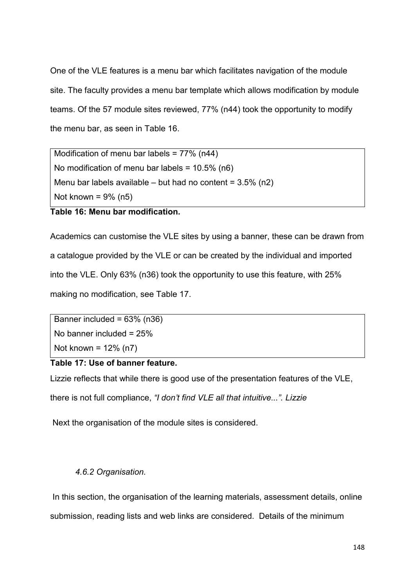One of the VLE features is a menu bar which facilitates navigation of the module site. The faculty provides a menu bar template which allows modification by module teams. Of the 57 module sites reviewed, 77% (n44) took the opportunity to modify the menu bar, as seen in Table 16.

Modification of menu bar labels = 77% (n44) No modification of menu bar labels = 10.5% (n6) Menu bar labels available – but had no content =  $3.5\%$  (n2) Not known =  $9\%$  (n5)

**Table 16: Menu bar modification.**

Academics can customise the VLE sites by using a banner, these can be drawn from a catalogue provided by the VLE or can be created by the individual and imported into the VLE. Only 63% (n36) took the opportunity to use this feature, with 25% making no modification, see Table 17.

Banner included = 63% (n36) No banner included = 25% Not known = 12% (n7)

# **Table 17: Use of banner feature.**

Lizzie reflects that while there is good use of the presentation features of the VLE,

there is not full compliance, *"I don't find VLE all that intuitive...". Lizzie*

Next the organisation of the module sites is considered.

## *4.6.2 Organisation.*

In this section, the organisation of the learning materials, assessment details, online submission, reading lists and web links are considered. Details of the minimum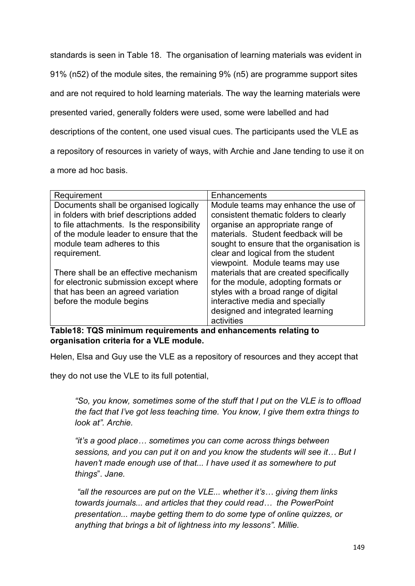standards is seen in Table 18. The organisation of learning materials was evident in 91% (n52) of the module sites, the remaining 9% (n5) are programme support sites and are not required to hold learning materials. The way the learning materials were presented varied, generally folders were used, some were labelled and had descriptions of the content, one used visual cues. The participants used the VLE as a repository of resources in variety of ways, with Archie and Jane tending to use it on a more ad hoc basis.

| Requirement                                | Enhancements                              |
|--------------------------------------------|-------------------------------------------|
| Documents shall be organised logically     | Module teams may enhance the use of       |
| in folders with brief descriptions added   | consistent thematic folders to clearly    |
| to file attachments. Is the responsibility | organise an appropriate range of          |
| of the module leader to ensure that the    | materials. Student feedback will be       |
| module team adheres to this                | sought to ensure that the organisation is |
| requirement.                               | clear and logical from the student        |
|                                            | viewpoint. Module teams may use           |
| There shall be an effective mechanism      | materials that are created specifically   |
| for electronic submission except where     | for the module, adopting formats or       |
| that has been an agreed variation          | styles with a broad range of digital      |
| before the module begins                   | interactive media and specially           |
|                                            | designed and integrated learning          |
|                                            | activities                                |

**Table18: TQS minimum requirements and enhancements relating to organisation criteria for a VLE module.**

Helen, Elsa and Guy use the VLE as a repository of resources and they accept that

they do not use the VLE to its full potential,

*"So, you know, sometimes some of the stuff that I put on the VLE is to offload the fact that I've got less teaching time. You know, I give them extra things to look at". Archie.*

*"it's a good place… sometimes you can come across things between sessions, and you can put it on and you know the students will see it… But I haven't made enough use of that... I have used it as somewhere to put things*". *Jane.*

*"all the resources are put on the VLE... whether it's… giving them links towards journals... and articles that they could read… the PowerPoint presentation... maybe getting them to do some type of online quizzes, or anything that brings a bit of lightness into my lessons". Millie.*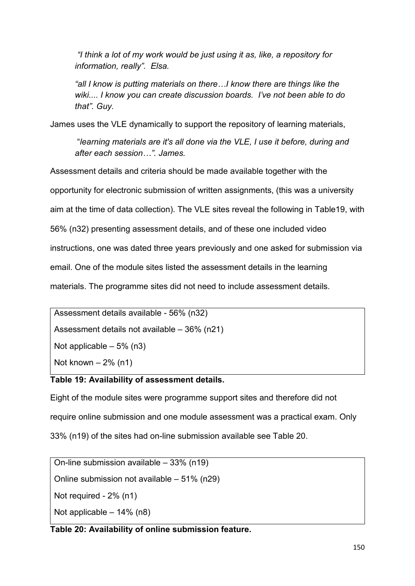*"I think a lot of my work would be just using it as, like, a repository for information, really". Elsa.*

*"all I know is putting materials on there…I know there are things like the wiki.... I know you can create discussion boards. I've not been able to do that". Guy.*

James uses the VLE dynamically to support the repository of learning materials,

"*learning materials are it's all done via the VLE, I use it before, during and after each session…". James.*

Assessment details and criteria should be made available together with the opportunity for electronic submission of written assignments, (this was a university aim at the time of data collection). The VLE sites reveal the following in Table19, with 56% (n32) presenting assessment details, and of these one included video instructions, one was dated three years previously and one asked for submission via email. One of the module sites listed the assessment details in the learning materials. The programme sites did not need to include assessment details.

Assessment details available - 56% (n32)

Assessment details not available – 36% (n21)

Not applicable  $-5\%$  (n3)

Not known  $-2\%$  (n1)

## **Table 19: Availability of assessment details.**

Eight of the module sites were programme support sites and therefore did not require online submission and one module assessment was a practical exam. Only 33% (n19) of the sites had on-line submission available see Table 20.

On-line submission available – 33% (n19) Online submission not available – 51% (n29) Not required - 2% (n1) Not applicable – 14% (n8)

# **Table 20: Availability of online submission feature.**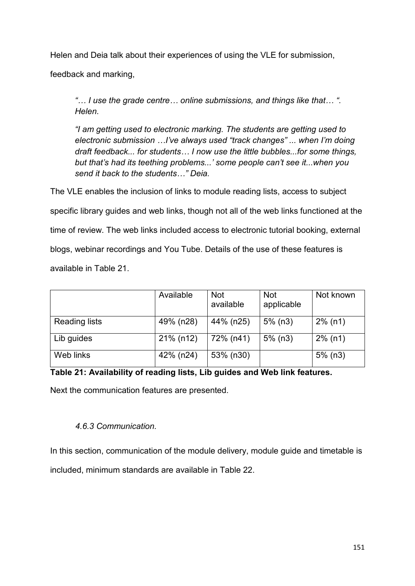Helen and Deia talk about their experiences of using the VLE for submission,

feedback and marking,

*"… I use the grade centre… online submissions, and things like that… ". Helen.*

*"I am getting used to electronic marking. The students are getting used to electronic submission …I've always used "track changes" ... when I'm doing draft feedback... for students… I now use the little bubbles...for some things, but that's had its teething problems...' some people can't see it...when you send it back to the students…" Deia.* 

The VLE enables the inclusion of links to module reading lists, access to subject specific library guides and web links, though not all of the web links functioned at the time of review. The web links included access to electronic tutorial booking, external blogs, webinar recordings and You Tube. Details of the use of these features is available in Table 21.

|                      | Available | <b>Not</b><br>available | <b>Not</b><br>applicable | Not known  |
|----------------------|-----------|-------------------------|--------------------------|------------|
| <b>Reading lists</b> | 49% (n28) | 44% (n25)               | $5%$ (n3)                | $2\%$ (n1) |
| Lib guides           | 21% (n12) | 72% (n41)               | $5%$ (n3)                | $2\%$ (n1) |
| Web links            | 42% (n24) | 53% (n30)               |                          | $5%$ (n3)  |

**Table 21: Availability of reading lists, Lib guides and Web link features.** 

Next the communication features are presented.

# *4.6.3 Communication.*

In this section, communication of the module delivery, module guide and timetable is included, minimum standards are available in Table 22.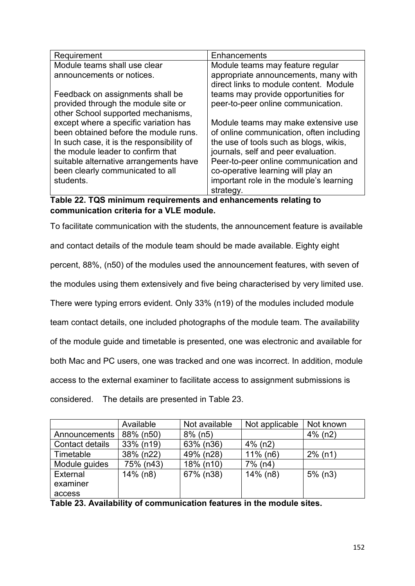| Requirement                               | Enhancements                                                                   |
|-------------------------------------------|--------------------------------------------------------------------------------|
| Module teams shall use clear              | Module teams may feature regular                                               |
| announcements or notices.                 | appropriate announcements, many with<br>direct links to module content. Module |
| Feedback on assignments shall be          | teams may provide opportunities for                                            |
| provided through the module site or       | peer-to-peer online communication.                                             |
| other School supported mechanisms,        |                                                                                |
| except where a specific variation has     | Module teams may make extensive use                                            |
| been obtained before the module runs.     | of online communication, often including                                       |
| In such case, it is the responsibility of | the use of tools such as blogs, wikis,                                         |
| the module leader to confirm that         | journals, self and peer evaluation.                                            |
| suitable alternative arrangements have    | Peer-to-peer online communication and                                          |
| been clearly communicated to all          | co-operative learning will play an                                             |
| students.                                 | important role in the module's learning                                        |
|                                           | strategy.                                                                      |

**Table 22. TQS minimum requirements and enhancements relating to communication criteria for a VLE module.**

To facilitate communication with the students, the announcement feature is available

and contact details of the module team should be made available. Eighty eight

percent, 88%, (n50) of the modules used the announcement features, with seven of

the modules using them extensively and five being characterised by very limited use.

There were typing errors evident. Only 33% (n19) of the modules included module

team contact details, one included photographs of the module team. The availability

of the module guide and timetable is presented, one was electronic and available for

both Mac and PC users, one was tracked and one was incorrect. In addition, module

access to the external examiner to facilitate access to assignment submissions is

considered. The details are presented in Table 23.

|                 | Available   | Not available | Not applicable | Not known  |
|-----------------|-------------|---------------|----------------|------------|
| Announcements   | 88% (n50)   | $8\%$ (n5)    |                | $4\%$ (n2) |
| Contact details | 33% (n19)   | 63% (n36)     | $4\%$ (n2)     |            |
| Timetable       | 38% (n22)   | 49% (n28)     | $11\%$ (n6)    | $2\%$ (n1) |
| Module guides   | 75% (n43)   | 18% (n10)     | $7\%$ (n4)     |            |
| <b>External</b> | $14\%$ (n8) | 67% (n38)     | 14% (n8)       | $5%$ (n3)  |
| examiner        |             |               |                |            |
| access          |             |               |                |            |

**Table 23. Availability of communication features in the module sites.**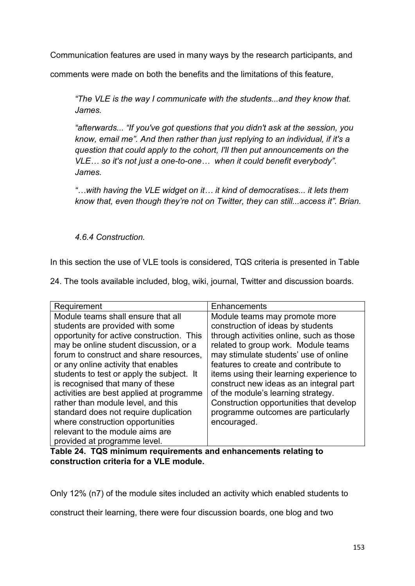Communication features are used in many ways by the research participants, and

comments were made on both the benefits and the limitations of this feature,

*"The VLE is the way I communicate with the students...and they know that. James.*

*"afterwards... "If you've got questions that you didn't ask at the session, you know, email me". And then rather than just replying to an individual, if it's a question that could apply to the cohort, I'll then put announcements on the VLE… so it's not just a one-to-one… when it could benefit everybody". James.*

*"…with having the VLE widget on it… it kind of democratises... it lets them know that, even though they're not on Twitter, they can still...access it". Brian.*

## *4.6.4 Construction.*

In this section the use of VLE tools is considered, TQS criteria is presented in Table

24. The tools available included, blog, wiki, journal, Twitter and discussion boards.

| Requirement                                                                                                                                                                                                                                                                                                                                                                                                                                                                                                                                                       | Enhancements                                                                                                                                                                                                                                                                                                                                                                                                                                                         |
|-------------------------------------------------------------------------------------------------------------------------------------------------------------------------------------------------------------------------------------------------------------------------------------------------------------------------------------------------------------------------------------------------------------------------------------------------------------------------------------------------------------------------------------------------------------------|----------------------------------------------------------------------------------------------------------------------------------------------------------------------------------------------------------------------------------------------------------------------------------------------------------------------------------------------------------------------------------------------------------------------------------------------------------------------|
| Module teams shall ensure that all<br>students are provided with some<br>opportunity for active construction. This<br>may be online student discussion, or a<br>forum to construct and share resources,<br>or any online activity that enables<br>students to test or apply the subject. It<br>is recognised that many of these<br>activities are best applied at programme<br>rather than module level, and this<br>standard does not require duplication<br>where construction opportunities<br>relevant to the module aims are<br>provided at programme level. | Module teams may promote more<br>construction of ideas by students<br>through activities online, such as those<br>related to group work. Module teams<br>may stimulate students' use of online<br>features to create and contribute to<br>items using their learning experience to<br>construct new ideas as an integral part<br>of the module's learning strategy.<br>Construction opportunities that develop<br>programme outcomes are particularly<br>encouraged. |

**Table 24. TQS minimum requirements and enhancements relating to construction criteria for a VLE module.**

Only 12% (n7) of the module sites included an activity which enabled students to

construct their learning, there were four discussion boards, one blog and two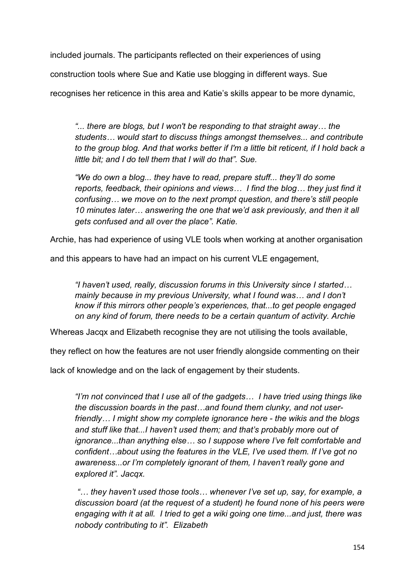included journals. The participants reflected on their experiences of using

construction tools where Sue and Katie use blogging in different ways. Sue

recognises her reticence in this area and Katie's skills appear to be more dynamic,

*"... there are blogs, but I won't be responding to that straight away… the students… would start to discuss things amongst themselves... and contribute to the group blog. And that works better if I'm a little bit reticent, if I hold back a little bit; and I do tell them that I will do that". Sue.*

*"We do own a blog... they have to read, prepare stuff... they'll do some reports, feedback, their opinions and views… I find the blog… they just find it confusing… we move on to the next prompt question, and there's still people 10 minutes later… answering the one that we'd ask previously, and then it all gets confused and all over the place". Katie.* 

Archie, has had experience of using VLE tools when working at another organisation

and this appears to have had an impact on his current VLE engagement,

*"I haven't used, really, discussion forums in this University since I started… mainly because in my previous University, what I found was… and I don't know if this mirrors other people's experiences, that...to get people engaged on any kind of forum, there needs to be a certain quantum of activity. Archie* 

Whereas Jacqx and Elizabeth recognise they are not utilising the tools available,

they reflect on how the features are not user friendly alongside commenting on their

lack of knowledge and on the lack of engagement by their students.

*"I'm not convinced that I use all of the gadgets… I have tried using things like the discussion boards in the past…and found them clunky, and not userfriendly… I might show my complete ignorance here - the wikis and the blogs and stuff like that...I haven't used them; and that's probably more out of ignorance...than anything else… so I suppose where I've felt comfortable and confident…about using the features in the VLE, I've used them. If I've got no awareness...or I'm completely ignorant of them, I haven't really gone and explored it". Jacqx.* 

*"… they haven't used those tools… whenever I've set up, say, for example, a discussion board (at the request of a student) he found none of his peers were engaging with it at all. I tried to get a wiki going one time...and just, there was nobody contributing to it". Elizabeth*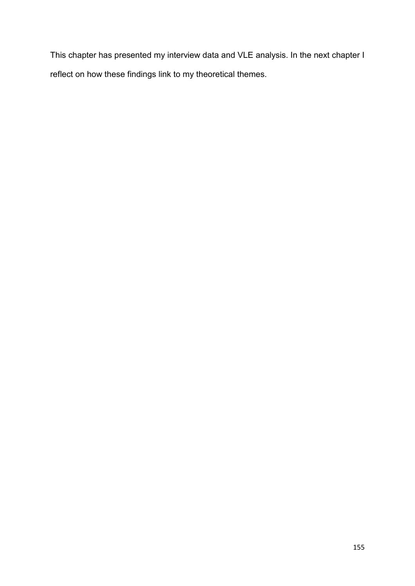This chapter has presented my interview data and VLE analysis. In the next chapter I reflect on how these findings link to my theoretical themes.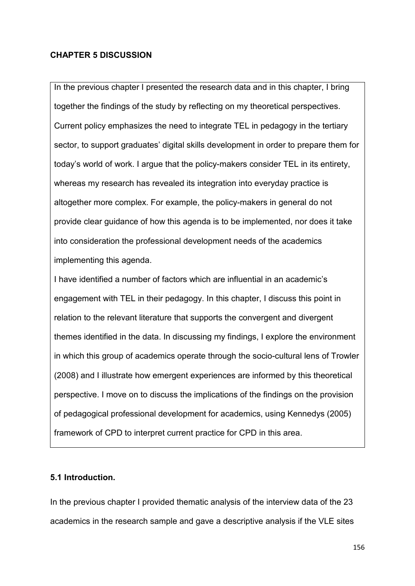## **CHAPTER 5 DISCUSSION**

In the previous chapter I presented the research data and in this chapter, I bring together the findings of the study by reflecting on my theoretical perspectives. Current policy emphasizes the need to integrate TEL in pedagogy in the tertiary sector, to support graduates' digital skills development in order to prepare them for today's world of work. I argue that the policy-makers consider TEL in its entirety, whereas my research has revealed its integration into everyday practice is altogether more complex. For example, the policy-makers in general do not provide clear guidance of how this agenda is to be implemented, nor does it take into consideration the professional development needs of the academics implementing this agenda.

I have identified a number of factors which are influential in an academic's engagement with TEL in their pedagogy. In this chapter, I discuss this point in relation to the relevant literature that supports the convergent and divergent themes identified in the data. In discussing my findings, I explore the environment in which this group of academics operate through the socio-cultural lens of Trowler (2008) and I illustrate how emergent experiences are informed by this theoretical perspective. I move on to discuss the implications of the findings on the provision of pedagogical professional development for academics, using Kennedys (2005) framework of CPD to interpret current practice for CPD in this area.

## **5.1 Introduction.**

In the previous chapter I provided thematic analysis of the interview data of the 23 academics in the research sample and gave a descriptive analysis if the VLE sites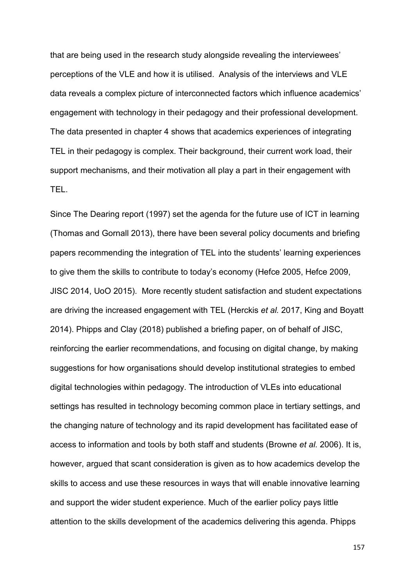that are being used in the research study alongside revealing the interviewees' perceptions of the VLE and how it is utilised. Analysis of the interviews and VLE data reveals a complex picture of interconnected factors which influence academics' engagement with technology in their pedagogy and their professional development. The data presented in chapter 4 shows that academics experiences of integrating TEL in their pedagogy is complex. Their background, their current work load, their support mechanisms, and their motivation all play a part in their engagement with TEL.

Since The Dearing report (1997) set the agenda for the future use of ICT in learning (Thomas and Gornall 2013), there have been several policy documents and briefing papers recommending the integration of TEL into the students' learning experiences to give them the skills to contribute to today's economy (Hefce 2005, Hefce 2009, JISC 2014, UoO 2015). More recently student satisfaction and student expectations are driving the increased engagement with TEL (Herckis *et al.* 2017, King and Boyatt 2014). Phipps and Clay (2018) published a briefing paper, on of behalf of JISC, reinforcing the earlier recommendations, and focusing on digital change, by making suggestions for how organisations should develop institutional strategies to embed digital technologies within pedagogy. The introduction of VLEs into educational settings has resulted in technology becoming common place in tertiary settings, and the changing nature of technology and its rapid development has facilitated ease of access to information and tools by both staff and students (Browne *et al.* 2006). It is, however, argued that scant consideration is given as to how academics develop the skills to access and use these resources in ways that will enable innovative learning and support the wider student experience. Much of the earlier policy pays little attention to the skills development of the academics delivering this agenda. Phipps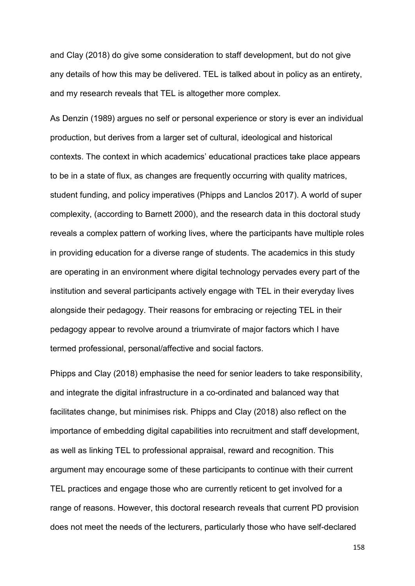and Clay (2018) do give some consideration to staff development, but do not give any details of how this may be delivered. TEL is talked about in policy as an entirety, and my research reveals that TEL is altogether more complex.

As Denzin (1989) argues no self or personal experience or story is ever an individual production, but derives from a larger set of cultural, ideological and historical contexts. The context in which academics' educational practices take place appears to be in a state of flux, as changes are frequently occurring with quality matrices, student funding, and policy imperatives (Phipps and Lanclos 2017). A world of super complexity, (according to Barnett 2000), and the research data in this doctoral study reveals a complex pattern of working lives, where the participants have multiple roles in providing education for a diverse range of students. The academics in this study are operating in an environment where digital technology pervades every part of the institution and several participants actively engage with TEL in their everyday lives alongside their pedagogy. Their reasons for embracing or rejecting TEL in their pedagogy appear to revolve around a triumvirate of major factors which I have termed professional, personal/affective and social factors.

Phipps and Clay (2018) emphasise the need for senior leaders to take responsibility, and integrate the digital infrastructure in a co-ordinated and balanced way that facilitates change, but minimises risk. Phipps and Clay (2018) also reflect on the importance of embedding digital capabilities into recruitment and staff development, as well as linking TEL to professional appraisal, reward and recognition. This argument may encourage some of these participants to continue with their current TEL practices and engage those who are currently reticent to get involved for a range of reasons. However, this doctoral research reveals that current PD provision does not meet the needs of the lecturers, particularly those who have self-declared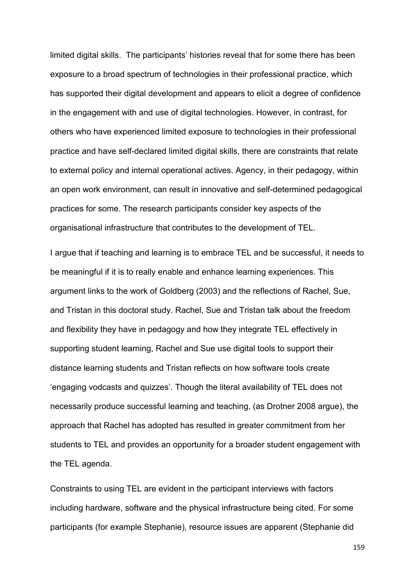limited digital skills. The participants' histories reveal that for some there has been exposure to a broad spectrum of technologies in their professional practice, which has supported their digital development and appears to elicit a degree of confidence in the engagement with and use of digital technologies. However, in contrast, for others who have experienced limited exposure to technologies in their professional practice and have self-declared limited digital skills, there are constraints that relate to external policy and internal operational actives. Agency, in their pedagogy, within an open work environment, can result in innovative and self-determined pedagogical practices for some. The research participants consider key aspects of the organisational infrastructure that contributes to the development of TEL.

I argue that if teaching and learning is to embrace TEL and be successful, it needs to be meaningful if it is to really enable and enhance learning experiences. This argument links to the work of Goldberg (2003) and the reflections of Rachel, Sue, and Tristan in this doctoral study. Rachel, Sue and Tristan talk about the freedom and flexibility they have in pedagogy and how they integrate TEL effectively in supporting student learning, Rachel and Sue use digital tools to support their distance learning students and Tristan reflects on how software tools create 'engaging vodcasts and quizzes'. Though the literal availability of TEL does not necessarily produce successful learning and teaching, (as Drotner 2008 argue), the approach that Rachel has adopted has resulted in greater commitment from her students to TEL and provides an opportunity for a broader student engagement with the TEL agenda.

Constraints to using TEL are evident in the participant interviews with factors including hardware, software and the physical infrastructure being cited. For some participants (for example Stephanie), resource issues are apparent (Stephanie did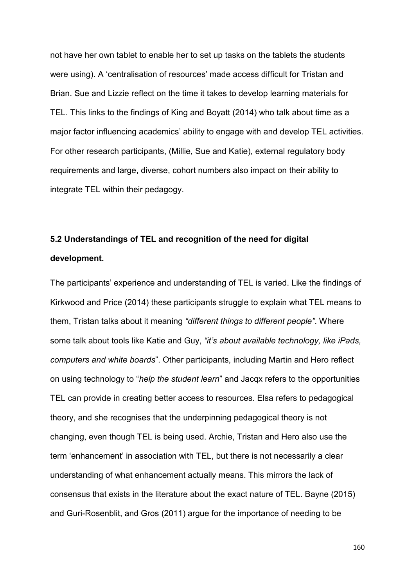not have her own tablet to enable her to set up tasks on the tablets the students were using). A 'centralisation of resources' made access difficult for Tristan and Brian. Sue and Lizzie reflect on the time it takes to develop learning materials for TEL. This links to the findings of King and Boyatt (2014) who talk about time as a major factor influencing academics' ability to engage with and develop TEL activities. For other research participants, (Millie, Sue and Katie), external regulatory body requirements and large, diverse, cohort numbers also impact on their ability to integrate TEL within their pedagogy.

# **5.2 Understandings of TEL and recognition of the need for digital development.**

The participants' experience and understanding of TEL is varied. Like the findings of Kirkwood and Price (2014) these participants struggle to explain what TEL means to them, Tristan talks about it meaning *"different things to different people"*. Where some talk about tools like Katie and Guy, *"it's about available technology, like iPads, computers and white boards*". Other participants, including Martin and Hero reflect on using technology to "*help the student learn*" and Jacqx refers to the opportunities TEL can provide in creating better access to resources. Elsa refers to pedagogical theory, and she recognises that the underpinning pedagogical theory is not changing, even though TEL is being used. Archie, Tristan and Hero also use the term 'enhancement' in association with TEL, but there is not necessarily a clear understanding of what enhancement actually means. This mirrors the lack of consensus that exists in the literature about the exact nature of TEL. Bayne (2015) and Guri-Rosenblit, and Gros (2011) argue for the importance of needing to be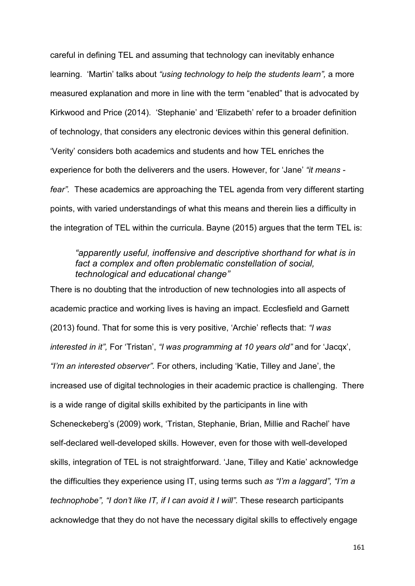careful in defining TEL and assuming that technology can inevitably enhance learning. 'Martin' talks about *"using technology to help the students learn",* a more measured explanation and more in line with the term "enabled" that is advocated by Kirkwood and Price (2014). 'Stephanie' and 'Elizabeth' refer to a broader definition of technology, that considers any electronic devices within this general definition. 'Verity' considers both academics and students and how TEL enriches the experience for both the deliverers and the users. However, for 'Jane' *"it means fear".* These academics are approaching the TEL agenda from very different starting points, with varied understandings of what this means and therein lies a difficulty in the integration of TEL within the curricula. Bayne (2015) argues that the term TEL is:

## *"apparently useful, inoffensive and descriptive shorthand for what is in fact a complex and often problematic constellation of social, technological and educational change"*

There is no doubting that the introduction of new technologies into all aspects of academic practice and working lives is having an impact. Ecclesfield and Garnett (2013) found. That for some this is very positive, 'Archie' reflects that: *"I was interested in it",* For 'Tristan', *"I was programming at 10 years old"* and for 'Jacqx', *"I'm an interested observer".* For others, including 'Katie, Tilley and Jane', the increased use of digital technologies in their academic practice is challenging. There is a wide range of digital skills exhibited by the participants in line with Scheneckeberg's (2009) work, 'Tristan, Stephanie, Brian, Millie and Rachel' have self-declared well-developed skills. However, even for those with well-developed skills, integration of TEL is not straightforward. 'Jane, Tilley and Katie' acknowledge the difficulties they experience using IT, using terms such *as "I'm a laggard", "I'm a technophobe", "I don't like IT, if I can avoid it I will".* These research participants acknowledge that they do not have the necessary digital skills to effectively engage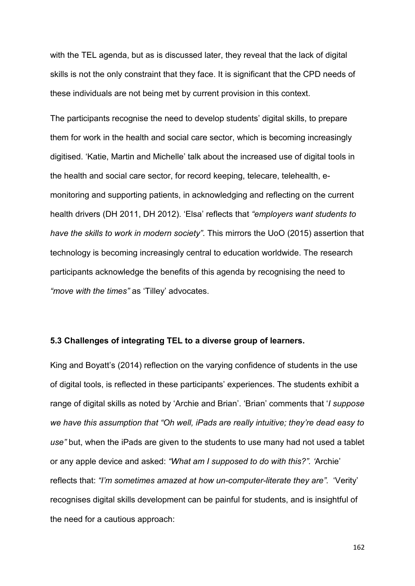with the TEL agenda, but as is discussed later, they reveal that the lack of digital skills is not the only constraint that they face. It is significant that the CPD needs of these individuals are not being met by current provision in this context.

The participants recognise the need to develop students' digital skills, to prepare them for work in the health and social care sector, which is becoming increasingly digitised. 'Katie, Martin and Michelle' talk about the increased use of digital tools in the health and social care sector, for record keeping, telecare, telehealth, emonitoring and supporting patients, in acknowledging and reflecting on the current health drivers (DH 2011, DH 2012). 'Elsa' reflects that *"employers want students to have the skills to work in modern society"*. This mirrors the UoO (2015) assertion that technology is becoming increasingly central to education worldwide. The research participants acknowledge the benefits of this agenda by recognising the need to *"move with the times"* as 'Tilley' advocates.

#### **5.3 Challenges of integrating TEL to a diverse group of learners.**

King and Boyatt's (2014) reflection on the varying confidence of students in the use of digital tools, is reflected in these participants' experiences. The students exhibit a range of digital skills as noted by 'Archie and Brian'. 'Brian' comments that '*I suppose we have this assumption that "Oh well, iPads are really intuitive; they're dead easy to use"* but, when the iPads are given to the students to use many had not used a tablet or any apple device and asked: *"What am I supposed to do with this?". '*Archie' reflects that: *"I'm sometimes amazed at how un-computer-literate they are".* 'Verity' recognises digital skills development can be painful for students, and is insightful of the need for a cautious approach: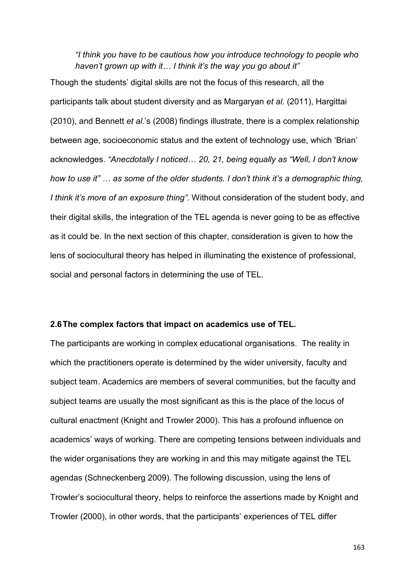*"I think you have to be cautious how you introduce technology to people who haven't grown up with it… I think it's the way you go about it"*

Though the students' digital skills are not the focus of this research, all the participants talk about student diversity and as Margaryan *et al.* (2011), Hargittai (2010), and Bennett *et al.*'s (2008) findings illustrate, there is a complex relationship between age, socioeconomic status and the extent of technology use, which 'Brian' acknowledges. *"Anecdotally I noticed… 20, 21, being equally as "Well, I don't know how to use it" … as some of the older students. I don't think it's a demographic thing, I think it's more of an exposure thing".* Without consideration of the student body, and their digital skills, the integration of the TEL agenda is never going to be as effective as it could be. In the next section of this chapter, consideration is given to how the lens of sociocultural theory has helped in illuminating the existence of professional, social and personal factors in determining the use of TEL.

#### **2.6The complex factors that impact on academics use of TEL.**

The participants are working in complex educational organisations. The reality in which the practitioners operate is determined by the wider university, faculty and subject team. Academics are members of several communities, but the faculty and subject teams are usually the most significant as this is the place of the locus of cultural enactment (Knight and Trowler 2000). This has a profound influence on academics' ways of working. There are competing tensions between individuals and the wider organisations they are working in and this may mitigate against the TEL agendas (Schneckenberg 2009). The following discussion, using the lens of Trowler's sociocultural theory, helps to reinforce the assertions made by Knight and Trowler (2000), in other words, that the participants' experiences of TEL differ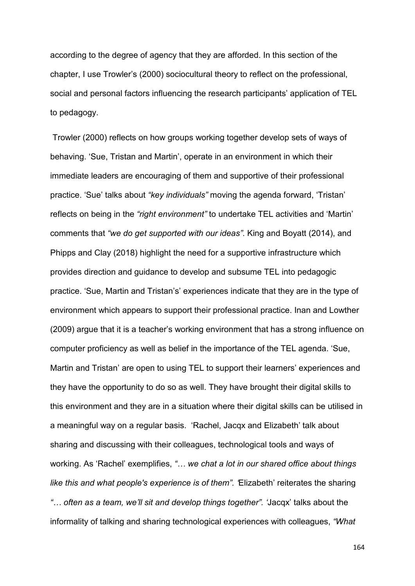according to the degree of agency that they are afforded. In this section of the chapter, I use Trowler's (2000) sociocultural theory to reflect on the professional, social and personal factors influencing the research participants' application of TEL to pedagogy.

Trowler (2000) reflects on how groups working together develop sets of ways of behaving. 'Sue, Tristan and Martin', operate in an environment in which their immediate leaders are encouraging of them and supportive of their professional practice. 'Sue' talks about *"key individuals"* moving the agenda forward, 'Tristan' reflects on being in the *"right environment"* to undertake TEL activities and 'Martin' comments that *"we do get supported with our ideas"*. King and Boyatt (2014), and Phipps and Clay (2018) highlight the need for a supportive infrastructure which provides direction and guidance to develop and subsume TEL into pedagogic practice. 'Sue, Martin and Tristan's' experiences indicate that they are in the type of environment which appears to support their professional practice. Inan and Lowther (2009) argue that it is a teacher's working environment that has a strong influence on computer proficiency as well as belief in the importance of the TEL agenda. 'Sue, Martin and Tristan' are open to using TEL to support their learners' experiences and they have the opportunity to do so as well. They have brought their digital skills to this environment and they are in a situation where their digital skills can be utilised in a meaningful way on a regular basis. 'Rachel, Jacqx and Elizabeth' talk about sharing and discussing with their colleagues, technological tools and ways of working. As 'Rachel' exemplifies, *"… we chat a lot in our shared office about things like this and what people's experience is of them". '*Elizabeth' reiterates the sharing *"… often as a team, we'll sit and develop things together". '*Jacqx' talks about the informality of talking and sharing technological experiences with colleagues, *"What*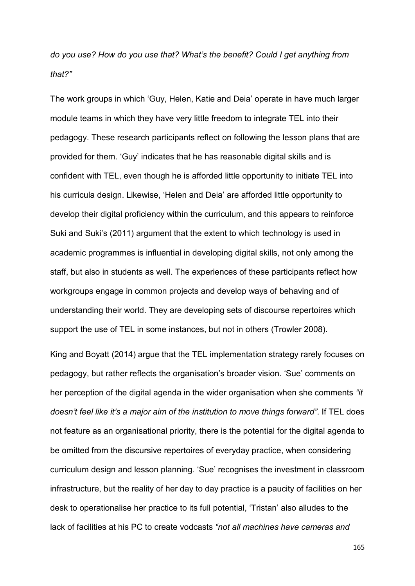*do you use? How do you use that? What's the benefit? Could I get anything from that?"* 

The work groups in which 'Guy, Helen, Katie and Deia' operate in have much larger module teams in which they have very little freedom to integrate TEL into their pedagogy. These research participants reflect on following the lesson plans that are provided for them. 'Guy' indicates that he has reasonable digital skills and is confident with TEL, even though he is afforded little opportunity to initiate TEL into his curricula design. Likewise, 'Helen and Deia' are afforded little opportunity to develop their digital proficiency within the curriculum, and this appears to reinforce Suki and Suki's (2011) argument that the extent to which technology is used in academic programmes is influential in developing digital skills, not only among the staff, but also in students as well. The experiences of these participants reflect how workgroups engage in common projects and develop ways of behaving and of understanding their world. They are developing sets of discourse repertoires which support the use of TEL in some instances, but not in others (Trowler 2008).

King and Boyatt (2014) argue that the TEL implementation strategy rarely focuses on pedagogy, but rather reflects the organisation's broader vision. 'Sue' comments on her perception of the digital agenda in the wider organisation when she comments *"it doesn't feel like it's a major aim of the institution to move things forward"*. If TEL does not feature as an organisational priority, there is the potential for the digital agenda to be omitted from the discursive repertoires of everyday practice, when considering curriculum design and lesson planning. 'Sue' recognises the investment in classroom infrastructure, but the reality of her day to day practice is a paucity of facilities on her desk to operationalise her practice to its full potential, 'Tristan' also alludes to the lack of facilities at his PC to create vodcasts *"not all machines have cameras and*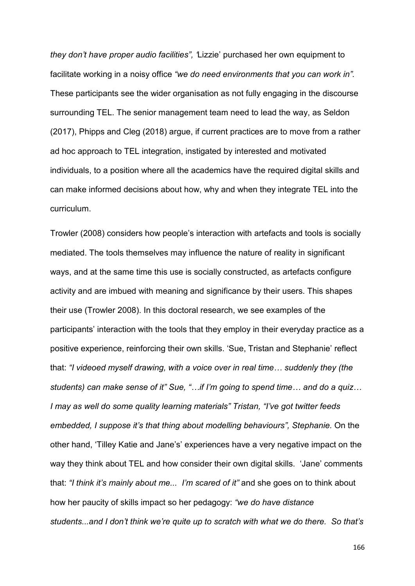*they don't have proper audio facilities", '*Lizzie' purchased her own equipment to facilitate working in a noisy office *"we do need environments that you can work in".*  These participants see the wider organisation as not fully engaging in the discourse surrounding TEL. The senior management team need to lead the way, as Seldon (2017), Phipps and Cleg (2018) argue, if current practices are to move from a rather ad hoc approach to TEL integration, instigated by interested and motivated individuals, to a position where all the academics have the required digital skills and can make informed decisions about how, why and when they integrate TEL into the curriculum.

Trowler (2008) considers how people's interaction with artefacts and tools is socially mediated. The tools themselves may influence the nature of reality in significant ways, and at the same time this use is socially constructed, as artefacts configure activity and are imbued with meaning and significance by their users. This shapes their use (Trowler 2008). In this doctoral research, we see examples of the participants' interaction with the tools that they employ in their everyday practice as a positive experience, reinforcing their own skills. 'Sue, Tristan and Stephanie' reflect that: *"I videoed myself drawing, with a voice over in real time… suddenly they (the students) can make sense of it" Sue, "…if I'm going to spend time… and do a quiz… I may as well do some quality learning materials" Tristan, "I've got twitter feeds embedded, I suppose it's that thing about modelling behaviours", Stephanie.* On the other hand, 'Tilley Katie and Jane's' experiences have a very negative impact on the way they think about TEL and how consider their own digital skills. 'Jane' comments that: *"I think it's mainly about me... I'm scared of it"* and she goes on to think about how her paucity of skills impact so her pedagogy: *"we do have distance students...and I don't think we're quite up to scratch with what we do there. So that's*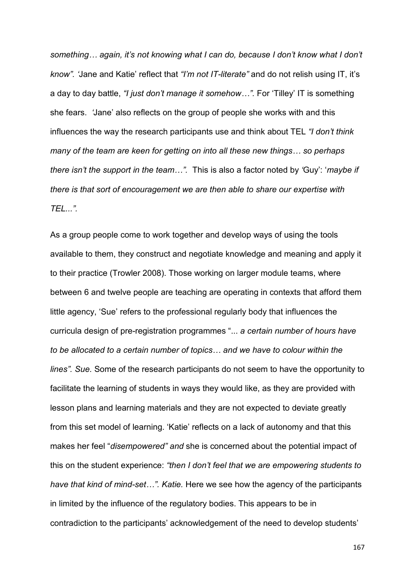*something… again, it's not knowing what I can do, because I don't know what I don't know". '*Jane and Katie' reflect that *"I'm not IT-literate"* and do not relish using IT, it's a day to day battle, *"I just don't manage it somehow…".* For 'Tilley' IT is something she fears. *'*Jane' also reflects on the group of people she works with and this influences the way the research participants use and think about TEL *"I don't think many of the team are keen for getting on into all these new things… so perhaps there isn't the support in the team…".* This is also a factor noted by *'*Guy': '*maybe if there is that sort of encouragement we are then able to share our expertise with TEL...".* 

As a group people come to work together and develop ways of using the tools available to them, they construct and negotiate knowledge and meaning and apply it to their practice (Trowler 2008). Those working on larger module teams, where between 6 and twelve people are teaching are operating in contexts that afford them little agency, 'Sue' refers to the professional regularly body that influences the curricula design of pre-registration programmes "... *a certain number of hours have to be allocated to a certain number of topics… and we have to colour within the lines". Sue.* Some of the research participants do not seem to have the opportunity to facilitate the learning of students in ways they would like, as they are provided with lesson plans and learning materials and they are not expected to deviate greatly from this set model of learning. 'Katie' reflects on a lack of autonomy and that this makes her feel "*disempowered" and* she is concerned about the potential impact of this on the student experience: *"then I don't feel that we are empowering students to have that kind of mind-set…". Katie.* Here we see how the agency of the participants in limited by the influence of the regulatory bodies. This appears to be in contradiction to the participants' acknowledgement of the need to develop students'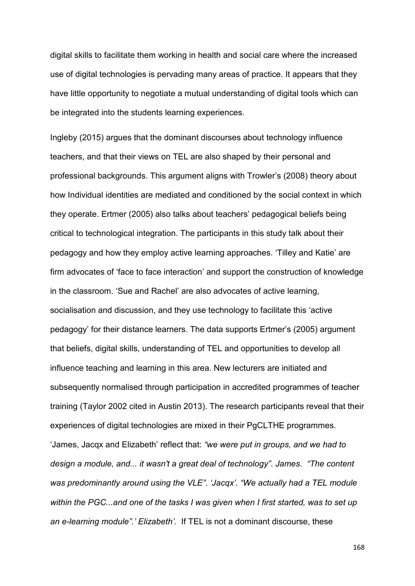digital skills to facilitate them working in health and social care where the increased use of digital technologies is pervading many areas of practice. It appears that they have little opportunity to negotiate a mutual understanding of digital tools which can be integrated into the students learning experiences.

Ingleby (2015) argues that the dominant discourses about technology influence teachers, and that their views on TEL are also shaped by their personal and professional backgrounds. This argument aligns with Trowler's (2008) theory about how Individual identities are mediated and conditioned by the social context in which they operate. Ertmer (2005) also talks about teachers' pedagogical beliefs being critical to technological integration. The participants in this study talk about their pedagogy and how they employ active learning approaches. 'Tilley and Katie' are firm advocates of 'face to face interaction' and support the construction of knowledge in the classroom. 'Sue and Rachel' are also advocates of active learning, socialisation and discussion, and they use technology to facilitate this 'active pedagogy' for their distance learners. The data supports Ertmer's (2005) argument that beliefs, digital skills, understanding of TEL and opportunities to develop all influence teaching and learning in this area. New lecturers are initiated and subsequently normalised through participation in accredited programmes of teacher training (Taylor 2002 cited in Austin 2013). The research participants reveal that their experiences of digital technologies are mixed in their PgCLTHE programmes. 'James, Jacqx and Elizabeth' reflect that: *"we were put in groups, and we had to design a module, and... it wasn't a great deal of technology"*. *James. "The content was predominantly around using the VLE". 'Jacqx'. "We actually had a TEL module within the PGC...and one of the tasks I was given when I first started, was to set up an e-learning module".' Elizabeth'.* If TEL is not a dominant discourse, these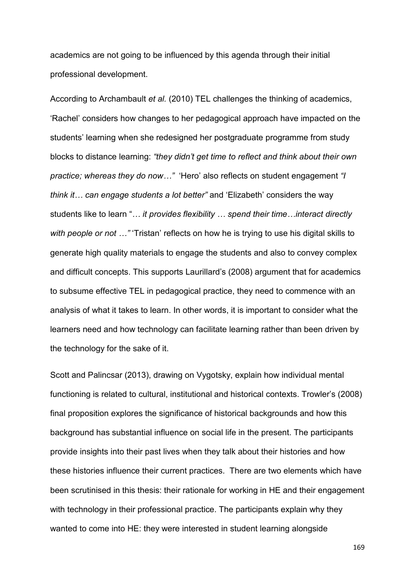academics are not going to be influenced by this agenda through their initial professional development.

According to Archambault *et al.* (2010) TEL challenges the thinking of academics, 'Rachel' considers how changes to her pedagogical approach have impacted on the students' learning when she redesigned her postgraduate programme from study blocks to distance learning: *"they didn't get time to reflect and think about their own practice; whereas they do now…"* 'Hero' also reflects on student engagement *"I think it… can engage students a lot better"* and 'Elizabeth' considers the way students like to learn "*… it provides flexibility … spend their time…interact directly with people or not …"* 'Tristan' reflects on how he is trying to use his digital skills to generate high quality materials to engage the students and also to convey complex and difficult concepts. This supports Laurillard's (2008) argument that for academics to subsume effective TEL in pedagogical practice, they need to commence with an analysis of what it takes to learn. In other words, it is important to consider what the learners need and how technology can facilitate learning rather than been driven by the technology for the sake of it.

Scott and Palincsar (2013), drawing on Vygotsky, explain how individual mental functioning is related to cultural, institutional and historical contexts. Trowler's (2008) final proposition explores the significance of historical backgrounds and how this background has substantial influence on social life in the present. The participants provide insights into their past lives when they talk about their histories and how these histories influence their current practices. There are two elements which have been scrutinised in this thesis: their rationale for working in HE and their engagement with technology in their professional practice. The participants explain why they wanted to come into HE: they were interested in student learning alongside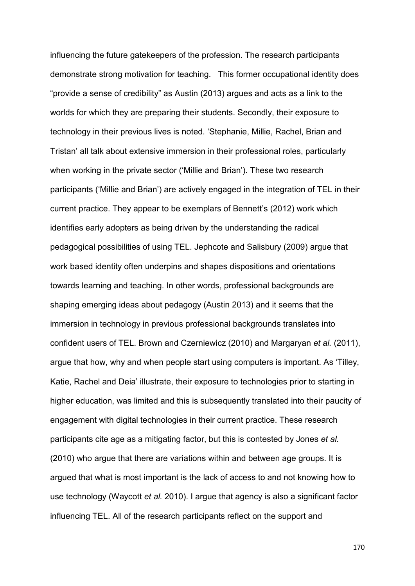influencing the future gatekeepers of the profession. The research participants demonstrate strong motivation for teaching. This former occupational identity does "provide a sense of credibility" as Austin (2013) argues and acts as a link to the worlds for which they are preparing their students. Secondly, their exposure to technology in their previous lives is noted. 'Stephanie, Millie, Rachel, Brian and Tristan' all talk about extensive immersion in their professional roles, particularly when working in the private sector ('Millie and Brian'). These two research participants ('Millie and Brian') are actively engaged in the integration of TEL in their current practice. They appear to be exemplars of Bennett's (2012) work which identifies early adopters as being driven by the understanding the radical pedagogical possibilities of using TEL. Jephcote and Salisbury (2009) argue that work based identity often underpins and shapes dispositions and orientations towards learning and teaching. In other words, professional backgrounds are shaping emerging ideas about pedagogy (Austin 2013) and it seems that the immersion in technology in previous professional backgrounds translates into confident users of TEL. Brown and Czerniewicz (2010) and Margaryan *et al.* (2011), argue that how, why and when people start using computers is important. As 'Tilley, Katie, Rachel and Deia' illustrate, their exposure to technologies prior to starting in higher education, was limited and this is subsequently translated into their paucity of engagement with digital technologies in their current practice. These research participants cite age as a mitigating factor, but this is contested by Jones *et al.* (2010) who argue that there are variations within and between age groups. It is argued that what is most important is the lack of access to and not knowing how to use technology (Waycott *et al.* 2010). I argue that agency is also a significant factor influencing TEL. All of the research participants reflect on the support and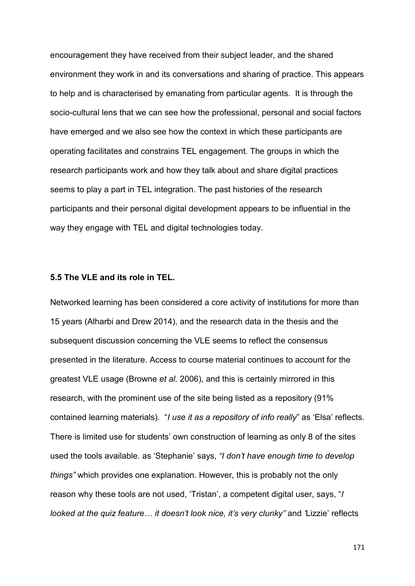encouragement they have received from their subject leader, and the shared environment they work in and its conversations and sharing of practice. This appears to help and is characterised by emanating from particular agents. It is through the socio-cultural lens that we can see how the professional, personal and social factors have emerged and we also see how the context in which these participants are operating facilitates and constrains TEL engagement. The groups in which the research participants work and how they talk about and share digital practices seems to play a part in TEL integration. The past histories of the research participants and their personal digital development appears to be influential in the way they engage with TEL and digital technologies today.

#### **5.5 The VLE and its role in TEL.**

Networked learning has been considered a core activity of institutions for more than 15 years (Alharbi and Drew 2014), and the research data in the thesis and the subsequent discussion concerning the VLE seems to reflect the consensus presented in the literature. Access to course material continues to account for the greatest VLE usage (Browne *et al.* 2006), and this is certainly mirrored in this research, with the prominent use of the site being listed as a repository (91% contained learning materials). "*I use it as a repository of info really*" as 'Elsa' reflects. There is limited use for students' own construction of learning as only 8 of the sites used the tools available. as 'Stephanie' says, *"I don't have enough time to develop things"* which provides one explanation. However, this is probably not the only reason why these tools are not used, 'Tristan', a competent digital user, says, "*I looked at the quiz feature... it doesn't look nice, it's very clunky"* and 'Lizzie' reflects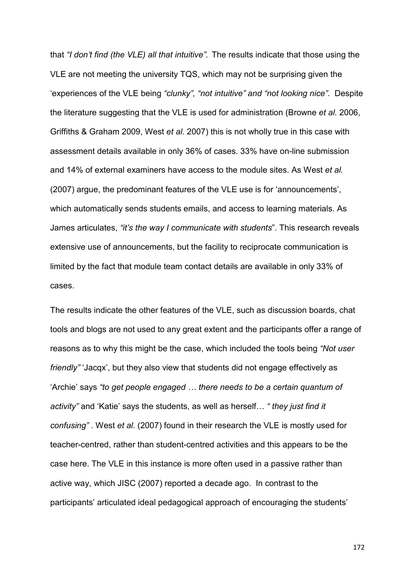that *"I don't find (the VLE) all that intuitive".* The results indicate that those using the VLE are not meeting the university TQS, which may not be surprising given the 'experiences of the VLE being *"clunky", "not intuitive" and "not looking nice"*. Despite the literature suggesting that the VLE is used for administration (Browne *et al.* 2006, Griffiths & Graham 2009, West *et al.* 2007) this is not wholly true in this case with assessment details available in only 36% of cases. 33% have on-line submission and 14% of external examiners have access to the module sites. As West *et al.* (2007) argue, the predominant features of the VLE use is for 'announcements', which automatically sends students emails, and access to learning materials. As James articulates, *"it's the way I communicate with students*". This research reveals extensive use of announcements, but the facility to reciprocate communication is limited by the fact that module team contact details are available in only 33% of cases.

The results indicate the other features of the VLE, such as discussion boards, chat tools and blogs are not used to any great extent and the participants offer a range of reasons as to why this might be the case, which included the tools being *"Not user friendly"* 'Jacqx', but they also view that students did not engage effectively as 'Archie' says *"to get people engaged … there needs to be a certain quantum of activity"* and 'Katie' says the students, as well as herself… *" they just find it confusing"* . West *et al.* (2007) found in their research the VLE is mostly used for teacher-centred, rather than student-centred activities and this appears to be the case here. The VLE in this instance is more often used in a passive rather than active way, which JISC (2007) reported a decade ago. In contrast to the participants' articulated ideal pedagogical approach of encouraging the students'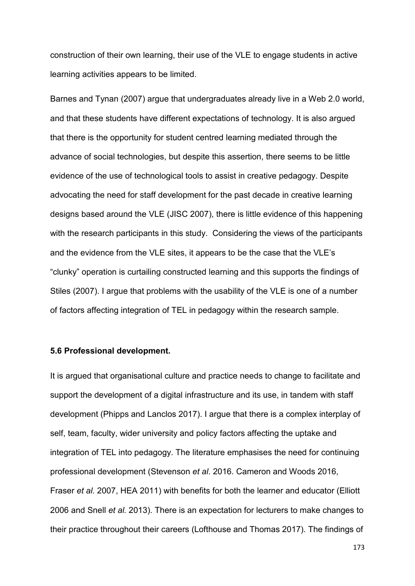construction of their own learning, their use of the VLE to engage students in active learning activities appears to be limited.

Barnes and Tynan (2007) argue that undergraduates already live in a Web 2.0 world, and that these students have different expectations of technology. It is also argued that there is the opportunity for student centred learning mediated through the advance of social technologies, but despite this assertion, there seems to be little evidence of the use of technological tools to assist in creative pedagogy. Despite advocating the need for staff development for the past decade in creative learning designs based around the VLE (JISC 2007), there is little evidence of this happening with the research participants in this study. Considering the views of the participants and the evidence from the VLE sites, it appears to be the case that the VLE's "clunky" operation is curtailing constructed learning and this supports the findings of Stiles (2007). I argue that problems with the usability of the VLE is one of a number of factors affecting integration of TEL in pedagogy within the research sample.

#### **5.6 Professional development.**

It is argued that organisational culture and practice needs to change to facilitate and support the development of a digital infrastructure and its use, in tandem with staff development (Phipps and Lanclos 2017). I argue that there is a complex interplay of self, team, faculty, wider university and policy factors affecting the uptake and integration of TEL into pedagogy. The literature emphasises the need for continuing professional development (Stevenson *et al*. 2016. Cameron and Woods 2016, Fraser *et al.* 2007, HEA 2011) with benefits for both the learner and educator (Elliott 2006 and Snell *et al.* 2013). There is an expectation for lecturers to make changes to their practice throughout their careers (Lofthouse and Thomas 2017). The findings of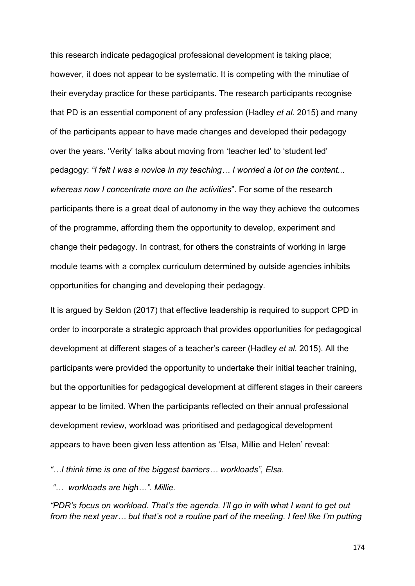this research indicate pedagogical professional development is taking place; however, it does not appear to be systematic. It is competing with the minutiae of their everyday practice for these participants. The research participants recognise that PD is an essential component of any profession (Hadley *et al.* 2015) and many of the participants appear to have made changes and developed their pedagogy over the years. 'Verity' talks about moving from 'teacher led' to 'student led' pedagogy: *"I felt I was a novice in my teaching… I worried a lot on the content... whereas now I concentrate more on the activities*". For some of the research participants there is a great deal of autonomy in the way they achieve the outcomes of the programme, affording them the opportunity to develop, experiment and change their pedagogy. In contrast, for others the constraints of working in large module teams with a complex curriculum determined by outside agencies inhibits opportunities for changing and developing their pedagogy.

It is argued by Seldon (2017) that effective leadership is required to support CPD in order to incorporate a strategic approach that provides opportunities for pedagogical development at different stages of a teacher's career (Hadley *et al.* 2015). All the participants were provided the opportunity to undertake their initial teacher training, but the opportunities for pedagogical development at different stages in their careers appear to be limited. When the participants reflected on their annual professional development review, workload was prioritised and pedagogical development appears to have been given less attention as 'Elsa, Millie and Helen' reveal:

*"…I think time is one of the biggest barriers… workloads", Elsa.* 

*"… workloads are high…". Millie.* 

*"PDR's focus on workload. That's the agenda. I'll go in with what I want to get out from the next year… but that's not a routine part of the meeting. I feel like I'm putting*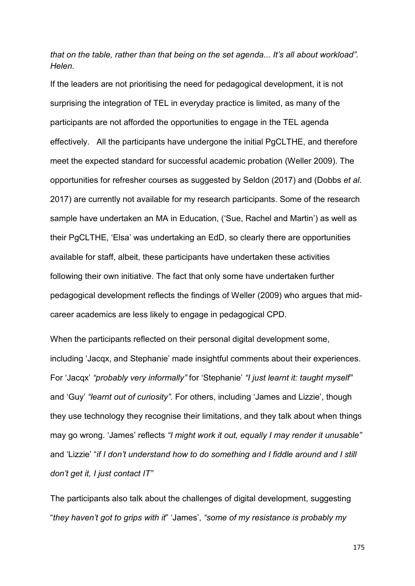*that on the table, rather than that being on the set agenda... It's all about workload". Helen.* 

If the leaders are not prioritising the need for pedagogical development, it is not surprising the integration of TEL in everyday practice is limited, as many of the participants are not afforded the opportunities to engage in the TEL agenda effectively. All the participants have undergone the initial PgCLTHE, and therefore meet the expected standard for successful academic probation (Weller 2009). The opportunities for refresher courses as suggested by Seldon (2017) and (Dobbs *et al*. 2017) are currently not available for my research participants. Some of the research sample have undertaken an MA in Education, ('Sue, Rachel and Martin') as well as their PgCLTHE, 'Elsa' was undertaking an EdD, so clearly there are opportunities available for staff, albeit, these participants have undertaken these activities following their own initiative. The fact that only some have undertaken further pedagogical development reflects the findings of Weller (2009) who argues that midcareer academics are less likely to engage in pedagogical CPD.

When the participants reflected on their personal digital development some, including 'Jacqx, and Stephanie' made insightful comments about their experiences. For 'Jacqx' *"probably very informally"* for 'Stephanie' *"I just learnt it: taught myself"* and 'Guy' *"learnt out of curiosity"*. For others, including 'James and Lizzie', though they use technology they recognise their limitations, and they talk about when things may go wrong. 'James' reflects *"I might work it out, equally I may render it unusable"* and 'Lizzie' "*if I don't understand how to do something and I fiddle around and I still don't get it, I just contact IT"*

The participants also talk about the challenges of digital development, suggesting "*they haven't got to grips with it*" 'James', *"some of my resistance is probably my*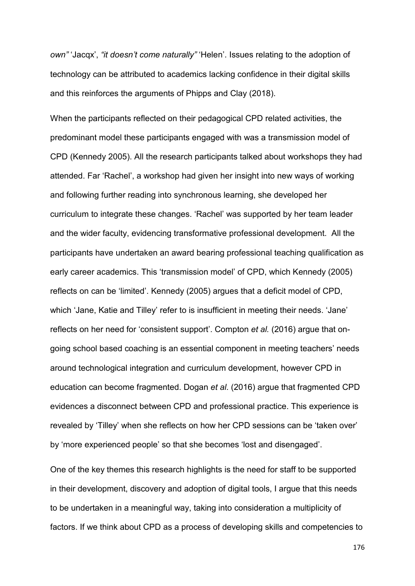*own"* 'Jacqx', *"it doesn't come naturally"* 'Helen'. Issues relating to the adoption of technology can be attributed to academics lacking confidence in their digital skills and this reinforces the arguments of Phipps and Clay (2018).

When the participants reflected on their pedagogical CPD related activities, the predominant model these participants engaged with was a transmission model of CPD (Kennedy 2005). All the research participants talked about workshops they had attended. Far 'Rachel', a workshop had given her insight into new ways of working and following further reading into synchronous learning, she developed her curriculum to integrate these changes. 'Rachel' was supported by her team leader and the wider faculty, evidencing transformative professional development. All the participants have undertaken an award bearing professional teaching qualification as early career academics. This 'transmission model' of CPD, which Kennedy (2005) reflects on can be 'limited'. Kennedy (2005) argues that a deficit model of CPD, which 'Jane, Katie and Tilley' refer to is insufficient in meeting their needs. 'Jane' reflects on her need for 'consistent support'. Compton *et al.* (2016) argue that ongoing school based coaching is an essential component in meeting teachers' needs around technological integration and curriculum development, however CPD in education can become fragmented. Dogan *et al*. (2016) argue that fragmented CPD evidences a disconnect between CPD and professional practice. This experience is revealed by 'Tilley' when she reflects on how her CPD sessions can be 'taken over' by 'more experienced people' so that she becomes 'lost and disengaged'.

One of the key themes this research highlights is the need for staff to be supported in their development, discovery and adoption of digital tools, I argue that this needs to be undertaken in a meaningful way, taking into consideration a multiplicity of factors. If we think about CPD as a process of developing skills and competencies to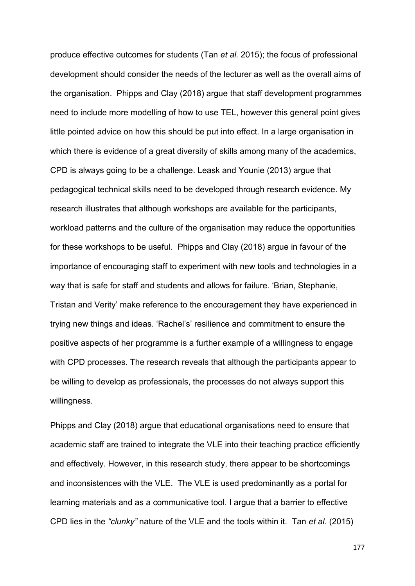produce effective outcomes for students (Tan *et al.* 2015); the focus of professional development should consider the needs of the lecturer as well as the overall aims of the organisation. Phipps and Clay (2018) argue that staff development programmes need to include more modelling of how to use TEL, however this general point gives little pointed advice on how this should be put into effect. In a large organisation in which there is evidence of a great diversity of skills among many of the academics, CPD is always going to be a challenge. Leask and Younie (2013) argue that pedagogical technical skills need to be developed through research evidence. My research illustrates that although workshops are available for the participants, workload patterns and the culture of the organisation may reduce the opportunities for these workshops to be useful. Phipps and Clay (2018) argue in favour of the importance of encouraging staff to experiment with new tools and technologies in a way that is safe for staff and students and allows for failure. 'Brian, Stephanie, Tristan and Verity' make reference to the encouragement they have experienced in trying new things and ideas. 'Rachel's' resilience and commitment to ensure the positive aspects of her programme is a further example of a willingness to engage with CPD processes. The research reveals that although the participants appear to be willing to develop as professionals, the processes do not always support this willingness.

Phipps and Clay (2018) argue that educational organisations need to ensure that academic staff are trained to integrate the VLE into their teaching practice efficiently and effectively. However, in this research study, there appear to be shortcomings and inconsistences with the VLE. The VLE is used predominantly as a portal for learning materials and as a communicative tool. I argue that a barrier to effective CPD lies in the *"clunky"* nature of the VLE and the tools within it. Tan *et al*. (2015)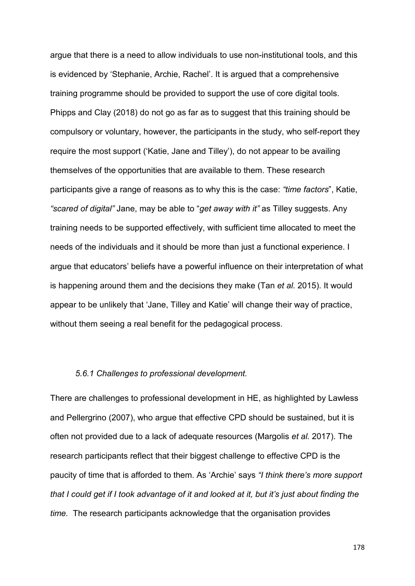argue that there is a need to allow individuals to use non-institutional tools, and this is evidenced by 'Stephanie, Archie, Rachel'. It is argued that a comprehensive training programme should be provided to support the use of core digital tools. Phipps and Clay (2018) do not go as far as to suggest that this training should be compulsory or voluntary, however, the participants in the study, who self-report they require the most support ('Katie, Jane and Tilley'), do not appear to be availing themselves of the opportunities that are available to them. These research participants give a range of reasons as to why this is the case: *"time factors*", Katie, *"scared of digital"* Jane, may be able to "*get away with it"* as Tilley suggests. Any training needs to be supported effectively, with sufficient time allocated to meet the needs of the individuals and it should be more than just a functional experience. I argue that educators' beliefs have a powerful influence on their interpretation of what is happening around them and the decisions they make (Tan *et al.* 2015). It would appear to be unlikely that 'Jane, Tilley and Katie' will change their way of practice, without them seeing a real benefit for the pedagogical process.

#### *5.6.1 Challenges to professional development.*

There are challenges to professional development in HE, as highlighted by Lawless and Pellergrino (2007), who argue that effective CPD should be sustained, but it is often not provided due to a lack of adequate resources (Margolis *et al.* 2017). The research participants reflect that their biggest challenge to effective CPD is the paucity of time that is afforded to them. As 'Archie' says *"I think there's more support that I could get if I took advantage of it and looked at it, but it's just about finding the time.* The research participants acknowledge that the organisation provides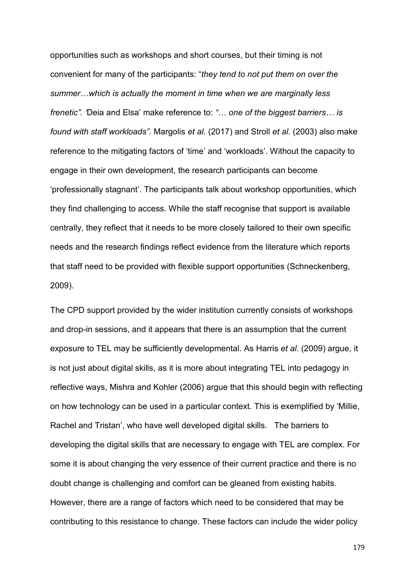opportunities such as workshops and short courses, but their timing is not convenient for many of the participants: "*they tend to not put them on over the summer…which is actually the moment in time when we are marginally less frenetic". '*Deia and Elsa' make reference to: *"… one of the biggest barriers… is found with staff workloads".* Margolis *et al.* (2017) and Stroll *et al.* (2003) also make reference to the mitigating factors of 'time' and 'workloads'. Without the capacity to engage in their own development, the research participants can become 'professionally stagnant'. The participants talk about workshop opportunities, which they find challenging to access. While the staff recognise that support is available centrally, they reflect that it needs to be more closely tailored to their own specific needs and the research findings reflect evidence from the literature which reports that staff need to be provided with flexible support opportunities (Schneckenberg, 2009).

The CPD support provided by the wider institution currently consists of workshops and drop-in sessions, and it appears that there is an assumption that the current exposure to TEL may be sufficiently developmental. As Harris *et al.* (2009) argue, it is not just about digital skills, as it is more about integrating TEL into pedagogy in reflective ways, Mishra and Kohler (2006) argue that this should begin with reflecting on how technology can be used in a particular context. This is exemplified by 'Millie, Rachel and Tristan', who have well developed digital skills. The barriers to developing the digital skills that are necessary to engage with TEL are complex. For some it is about changing the very essence of their current practice and there is no doubt change is challenging and comfort can be gleaned from existing habits. However, there are a range of factors which need to be considered that may be contributing to this resistance to change. These factors can include the wider policy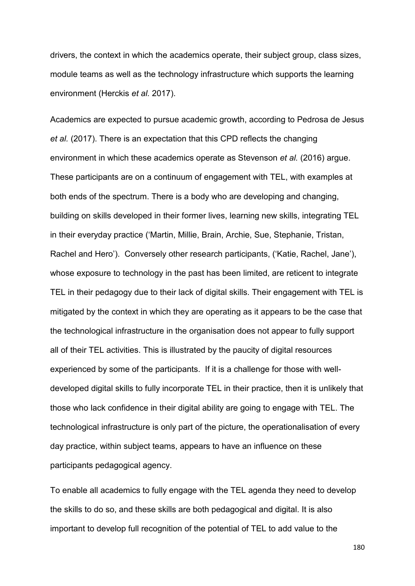drivers, the context in which the academics operate, their subject group, class sizes, module teams as well as the technology infrastructure which supports the learning environment (Herckis *et al.* 2017).

Academics are expected to pursue academic growth, according to Pedrosa de Jesus *et al.* (2017). There is an expectation that this CPD reflects the changing environment in which these academics operate as Stevenson *et al.* (2016) argue. These participants are on a continuum of engagement with TEL, with examples at both ends of the spectrum. There is a body who are developing and changing, building on skills developed in their former lives, learning new skills, integrating TEL in their everyday practice ('Martin, Millie, Brain, Archie, Sue, Stephanie, Tristan, Rachel and Hero'). Conversely other research participants, ('Katie, Rachel, Jane'), whose exposure to technology in the past has been limited, are reticent to integrate TEL in their pedagogy due to their lack of digital skills. Their engagement with TEL is mitigated by the context in which they are operating as it appears to be the case that the technological infrastructure in the organisation does not appear to fully support all of their TEL activities. This is illustrated by the paucity of digital resources experienced by some of the participants. If it is a challenge for those with welldeveloped digital skills to fully incorporate TEL in their practice, then it is unlikely that those who lack confidence in their digital ability are going to engage with TEL. The technological infrastructure is only part of the picture, the operationalisation of every day practice, within subject teams, appears to have an influence on these participants pedagogical agency.

To enable all academics to fully engage with the TEL agenda they need to develop the skills to do so, and these skills are both pedagogical and digital. It is also important to develop full recognition of the potential of TEL to add value to the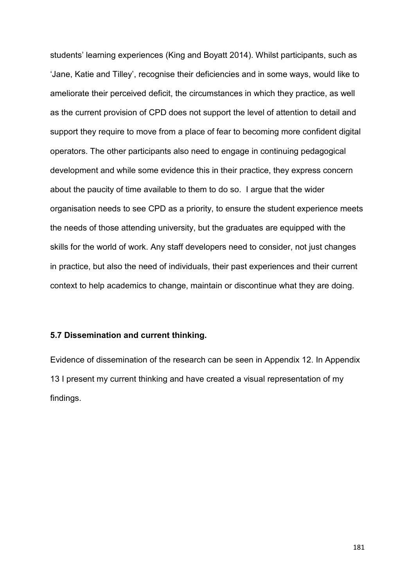students' learning experiences (King and Boyatt 2014). Whilst participants, such as 'Jane, Katie and Tilley', recognise their deficiencies and in some ways, would like to ameliorate their perceived deficit, the circumstances in which they practice, as well as the current provision of CPD does not support the level of attention to detail and support they require to move from a place of fear to becoming more confident digital operators. The other participants also need to engage in continuing pedagogical development and while some evidence this in their practice, they express concern about the paucity of time available to them to do so. I argue that the wider organisation needs to see CPD as a priority, to ensure the student experience meets the needs of those attending university, but the graduates are equipped with the skills for the world of work. Any staff developers need to consider, not just changes in practice, but also the need of individuals, their past experiences and their current context to help academics to change, maintain or discontinue what they are doing.

### **5.7 Dissemination and current thinking.**

Evidence of dissemination of the research can be seen in Appendix 12. In Appendix 13 I present my current thinking and have created a visual representation of my findings.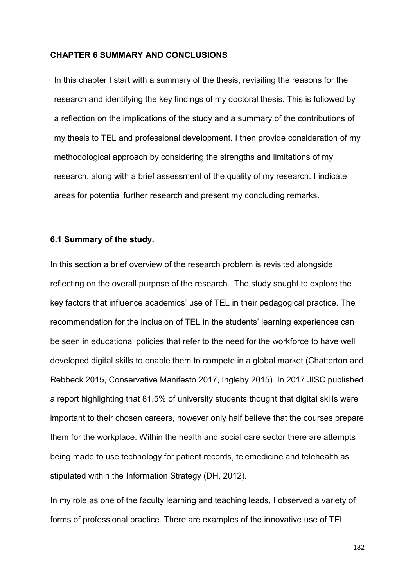### **CHAPTER 6 SUMMARY AND CONCLUSIONS**

In this chapter I start with a summary of the thesis, revisiting the reasons for the research and identifying the key findings of my doctoral thesis. This is followed by a reflection on the implications of the study and a summary of the contributions of my thesis to TEL and professional development. I then provide consideration of my methodological approach by considering the strengths and limitations of my research, along with a brief assessment of the quality of my research. I indicate areas for potential further research and present my concluding remarks.

### **6.1 Summary of the study.**

In this section a brief overview of the research problem is revisited alongside reflecting on the overall purpose of the research. The study sought to explore the key factors that influence academics' use of TEL in their pedagogical practice. The recommendation for the inclusion of TEL in the students' learning experiences can be seen in educational policies that refer to the need for the workforce to have well developed digital skills to enable them to compete in a global market (Chatterton and Rebbeck 2015, Conservative Manifesto 2017, Ingleby 2015). In 2017 JISC published a report highlighting that 81.5% of university students thought that digital skills were important to their chosen careers, however only half believe that the courses prepare them for the workplace. Within the health and social care sector there are attempts being made to use technology for patient records, telemedicine and telehealth as stipulated within the Information Strategy (DH, 2012).

In my role as one of the faculty learning and teaching leads, I observed a variety of forms of professional practice. There are examples of the innovative use of TEL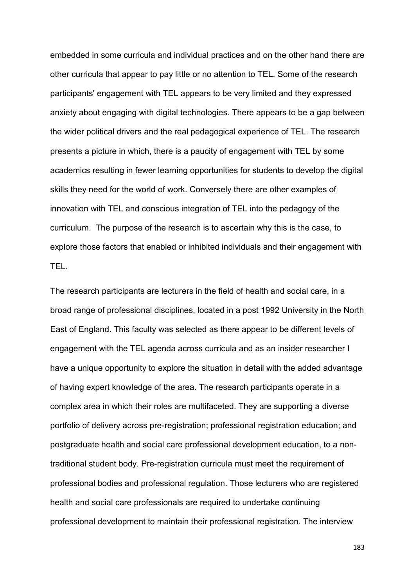embedded in some curricula and individual practices and on the other hand there are other curricula that appear to pay little or no attention to TEL. Some of the research participants' engagement with TEL appears to be very limited and they expressed anxiety about engaging with digital technologies. There appears to be a gap between the wider political drivers and the real pedagogical experience of TEL. The research presents a picture in which, there is a paucity of engagement with TEL by some academics resulting in fewer learning opportunities for students to develop the digital skills they need for the world of work. Conversely there are other examples of innovation with TEL and conscious integration of TEL into the pedagogy of the curriculum. The purpose of the research is to ascertain why this is the case, to explore those factors that enabled or inhibited individuals and their engagement with TEL.

The research participants are lecturers in the field of health and social care, in a broad range of professional disciplines, located in a post 1992 University in the North East of England. This faculty was selected as there appear to be different levels of engagement with the TEL agenda across curricula and as an insider researcher I have a unique opportunity to explore the situation in detail with the added advantage of having expert knowledge of the area. The research participants operate in a complex area in which their roles are multifaceted. They are supporting a diverse portfolio of delivery across pre-registration; professional registration education; and postgraduate health and social care professional development education, to a nontraditional student body. Pre-registration curricula must meet the requirement of professional bodies and professional regulation. Those lecturers who are registered health and social care professionals are required to undertake continuing professional development to maintain their professional registration. The interview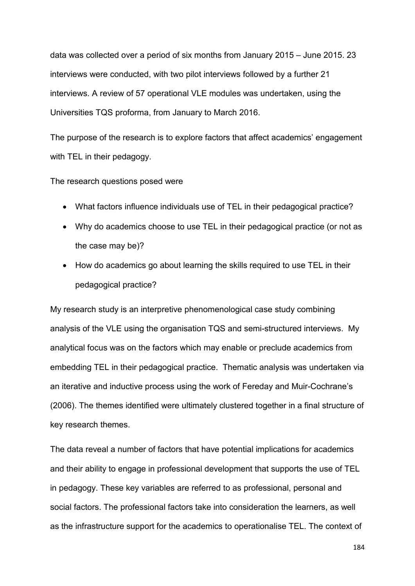data was collected over a period of six months from January 2015 – June 2015. 23 interviews were conducted, with two pilot interviews followed by a further 21 interviews. A review of 57 operational VLE modules was undertaken, using the Universities TQS proforma, from January to March 2016.

The purpose of the research is to explore factors that affect academics' engagement with TEL in their pedagogy.

The research questions posed were

- What factors influence individuals use of TEL in their pedagogical practice?
- Why do academics choose to use TEL in their pedagogical practice (or not as the case may be)?
- How do academics go about learning the skills required to use TEL in their pedagogical practice?

My research study is an interpretive phenomenological case study combining analysis of the VLE using the organisation TQS and semi-structured interviews. My analytical focus was on the factors which may enable or preclude academics from embedding TEL in their pedagogical practice. Thematic analysis was undertaken via an iterative and inductive process using the work of Fereday and Muir-Cochrane's (2006). The themes identified were ultimately clustered together in a final structure of key research themes.

The data reveal a number of factors that have potential implications for academics and their ability to engage in professional development that supports the use of TEL in pedagogy. These key variables are referred to as professional, personal and social factors. The professional factors take into consideration the learners, as well as the infrastructure support for the academics to operationalise TEL. The context of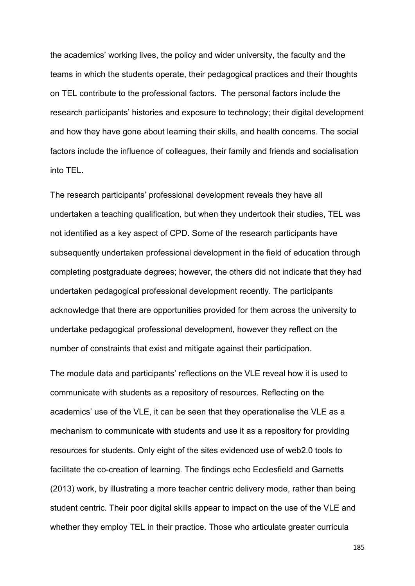the academics' working lives, the policy and wider university, the faculty and the teams in which the students operate, their pedagogical practices and their thoughts on TEL contribute to the professional factors. The personal factors include the research participants' histories and exposure to technology; their digital development and how they have gone about learning their skills, and health concerns. The social factors include the influence of colleagues, their family and friends and socialisation into TEL.

The research participants' professional development reveals they have all undertaken a teaching qualification, but when they undertook their studies, TEL was not identified as a key aspect of CPD. Some of the research participants have subsequently undertaken professional development in the field of education through completing postgraduate degrees; however, the others did not indicate that they had undertaken pedagogical professional development recently. The participants acknowledge that there are opportunities provided for them across the university to undertake pedagogical professional development, however they reflect on the number of constraints that exist and mitigate against their participation.

The module data and participants' reflections on the VLE reveal how it is used to communicate with students as a repository of resources. Reflecting on the academics' use of the VLE, it can be seen that they operationalise the VLE as a mechanism to communicate with students and use it as a repository for providing resources for students. Only eight of the sites evidenced use of web2.0 tools to facilitate the co-creation of learning. The findings echo Ecclesfield and Garnetts (2013) work, by illustrating a more teacher centric delivery mode, rather than being student centric. Their poor digital skills appear to impact on the use of the VLE and whether they employ TEL in their practice. Those who articulate greater curricula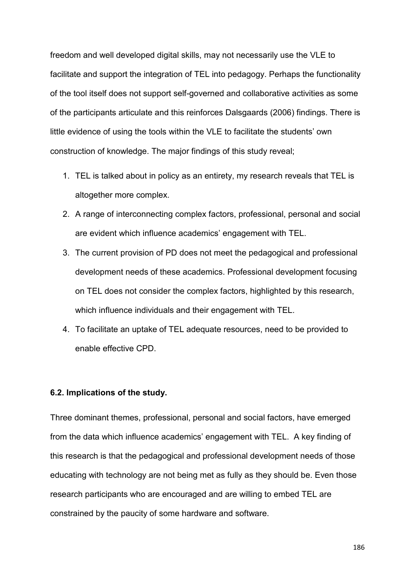freedom and well developed digital skills, may not necessarily use the VLE to facilitate and support the integration of TEL into pedagogy. Perhaps the functionality of the tool itself does not support self-governed and collaborative activities as some of the participants articulate and this reinforces Dalsgaards (2006) findings. There is little evidence of using the tools within the VLE to facilitate the students' own construction of knowledge. The major findings of this study reveal;

- 1. TEL is talked about in policy as an entirety, my research reveals that TEL is altogether more complex.
- 2. A range of interconnecting complex factors, professional, personal and social are evident which influence academics' engagement with TEL.
- 3. The current provision of PD does not meet the pedagogical and professional development needs of these academics. Professional development focusing on TEL does not consider the complex factors, highlighted by this research, which influence individuals and their engagement with TEL.
- 4. To facilitate an uptake of TEL adequate resources, need to be provided to enable effective CPD.

### **6.2. Implications of the study.**

Three dominant themes, professional, personal and social factors, have emerged from the data which influence academics' engagement with TEL. A key finding of this research is that the pedagogical and professional development needs of those educating with technology are not being met as fully as they should be. Even those research participants who are encouraged and are willing to embed TEL are constrained by the paucity of some hardware and software.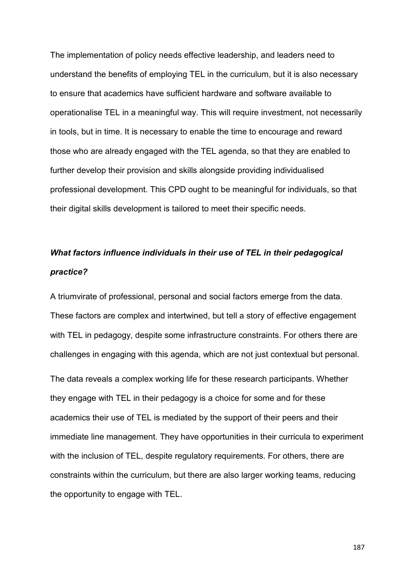The implementation of policy needs effective leadership, and leaders need to understand the benefits of employing TEL in the curriculum, but it is also necessary to ensure that academics have sufficient hardware and software available to operationalise TEL in a meaningful way. This will require investment, not necessarily in tools, but in time. It is necessary to enable the time to encourage and reward those who are already engaged with the TEL agenda, so that they are enabled to further develop their provision and skills alongside providing individualised professional development. This CPD ought to be meaningful for individuals, so that their digital skills development is tailored to meet their specific needs.

# *What factors influence individuals in their use of TEL in their pedagogical practice?*

A triumvirate of professional, personal and social factors emerge from the data. These factors are complex and intertwined, but tell a story of effective engagement with TEL in pedagogy, despite some infrastructure constraints. For others there are challenges in engaging with this agenda, which are not just contextual but personal.

The data reveals a complex working life for these research participants. Whether they engage with TEL in their pedagogy is a choice for some and for these academics their use of TEL is mediated by the support of their peers and their immediate line management. They have opportunities in their curricula to experiment with the inclusion of TEL, despite regulatory requirements. For others, there are constraints within the curriculum, but there are also larger working teams, reducing the opportunity to engage with TEL.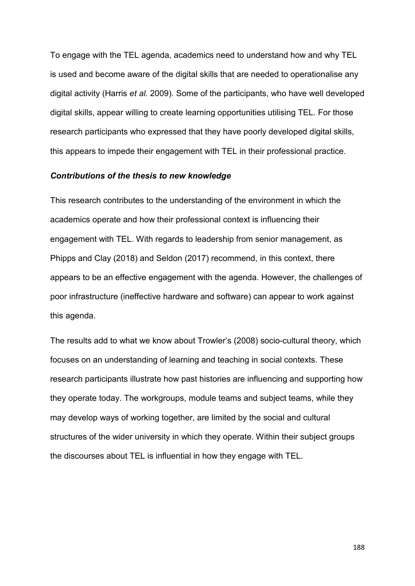To engage with the TEL agenda, academics need to understand how and why TEL is used and become aware of the digital skills that are needed to operationalise any digital activity (Harris *et al.* 2009). Some of the participants, who have well developed digital skills, appear willing to create learning opportunities utilising TEL. For those research participants who expressed that they have poorly developed digital skills, this appears to impede their engagement with TEL in their professional practice.

### *Contributions of the thesis to new knowledge*

This research contributes to the understanding of the environment in which the academics operate and how their professional context is influencing their engagement with TEL. With regards to leadership from senior management, as Phipps and Clay (2018) and Seldon (2017) recommend, in this context, there appears to be an effective engagement with the agenda. However, the challenges of poor infrastructure (ineffective hardware and software) can appear to work against this agenda.

The results add to what we know about Trowler's (2008) socio-cultural theory, which focuses on an understanding of learning and teaching in social contexts. These research participants illustrate how past histories are influencing and supporting how they operate today. The workgroups, module teams and subject teams, while they may develop ways of working together, are limited by the social and cultural structures of the wider university in which they operate. Within their subject groups the discourses about TEL is influential in how they engage with TEL.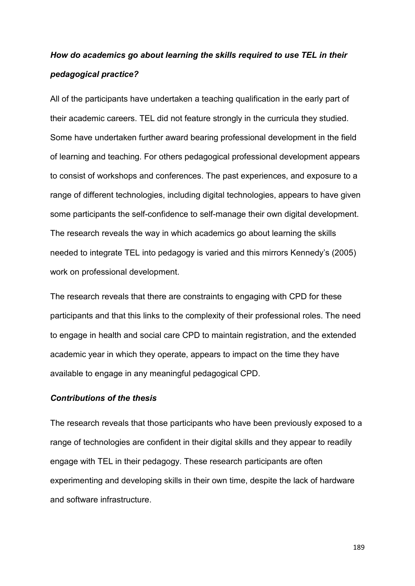# *How do academics go about learning the skills required to use TEL in their pedagogical practice?*

All of the participants have undertaken a teaching qualification in the early part of their academic careers. TEL did not feature strongly in the curricula they studied. Some have undertaken further award bearing professional development in the field of learning and teaching. For others pedagogical professional development appears to consist of workshops and conferences. The past experiences, and exposure to a range of different technologies, including digital technologies, appears to have given some participants the self-confidence to self-manage their own digital development. The research reveals the way in which academics go about learning the skills needed to integrate TEL into pedagogy is varied and this mirrors Kennedy's (2005) work on professional development.

The research reveals that there are constraints to engaging with CPD for these participants and that this links to the complexity of their professional roles. The need to engage in health and social care CPD to maintain registration, and the extended academic year in which they operate, appears to impact on the time they have available to engage in any meaningful pedagogical CPD.

### *Contributions of the thesis*

The research reveals that those participants who have been previously exposed to a range of technologies are confident in their digital skills and they appear to readily engage with TEL in their pedagogy. These research participants are often experimenting and developing skills in their own time, despite the lack of hardware and software infrastructure.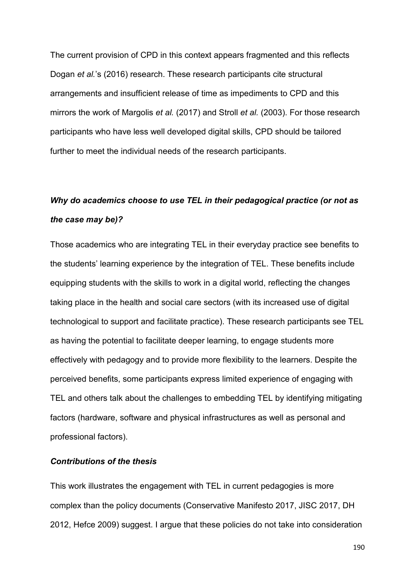The current provision of CPD in this context appears fragmented and this reflects Dogan *et al.*'s (2016) research. These research participants cite structural arrangements and insufficient release of time as impediments to CPD and this mirrors the work of Margolis *et al.* (2017) and Stroll *et al.* (2003). For those research participants who have less well developed digital skills, CPD should be tailored further to meet the individual needs of the research participants.

# *Why do academics choose to use TEL in their pedagogical practice (or not as the case may be)?*

Those academics who are integrating TEL in their everyday practice see benefits to the students' learning experience by the integration of TEL. These benefits include equipping students with the skills to work in a digital world, reflecting the changes taking place in the health and social care sectors (with its increased use of digital technological to support and facilitate practice). These research participants see TEL as having the potential to facilitate deeper learning, to engage students more effectively with pedagogy and to provide more flexibility to the learners. Despite the perceived benefits, some participants express limited experience of engaging with TEL and others talk about the challenges to embedding TEL by identifying mitigating factors (hardware, software and physical infrastructures as well as personal and professional factors).

### *Contributions of the thesis*

This work illustrates the engagement with TEL in current pedagogies is more complex than the policy documents (Conservative Manifesto 2017, JISC 2017, DH 2012, Hefce 2009) suggest. I argue that these policies do not take into consideration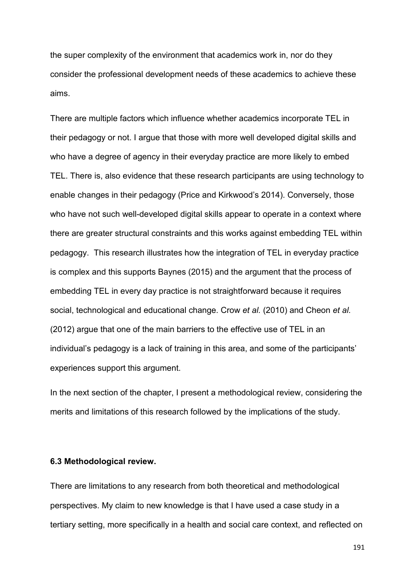the super complexity of the environment that academics work in, nor do they consider the professional development needs of these academics to achieve these aims.

There are multiple factors which influence whether academics incorporate TEL in their pedagogy or not. I argue that those with more well developed digital skills and who have a degree of agency in their everyday practice are more likely to embed TEL. There is, also evidence that these research participants are using technology to enable changes in their pedagogy (Price and Kirkwood's 2014). Conversely, those who have not such well-developed digital skills appear to operate in a context where there are greater structural constraints and this works against embedding TEL within pedagogy. This research illustrates how the integration of TEL in everyday practice is complex and this supports Baynes (2015) and the argument that the process of embedding TEL in every day practice is not straightforward because it requires social, technological and educational change. Crow *et al.* (2010) and Cheon *et al.* (2012) argue that one of the main barriers to the effective use of TEL in an individual's pedagogy is a lack of training in this area, and some of the participants' experiences support this argument.

In the next section of the chapter, I present a methodological review, considering the merits and limitations of this research followed by the implications of the study.

### **6.3 Methodological review.**

There are limitations to any research from both theoretical and methodological perspectives. My claim to new knowledge is that I have used a case study in a tertiary setting, more specifically in a health and social care context, and reflected on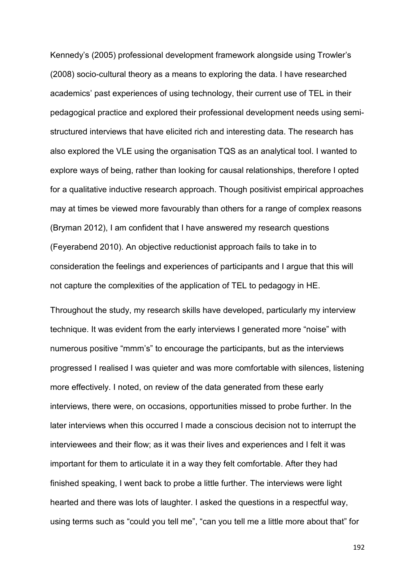Kennedy's (2005) professional development framework alongside using Trowler's (2008) socio-cultural theory as a means to exploring the data. I have researched academics' past experiences of using technology, their current use of TEL in their pedagogical practice and explored their professional development needs using semistructured interviews that have elicited rich and interesting data. The research has also explored the VLE using the organisation TQS as an analytical tool. I wanted to explore ways of being, rather than looking for causal relationships, therefore I opted for a qualitative inductive research approach. Though positivist empirical approaches may at times be viewed more favourably than others for a range of complex reasons (Bryman 2012), I am confident that I have answered my research questions (Feyerabend 2010). An objective reductionist approach fails to take in to consideration the feelings and experiences of participants and I argue that this will not capture the complexities of the application of TEL to pedagogy in HE.

Throughout the study, my research skills have developed, particularly my interview technique. It was evident from the early interviews I generated more "noise" with numerous positive "mmm's" to encourage the participants, but as the interviews progressed I realised I was quieter and was more comfortable with silences, listening more effectively. I noted, on review of the data generated from these early interviews, there were, on occasions, opportunities missed to probe further. In the later interviews when this occurred I made a conscious decision not to interrupt the interviewees and their flow; as it was their lives and experiences and I felt it was important for them to articulate it in a way they felt comfortable. After they had finished speaking, I went back to probe a little further. The interviews were light hearted and there was lots of laughter. I asked the questions in a respectful way, using terms such as "could you tell me", "can you tell me a little more about that" for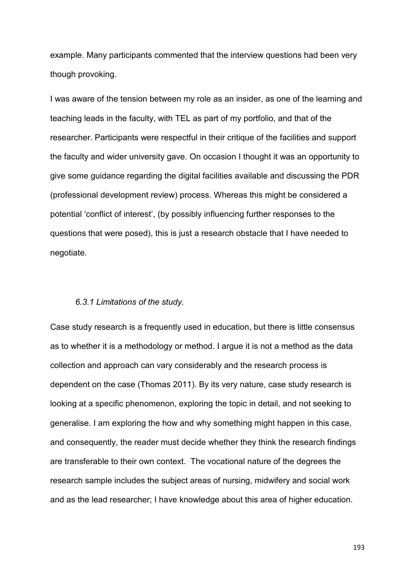example. Many participants commented that the interview questions had been very though provoking.

I was aware of the tension between my role as an insider, as one of the learning and teaching leads in the faculty, with TEL as part of my portfolio, and that of the researcher. Participants were respectful in their critique of the facilities and support the faculty and wider university gave. On occasion I thought it was an opportunity to give some guidance regarding the digital facilities available and discussing the PDR (professional development review) process. Whereas this might be considered a potential 'conflict of interest', (by possibly influencing further responses to the questions that were posed), this is just a research obstacle that I have needed to negotiate.

### *6.3.1 Limitations of the study.*

Case study research is a frequently used in education, but there is little consensus as to whether it is a methodology or method. I argue it is not a method as the data collection and approach can vary considerably and the research process is dependent on the case (Thomas 2011). By its very nature, case study research is looking at a specific phenomenon, exploring the topic in detail, and not seeking to generalise. I am exploring the how and why something might happen in this case, and consequently, the reader must decide whether they think the research findings are transferable to their own context. The vocational nature of the degrees the research sample includes the subject areas of nursing, midwifery and social work and as the lead researcher; I have knowledge about this area of higher education.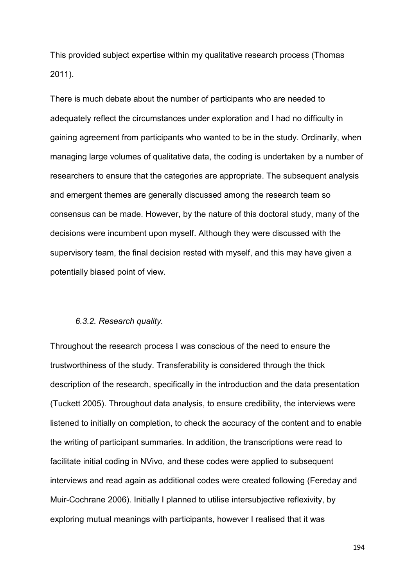This provided subject expertise within my qualitative research process (Thomas 2011).

There is much debate about the number of participants who are needed to adequately reflect the circumstances under exploration and I had no difficulty in gaining agreement from participants who wanted to be in the study. Ordinarily, when managing large volumes of qualitative data, the coding is undertaken by a number of researchers to ensure that the categories are appropriate. The subsequent analysis and emergent themes are generally discussed among the research team so consensus can be made. However, by the nature of this doctoral study, many of the decisions were incumbent upon myself. Although they were discussed with the supervisory team, the final decision rested with myself, and this may have given a potentially biased point of view.

#### *6.3.2. Research quality.*

Throughout the research process I was conscious of the need to ensure the trustworthiness of the study. Transferability is considered through the thick description of the research, specifically in the introduction and the data presentation (Tuckett 2005). Throughout data analysis, to ensure credibility, the interviews were listened to initially on completion, to check the accuracy of the content and to enable the writing of participant summaries. In addition, the transcriptions were read to facilitate initial coding in NVivo, and these codes were applied to subsequent interviews and read again as additional codes were created following (Fereday and Muir-Cochrane 2006). Initially I planned to utilise intersubjective reflexivity, by exploring mutual meanings with participants, however I realised that it was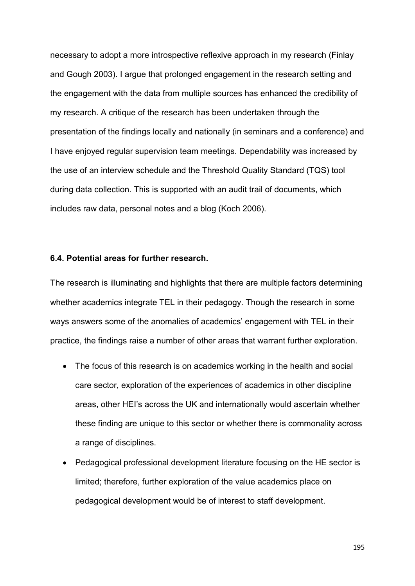necessary to adopt a more introspective reflexive approach in my research (Finlay and Gough 2003). I argue that prolonged engagement in the research setting and the engagement with the data from multiple sources has enhanced the credibility of my research. A critique of the research has been undertaken through the presentation of the findings locally and nationally (in seminars and a conference) and I have enjoyed regular supervision team meetings. Dependability was increased by the use of an interview schedule and the Threshold Quality Standard (TQS) tool during data collection. This is supported with an audit trail of documents, which includes raw data, personal notes and a blog (Koch 2006).

### **6.4. Potential areas for further research.**

The research is illuminating and highlights that there are multiple factors determining whether academics integrate TEL in their pedagogy. Though the research in some ways answers some of the anomalies of academics' engagement with TEL in their practice, the findings raise a number of other areas that warrant further exploration.

- The focus of this research is on academics working in the health and social care sector, exploration of the experiences of academics in other discipline areas, other HEI's across the UK and internationally would ascertain whether these finding are unique to this sector or whether there is commonality across a range of disciplines.
- Pedagogical professional development literature focusing on the HE sector is limited; therefore, further exploration of the value academics place on pedagogical development would be of interest to staff development.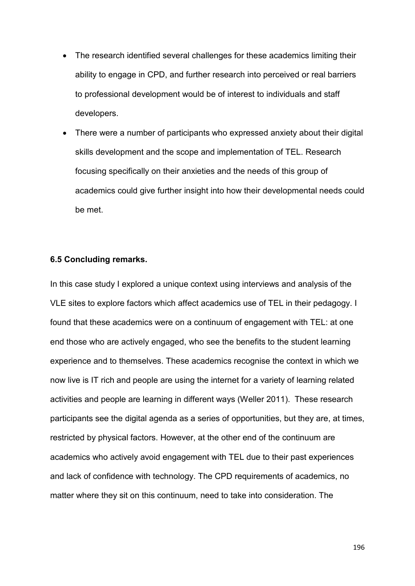- The research identified several challenges for these academics limiting their ability to engage in CPD, and further research into perceived or real barriers to professional development would be of interest to individuals and staff developers.
- There were a number of participants who expressed anxiety about their digital skills development and the scope and implementation of TEL. Research focusing specifically on their anxieties and the needs of this group of academics could give further insight into how their developmental needs could be met.

#### **6.5 Concluding remarks.**

In this case study I explored a unique context using interviews and analysis of the VLE sites to explore factors which affect academics use of TEL in their pedagogy. I found that these academics were on a continuum of engagement with TEL: at one end those who are actively engaged, who see the benefits to the student learning experience and to themselves. These academics recognise the context in which we now live is IT rich and people are using the internet for a variety of learning related activities and people are learning in different ways (Weller 2011). These research participants see the digital agenda as a series of opportunities, but they are, at times, restricted by physical factors. However, at the other end of the continuum are academics who actively avoid engagement with TEL due to their past experiences and lack of confidence with technology. The CPD requirements of academics, no matter where they sit on this continuum, need to take into consideration. The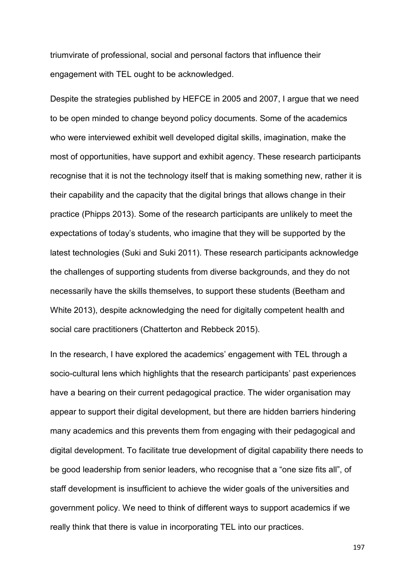triumvirate of professional, social and personal factors that influence their engagement with TEL ought to be acknowledged.

Despite the strategies published by HEFCE in 2005 and 2007, I argue that we need to be open minded to change beyond policy documents. Some of the academics who were interviewed exhibit well developed digital skills, imagination, make the most of opportunities, have support and exhibit agency. These research participants recognise that it is not the technology itself that is making something new, rather it is their capability and the capacity that the digital brings that allows change in their practice (Phipps 2013). Some of the research participants are unlikely to meet the expectations of today's students, who imagine that they will be supported by the latest technologies (Suki and Suki 2011). These research participants acknowledge the challenges of supporting students from diverse backgrounds, and they do not necessarily have the skills themselves, to support these students (Beetham and White 2013), despite acknowledging the need for digitally competent health and social care practitioners (Chatterton and Rebbeck 2015).

In the research, I have explored the academics' engagement with TEL through a socio-cultural lens which highlights that the research participants' past experiences have a bearing on their current pedagogical practice. The wider organisation may appear to support their digital development, but there are hidden barriers hindering many academics and this prevents them from engaging with their pedagogical and digital development. To facilitate true development of digital capability there needs to be good leadership from senior leaders, who recognise that a "one size fits all", of staff development is insufficient to achieve the wider goals of the universities and government policy. We need to think of different ways to support academics if we really think that there is value in incorporating TEL into our practices.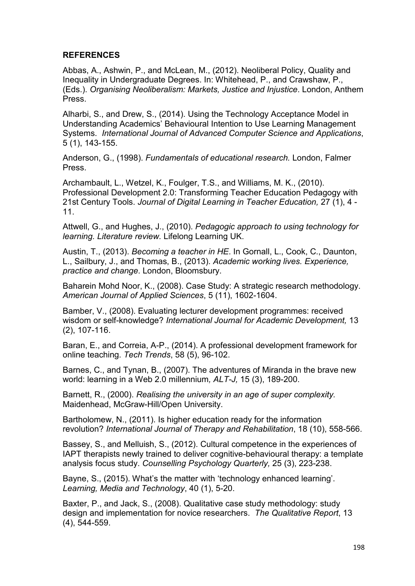### **REFERENCES**

Abbas, A., Ashwin, P., and McLean, M., (2012). Neoliberal Policy, Quality and Inequality in Undergraduate Degrees. In: Whitehead, P., and Crawshaw, P., (Eds.). *Organising Neoliberalism: Markets, Justice and Injustice*. London, Anthem Press.

Alharbi, S., and Drew, S., (2014). Using the Technology Acceptance Model in Understanding Academics' Behavioural Intention to Use Learning Management Systems. *International Journal of Advanced Computer Science and Applications*, 5 (1), 143-155.

Anderson, G., (1998). *Fundamentals of educational research.* London, Falmer Press.

Archambault, L., Wetzel, K., Foulger, T.S., and Williams, M. K., (2010). Professional Development 2.0: Transforming Teacher Education Pedagogy with 21st Century Tools. *Journal of Digital Learning in Teacher Education,* 27 (1), 4 - 11.

Attwell, G., and Hughes, J., (2010). *Pedagogic approach to using technology for learning. Literature review.* Lifelong Learning UK.

Austin, T., (2013). *Becoming a teacher in HE*. In Gornall, L., Cook, C., Daunton, L., Sailbury, J., and Thomas, B., (2013). *Academic working lives. Experience, practice and change*. London, Bloomsbury.

Baharein Mohd Noor, K., (2008). Case Study: A strategic research methodology. *American Journal of Applied Sciences*, 5 (11), 1602-1604.

Bamber, V., (2008). Evaluating lecturer development programmes: received wisdom or self-knowledge? *International Journal for Academic Development,* 13 (2), 107-116.

Baran, E., and Correia, A-P., (2014). A professional development framework for online teaching. *Tech Trends*, 58 (5), 96-102.

Barnes, C., and Tynan, B., (2007). The adventures of Miranda in the brave new world: learning in a Web 2.0 millennium*, ALT-J,* 15 (3), 189-200.

Barnett, R., (2000). *Realising the university in an age of super complexity.* Maidenhead, McGraw-Hill/Open University.

Bartholomew, N., (2011). Is higher education ready for the information revolution? *International Journal of Therapy and Rehabilitation*, 18 (10), 558-566.

Bassey, S., and Melluish, S., (2012). Cultural competence in the experiences of IAPT therapists newly trained to deliver cognitive-behavioural therapy: a template analysis focus study. *Counselling Psychology Quarterly,* 25 (3), 223-238.

Bayne, S., (2015). What's the matter with 'technology enhanced learning'. *Learning, Media and Technology*, 40 (1), 5-20.

Baxter, P., and Jack, S., (2008). Qualitative case study methodology: study design and implementation for novice researchers. *The Qualitative Report*, 13 (4), 544-559.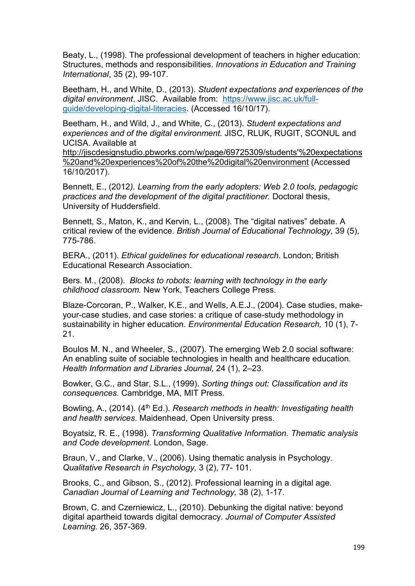Beaty, L., (1998). The professional development of teachers in higher education: Structures, methods and responsibilities. *Innovations in Education and Training International*, 35 (2), 99-107.

Beetham, H., and White, D., (2013). *Student expectations and experiences of the digital environment*. JISC. Available from: [https://www.jisc.ac.uk/full](https://www.jisc.ac.uk/full-guide/developing-digital-literacies)[guide/developing-digital-literacies.](https://www.jisc.ac.uk/full-guide/developing-digital-literacies) (Accessed 16/10/17).

Beetham, H., and Wild, J., and White, C., (2013). *Student expectations and experiences and of the digital environment.* JISC, RLUK, RUGIT, SCONUL and UCISA. Available at

[http://jiscdesignstudio.pbworks.com/w/page/69725309/students'%20expectations](http://jiscdesignstudio.pbworks.com/w/page/69725309/students) [%20and%20experiences%20of%20the%20digital%20environment](http://jiscdesignstudio.pbworks.com/w/page/69725309/students) (Accessed 16/10/2017).

Bennett, E., (2012*). Learning from the early adopters: Web 2.0 tools, pedagogic practices and the development of the digital practitioner.* Doctoral thesis, University of Huddersfield.

Bennett, S., Maton, K., and Kervin, L., (2008). The "digital natives" debate. A critical review of the evidence. *British Journal of Educational Technology*, 39 (5), 775-786.

BERA., (2011). *Ethical guidelines for educational research*. London; British Educational Research Association.

Bers. M., (2008). *Blocks to robots: learning with technology in the early childhood classroom.* New York, Teachers College Press.

Blaze-Corcoran, P., Walker, K.E., and Wells, A.E.J., (2004). Case studies, makeyour-case studies, and case stories: a critique of case-study methodology in sustainability in higher education. *Environmental Education Research,* 10 (1), 7- 21.

Boulos M. N., and Wheeler, S., (2007). The emerging Web 2.0 social software: An enabling suite of sociable technologies in health and healthcare education*. Health Information and Libraries Journal,* 24 (1), 2–23.

Bowker, G.C., and Star, S.L., (1999). *Sorting things out: Classification and its consequences*. Cambridge, MA, MIT Press.

Bowling, A., (2014). (4<sup>th</sup> Ed.). *Research methods in health: Investigating health and health services*. Maidenhead, Open University press.

Boyatsiz, R. E., (1998). *Transforming Qualitative Information. Thematic analysis and Code development*. London, Sage.

Braun, V., and Clarke, V., (2006). Using thematic analysis in Psychology. *Qualitative Research in Psychology,* 3 (2), 77- 101.

Brooks, C., and Gibson, S., (2012). Professional learning in a digital age. *Canadian Journal of Learning and Technology,* 38 (2), 1-17.

Brown, C. and Czerniewicz, L., (2010). Debunking the digital native: beyond digital apartheid towards digital democracy. *Journal of Computer Assisted Learning.* 26, 357-369.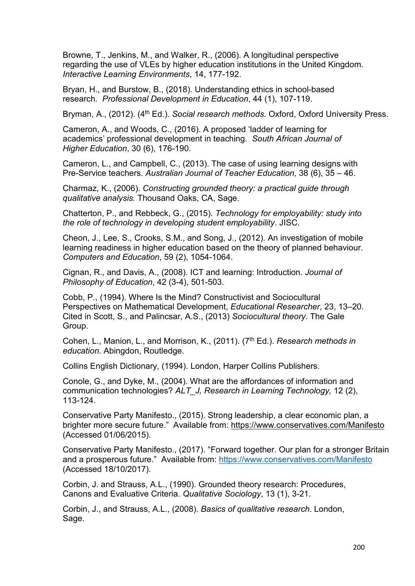Browne, T., Jenkins, M., and Walker, R., (2006). A longitudinal perspective regarding the use of VLEs by higher education institutions in the United Kingdom. *Interactive Learning Environments*, 14, 177-192.

Bryan, H., and Burstow, B., (2018). Understanding ethics in school-based research. *Professional Development in Education*, 44 (1), 107-119.

Bryman, A., (2012). (4<sup>th</sup> Ed.). *Social research methods.* Oxford, Oxford University Press.

Cameron, A., and Woods, C., (2016). A proposed 'ladder of learning for academics' professional development in teaching. *South African Journal of Higher Education*, 30 (6), 176-190.

Cameron, L., and Campbell, C., (2013). The case of using learning designs with Pre-Service teachers. *Australian Journal of Teacher Education,* 38 (6), 35 – 46.

Charmaz, K., (2006). *Constructing grounded theory: a practical guide through qualitative analysis.* Thousand Oaks, CA, Sage.

Chatterton, P., and Rebbeck, G., (2015). *Technology for employability: study into the role of technology in developing student employability*. JISC.

Cheon, J., Lee, S., Crooks, S.M., and Song, J., (2012). An investigation of mobile learning readiness in higher education based on the theory of planned behaviour. *Computers and Education*, 59 (2), 1054-1064.

Cignan, R., and Davis, A., (2008). ICT and learning: Introduction. *Journal of Philosophy of Education*, 42 (3-4), 501-503.

Cobb, P., (1994). Where Is the Mind? Constructivist and Sociocultural Perspectives on Mathematical Development, *Educational Researcher*, 23, 13–20. Cited in Scott, S., and Palincsar, A.S., (2013) *Sociocultural theory.* The Gale Group.

Cohen, L., Manion, L., and Morrison, K., (2011). (7th Ed.). *Research methods in education.* Abingdon, Routledge.

Collins English Dictionary, (1994). London, Harper Collins Publishers.

Conole, G., and Dyke, M., (2004). What are the affordances of information and communication technologies? *ALT\_J, Research in Learning Technology,* 12 (2), 113-124.

Conservative Party Manifesto., (2015). Strong leadership, a clear economic plan, a brighter more secure future." Available from:<https://www.conservatives.com/Manifesto> (Accessed 01/06/2015).

Conservative Party Manifesto., (2017). "Forward together. Our plan for a stronger Britain and a prosperous future." Available from:<https://www.conservatives.com/Manifesto> (Accessed 18/10/2017).

Corbin, J. and Strauss, A.L., (1990). Grounded theory research: Procedures, Canons and Evaluative Criteria. *Qualitative Sociology*, 13 (1), 3-21.

Corbin, J., and Strauss, A.L., (2008). *Basics of qualitative research*. London, Sage.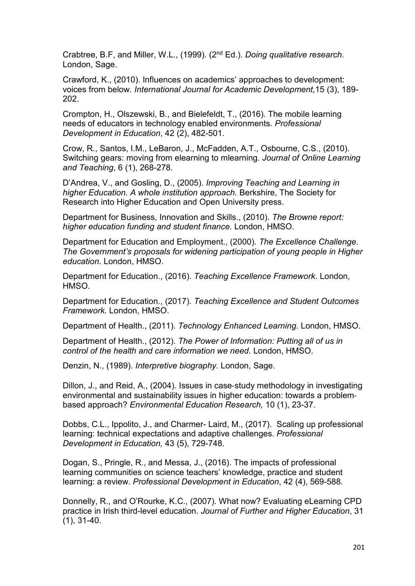Crabtree, B.F, and Miller, W.L., (1999). (2nd Ed.). *Doing qualitative research.* London, Sage.

Crawford, K., (2010). Influences on academics' approaches to development: voices from below. *International Journal for Academic Development,*15 (3), 189- 202.

Crompton, H., Olszewski, B., and Bielefeldt, T., (2016). The mobile learning needs of educators in technology enabled environments*. Professional Development in Education*, 42 (2), 482-501.

Crow, R., Santos, I.M., LeBaron, J., McFadden, A.T., Osbourne, C.S., (2010). Switching gears: moving from elearning to mlearning. *Journal of Online Learning and Teaching*, 6 (1), 268-278.

D'Andrea, V., and Gosling, D., (2005). *Improving Teaching and Learning in higher Education. A whole institution approach.* Berkshire, The Society for Research into Higher Education and Open University press.

Department for Business, Innovation and Skills., (2010). *The Browne report: higher education funding and student finance*. London, HMSO.

Department for Education and Employment., (2000). *The Excellence Challenge. The Government's proposals for widening participation of young people in Higher education.* London, HMSO.

Department for Education., (2016). *Teaching Excellence Framework*. London, HMSO.

Department for Education., (2017). *Teaching Excellence and Student Outcomes Framework.* London, HMSO.

Department of Health., (2011). *Technology Enhanced Learning.* London, HMSO.

Department of Health., (2012). *The Power of Information: Putting all of us in control of the health and care information we need*. London, HMSO.

Denzin, N., (1989). *Interpretive biography.* London, Sage.

Dillon, J., and Reid, A., (2004). Issues in case‐study methodology in investigating environmental and sustainability issues in higher education: towards a problem‐ based approach? *Environmental Education Research,* 10 (1), 23-37.

Dobbs, C.L., Ippolito, J., and Charmer- Laird, M., (2017). Scaling up professional learning: technical expectations and adaptive challenges. *Professional Development in Education,* 43 (5), 729-748.

Dogan, S., Pringle, R., and Messa, J., (2016). The impacts of professional learning communities on science teachers' knowledge, practice and student learning: a review. *Professional Development in Education*, 42 (4), 569-588.

Donnelly, R., and O'Rourke, K.C., (2007). What now? Evaluating eLearning CPD practice in Irish third-level education. *Journal of Further and Higher Education*, 31 (1), 31-40.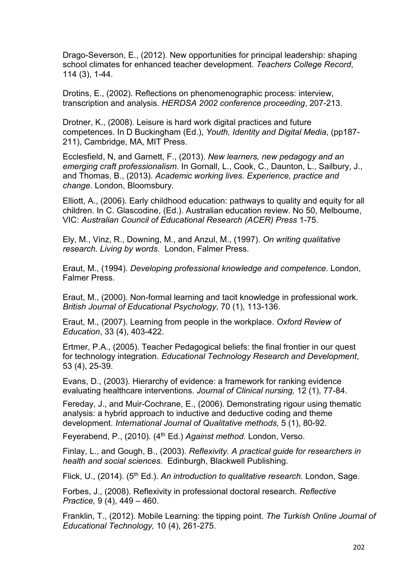Drago-Severson, E., (2012). New opportunities for principal leadership: shaping school climates for enhanced teacher development. *Teachers College Record*, 114 (3), 1-44.

Drotins, E., (2002). Reflections on phenomenographic process: interview, transcription and analysis. *HERDSA 2002 conference proceeding*, 207-213.

Drotner, K., (2008). Leisure is hard work digital practices and future competences. In D Buckingham (Ed.), *Youth, Identity and Digital Media*, (pp187- 211), Cambridge, MA, MIT Press.

Ecclesfield, N, and Garnett, F., (2013). *New learners, new pedagogy and an emerging craft professionalism*. In Gornall, L., Cook, C., Daunton, L., Sailbury, J., and Thomas, B., (2013). *Academic working lives. Experience, practice and change*. London, Bloomsbury.

Elliott, A., (2006). Early childhood education: pathways to quality and equity for all children. In C. Glascodine, (Ed.). Australian education review. No 50, Melbourne, VIC: *Australian Council of Educational Research (ACER) Press* 1-75.

Ely, M., Vinz, R., Downing, M., and Anzul, M., (1997). *On writing qualitative research. Living by words*. London, Falmer Press.

Eraut, M., (1994). *Developing professional knowledge and competence*. London, Falmer Press.

Eraut, M., (2000). Non-formal learning and tacit knowledge in professional work. *British Journal of Educational Psychology*, 70 (1), 113-136.

Eraut, M., (2007). Learning from people in the workplace. *Oxford Review of Education*, 33 (4), 403-422.

Ertmer, P.A., (2005). Teacher Pedagogical beliefs: the final frontier in our quest for technology integration. *Educational Technology Research and Development*, 53 (4), 25-39.

Evans, D., (2003). Hierarchy of evidence: a framework for ranking evidence evaluating healthcare interventions. *Journal of Clinical nursing,* 12 (1), 77-84.

Fereday, J., and Muir-Cochrane, E., (2006). Demonstrating rigour using thematic analysis: a hybrid approach to inductive and deductive coding and theme development. *International Journal of Qualitative methods,* 5 (1), 80-92.

Feyerabend, P., (2010). (4<sup>th</sup> Ed.) *Against method.* London, Verso.

Finlay, L., and Gough, B., (2003). *Reflexivity. A practical guide for researchers in health and social sciences.* Edinburgh, Blackwell Publishing.

Flick, U., (2014). (5<sup>th</sup> Ed.). *An introduction to qualitative research.* London, Sage.

Forbes, J., (2008). Reflexivity in professional doctoral research. *Reflective Practice,* 9 (4), 449 – 460.

Franklin, T., (2012). Mobile Learning: the tipping point. *The Turkish Online Journal of Educational Technology,* 10 (4), 261-275.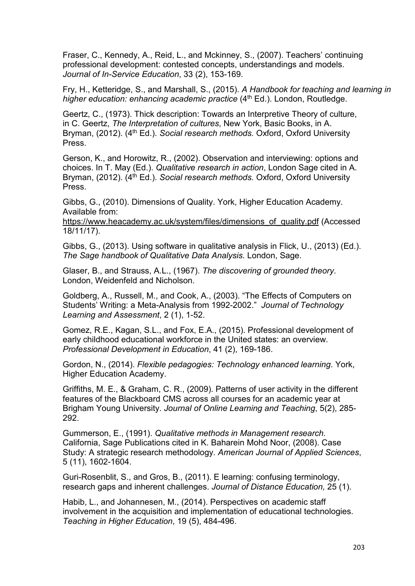Fraser, C., Kennedy, A., Reid, L., and Mckinney, S., (2007). Teachers' continuing professional development: contested concepts, understandings and models. *Journal of In-Service Education*, 33 (2), 153-169.

Fry, H., Ketteridge, S., and Marshall, S., (2015). *A Handbook for teaching and learning in higher education: enhancing academic practice* (4<sup>th</sup> Ed.). London, Routledge.

Geertz, C., (1973). Thick description: Towards an Interpretive Theory of culture, in C. Geertz, *The Interpretation of cultures*, New York, Basic Books, in A. Bryman, (2012). (4<sup>th</sup> Ed.). *Social research methods.* Oxford, Oxford University Press.

Gerson, K., and Horowitz, R., (2002). Observation and interviewing: options and choices. In T. May (Ed.). *Qualitative research in action*, London Sage cited in A. Bryman, (2012). (4<sup>th</sup> Ed.). *Social research methods.* Oxford, Oxford University Press.

Gibbs, G., (2010). Dimensions of Quality. York, Higher Education Academy. Available from:

[https://www.heacademy.ac.uk/system/files/dimensions\\_of\\_quality.pdf](https://www.heacademy.ac.uk/system/files/dimensions_of_quality.pdf) (Accessed 18/11/17).

Gibbs, G., (2013). Using software in qualitative analysis in Flick, U., (2013) (Ed.). *The Sage handbook of Qualitative Data Analysis*. London, Sage.

Glaser, B., and Strauss, A.L., (1967). *The discovering of grounded theory*. London, Weidenfeld and Nicholson.

Goldberg, A., Russell, M., and Cook, A., (2003). "The Effects of Computers on Students' Writing: a Meta-Analysis from 1992-2002." *Journal of Technology Learning and Assessment*, 2 (1), 1-52.

Gomez, R.E., Kagan, S.L., and Fox, E.A., (2015). Professional development of early childhood educational workforce in the United states: an overview. *Professional Development in Education*, 41 (2), 169-186.

Gordon, N., (2014). *Flexible pedagogies: Technology enhanced learning*. York, Higher Education Academy.

Griffiths, M. E., & Graham, C. R., (2009). Patterns of user activity in the different features of the Blackboard CMS across all courses for an academic year at Brigham Young University. *Journal of Online Learning and Teaching*, 5(2), 285- 292.

Gummerson, E., (1991). *Qualitative methods in Management research.* California, Sage Publications cited in K. Baharein Mohd Noor, (2008). Case Study: A strategic research methodology. *American Journal of Applied Sciences*, 5 (11), 1602-1604.

Guri-Rosenblit, S., and Gros, B., (2011). E learning: confusing terminology, research gaps and inherent challenges. *Journal of Distance Education,* 25 (1).

Habib, L., and Johannesen, M., (2014). Perspectives on academic staff involvement in the acquisition and implementation of educational technologies. *Teaching in Higher Education*, 19 (5), 484-496.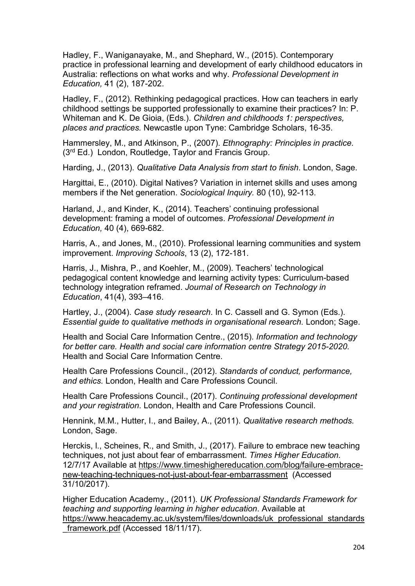Hadley, F., Waniganayake, M., and Shephard, W., (2015). Contemporary practice in professional learning and development of early childhood educators in Australia: reflections on what works and why. *Professional Development in Education,* 41 (2), 187-202.

Hadley, F., (2012). Rethinking pedagogical practices. How can teachers in early childhood settings be supported professionally to examine their practices? In: P. Whiteman and K. De Gioia, (Eds.). *Children and childhoods 1: perspectives, places and practices.* Newcastle upon Tyne: Cambridge Scholars, 16-35.

Hammersley, M., and Atkinson, P., (2007). *Ethnography: Principles in practice.* (3<sup>rd</sup> Ed.) London, Routledge, Taylor and Francis Group.

Harding, J., (2013). *Qualitative Data Analysis from start to finish*. London, Sage.

Hargittai, E., (2010). Digital Natives? Variation in internet skills and uses among members if the Net generation. *Sociological Inquiry.* 80 (10), 92-113.

Harland, J., and Kinder, K., (2014). Teachers' continuing professional development: framing a model of outcomes. *Professional Development in Education,* 40 (4), 669-682.

Harris, A., and Jones, M., (2010). Professional learning communities and system improvement. *Improving Schools*, 13 (2), 172-181.

Harris, J., Mishra, P., and Koehler, M., (2009). Teachers' technological pedagogical content knowledge and learning activity types: Curriculum-based technology integration reframed. *Journal of Research on Technology in Education*, 41(4), 393–416.

Hartley, J., (2004). *Case study research*. In C. Cassell and G. Symon (Eds.). *Essential guide to qualitative methods in organisational research.* London; Sage.

Health and Social Care Information Centre., (2015). *Information and technology for better care. Health and social care information centre Strategy 2015-2020.* Health and Social Care Information Centre.

Health Care Professions Council., (2012). *Standards of conduct, performance, and ethics.* London, Health and Care Professions Council.

Health Care Professions Council., (2017). *Continuing professional development and your registration*. London, Health and Care Professions Council.

Hennink, M.M., Hutter, I., and Bailey, A., (2011). *Qualitative research methods.* London, Sage.

Herckis, l., Scheines, R., and Smith, J., (2017). Failure to embrace new teaching techniques, not just about fear of embarrassment. *Times Higher Education.*  12/7/17 Available at [https://www.timeshighereducation.com/blog/failure-embrace](https://www.timeshighereducation.com/blog/failure-embrace-new-teaching-techniques-not-just-about-fear-embarrassment)[new-teaching-techniques-not-just-about-fear-embarrassment](https://www.timeshighereducation.com/blog/failure-embrace-new-teaching-techniques-not-just-about-fear-embarrassment) (Accessed  $31/10/2017$ ).

Higher Education Academy., (2011). *UK Professional Standards Framework for teaching and supporting learning in higher education*. Available at [https://www.heacademy.ac.uk/system/files/downloads/uk\\_professional\\_standards](https://www.heacademy.ac.uk/system/files/downloads/uk_professional_standards_framework.pdf) framework.pdf (Accessed 18/11/17).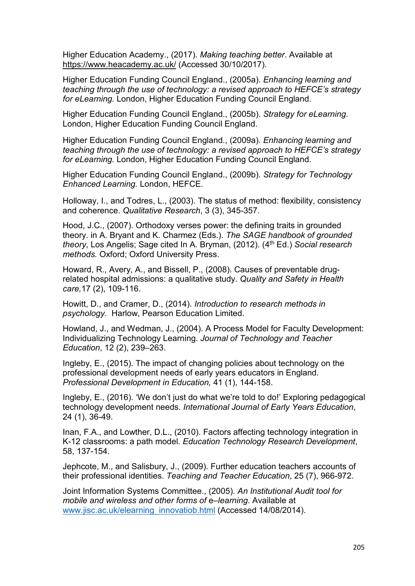Higher Education Academy., (2017). *Making teaching better*. Available at <https://www.heacademy.ac.uk/> (Accessed 30/10/2017).

Higher Education Funding Council England., (2005a). *Enhancing learning and teaching through the use of technology: a revised approach to HEFCE's strategy for eLearning.* London, Higher Education Funding Council England.

Higher Education Funding Council England., (2005b). *Strategy for eLearning.*  London, Higher Education Funding Council England.

Higher Education Funding Council England., (2009a). *Enhancing learning and teaching through the use of technology: a revised approach to HEFCE's strategy for eLearning.* London, Higher Education Funding Council England.

Higher Education Funding Council England., (2009b). *Strategy for Technology Enhanced Learning.* London, HEFCE.

Holloway, I., and Todres, L., (2003). The status of method: flexibility, consistency and coherence. *Qualitative Research*, 3 (3), 345-357.

Hood, J.C., (2007). Orthodoxy verses power: the defining traits in grounded theory. in A. Bryant and K. Charmez (Eds.). *The SAGE handbook of grounded theory*, Los Angelis; Sage cited In A. Bryman, (2012). (4th Ed.) *Social research methods.* Oxford; Oxford University Press.

Howard, R., Avery, A., and Bissell, P., (2008). Causes of preventable drugrelated hospital admissions: a qualitative study. *Quality and Safety in Health care,*17 (2), 109-116.

Howitt, D., and Cramer, D., (2014). *Introduction to research methods in psychology*. Harlow, Pearson Education Limited.

Howland, J., and Wedman, J., (2004). A Process Model for Faculty Development: Individualizing Technology Learning. *Journal of Technology and Teacher Education*, 12 (2), 239–263.

Ingleby, E., (2015). The impact of changing policies about technology on the professional development needs of early years educators in England. *Professional Development in Education,* 41 (1), 144-158.

Ingleby, E., (2016). 'We don't just do what we're told to do!' Exploring pedagogical technology development needs. *International Journal of Early Years Education*, 24 (1), 36-49.

Inan, F.A., and Lowther, D.L., (2010). Factors affecting technology integration in K-12 classrooms: a path model. *Education Technology Research Development*, 58, 137-154.

Jephcote, M., and Salisbury, J., (2009). Further education teachers accounts of their professional identities. *Teaching and Teacher Education*, 25 (7), 966-972.

Joint Information Systems Committee., (2005). *An Institutional Audit tool for mobile and wireless and other forms of* e–*learning*. Available at [www.jisc.ac.uk/elearning\\_innovatiob.html](http://www.jisc.ac.uk/elearning_innovatiob.html) (Accessed 14/08/2014).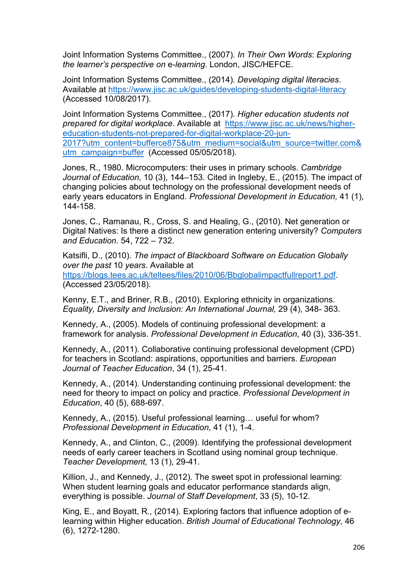Joint Information Systems Committee., (2007). *In Their Own Words*: *Exploring the learner's perspective on* e-*learning*. London, JISC/HEFCE.

Joint Information Systems Committee., (2014). *Developing digital literacies*. Available at<https://www.jisc.ac.uk/guides/developing-students-digital-literacy> (Accessed 10/08/2017).

Joint Information Systems Committee., (2017). *Higher education students not prepared for digital workplace*. Available at [https://www.jisc.ac.uk/news/higher](https://www.jisc.ac.uk/news/higher-education-students-not-prepared-for-digital-workplace-20-jun-2017?utm_content=bufferce875&utm_medium=social&utm_source=twitter.com&utm_campaign=buffer)[education-students-not-prepared-for-digital-workplace-20-jun-](https://www.jisc.ac.uk/news/higher-education-students-not-prepared-for-digital-workplace-20-jun-2017?utm_content=bufferce875&utm_medium=social&utm_source=twitter.com&utm_campaign=buffer)[2017?utm\\_content=bufferce875&utm\\_medium=social&utm\\_source=twitter.com&](https://www.jisc.ac.uk/news/higher-education-students-not-prepared-for-digital-workplace-20-jun-2017?utm_content=bufferce875&utm_medium=social&utm_source=twitter.com&utm_campaign=buffer) [utm\\_campaign=buffer](https://www.jisc.ac.uk/news/higher-education-students-not-prepared-for-digital-workplace-20-jun-2017?utm_content=bufferce875&utm_medium=social&utm_source=twitter.com&utm_campaign=buffer) (Accessed 05/05/2018).

Jones, R., 1980. Microcomputers: their uses in primary schools. *Cambridge Journal of Education,* 10 (3), 144–153. Cited in Ingleby, E., (2015). The impact of changing policies about technology on the professional development needs of early years educators in England. *Professional Development in Education,* 41 (1), 144-158.

Jones, C., Ramanau, R., Cross, S. and Healing, G., (2010). Net generation or Digital Natives: Is there a distinct new generation entering university? *Computers and Education*. 54, 722 – 732.

Katsifli, D., (2010). *The impact of Blackboard Software on Education Globally over the past* 10 *years*. Available at https://blogs.tees.ac.uk/teltees/files/2010/06/Bbglobalimpactfullreport1.pdf (Accessed 23/05/2018).

Kenny, E.T., and Briner, R.B., (2010). Exploring ethnicity in organizations. *Equality, Diversity and Inclusion: An International Journal,* 29 (4), 348- 363.

Kennedy, A., (2005). Models of continuing professional development: a framework for analysis. *Professional Development in Education*, 40 (3), 336-351.

Kennedy, A., (2011). Collaborative continuing professional development (CPD) for teachers in Scotland: aspirations, opportunities and barriers. *European Journal of Teacher Education*, 34 (1), 25-41.

Kennedy, A., (2014). Understanding continuing professional development: the need for theory to impact on policy and practice. *Professional Development in Education*, 40 (5), 688-697.

Kennedy, A., (2015). Useful professional learning… useful for whom? *Professional Development in Education*, 41 (1), 1-4.

Kennedy, A., and Clinton, C., (2009). Identifying the professional development needs of early career teachers in Scotland using nominal group technique. *Teacher Development,* 13 (1), 29-41.

Killion, J., and Kennedy, J., (2012). The sweet spot in professional learning: When student learning goals and educator performance standards align, everything is possible. *Journal of Staff Development*, 33 (5), 10-12.

King, E., and Boyatt, R., (2014). Exploring factors that influence adoption of elearning within Higher education. *British Journal of Educational Technology*, 46 (6), 1272-1280.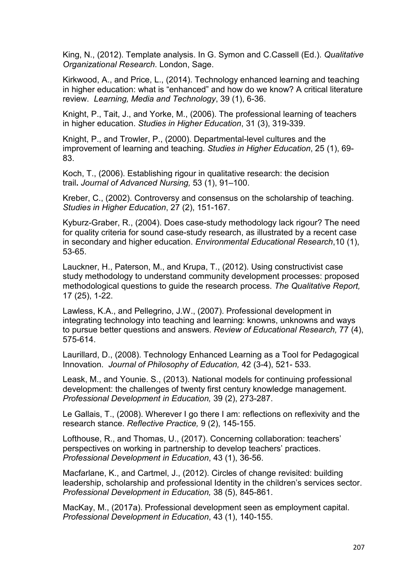King, N., (2012). Template analysis. In G. Symon and C.Cassell (Ed.). *Qualitative Organizational Research*. London, Sage.

Kirkwood, A., and Price, L., (2014). Technology enhanced learning and teaching in higher education: what is "enhanced" and how do we know? A critical literature review. *Learning, Media and Technology*, 39 (1), 6-36.

Knight, P., Tait, J., and Yorke, M., (2006). The professional learning of teachers in higher education. *Studies in Higher Education*, 31 (3), 319-339.

Knight, P., and Trowler, P., (2000). Departmental-level cultures and the improvement of learning and teaching. *Studies in Higher Education*, 25 (1), 69- 83.

Koch, T., (2006). Establishing rigour in qualitative research: the decision trail**.** *Journal of Advanced Nursing,* 53 (1), 91–100.

Kreber, C., (2002). Controversy and consensus on the scholarship of teaching. *Studies in Higher Education*, 27 (2), 151-167.

Kyburz-Graber, R., (2004). Does case-study methodology lack rigour? The need for quality criteria for sound case-study research, as illustrated by a recent case in secondary and higher education. *Environmental Educational Research*,10 (1), 53-65.

Lauckner, H., Paterson, M., and Krupa, T., (2012). Using constructivist case study methodology to understand community development processes: proposed methodological questions to guide the research process. *The Qualitative Report,* 17 (25), 1-22.

Lawless, K.A., and Pellegrino, J.W., (2007). Professional development in integrating technology into teaching and learning: knowns, unknowns and ways to pursue better questions and answers. *Review of Educational Research,* 77 (4), 575-614.

Laurillard, D., (2008). Technology Enhanced Learning as a Tool for Pedagogical Innovation. *Journal of Philosophy of Education,* 42 (3-4), 521- 533.

Leask, M., and Younie. S., (2013). National models for continuing professional development: the challenges of twenty first century knowledge management. *Professional Development in Education,* 39 (2), 273-287.

Le Gallais, T., (2008). Wherever I go there I am: reflections on reflexivity and the research stance. *Reflective Practice,* 9 (2), 145-155.

Lofthouse, R., and Thomas, U., (2017). Concerning collaboration: teachers' perspectives on working in partnership to develop teachers' practices. *Professional Development in Education*, 43 (1), 36-56.

Macfarlane, K., and Cartmel, J., (2012). Circles of change revisited: building leadership, scholarship and professional Identity in the children's services sector. *Professional Development in Education,* 38 (5), 845-861.

MacKay, M., (2017a). Professional development seen as employment capital. *Professional Development in Education*, 43 (1), 140-155.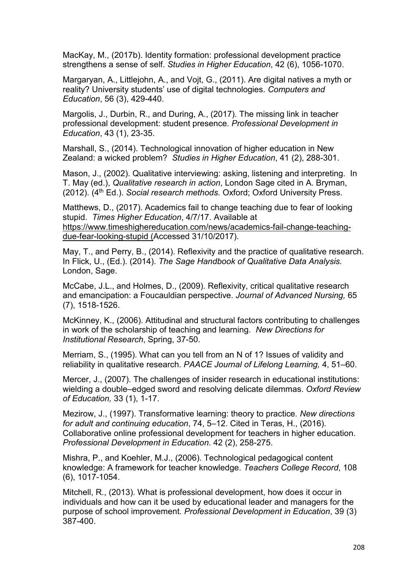MacKay, M., (2017b). Identity formation: professional development practice strengthens a sense of self. *Studies in Higher Education*, 42 (6), 1056-1070.

Margaryan, A., Littlejohn, A., and Vojt, G., (2011). Are digital natives a myth or reality? University students' use of digital technologies. *Computers and Education*, 56 (3), 429-440.

Margolis, J., Durbin, R., and During, A., (2017). The missing link in teacher professional development: student presence. *Professional Development in Education*, 43 (1), 23-35.

Marshall, S., (2014). Technological innovation of higher education in New Zealand: a wicked problem? *Studies in Higher Education*, 41 (2), 288-301.

Mason, J., (2002). Qualitative interviewing: asking, listening and interpreting. In T. May (ed.), *Qualitative research in action*, London Sage cited in A. Bryman, (2012). (4<sup>th</sup> Ed.). *Social research methods. Oxford*; Oxford University Press.

Matthews, D., (2017). Academics fail to change teaching due to fear of looking stupid. *Times Higher Education*, 4/7/17. Available at https://www.timeshighereducation.com/news/academics-fail-change-teachingdue-fear-looking-stupid (Accessed 31/10/2017).

May, T., and Perry, B., (2014). Reflexivity and the practice of qualitative research. In Flick, U., (Ed.). (2014). *The Sage Handbook of Qualitative Data Analysis.* London, Sage.

McCabe, J.L., and Holmes, D., (2009). Reflexivity, critical qualitative research and emancipation: a Foucauldian perspective. *Journal of Advanced Nursing,* 65 (7), 1518-1526.

McKinney, K., (2006). Attitudinal and structural factors contributing to challenges in work of the scholarship of teaching and learning. *New Directions for Institutional Research*, Spring, 37-50.

Merriam, S., (1995). What can you tell from an N of 1? Issues of validity and reliability in qualitative research. *PAACE Journal of Lifelong Learning,* 4, 51–60.

Mercer, J., (2007). The challenges of insider research in educational institutions: wielding a double–edged sword and resolving delicate dilemmas. *Oxford Review of Education,* 33 (1), 1-17.

Mezirow, J., (1997). Transformative learning: theory to practice*. New directions for adult and continuing education*, 74, 5–12. Cited in Teras, H., (2016). Collaborative online professional development for teachers in higher education. *Professional Development in Education*. 42 (2), 258-275.

Mishra, P., and Koehler, M.J., (2006). Technological pedagogical content knowledge: A framework for teacher knowledge. *Teachers College Record*, 108 (6), 1017-1054.

Mitchell, R., (2013). What is professional development, how does it occur in individuals and how can it be used by educational leader and managers for the purpose of school improvement. *Professional Development in Education*, 39 (3) 387-400.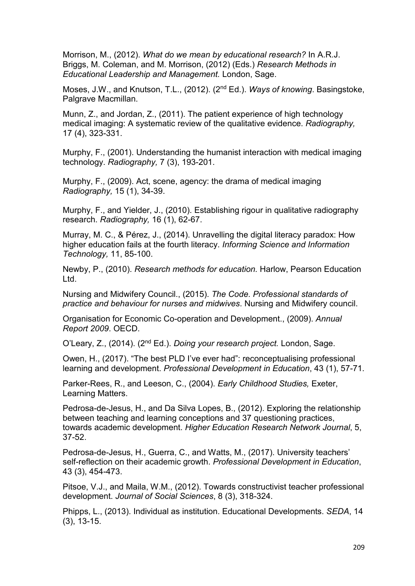Morrison, M., (2012). *What do we mean by educational research?* In A.R.J. Briggs, M. Coleman, and M. Morrison, (2012) (Eds.) *Research Methods in Educational Leadership and Management.* London, Sage.

Moses, J.W., and Knutson, T.L., (2012). (2nd Ed.). *Ways of knowing*. Basingstoke, Palgrave Macmillan.

Munn, Z., and Jordan, Z., (2011). The patient experience of high technology medical imaging: A systematic review of the qualitative evidence. *[Radiography,](https://www.scopus.com/sourceid/17845?origin=recordpage)* 17 (4), 323-331.

Murphy, F., (2001). Understanding the humanist interaction with medical imaging technology. *Radiography,* 7 (3), 193-201.

Murphy, F., (2009). Act, scene, agency: the drama of medical imaging *Radiography,* 15 (1), 34-39.

Murphy, F., and Yielder, J., (2010). Establishing rigour in qualitative radiography research. *Radiography,* 16 (1), 62-67.

Murray, M. C., & Pérez, J., (2014). Unravelling the digital literacy paradox: How higher education fails at the fourth literacy. *Informing Science and Information Technology,* 11, 85-100.

Newby, P., (2010). *Research methods for education.* Harlow, Pearson Education Ltd.

Nursing and Midwifery Council., (2015). *The Code. Professional standards of practice and behaviour for nurses and midwives*. Nursing and Midwifery council.

Organisation for Economic Co-operation and Development., (2009). *Annual Report 2009*. OECD.

O'Leary, Z., (2014). (2nd Ed.). *Doing your research project.* London, Sage.

Owen, H., (2017). "The best PLD I've ever had": reconceptualising professional learning and development. *Professional Development in Education*, 43 (1), 57-71.

Parker-Rees, R., and Leeson, C., (2004). *Early Childhood Studies,* Exeter, Learning Matters.

Pedrosa-de-Jesus, H., and Da Silva Lopes, B., (2012). Exploring the relationship between teaching and learning conceptions and 37 questioning practices, towards academic development. *Higher Education Research Network Journal*, 5, 37-52.

Pedrosa-de-Jesus, H., Guerra, C., and Watts, M., (2017). University teachers' self-reflection on their academic growth. *Professional Development in Education*, 43 (3), 454-473.

Pitsoe, V.J., and Maila, W.M., (2012). Towards constructivist teacher professional development. *Journal of Social Sciences*, 8 (3), 318-324.

Phipps, L., (2013). Individual as institution. Educational Developments. *SEDA*, 14 (3), 13-15.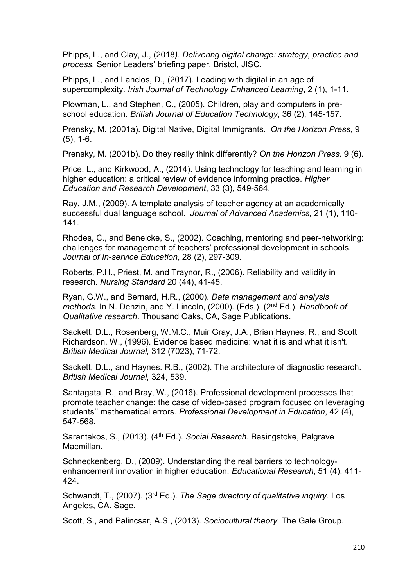Phipps, L., and Clay, J., (2018*). Delivering digital change: strategy, practice and process.* Senior Leaders' briefing paper. Bristol, JISC.

Phipps, L., and Lanclos, D., (2017). Leading with digital in an age of supercomplexity. *Irish Journal of Technology Enhanced Learning*, 2 (1), 1-11.

Plowman, L., and Stephen, C., (2005). Children, play and computers in preschool education. *British Journal of Education Technology*, 36 (2), 145-157.

Prensky, M. (2001a). Digital Native, Digital Immigrants. *On the Horizon Press,* 9 (5), 1-6.

Prensky, M. (2001b). Do they really think differently? *On the Horizon Press,* 9 (6).

Price, L., and Kirkwood, A., (2014). Using technology for teaching and learning in higher education: a critical review of evidence informing practice. *Higher Education and Research Development*, 33 (3), 549-564.

Ray, J.M., (2009). A template analysis of teacher agency at an academically successful dual language school. *Journal of Advanced Academics,* 21 (1), 110- 141.

Rhodes, C., and Beneicke, S., (2002). Coaching, mentoring and peer-networking: challenges for management of teachers' professional development in schools. *Journal of In-service Education*, 28 (2), 297-309.

Roberts, P.H., Priest, M. and Traynor, R., (2006). Reliability and validity in research. *Nursing Standard* 20 (44), 41-45.

Ryan, G.W., and Bernard, H.R., (2000). *Data management and analysis methods.* In N. Denzin, and Y. Lincoln, (2000). (Eds.). (2nd Ed.). *Handbook of Qualitative research*. Thousand Oaks, CA, Sage Publications.

Sackett, D.L., Rosenberg, W.M.C., Muir Gray, J.A., Brian Haynes, R., and Scott Richardson, W., (1996). Evidence based medicine: what it is and what it isn't. *British Medical Journal,* 312 (7023), 71-72.

Sackett, D.L., and Haynes. R.B., (2002). The architecture of diagnostic research. *British Medical Journal,* 324*,* 539.

Santagata, R., and Bray, W., (2016). Professional development processes that promote teacher change: the case of video-based program focused on leveraging students'' mathematical errors. *Professional Development in Education*, 42 (4), 547-568.

Sarantakos, S., (2013). (4<sup>th</sup> Ed.). *Social Research.* Basingstoke, Palgrave Macmillan.

Schneckenberg, D., (2009). Understanding the real barriers to technologyenhancement innovation in higher education. *Educational Research*, 51 (4), 411- 424.

Schwandt, T., (2007). (3rd Ed.). *The Sage directory of qualitative inquiry.* Los Angeles, CA. Sage.

Scott, S., and Palincsar, A.S., (2013). *Sociocultural theory.* The Gale Group.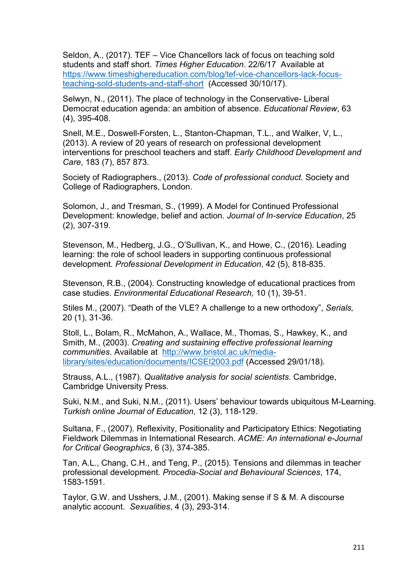Seldon, A., (2017). TEF – Vice Chancellors lack of focus on teaching sold students and staff short. *Times Higher Education*. 22/6/17 Available at [https://www.timeshighereducation.com/blog/tef-vice-chancellors-lack-focus](https://www.timeshighereducation.com/blog/tef-vice-chancellors-lack-focus-teaching-sold-students-and-staff-short)[teaching-sold-students-and-staff-short](https://www.timeshighereducation.com/blog/tef-vice-chancellors-lack-focus-teaching-sold-students-and-staff-short) (Accessed 30/10/17).

Selwyn, N., (2011). The place of technology in the Conservative- Liberal Democrat education agenda: an ambition of absence. *Educational Review*, 63 (4), 395-408.

Snell, M.E., Doswell-Forsten, L., Stanton-Chapman, T.L., and Walker, V, L., (2013). A review of 20 years of research on professional development interventions for preschool teachers and staff. *Early Childhood Development and Care*, 183 (7), 857 873.

Society of Radiographers., (2013). *Code of professional conduct.* Society and College of Radiographers, London.

Solomon, J., and Tresman, S., (1999). A Model for Continued Professional Development: knowledge, belief and action. *Journal of In-service Education*, 25 (2), 307-319.

Stevenson, M., Hedberg, J.G., O'Sullivan, K., and Howe, C., (2016). Leading learning: the role of school leaders in supporting continuous professional development*. Professional Development in Education*, 42 (5), 818-835.

Stevenson, R.B., (2004). Constructing knowledge of educational practices from case studies. *Environmental Educational Research,* 10 (1), 39-51.

Stiles M., (2007). "Death of the VLE? A challenge to a new orthodoxy", *Serials,* 20 (1), 31-36.

Stoll, L., Bolam, R., McMahon, A., Wallace, M., Thomas, S., Hawkey, K., and Smith, M., (2003). *Creating and sustaining effective professional learning communities*. Available at [http://www.bristol.ac.uk/media](http://www.bristol.ac.uk/media-library/sites/education/documents/ICSEI2003.pdf)[library/sites/education/documents/ICSEI2003.pdf](http://www.bristol.ac.uk/media-library/sites/education/documents/ICSEI2003.pdf) (Accessed 29/01/18).

Strauss, A.L., (1987). *Qualitative analysis for social scientists*. Cambridge, Cambridge University Press.

Suki, N.M., and Suki, N.M., (2011). Users' behaviour towards ubiquitous M-Learning. *Turkish online Journal of Education,* 12 (3), 118-129.

Sultana, F., (2007). Reflexivity, Positionality and Participatory Ethics: Negotiating Fieldwork Dilemmas in International Research. *ACME: An international e-Journal for Critical Geographics*, 6 (3), 374-385.

Tan, A.L., Chang, C.H., and Teng, P., (2015). Tensions and dilemmas in teacher professional development*. Procedia-Social and Behavioural Sciences*, 174, 1583-1591.

Taylor, G.W. and Usshers, J.M., (2001). Making sense if S & M. A discourse analytic account. *Sexualities*, 4 (3), 293-314.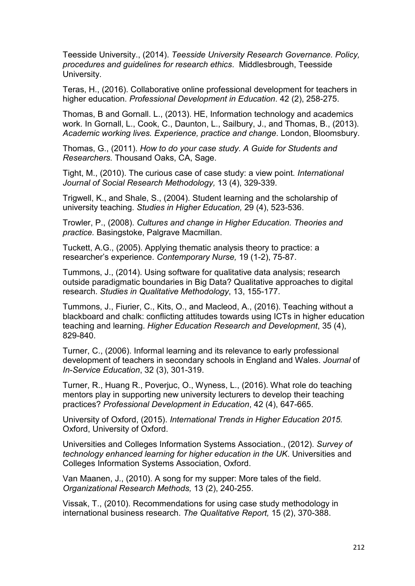Teesside University., (2014). *Teesside University Research Governance. Policy, procedures and guidelines for research ethics*. Middlesbrough, Teesside University.

Teras, H., (2016). Collaborative online professional development for teachers in higher education. *Professional Development in Education*. 42 (2), 258-275.

Thomas, B and Gornall. L., (2013). HE, Information technology and academics work. In Gornall, L., Cook, C., Daunton, L., Sailbury, J., and Thomas, B., (2013). *Academic working lives. Experience, practice and change*. London, Bloomsbury.

Thomas, G., (2011). *How to do your case study*. *A Guide for Students and Researchers.* Thousand Oaks, CA, Sage.

Tight, M., (2010). The curious case of case study: a view point*. International Journal of Social Research Methodology,* 13 (4), 329-339.

Trigwell, K., and Shale, S., (2004). Student learning and the scholarship of university teaching. *Studies in Higher Education,* 29 (4), 523-536.

Trowler, P., (2008). *Cultures and change in Higher Education. Theories and practice.* Basingstoke, Palgrave Macmillan.

Tuckett, A.G., (2005). Applying thematic analysis theory to practice: a researcher's experience. *Contemporary Nurse,* 19 (1-2), 75-87.

Tummons, J., (2014). Using software for qualitative data analysis; research outside paradigmatic boundaries in Big Data? Qualitative approaches to digital research. *Studies in Qualitative Methodology*, 13, 155-177.

Tummons, J., Fiurier, C., Kits, O., and Macleod, A., (2016). Teaching without a blackboard and chalk: conflicting attitudes towards using ICTs in higher education teaching and learning. *Higher Education Research and Development*, 35 (4), 829-840.

Turner, C., (2006). Informal learning and its relevance to early professional development of teachers in secondary schools in England and Wales. *Journal* of *In*-*Service Education*, 32 (3), 301-319.

Turner, R., Huang R., Poverjuc, O., Wyness, L., (2016). What role do teaching mentors play in supporting new university lecturers to develop their teaching practices? *Professional Development in Education*, 42 (4), 647-665.

University of Oxford, (2015). *International Trends in Higher Education 2015.*  Oxford, University of Oxford.

Universities and Colleges Information Systems Association., (2012). *Survey of technology enhanced learning for higher education in the UK*. Universities and Colleges Information Systems Association, Oxford.

Van Maanen, J., (2010). A song for my supper: More tales of the field. *Organizational Research Methods,* 13 (2), 240-255.

Vissak, T., (2010). Recommendations for using case study methodology in international business research. *The Qualitative Report,* 15 (2), 370-388.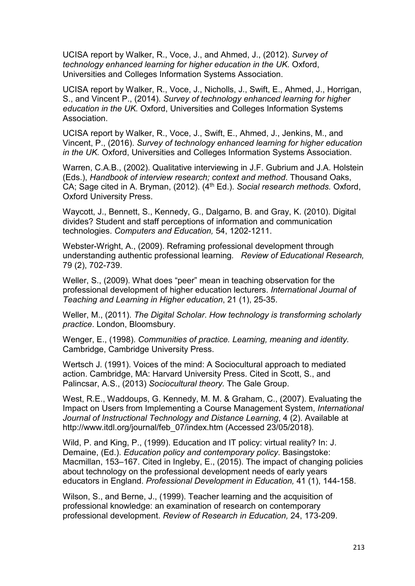UCISA report by Walker, R., Voce, J., and Ahmed, J., (2012). *Survey of technology enhanced learning for higher education in the UK.* Oxford, Universities and Colleges Information Systems Association.

UCISA report by Walker, R., Voce, J., Nicholls, J., Swift, E., Ahmed, J., Horrigan, S., and Vincent P., (2014). *Survey of technology enhanced learning for higher education in the UK.* Oxford, Universities and Colleges Information Systems Association.

UCISA report by Walker, R., Voce, J., Swift, E., Ahmed, J., Jenkins, M., and Vincent, P., (2016). *Survey of technology enhanced learning for higher education in the UK.* Oxford, Universities and Colleges Information Systems Association.

Warren, C.A.B., (2002). Qualitative interviewing in J.F. Gubrium and J.A. Holstein (Eds.), *Handbook of interview research; context and method*. Thousand Oaks, CA; Sage cited in A. Bryman, (2012). (4th Ed.). *Social research methods.* Oxford, Oxford University Press.

Waycott, J., Bennett, S., Kennedy, G., Dalgarno, B. and Gray, K. (2010). Digital divides? Student and staff perceptions of information and communication technologies. *Computers and Education,* 54, 1202-1211.

Webster-Wright, A., (2009). Reframing professional development through understanding authentic professional learning*. Review of Educational Research,* 79 (2), 702-739.

Weller, S., (2009). What does "peer" mean in teaching observation for the professional development of higher education lecturers. *International Journal of Teaching and Learning in Higher education*, 21 (1), 25-35.

Weller, M., (2011). *The Digital Scholar*. *How technology is transforming scholarly practice*. London, Bloomsbury.

Wenger, E., (1998). *Communities of practice. Learning, meaning and identity.* Cambridge, Cambridge University Press.

Wertsch J. (1991). Voices of the mind: A Sociocultural approach to mediated action. Cambridge, MA: Harvard University Press. Cited in Scott, S., and Palincsar, A.S., (2013) *Sociocultural theory.* The Gale Group.

West, R.E., Waddoups, G. Kennedy, M. M. & Graham, C., (2007). Evaluating the Impact on Users from Implementing a Course Management System, *International Journal of Instructional Technology and Distance Learning*, 4 (2). Available at http://www.itdl.org/journal/feb\_07/index.htm (Accessed 23/05/2018).

Wild, P. and King, P., (1999). Education and IT policy: virtual reality? In: J. Demaine, (Ed.). *Education policy and contemporary policy*. Basingstoke: Macmillan, 153–167. Cited in Ingleby, E., (2015). The impact of changing policies about technology on the professional development needs of early years educators in England. *Professional Development in Education,* 41 (1), 144-158.

Wilson, S., and Berne, J., (1999). Teacher learning and the acquisition of professional knowledge: an examination of research on contemporary professional development. *Review of Research in Education,* 24, 173-209.